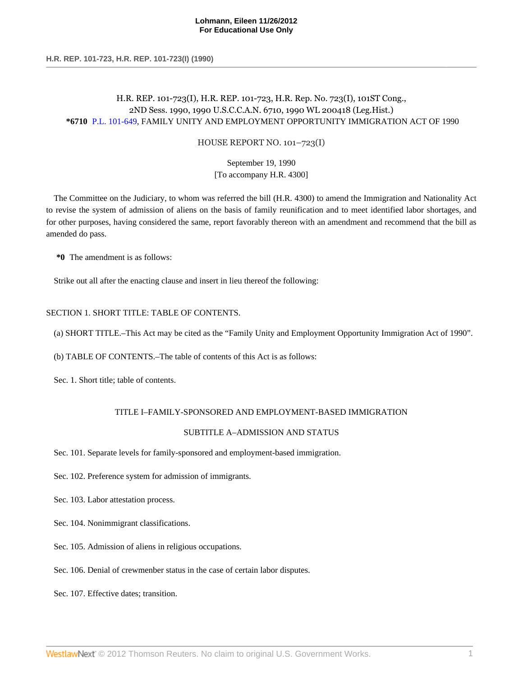**H.R. REP. 101-723, H.R. REP. 101-723(I) (1990)**

# H.R. REP. 101-723(I), H.R. REP. 101-723, H.R. Rep. No. 723(I), 101ST Cong., 2ND Sess. 1990, 1990 U.S.C.C.A.N. 6710, 1990 WL 200418 (Leg.Hist.) **\*6710** [P.L. 101-649](http://www.westlaw.com/Link/Document/FullText?findType=l&pubNum=1077005&cite=UUID(IE1D724CE87-99482D82F2B-163345CD76F)&originationContext=document&vr=3.0&rs=cblt1.0&transitionType=DocumentItem&contextData=(sc.UserEnteredCitation)), FAMILY UNITY AND EMPLOYMENT OPPORTUNITY IMMIGRATION ACT OF 1990

# HOUSE REPORT NO. 101–723(I)

September 19, 1990 [To accompany H.R. 4300]

The Committee on the Judiciary, to whom was referred the bill (H.R. 4300) to amend the Immigration and Nationality Act to revise the system of admission of aliens on the basis of family reunification and to meet identified labor shortages, and for other purposes, having considered the same, report favorably thereon with an amendment and recommend that the bill as amended do pass.

**\*0** The amendment is as follows:

Strike out all after the enacting clause and insert in lieu thereof the following:

## SECTION 1. SHORT TITLE: TABLE OF CONTENTS.

(a) SHORT TITLE.–This Act may be cited as the "Family Unity and Employment Opportunity Immigration Act of 1990".

(b) TABLE OF CONTENTS.–The table of contents of this Act is as follows:

Sec. 1. Short title; table of contents.

## TITLE I–FAMILY-SPONSORED AND EMPLOYMENT-BASED IMMIGRATION

# SUBTITLE A–ADMISSION AND STATUS

Sec. 101. Separate levels for family-sponsored and employment-based immigration.

- Sec. 102. Preference system for admission of immigrants.
- Sec. 103. Labor attestation process.
- Sec. 104. Nonimmigrant classifications.
- Sec. 105. Admission of aliens in religious occupations.

Sec. 106. Denial of crewmenber status in the case of certain labor disputes.

Sec. 107. Effective dates; transition.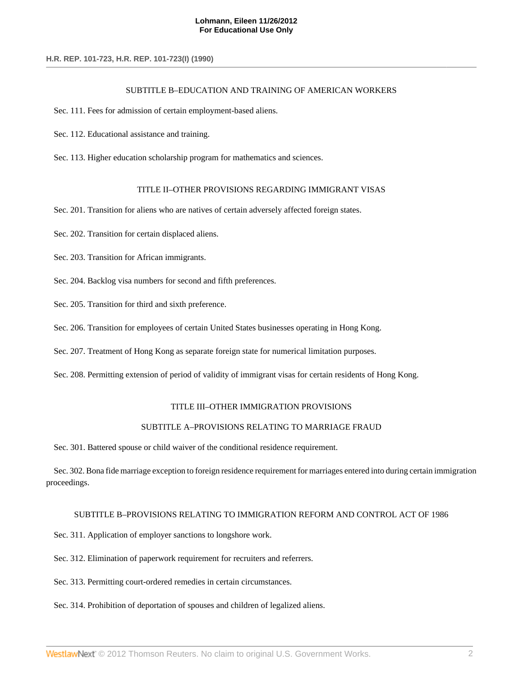## **H.R. REP. 101-723, H.R. REP. 101-723(I) (1990)**

#### SUBTITLE B–EDUCATION AND TRAINING OF AMERICAN WORKERS

Sec. 111. Fees for admission of certain employment-based aliens.

- Sec. 112. Educational assistance and training.
- Sec. 113. Higher education scholarship program for mathematics and sciences.

## TITLE II–OTHER PROVISIONS REGARDING IMMIGRANT VISAS

Sec. 201. Transition for aliens who are natives of certain adversely affected foreign states.

- Sec. 202. Transition for certain displaced aliens.
- Sec. 203. Transition for African immigrants.
- Sec. 204. Backlog visa numbers for second and fifth preferences.
- Sec. 205. Transition for third and sixth preference.
- Sec. 206. Transition for employees of certain United States businesses operating in Hong Kong.
- Sec. 207. Treatment of Hong Kong as separate foreign state for numerical limitation purposes.
- Sec. 208. Permitting extension of period of validity of immigrant visas for certain residents of Hong Kong.

# TITLE III–OTHER IMMIGRATION PROVISIONS

# SUBTITLE A–PROVISIONS RELATING TO MARRIAGE FRAUD

Sec. 301. Battered spouse or child waiver of the conditional residence requirement.

Sec. 302. Bona fide marriage exception to foreign residence requirement for marriages entered into during certain immigration proceedings.

# SUBTITLE B–PROVISIONS RELATING TO IMMIGRATION REFORM AND CONTROL ACT OF 1986

Sec. 311. Application of employer sanctions to longshore work.

Sec. 312. Elimination of paperwork requirement for recruiters and referrers.

Sec. 313. Permitting court-ordered remedies in certain circumstances.

### Sec. 314. Prohibition of deportation of spouses and children of legalized aliens.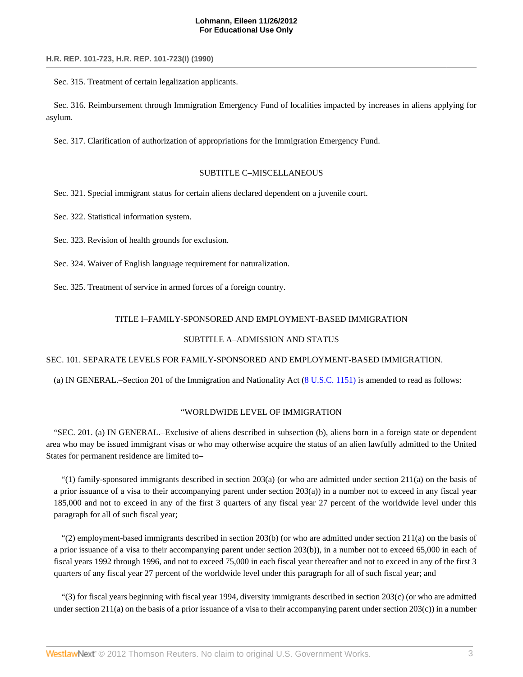#### **H.R. REP. 101-723, H.R. REP. 101-723(I) (1990)**

Sec. 315. Treatment of certain legalization applicants.

Sec. 316. Reimbursement through Immigration Emergency Fund of localities impacted by increases in aliens applying for asylum.

Sec. 317. Clarification of authorization of appropriations for the Immigration Emergency Fund.

# SUBTITLE C–MISCELLANEOUS

Sec. 321. Special immigrant status for certain aliens declared dependent on a juvenile court.

Sec. 322. Statistical information system.

Sec. 323. Revision of health grounds for exclusion.

Sec. 324. Waiver of English language requirement for naturalization.

Sec. 325. Treatment of service in armed forces of a foreign country.

# TITLE I–FAMILY-SPONSORED AND EMPLOYMENT-BASED IMMIGRATION

# SUBTITLE A–ADMISSION AND STATUS

# SEC. 101. SEPARATE LEVELS FOR FAMILY-SPONSORED AND EMPLOYMENT-BASED IMMIGRATION.

(a) IN GENERAL.–Section 201 of the Immigration and Nationality Act ([8 U.S.C. 1151\)](http://www.westlaw.com/Link/Document/FullText?findType=L&pubNum=1000546&cite=8USCAS1151&originatingDoc=I520E9F60643311D9B7CECED691859821&refType=LQ&originationContext=document&vr=3.0&rs=cblt1.0&transitionType=DocumentItem&contextData=(sc.UserEnteredCitation)) is amended to read as follows:

## "WORLDWIDE LEVEL OF IMMIGRATION

"SEC. 201. (a) IN GENERAL.–Exclusive of aliens described in subsection (b), aliens born in a foreign state or dependent area who may be issued immigrant visas or who may otherwise acquire the status of an alien lawfully admitted to the United States for permanent residence are limited to–

"(1) family-sponsored immigrants described in section  $203(a)$  (or who are admitted under section  $211(a)$ ) on the basis of a prior issuance of a visa to their accompanying parent under section 203(a)) in a number not to exceed in any fiscal year 185,000 and not to exceed in any of the first 3 quarters of any fiscal year 27 percent of the worldwide level under this paragraph for all of such fiscal year;

 $(2)$  employment-based immigrants described in section 203(b) (or who are admitted under section 211(a) on the basis of a prior issuance of a visa to their accompanying parent under section 203(b)), in a number not to exceed 65,000 in each of fiscal years 1992 through 1996, and not to exceed 75,000 in each fiscal year thereafter and not to exceed in any of the first 3 quarters of any fiscal year 27 percent of the worldwide level under this paragraph for all of such fiscal year; and

"(3) for fiscal years beginning with fiscal year 1994, diversity immigrants described in section 203(c) (or who are admitted under section  $211(a)$  on the basis of a prior issuance of a visa to their accompanying parent under section  $203(c)$ ) in a number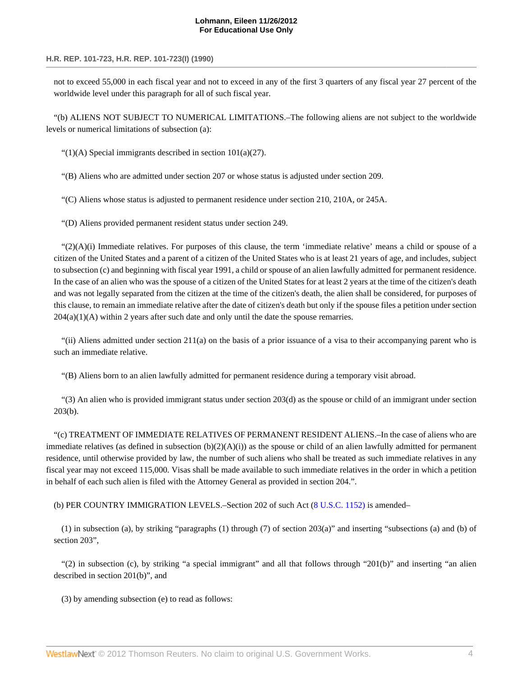## **H.R. REP. 101-723, H.R. REP. 101-723(I) (1990)**

not to exceed 55,000 in each fiscal year and not to exceed in any of the first 3 quarters of any fiscal year 27 percent of the worldwide level under this paragraph for all of such fiscal year.

"(b) ALIENS NOT SUBJECT TO NUMERICAL LIMITATIONS.–The following aliens are not subject to the worldwide levels or numerical limitations of subsection (a):

" $(1)(A)$  Special immigrants described in section  $101(a)(27)$ .

"(B) Aliens who are admitted under section 207 or whose status is adjusted under section 209.

"(C) Aliens whose status is adjusted to permanent residence under section 210, 210A, or 245A.

"(D) Aliens provided permanent resident status under section 249.

 $"(2)(A)(i)$  Immediate relatives. For purposes of this clause, the term 'immediate relative' means a child or spouse of a citizen of the United States and a parent of a citizen of the United States who is at least 21 years of age, and includes, subject to subsection (c) and beginning with fiscal year 1991, a child or spouse of an alien lawfully admitted for permanent residence. In the case of an alien who was the spouse of a citizen of the United States for at least 2 years at the time of the citizen's death and was not legally separated from the citizen at the time of the citizen's death, the alien shall be considered, for purposes of this clause, to remain an immediate relative after the date of citizen's death but only if the spouse files a petition under section  $204(a)(1)(A)$  within 2 years after such date and only until the date the spouse remarries.

"(ii) Aliens admitted under section 211(a) on the basis of a prior issuance of a visa to their accompanying parent who is such an immediate relative.

"(B) Aliens born to an alien lawfully admitted for permanent residence during a temporary visit abroad.

"(3) An alien who is provided immigrant status under section 203(d) as the spouse or child of an immigrant under section 203(b).

"(c) TREATMENT OF IMMEDIATE RELATIVES OF PERMANENT RESIDENT ALIENS.–In the case of aliens who are immediate relatives (as defined in subsection  $(b)(2)(A)(i)$ ) as the spouse or child of an alien lawfully admitted for permanent residence, until otherwise provided by law, the number of such aliens who shall be treated as such immediate relatives in any fiscal year may not exceed 115,000. Visas shall be made available to such immediate relatives in the order in which a petition in behalf of each such alien is filed with the Attorney General as provided in section 204.".

(b) PER COUNTRY IMMIGRATION LEVELS.–Section 202 of such Act [\(8 U.S.C. 1152\)](http://www.westlaw.com/Link/Document/FullText?findType=L&pubNum=1000546&cite=8USCAS1152&originatingDoc=I520E9F60643311D9B7CECED691859821&refType=LQ&originationContext=document&vr=3.0&rs=cblt1.0&transitionType=DocumentItem&contextData=(sc.UserEnteredCitation)) is amended–

(1) in subsection (a), by striking "paragraphs (1) through (7) of section 203(a)" and inserting "subsections (a) and (b) of section 203",

"(2) in subsection (c), by striking "a special immigrant" and all that follows through "201(b)" and inserting "an alien described in section 201(b)", and

(3) by amending subsection (e) to read as follows: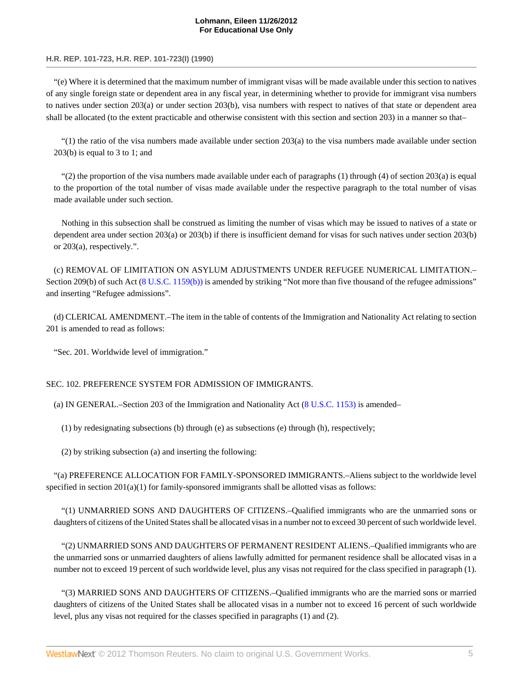### **H.R. REP. 101-723, H.R. REP. 101-723(I) (1990)**

"(e) Where it is determined that the maximum number of immigrant visas will be made available under this section to natives of any single foreign state or dependent area in any fiscal year, in determining whether to provide for immigrant visa numbers to natives under section  $203(a)$  or under section  $203(b)$ , visa numbers with respect to natives of that state or dependent area shall be allocated (to the extent practicable and otherwise consistent with this section and section 203) in a manner so that–

 $(1)$  the ratio of the visa numbers made available under section 203(a) to the visa numbers made available under section 203(b) is equal to 3 to 1; and

"(2) the proportion of the visa numbers made available under each of paragraphs (1) through (4) of section  $203(a)$  is equal to the proportion of the total number of visas made available under the respective paragraph to the total number of visas made available under such section.

Nothing in this subsection shall be construed as limiting the number of visas which may be issued to natives of a state or dependent area under section 203(a) or 203(b) if there is insufficient demand for visas for such natives under section 203(b) or 203(a), respectively.".

(c) REMOVAL OF LIMITATION ON ASYLUM ADJUSTMENTS UNDER REFUGEE NUMERICAL LIMITATION.– Section 209(b) of such Act [\(8 U.S.C. 1159\(b\)\)](http://www.westlaw.com/Link/Document/FullText?findType=L&pubNum=1000546&cite=8USCAS1159&originatingDoc=I520E9F60643311D9B7CECED691859821&refType=LQ&originationContext=document&vr=3.0&rs=cblt1.0&transitionType=DocumentItem&contextData=(sc.UserEnteredCitation)) is amended by striking "Not more than five thousand of the refugee admissions" and inserting "Refugee admissions".

(d) CLERICAL AMENDMENT.–The item in the table of contents of the Immigration and Nationality Act relating to section 201 is amended to read as follows:

"Sec. 201. Worldwide level of immigration."

# SEC. 102. PREFERENCE SYSTEM FOR ADMISSION OF IMMIGRANTS.

(a) IN GENERAL.–Section 203 of the Immigration and Nationality Act ([8 U.S.C. 1153\)](http://www.westlaw.com/Link/Document/FullText?findType=L&pubNum=1000546&cite=8USCAS1153&originatingDoc=I520E9F60643311D9B7CECED691859821&refType=LQ&originationContext=document&vr=3.0&rs=cblt1.0&transitionType=DocumentItem&contextData=(sc.UserEnteredCitation)) is amended–

(1) by redesignating subsections (b) through (e) as subsections (e) through (h), respectively;

(2) by striking subsection (a) and inserting the following:

"(a) PREFERENCE ALLOCATION FOR FAMILY-SPONSORED IMMIGRANTS.–Aliens subject to the worldwide level specified in section  $201(a)(1)$  for family-sponsored immigrants shall be allotted visas as follows:

"(1) UNMARRIED SONS AND DAUGHTERS OF CITIZENS.–Qualified immigrants who are the unmarried sons or daughters of citizens of the United States shall be allocated visas in a number not to exceed 30 percent of such worldwide level.

"(2) UNMARRIED SONS AND DAUGHTERS OF PERMANENT RESIDENT ALIENS.–Qualified immigrants who are the unmarried sons or unmarried daughters of aliens lawfully admitted for permanent residence shall be allocated visas in a number not to exceed 19 percent of such worldwide level, plus any visas not required for the class specified in paragraph (1).

"(3) MARRIED SONS AND DAUGHTERS OF CITIZENS.–Qualified immigrants who are the married sons or married daughters of citizens of the United States shall be allocated visas in a number not to exceed 16 percent of such worldwide level, plus any visas not required for the classes specified in paragraphs (1) and (2).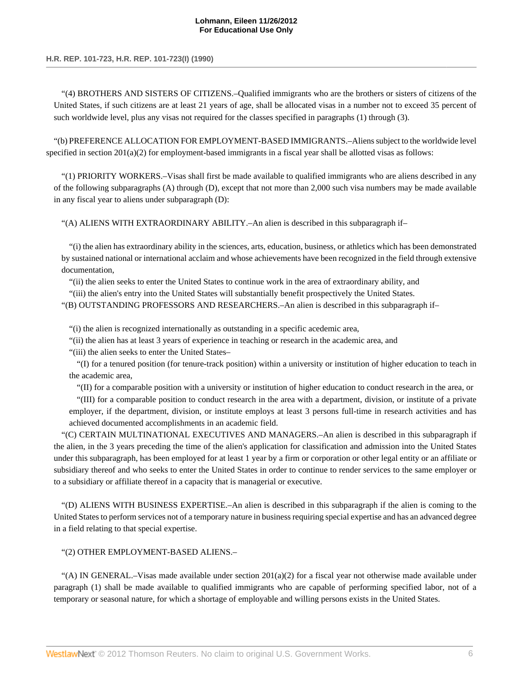## **H.R. REP. 101-723, H.R. REP. 101-723(I) (1990)**

"(4) BROTHERS AND SISTERS OF CITIZENS.–Qualified immigrants who are the brothers or sisters of citizens of the United States, if such citizens are at least 21 years of age, shall be allocated visas in a number not to exceed 35 percent of such worldwide level, plus any visas not required for the classes specified in paragraphs (1) through (3).

"(b) PREFERENCE ALLOCATION FOR EMPLOYMENT-BASED IMMIGRANTS.–Aliens subject to the worldwide level specified in section  $201(a)(2)$  for employment-based immigrants in a fiscal year shall be allotted visas as follows:

"(1) PRIORITY WORKERS.–Visas shall first be made available to qualified immigrants who are aliens described in any of the following subparagraphs (A) through (D), except that not more than 2,000 such visa numbers may be made available in any fiscal year to aliens under subparagraph (D):

"(A) ALIENS WITH EXTRAORDINARY ABILITY.–An alien is described in this subparagraph if–

"(i) the alien has extraordinary ability in the sciences, arts, education, business, or athletics which has been demonstrated by sustained national or international acclaim and whose achievements have been recognized in the field through extensive documentation,

"(ii) the alien seeks to enter the United States to continue work in the area of extraordinary ability, and

"(iii) the alien's entry into the United States will substantially benefit prospectively the United States.

"(B) OUTSTANDING PROFESSORS AND RESEARCHERS.–An alien is described in this subparagraph if–

"(i) the alien is recognized internationally as outstanding in a specific acedemic area,

"(ii) the alien has at least 3 years of experience in teaching or research in the academic area, and

"(iii) the alien seeks to enter the United States–

"(I) for a tenured position (for tenure-track position) within a university or institution of higher education to teach in the academic area,

"(II) for a comparable position with a university or institution of higher education to conduct research in the area, or

"(III) for a comparable position to conduct research in the area with a department, division, or institute of a private employer, if the department, division, or institute employs at least 3 persons full-time in research activities and has achieved documented accomplishments in an academic field.

"(C) CERTAIN MULTINATIONAL EXECUTIVES AND MANAGERS.–An alien is described in this subparagraph if the alien, in the 3 years preceding the time of the alien's application for classification and admission into the United States under this subparagraph, has been employed for at least 1 year by a firm or corporation or other legal entity or an affiliate or subsidiary thereof and who seeks to enter the United States in order to continue to render services to the same employer or to a subsidiary or affiliate thereof in a capacity that is managerial or executive.

"(D) ALIENS WITH BUSINESS EXPERTISE.–An alien is described in this subparagraph if the alien is coming to the United States to perform services not of a temporary nature in business requiring special expertise and has an advanced degree in a field relating to that special expertise.

# "(2) OTHER EMPLOYMENT-BASED ALIENS.–

"(A) IN GENERAL.–Visas made available under section  $201(a)(2)$  for a fiscal year not otherwise made available under paragraph (1) shall be made available to qualified immigrants who are capable of performing specified labor, not of a temporary or seasonal nature, for which a shortage of employable and willing persons exists in the United States.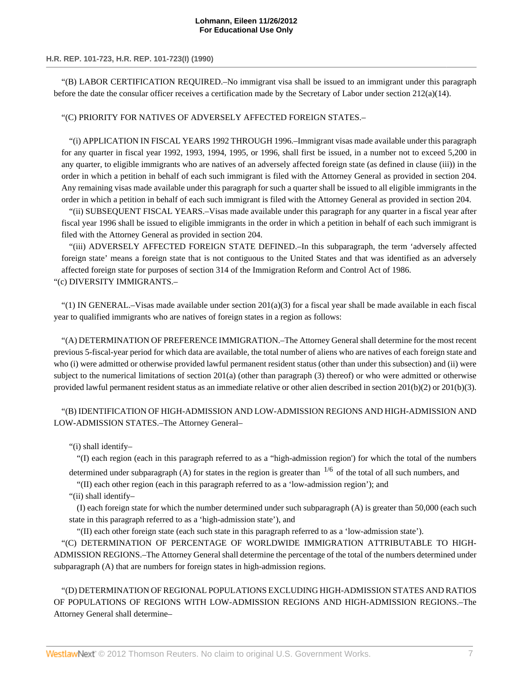# **H.R. REP. 101-723, H.R. REP. 101-723(I) (1990)**

"(B) LABOR CERTIFICATION REQUIRED.–No immigrant visa shall be issued to an immigrant under this paragraph before the date the consular officer receives a certification made by the Secretary of Labor under section 212(a)(14).

# "(C) PRIORITY FOR NATIVES OF ADVERSELY AFFECTED FOREIGN STATES.–

"(i) APPLICATION IN FISCAL YEARS 1992 THROUGH 1996.–Immigrant visas made available under this paragraph for any quarter in fiscal year 1992, 1993, 1994, 1995, or 1996, shall first be issued, in a number not to exceed 5,200 in any quarter, to eligible immigrants who are natives of an adversely affected foreign state (as defined in clause (iii)) in the order in which a petition in behalf of each such immigrant is filed with the Attorney General as provided in section 204. Any remaining visas made available under this paragraph for such a quarter shall be issued to all eligible immigrants in the order in which a petition in behalf of each such immigrant is filed with the Attorney General as provided in section 204.

"(ii) SUBSEQUENT FISCAL YEARS.–Visas made available under this paragraph for any quarter in a fiscal year after fiscal year 1996 shall be issued to eligible immigrants in the order in which a petition in behalf of each such immigrant is filed with the Attorney General as provided in section 204.

"(iii) ADVERSELY AFFECTED FOREIGN STATE DEFINED.–In this subparagraph, the term 'adversely affected foreign state' means a foreign state that is not contiguous to the United States and that was identified as an adversely affected foreign state for purposes of section 314 of the Immigration Reform and Control Act of 1986. "(c) DIVERSITY IMMIGRANTS.–

"(1) IN GENERAL.–Visas made available under section  $201(a)(3)$  for a fiscal year shall be made available in each fiscal year to qualified immigrants who are natives of foreign states in a region as follows:

"(A) DETERMINATION OF PREFERENCE IMMIGRATION.–The Attorney General shall determine for the most recent previous 5-fiscal-year period for which data are available, the total number of aliens who are natives of each foreign state and who (i) were admitted or otherwise provided lawful permanent resident status (other than under this subsection) and (ii) were subject to the numerical limitations of section 201(a) (other than paragraph (3) thereof) or who were admitted or otherwise provided lawful permanent resident status as an immediate relative or other alien described in section 201(b)(2) or 201(b)(3).

"(B) IDENTIFICATION OF HIGH-ADMISSION AND LOW-ADMISSION REGIONS AND HIGH-ADMISSION AND LOW-ADMISSION STATES.–The Attorney General–

"(i) shall identify–

"(I) each region (each in this paragraph referred to as a "high-admission region') for which the total of the numbers

determined under subparagraph (A) for states in the region is greater than  $1/6$  of the total of all such numbers, and

"(II) each other region (each in this paragraph referred to as a 'low-admission region'); and

"(ii) shall identify–

(I) each foreign state for which the number determined under such subparagraph (A) is greater than 50,000 (each such state in this paragraph referred to as a 'high-admission state'), and

"(II) each other foreign state (each such state in this paragraph referred to as a 'low-admission state').

"(C) DETERMINATION OF PERCENTAGE OF WORLDWIDE IMMIGRATION ATTRIBUTABLE TO HIGH-ADMISSION REGIONS.–The Attorney General shall determine the percentage of the total of the numbers determined under subparagraph (A) that are numbers for foreign states in high-admission regions.

"(D) DETERMINATION OF REGIONAL POPULATIONS EXCLUDING HIGH-ADMISSION STATES AND RATIOS OF POPULATIONS OF REGIONS WITH LOW-ADMISSION REGIONS AND HIGH-ADMISSION REGIONS.–The Attorney General shall determine–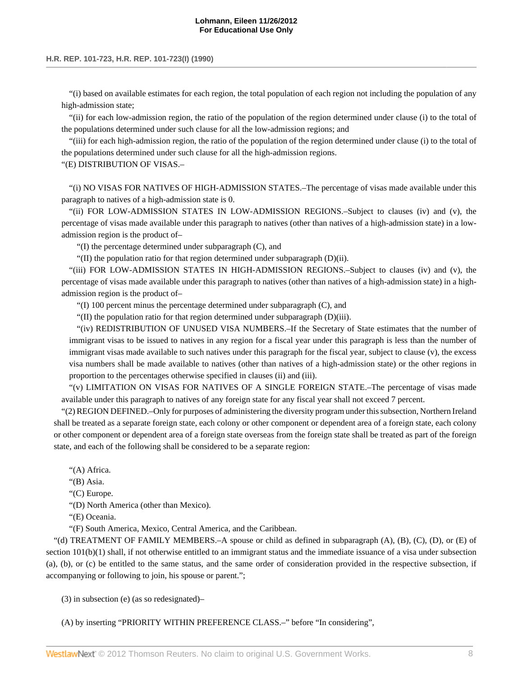#### **H.R. REP. 101-723, H.R. REP. 101-723(I) (1990)**

"(i) based on available estimates for each region, the total population of each region not including the population of any high-admission state;

"(ii) for each low-admission region, the ratio of the population of the region determined under clause (i) to the total of the populations determined under such clause for all the low-admission regions; and

"(iii) for each high-admission region, the ratio of the population of the region determined under clause (i) to the total of the populations determined under such clause for all the high-admission regions.

"(E) DISTRIBUTION OF VISAS.–

"(i) NO VISAS FOR NATIVES OF HIGH-ADMISSION STATES.–The percentage of visas made available under this paragraph to natives of a high-admission state is 0.

"(ii) FOR LOW-ADMISSION STATES IN LOW-ADMISSION REGIONS.–Subject to clauses (iv) and (v), the percentage of visas made available under this paragraph to natives (other than natives of a high-admission state) in a lowadmission region is the product of–

 $\lq$ (I) the percentage determined under subparagraph (C), and

"(II) the population ratio for that region determined under subparagraph (D)(ii).

"(iii) FOR LOW-ADMISSION STATES IN HIGH-ADMISSION REGIONS.–Subject to clauses (iv) and (v), the percentage of visas made available under this paragraph to natives (other than natives of a high-admission state) in a highadmission region is the product of–

"(I) 100 percent minus the percentage determined under subparagraph (C), and

"(II) the population ratio for that region determined under subparagraph (D)(iii).

"(iv) REDISTRIBUTION OF UNUSED VISA NUMBERS.–If the Secretary of State estimates that the number of immigrant visas to be issued to natives in any region for a fiscal year under this paragraph is less than the number of immigrant visas made available to such natives under this paragraph for the fiscal year, subject to clause (v), the excess visa numbers shall be made available to natives (other than natives of a high-admission state) or the other regions in proportion to the percentages otherwise specified in clauses (ii) and (iii).

"(v) LIMITATION ON VISAS FOR NATIVES OF A SINGLE FOREIGN STATE.–The percentage of visas made available under this paragraph to natives of any foreign state for any fiscal year shall not exceed 7 percent.

"(2) REGION DEFINED.–Only for purposes of administering the diversity program under this subsection, Northern Ireland shall be treated as a separate foreign state, each colony or other component or dependent area of a foreign state, each colony or other component or dependent area of a foreign state overseas from the foreign state shall be treated as part of the foreign state, and each of the following shall be considered to be a separate region:

"(A) Africa.

"(B) Asia.

"(C) Europe.

"(D) North America (other than Mexico).

"(E) Oceania.

"(F) South America, Mexico, Central America, and the Caribbean.

"(d) TREATMENT OF FAMILY MEMBERS.–A spouse or child as defined in subparagraph (A), (B), (C), (D), or (E) of section  $101(b)(1)$  shall, if not otherwise entitled to an immigrant status and the immediate issuance of a visa under subsection (a), (b), or (c) be entitled to the same status, and the same order of consideration provided in the respective subsection, if accompanying or following to join, his spouse or parent.";

(3) in subsection (e) (as so redesignated)–

(A) by inserting "PRIORITY WITHIN PREFERENCE CLASS.–" before "In considering",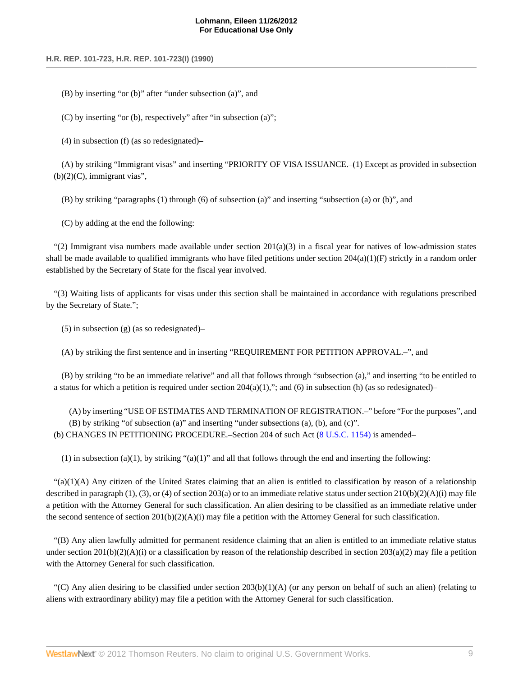#### **H.R. REP. 101-723, H.R. REP. 101-723(I) (1990)**

(B) by inserting "or (b)" after "under subsection (a)", and

(C) by inserting "or (b), respectively" after "in subsection (a)";

(4) in subsection (f) (as so redesignated)–

(A) by striking "Immigrant visas" and inserting "PRIORITY OF VISA ISSUANCE.–(1) Except as provided in subsection  $(b)(2)(C)$ , immigrant vias",

(B) by striking "paragraphs (1) through (6) of subsection (a)" and inserting "subsection (a) or (b)", and

(C) by adding at the end the following:

"(2) Immigrant visa numbers made available under section  $201(a)(3)$  in a fiscal year for natives of low-admission states shall be made available to qualified immigrants who have filed petitions under section  $204(a)(1)(F)$  strictly in a random order established by the Secretary of State for the fiscal year involved.

"(3) Waiting lists of applicants for visas under this section shall be maintained in accordance with regulations prescribed by the Secretary of State.";

(5) in subsection (g) (as so redesignated)–

(A) by striking the first sentence and in inserting "REQUIREMENT FOR PETITION APPROVAL.–", and

(B) by striking "to be an immediate relative" and all that follows through "subsection (a)," and inserting "to be entitled to a status for which a petition is required under section  $204(a)(1)$ ,"; and (6) in subsection (h) (as so redesignated)–

(A) by inserting "USE OF ESTIMATES AND TERMINATION OF REGISTRATION.–" before "For the purposes", and (B) by striking "of subsection (a)" and inserting "under subsections (a), (b), and (c)". (b) CHANGES IN PETITIONING PROCEDURE.–Section 204 of such Act [\(8 U.S.C. 1154\)](http://www.westlaw.com/Link/Document/FullText?findType=L&pubNum=1000546&cite=8USCAS1154&originatingDoc=I520E9F60643311D9B7CECED691859821&refType=LQ&originationContext=document&vr=3.0&rs=cblt1.0&transitionType=DocumentItem&contextData=(sc.UserEnteredCitation)) is amended–

(1) in subsection (a)(1), by striking "(a)(1)" and all that follows through the end and inserting the following:

 $\mathcal{L}(a)(1)(A)$  Any citizen of the United States claiming that an alien is entitled to classification by reason of a relationship described in paragraph (1), (3), or (4) of section 203(a) or to an immediate relative status under section  $210(b)(2)(A)(i)$  may file a petition with the Attorney General for such classification. An alien desiring to be classified as an immediate relative under the second sentence of section  $201(b)(2)(A)(i)$  may file a petition with the Attorney General for such classification.

"(B) Any alien lawfully admitted for permanent residence claiming that an alien is entitled to an immediate relative status under section  $201(b)(2)(A)(i)$  or a classification by reason of the relationship described in section  $203(a)(2)$  may file a petition with the Attorney General for such classification.

"(C) Any alien desiring to be classified under section  $203(b)(1)(A)$  (or any person on behalf of such an alien) (relating to aliens with extraordinary ability) may file a petition with the Attorney General for such classification.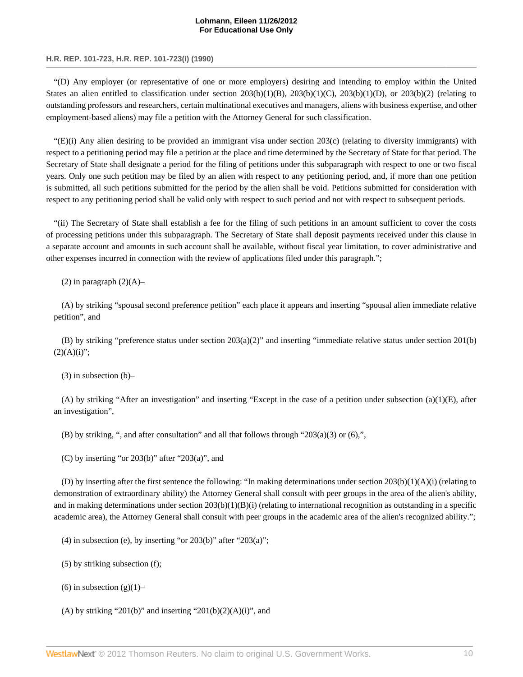#### **H.R. REP. 101-723, H.R. REP. 101-723(I) (1990)**

"(D) Any employer (or representative of one or more employers) desiring and intending to employ within the United States an alien entitled to classification under section  $203(b)(1)(B)$ ,  $203(b)(1)(C)$ ,  $203(b)(1)(D)$ , or  $203(b)(2)$  (relating to outstanding professors and researchers, certain multinational executives and managers, aliens with business expertise, and other employment-based aliens) may file a petition with the Attorney General for such classification.

 $E(E)(i)$  Any alien desiring to be provided an immigrant visa under section 203(c) (relating to diversity immigrants) with respect to a petitioning period may file a petition at the place and time determined by the Secretary of State for that period. The Secretary of State shall designate a period for the filing of petitions under this subparagraph with respect to one or two fiscal years. Only one such petition may be filed by an alien with respect to any petitioning period, and, if more than one petition is submitted, all such petitions submitted for the period by the alien shall be void. Petitions submitted for consideration with respect to any petitioning period shall be valid only with respect to such period and not with respect to subsequent periods.

"(ii) The Secretary of State shall establish a fee for the filing of such petitions in an amount sufficient to cover the costs of processing petitions under this subparagraph. The Secretary of State shall deposit payments received under this clause in a separate account and amounts in such account shall be available, without fiscal year limitation, to cover administrative and other expenses incurred in connection with the review of applications filed under this paragraph.";

(2) in paragraph  $(2)(A)$ –

(A) by striking "spousal second preference petition" each place it appears and inserting "spousal alien immediate relative petition", and

(B) by striking "preference status under section  $203(a)(2)$ " and inserting "immediate relative status under section  $201(b)$  $(2)(A)(i)$ ";

 $(3)$  in subsection  $(b)$ –

(A) by striking "After an investigation" and inserting "Except in the case of a petition under subsection (a)(1)(E), after an investigation",

(B) by striking, ", and after consultation" and all that follows through "203(a)(3) or (6),".

(C) by inserting "or 203(b)" after "203(a)", and

(D) by inserting after the first sentence the following: "In making determinations under section  $203(b)(1)(A)(i)$  (relating to demonstration of extraordinary ability) the Attorney General shall consult with peer groups in the area of the alien's ability, and in making determinations under section  $203(b)(1)(B)(i)$  (relating to international recognition as outstanding in a specific academic area), the Attorney General shall consult with peer groups in the academic area of the alien's recognized ability.";

(4) in subsection (e), by inserting "or  $203(b)$ " after " $203(a)$ ";

(5) by striking subsection (f);

- (6) in subsection  $(g)(1)$ –
- (A) by striking "201(b)" and inserting "201(b)(2)(A)(i)", and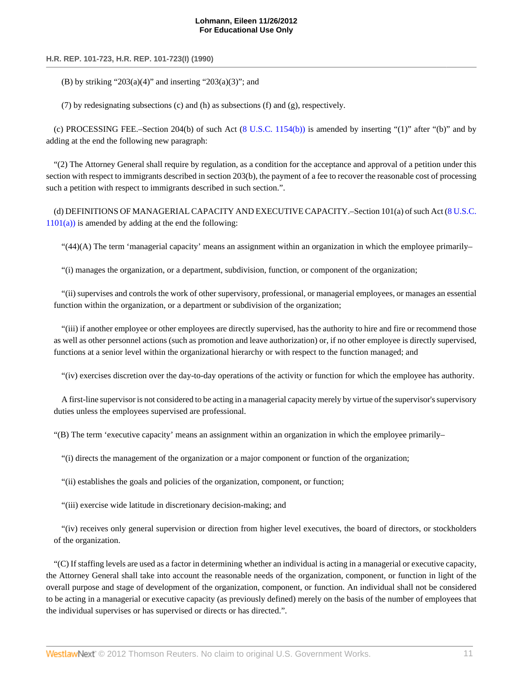# **H.R. REP. 101-723, H.R. REP. 101-723(I) (1990)**

(B) by striking " $203(a)(4)$ " and inserting " $203(a)(3)$ "; and

(7) by redesignating subsections (c) and (h) as subsections (f) and (g), respectively.

(c) PROCESSING FEE.–Section 204(b) of such Act  $(8 \text{ U.S.C. } 1154(b))$  is amended by inserting " $(1)$ " after " $(b)$ " and by adding at the end the following new paragraph:

"(2) The Attorney General shall require by regulation, as a condition for the acceptance and approval of a petition under this section with respect to immigrants described in section 203(b), the payment of a fee to recover the reasonable cost of processing such a petition with respect to immigrants described in such section.".

(d) DEFINITIONS OF MANAGERIAL CAPACITY AND EXECUTIVE CAPACITY.–Section 101(a) of such Act [\(8 U.S.C.](http://www.westlaw.com/Link/Document/FullText?findType=L&pubNum=1000546&cite=8USCAS1101&originatingDoc=I520E9F60643311D9B7CECED691859821&refType=LQ&originationContext=document&vr=3.0&rs=cblt1.0&transitionType=DocumentItem&contextData=(sc.UserEnteredCitation))  $1101(a)$ ) is amended by adding at the end the following:

"(44)(A) The term 'managerial capacity' means an assignment within an organization in which the employee primarily–

"(i) manages the organization, or a department, subdivision, function, or component of the organization;

"(ii) supervises and controls the work of other supervisory, professional, or managerial employees, or manages an essential function within the organization, or a department or subdivision of the organization;

"(iii) if another employee or other employees are directly supervised, has the authority to hire and fire or recommend those as well as other personnel actions (such as promotion and leave authorization) or, if no other employee is directly supervised, functions at a senior level within the organizational hierarchy or with respect to the function managed; and

"(iv) exercises discretion over the day-to-day operations of the activity or function for which the employee has authority.

A first-line supervisor is not considered to be acting in a managerial capacity merely by virtue of the supervisor's supervisory duties unless the employees supervised are professional.

"(B) The term 'executive capacity' means an assignment within an organization in which the employee primarily–

"(i) directs the management of the organization or a major component or function of the organization;

"(ii) establishes the goals and policies of the organization, component, or function;

"(iii) exercise wide latitude in discretionary decision-making; and

"(iv) receives only general supervision or direction from higher level executives, the board of directors, or stockholders of the organization.

"(C) If staffing levels are used as a factor in determining whether an individual is acting in a managerial or executive capacity, the Attorney General shall take into account the reasonable needs of the organization, component, or function in light of the overall purpose and stage of development of the organization, component, or function. An individual shall not be considered to be acting in a managerial or executive capacity (as previously defined) merely on the basis of the number of employees that the individual supervises or has supervised or directs or has directed.".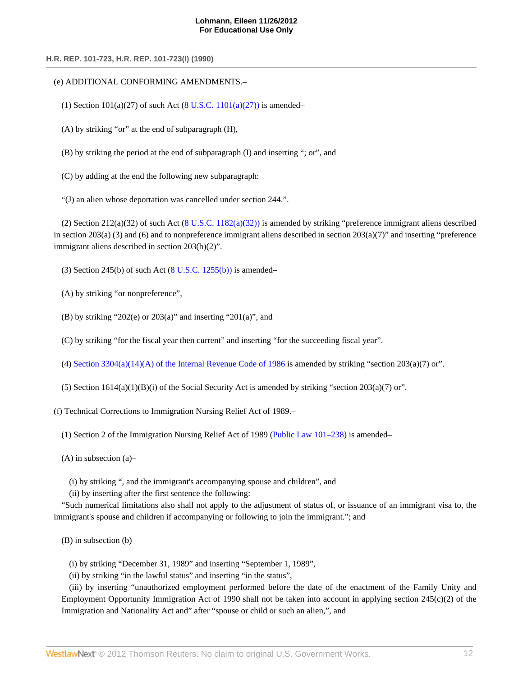## **H.R. REP. 101-723, H.R. REP. 101-723(I) (1990)**

# (e) ADDITIONAL CONFORMING AMENDMENTS.–

(1) Section  $101(a)(27)$  of such Act  $(8 U.S.C. 1101(a)(27))$  is amended–

- (A) by striking "or" at the end of subparagraph (H),
- (B) by striking the period at the end of subparagraph (I) and inserting "; or", and
- (C) by adding at the end the following new subparagraph:
- "(J) an alien whose deportation was cancelled under section 244.".

(2) Section 212(a)(32) of such Act [\(8 U.S.C. 1182\(a\)\(32\)\)](http://www.westlaw.com/Link/Document/FullText?findType=L&pubNum=1000546&cite=8USCAS1182&originatingDoc=I520E9F60643311D9B7CECED691859821&refType=LQ&originationContext=document&vr=3.0&rs=cblt1.0&transitionType=DocumentItem&contextData=(sc.UserEnteredCitation)) is amended by striking "preference immigrant aliens described in section 203(a) (3) and (6) and to nonpreference immigrant aliens described in section  $203(a)(7)$ " and inserting "preference immigrant aliens described in section 203(b)(2)".

(3) Section 245(b) of such Act  $(8 \text{ U.S.C. } 1255(b))$  is amended–

(A) by striking "or nonpreference",

- (B) by striking "202(e) or  $203(a)$ " and inserting "201(a)", and
- (C) by striking "for the fiscal year then current" and inserting "for the succeeding fiscal year".
- (4) Section  $3304(a)(14)(A)$  of the Internal Revenue Code of 1986 is amended by striking "section  $203(a)(7)$  or".
- (5) Section  $1614(a)(1)(B)(i)$  of the Social Security Act is amended by striking "section  $203(a)(7)$  or".
- (f) Technical Corrections to Immigration Nursing Relief Act of 1989.–
	- (1) Section 2 of the Immigration Nursing Relief Act of 1989 [\(Public Law 101–238\)](http://www.westlaw.com/Link/Document/FullText?findType=l&pubNum=1077005&cite=UUID(ID2FB2628F9-A741958D47E-DBF9A8C2973)&originationContext=document&vr=3.0&rs=cblt1.0&transitionType=DocumentItem&contextData=(sc.UserEnteredCitation)) is amended–

(A) in subsection (a)–

(i) by striking ", and the immigrant's accompanying spouse and children", and

(ii) by inserting after the first sentence the following:

"Such numerical limitations also shall not apply to the adjustment of status of, or issuance of an immigrant visa to, the immigrant's spouse and children if accompanying or following to join the immigrant."; and

(B) in subsection (b)–

(i) by striking "December 31, 1989" and inserting "September 1, 1989",

(ii) by striking "in the lawful status" and inserting "in the status",

(iii) by inserting "unauthorized employment performed before the date of the enactment of the Family Unity and Employment Opportunity Immigration Act of 1990 shall not be taken into account in applying section  $245(c)(2)$  of the Immigration and Nationality Act and" after "spouse or child or such an alien,", and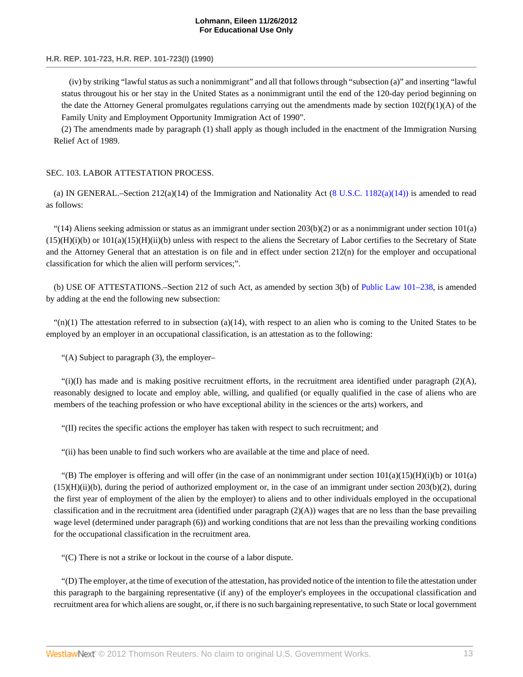## **H.R. REP. 101-723, H.R. REP. 101-723(I) (1990)**

(iv) by striking "lawful status as such a nonimmigrant" and all that follows through "subsection (a)" and inserting "lawful status througout his or her stay in the United States as a nonimmigrant until the end of the 120-day period beginning on the date the Attorney General promulgates regulations carrying out the amendments made by section  $102(f)(1)(A)$  of the Family Unity and Employment Opportunity Immigration Act of 1990".

(2) The amendments made by paragraph (1) shall apply as though included in the enactment of the Immigration Nursing Relief Act of 1989.

# SEC. 103. LABOR ATTESTATION PROCESS.

(a) IN GENERAL.–Section 212(a)(14) of the Immigration and Nationality Act [\(8 U.S.C. 1182\(a\)\(14\)\)](http://www.westlaw.com/Link/Document/FullText?findType=L&pubNum=1000546&cite=8USCAS1182&originatingDoc=I520E9F60643311D9B7CECED691859821&refType=LQ&originationContext=document&vr=3.0&rs=cblt1.0&transitionType=DocumentItem&contextData=(sc.UserEnteredCitation)) is amended to read as follows:

 $\lq(14)$  Aliens seeking admission or status as an immigrant under section 203(b)(2) or as a nonimmigrant under section 101(a)  $(15)(H)(i)(b)$  or  $101(a)(15)(H)(ii)(b)$  unless with respect to the aliens the Secretary of Labor certifies to the Secretary of State and the Attorney General that an attestation is on file and in effect under section 212(n) for the employer and occupational classification for which the alien will perform services;".

(b) USE OF ATTESTATIONS.–Section 212 of such Act, as amended by section 3(b) of [Public Law 101–238](http://www.westlaw.com/Link/Document/FullText?findType=l&pubNum=1077005&cite=UUID(ID2FB2628F9-A741958D47E-DBF9A8C2973)&originationContext=document&vr=3.0&rs=cblt1.0&transitionType=DocumentItem&contextData=(sc.UserEnteredCitation)), is amended by adding at the end the following new subsection:

 $\binom{m}{1}$  The attestation referred to in subsection (a)(14), with respect to an alien who is coming to the United States to be employed by an employer in an occupational classification, is an attestation as to the following:

"(A) Subject to paragraph (3), the employer–

 $\lq (i)(I)$  has made and is making positive recruitment efforts, in the recruitment area identified under paragraph (2)(A), reasonably designed to locate and employ able, willing, and qualified (or equally qualified in the case of aliens who are members of the teaching profession or who have exceptional ability in the sciences or the arts) workers, and

"(II) recites the specific actions the employer has taken with respect to such recruitment; and

"(ii) has been unable to find such workers who are available at the time and place of need.

"(B) The employer is offering and will offer (in the case of an nonimmigrant under section  $101(a)(15)(H)(i)(b)$  or  $101(a)$  $(15)(H)(ii)(b)$ , during the period of authorized employment or, in the case of an immigrant under section 203(b)(2), during the first year of employment of the alien by the employer) to aliens and to other individuals employed in the occupational classification and in the recruitment area (identified under paragraph  $(2)(A)$ ) wages that are no less than the base prevailing wage level (determined under paragraph (6)) and working conditions that are not less than the prevailing working conditions for the occupational classification in the recruitment area.

"(C) There is not a strike or lockout in the course of a labor dispute.

"(D) The employer, at the time of execution of the attestation, has provided notice of the intention to file the attestation under this paragraph to the bargaining representative (if any) of the employer's employees in the occupational classification and recruitment area for which aliens are sought, or, if there is no such bargaining representative, to such State or local government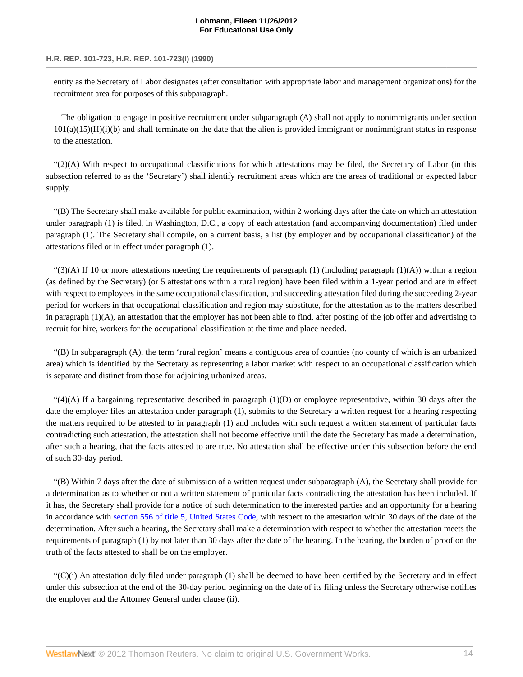#### **H.R. REP. 101-723, H.R. REP. 101-723(I) (1990)**

entity as the Secretary of Labor designates (after consultation with appropriate labor and management organizations) for the recruitment area for purposes of this subparagraph.

The obligation to engage in positive recruitment under subparagraph (A) shall not apply to nonimmigrants under section  $101(a)(15)(H)(i)$  and shall terminate on the date that the alien is provided immigrant or nonimmigrant status in response to the attestation.

"(2)(A) With respect to occupational classifications for which attestations may be filed, the Secretary of Labor (in this subsection referred to as the 'Secretary') shall identify recruitment areas which are the areas of traditional or expected labor supply.

"(B) The Secretary shall make available for public examination, within 2 working days after the date on which an attestation under paragraph (1) is filed, in Washington, D.C., a copy of each attestation (and accompanying documentation) filed under paragraph (1). The Secretary shall compile, on a current basis, a list (by employer and by occupational classification) of the attestations filed or in effect under paragraph (1).

"(3)(A) If 10 or more attestations meeting the requirements of paragraph (1) (including paragraph (1)(A)) within a region (as defined by the Secretary) (or 5 attestations within a rural region) have been filed within a 1-year period and are in effect with respect to employees in the same occupational classification, and succeeding attestation filed during the succeeding 2-year period for workers in that occupational classification and region may substitute, for the attestation as to the matters described in paragraph (1)(A), an attestation that the employer has not been able to find, after posting of the job offer and advertising to recruit for hire, workers for the occupational classification at the time and place needed.

"(B) In subparagraph (A), the term 'rural region' means a contiguous area of counties (no county of which is an urbanized area) which is identified by the Secretary as representing a labor market with respect to an occupational classification which is separate and distinct from those for adjoining urbanized areas.

 $"(4)(A)$  If a bargaining representative described in paragraph  $(1)(D)$  or employee representative, within 30 days after the date the employer files an attestation under paragraph (1), submits to the Secretary a written request for a hearing respecting the matters required to be attested to in paragraph (1) and includes with such request a written statement of particular facts contradicting such attestation, the attestation shall not become effective until the date the Secretary has made a determination, after such a hearing, that the facts attested to are true. No attestation shall be effective under this subsection before the end of such 30-day period.

"(B) Within 7 days after the date of submission of a written request under subparagraph (A), the Secretary shall provide for a determination as to whether or not a written statement of particular facts contradicting the attestation has been included. If it has, the Secretary shall provide for a notice of such determination to the interested parties and an opportunity for a hearing in accordance with [section 556 of title 5, United States Code,](http://www.westlaw.com/Link/Document/FullText?findType=L&pubNum=1000546&cite=5USCAS556&originatingDoc=I520E9F60643311D9B7CECED691859821&refType=LQ&originationContext=document&vr=3.0&rs=cblt1.0&transitionType=DocumentItem&contextData=(sc.UserEnteredCitation)) with respect to the attestation within 30 days of the date of the determination. After such a hearing, the Secretary shall make a determination with respect to whether the attestation meets the requirements of paragraph (1) by not later than 30 days after the date of the hearing. In the hearing, the burden of proof on the truth of the facts attested to shall be on the employer.

 $C(i)$  An attestation duly filed under paragraph (1) shall be deemed to have been certified by the Secretary and in effect under this subsection at the end of the 30-day period beginning on the date of its filing unless the Secretary otherwise notifies the employer and the Attorney General under clause (ii).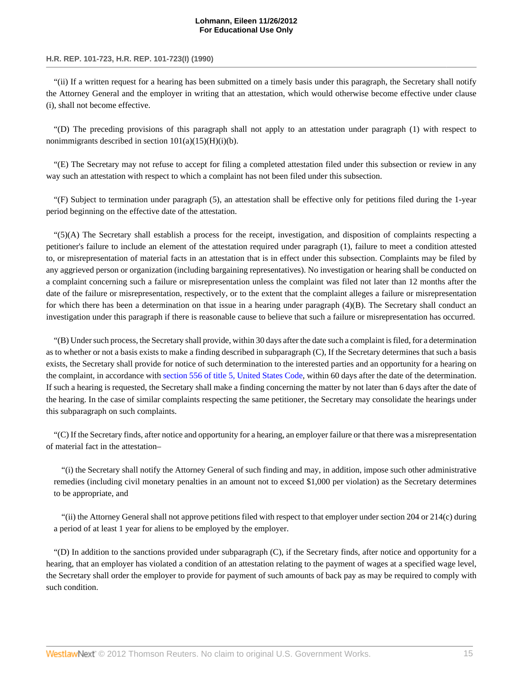### **H.R. REP. 101-723, H.R. REP. 101-723(I) (1990)**

"(ii) If a written request for a hearing has been submitted on a timely basis under this paragraph, the Secretary shall notify the Attorney General and the employer in writing that an attestation, which would otherwise become effective under clause (i), shall not become effective.

"(D) The preceding provisions of this paragraph shall not apply to an attestation under paragraph (1) with respect to nonimmigrants described in section  $101(a)(15)(H)(i)$ .

"(E) The Secretary may not refuse to accept for filing a completed attestation filed under this subsection or review in any way such an attestation with respect to which a complaint has not been filed under this subsection.

"(F) Subject to termination under paragraph (5), an attestation shall be effective only for petitions filed during the 1-year period beginning on the effective date of the attestation.

"(5)(A) The Secretary shall establish a process for the receipt, investigation, and disposition of complaints respecting a petitioner's failure to include an element of the attestation required under paragraph (1), failure to meet a condition attested to, or misrepresentation of material facts in an attestation that is in effect under this subsection. Complaints may be filed by any aggrieved person or organization (including bargaining representatives). No investigation or hearing shall be conducted on a complaint concerning such a failure or misrepresentation unless the complaint was filed not later than 12 months after the date of the failure or misrepresentation, respectively, or to the extent that the complaint alleges a failure or misrepresentation for which there has been a determination on that issue in a hearing under paragraph (4)(B). The Secretary shall conduct an investigation under this paragraph if there is reasonable cause to believe that such a failure or misrepresentation has occurred.

"(B) Under such process, the Secretary shall provide, within 30 days after the date such a complaint is filed, for a determination as to whether or not a basis exists to make a finding described in subparagraph (C), If the Secretary determines that such a basis exists, the Secretary shall provide for notice of such determination to the interested parties and an opportunity for a hearing on the complaint, in accordance with [section 556 of title 5, United States Code,](http://www.westlaw.com/Link/Document/FullText?findType=L&pubNum=1000546&cite=5USCAS556&originatingDoc=I520E9F60643311D9B7CECED691859821&refType=LQ&originationContext=document&vr=3.0&rs=cblt1.0&transitionType=DocumentItem&contextData=(sc.UserEnteredCitation)) within 60 days after the date of the determination. If such a hearing is requested, the Secretary shall make a finding concerning the matter by not later than 6 days after the date of the hearing. In the case of similar complaints respecting the same petitioner, the Secretary may consolidate the hearings under this subparagraph on such complaints.

"(C) If the Secretary finds, after notice and opportunity for a hearing, an employer failure or that there was a misrepresentation of material fact in the attestation–

"(i) the Secretary shall notify the Attorney General of such finding and may, in addition, impose such other administrative remedies (including civil monetary penalties in an amount not to exceed \$1,000 per violation) as the Secretary determines to be appropriate, and

"(ii) the Attorney General shall not approve petitions filed with respect to that employer under section 204 or 214(c) during a period of at least 1 year for aliens to be employed by the employer.

"(D) In addition to the sanctions provided under subparagraph (C), if the Secretary finds, after notice and opportunity for a hearing, that an employer has violated a condition of an attestation relating to the payment of wages at a specified wage level, the Secretary shall order the employer to provide for payment of such amounts of back pay as may be required to comply with such condition.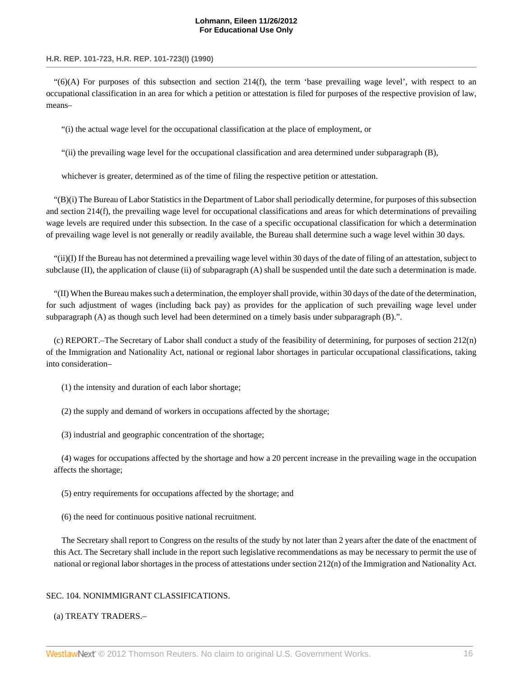#### **H.R. REP. 101-723, H.R. REP. 101-723(I) (1990)**

 $(6)$ (A) For purposes of this subsection and section 214(f), the term 'base prevailing wage level', with respect to an occupational classification in an area for which a petition or attestation is filed for purposes of the respective provision of law, means–

"(i) the actual wage level for the occupational classification at the place of employment, or

"(ii) the prevailing wage level for the occupational classification and area determined under subparagraph (B),

whichever is greater, determined as of the time of filing the respective petition or attestation.

"(B)(i) The Bureau of Labor Statistics in the Department of Labor shall periodically determine, for purposes of this subsection and section 214(f), the prevailing wage level for occupational classifications and areas for which determinations of prevailing wage levels are required under this subsection. In the case of a specific occupational classification for which a determination of prevailing wage level is not generally or readily available, the Bureau shall determine such a wage level within 30 days.

"(ii)(I) If the Bureau has not determined a prevailing wage level within 30 days of the date of filing of an attestation, subject to subclause (II), the application of clause (ii) of subparagraph (A) shall be suspended until the date such a determination is made.

"(II) When the Bureau makes such a determination, the employer shall provide, within 30 days of the date of the determination, for such adjustment of wages (including back pay) as provides for the application of such prevailing wage level under subparagraph (A) as though such level had been determined on a timely basis under subparagraph (B).".

(c) REPORT.–The Secretary of Labor shall conduct a study of the feasibility of determining, for purposes of section 212(n) of the Immigration and Nationality Act, national or regional labor shortages in particular occupational classifications, taking into consideration–

- (1) the intensity and duration of each labor shortage;
- (2) the supply and demand of workers in occupations affected by the shortage;
- (3) industrial and geographic concentration of the shortage;

(4) wages for occupations affected by the shortage and how a 20 percent increase in the prevailing wage in the occupation affects the shortage;

(5) entry requirements for occupations affected by the shortage; and

(6) the need for continuous positive national recruitment.

The Secretary shall report to Congress on the results of the study by not later than 2 years after the date of the enactment of this Act. The Secretary shall include in the report such legislative recommendations as may be necessary to permit the use of national or regional labor shortages in the process of attestations under section 212(n) of the Immigration and Nationality Act.

# SEC. 104. NONIMMIGRANT CLASSIFICATIONS.

## (a) TREATY TRADERS.–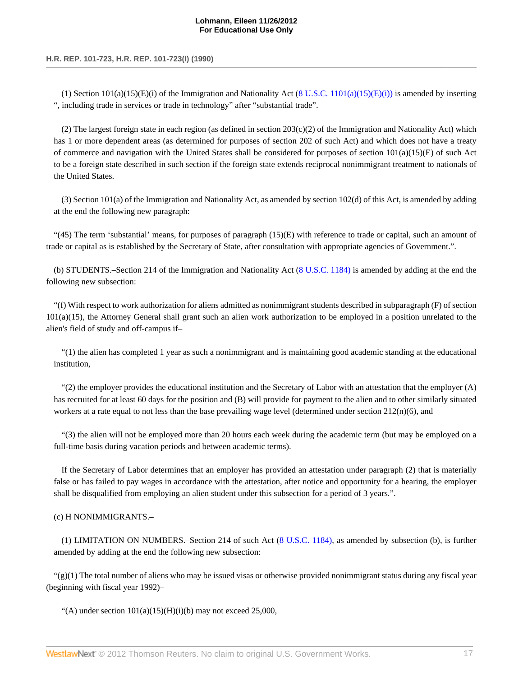## **H.R. REP. 101-723, H.R. REP. 101-723(I) (1990)**

(1) Section  $101(a)(15)(E)(i)$  of the Immigration and Nationality Act (8 U.S.C.  $1101(a)(15)(E)(i)$ ) is amended by inserting ", including trade in services or trade in technology" after "substantial trade".

(2) The largest foreign state in each region (as defined in section  $203(c)(2)$  of the Immigration and Nationality Act) which has 1 or more dependent areas (as determined for purposes of section 202 of such Act) and which does not have a treaty of commerce and navigation with the United States shall be considered for purposes of section  $101(a)(15)(E)$  of such Act to be a foreign state described in such section if the foreign state extends reciprocal nonimmigrant treatment to nationals of the United States.

(3) Section 101(a) of the Immigration and Nationality Act, as amended by section 102(d) of this Act, is amended by adding at the end the following new paragraph:

"(45) The term 'substantial' means, for purposes of paragraph (15)(E) with reference to trade or capital, such an amount of trade or capital as is established by the Secretary of State, after consultation with appropriate agencies of Government.".

(b) STUDENTS.–Section 214 of the Immigration and Nationality Act ([8 U.S.C. 1184\)](http://www.westlaw.com/Link/Document/FullText?findType=L&pubNum=1000546&cite=8USCAS1184&originatingDoc=I520E9F60643311D9B7CECED691859821&refType=LQ&originationContext=document&vr=3.0&rs=cblt1.0&transitionType=DocumentItem&contextData=(sc.UserEnteredCitation)) is amended by adding at the end the following new subsection:

"(f) With respect to work authorization for aliens admitted as nonimmigrant students described in subparagraph (F) of section 101(a)(15), the Attorney General shall grant such an alien work authorization to be employed in a position unrelated to the alien's field of study and off-campus if–

"(1) the alien has completed 1 year as such a nonimmigrant and is maintaining good academic standing at the educational institution,

"(2) the employer provides the educational institution and the Secretary of Labor with an attestation that the employer (A) has recruited for at least 60 days for the position and (B) will provide for payment to the alien and to other similarly situated workers at a rate equal to not less than the base prevailing wage level (determined under section  $212(n)(6)$ , and

"(3) the alien will not be employed more than 20 hours each week during the academic term (but may be employed on a full-time basis during vacation periods and between academic terms).

If the Secretary of Labor determines that an employer has provided an attestation under paragraph (2) that is materially false or has failed to pay wages in accordance with the attestation, after notice and opportunity for a hearing, the employer shall be disqualified from employing an alien student under this subsection for a period of 3 years.".

## (c) H NONIMMIGRANTS.–

(1) LIMITATION ON NUMBERS.–Section 214 of such Act [\(8 U.S.C. 1184\),](http://www.westlaw.com/Link/Document/FullText?findType=L&pubNum=1000546&cite=8USCAS1184&originatingDoc=I520E9F60643311D9B7CECED691859821&refType=LQ&originationContext=document&vr=3.0&rs=cblt1.0&transitionType=DocumentItem&contextData=(sc.UserEnteredCitation)) as amended by subsection (b), is further amended by adding at the end the following new subsection:

 $\mathcal{L}(g)(1)$  The total number of aliens who may be issued visas or otherwise provided nonimmigrant status during any fiscal year (beginning with fiscal year 1992)–

"(A) under section  $101(a)(15)(H)(i)(b)$  may not exceed 25,000,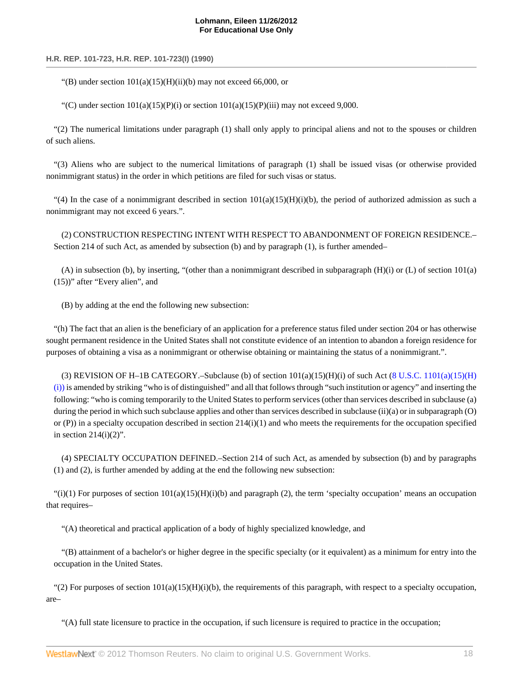# **H.R. REP. 101-723, H.R. REP. 101-723(I) (1990)**

"(B) under section  $101(a)(15)$ (H)(ii)(b) may not exceed 66,000, or

"(C) under section  $101(a)(15)(P)(i)$  or section  $101(a)(15)(P)(iii)$  may not exceed 9,000.

"(2) The numerical limitations under paragraph (1) shall only apply to principal aliens and not to the spouses or children of such aliens.

"(3) Aliens who are subject to the numerical limitations of paragraph (1) shall be issued visas (or otherwise provided nonimmigrant status) in the order in which petitions are filed for such visas or status.

"(4) In the case of a nonimmigrant described in section  $101(a)(15)(H)(i)(b)$ , the period of authorized admission as such a nonimmigrant may not exceed 6 years.".

(2) CONSTRUCTION RESPECTING INTENT WITH RESPECT TO ABANDONMENT OF FOREIGN RESIDENCE.– Section 214 of such Act, as amended by subsection (b) and by paragraph (1), is further amended–

(A) in subsection (b), by inserting, "(other than a nonimmigrant described in subparagraph (H)(i) or (L) of section 101(a) (15))" after "Every alien", and

(B) by adding at the end the following new subsection:

"(h) The fact that an alien is the beneficiary of an application for a preference status filed under section 204 or has otherwise sought permanent residence in the United States shall not constitute evidence of an intention to abandon a foreign residence for purposes of obtaining a visa as a nonimmigrant or otherwise obtaining or maintaining the status of a nonimmigrant.".

(3) REVISION OF H–1B CATEGORY.–Subclause (b) of section  $101(a)(15)(H)(i)$  of such Act [\(8 U.S.C. 1101\(a\)\(15\)\(H\)](http://www.westlaw.com/Link/Document/FullText?findType=L&pubNum=1000546&cite=8USCAS1101&originatingDoc=I520E9F60643311D9B7CECED691859821&refType=LQ&originationContext=document&vr=3.0&rs=cblt1.0&transitionType=DocumentItem&contextData=(sc.UserEnteredCitation)) [\(i\)\)](http://www.westlaw.com/Link/Document/FullText?findType=L&pubNum=1000546&cite=8USCAS1101&originatingDoc=I520E9F60643311D9B7CECED691859821&refType=LQ&originationContext=document&vr=3.0&rs=cblt1.0&transitionType=DocumentItem&contextData=(sc.UserEnteredCitation)) is amended by striking "who is of distinguished" and all that follows through "such institution or agency" and inserting the following: "who is coming temporarily to the United States to perform services (other than services described in subclause (a) during the period in which such subclause applies and other than services described in subclause (ii)(a) or in subparagraph (O) or (P)) in a specialty occupation described in section  $214(i)(1)$  and who meets the requirements for the occupation specified in section  $214(i)(2)$ ".

(4) SPECIALTY OCCUPATION DEFINED.–Section 214 of such Act, as amended by subsection (b) and by paragraphs (1) and (2), is further amended by adding at the end the following new subsection:

 $\binom{1}{1}$  For purposes of section  $101(a)(15)(H)(i)$  and paragraph (2), the term 'specialty occupation' means an occupation that requires–

"(A) theoretical and practical application of a body of highly specialized knowledge, and

"(B) attainment of a bachelor's or higher degree in the specific specialty (or it equivalent) as a minimum for entry into the occupation in the United States.

"(2) For purposes of section  $101(a)(15)(H)(i)$ , the requirements of this paragraph, with respect to a specialty occupation, are–

"(A) full state licensure to practice in the occupation, if such licensure is required to practice in the occupation;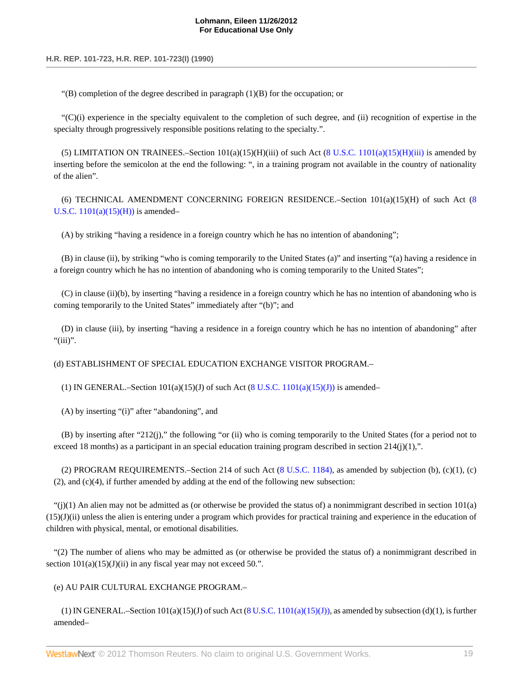# **H.R. REP. 101-723, H.R. REP. 101-723(I) (1990)**

" $(B)$  completion of the degree described in paragraph  $(1)(B)$  for the occupation; or

"(C)(i) experience in the specialty equivalent to the completion of such degree, and (ii) recognition of expertise in the specialty through progressively responsible positions relating to the specialty.".

(5) LIMITATION ON TRAINEES.–Section  $101(a)(15)(H)(iii)$  of such Act  $(8 \text{ U.S.C. } 1101(a)(15)(H)(iii)$  is amended by inserting before the semicolon at the end the following: ", in a training program not available in the country of nationality of the alien".

(6) TECHNICAL AMENDMENT CONCERNING FOREIGN RESIDENCE.-Section  $101(a)(15)(H)$  of such Act ([8](http://www.westlaw.com/Link/Document/FullText?findType=L&pubNum=1000546&cite=8USCAS1101&originatingDoc=I520E9F60643311D9B7CECED691859821&refType=LQ&originationContext=document&vr=3.0&rs=cblt1.0&transitionType=DocumentItem&contextData=(sc.UserEnteredCitation))) U.S.C.  $1101(a)(15)(H)$  is amended–

(A) by striking "having a residence in a foreign country which he has no intention of abandoning";

(B) in clause (ii), by striking "who is coming temporarily to the United States (a)" and inserting "(a) having a residence in a foreign country which he has no intention of abandoning who is coming temporarily to the United States";

(C) in clause (ii)(b), by inserting "having a residence in a foreign country which he has no intention of abandoning who is coming temporarily to the United States" immediately after "(b)"; and

(D) in clause (iii), by inserting "having a residence in a foreign country which he has no intention of abandoning" after " $(iii)$ ".

(d) ESTABLISHMENT OF SPECIAL EDUCATION EXCHANGE VISITOR PROGRAM.–

(1) IN GENERAL.–Section  $101(a)(15)(J)$  of such Act  $(8 U.S.C. 1101(a)(15)(J))$  $(8 U.S.C. 1101(a)(15)(J))$  is amended–

(A) by inserting "(i)" after "abandoning", and

(B) by inserting after "212(j)," the following "or (ii) who is coming temporarily to the United States (for a period not to exceed 18 months) as a participant in an special education training program described in section  $214(j)(1)$ ,".

(2) PROGRAM REQUIREMENTS.–Section 214 of such Act  $(8 \text{ U.S.C. } 1184)$ , as amended by subjection (b),  $(c)(1)$ ,  $(c)$  $(2)$ , and  $(c)(4)$ , if further amended by adding at the end of the following new subsection:

 $\mathcal{L}(j)(1)$  An alien may not be admitted as (or otherwise be provided the status of) a nonimmigrant described in section 101(a)  $(15)(J)(ii)$  unless the alien is entering under a program which provides for practical training and experience in the education of children with physical, mental, or emotional disabilities.

"(2) The number of aliens who may be admitted as (or otherwise be provided the status of) a nonimmigrant described in section  $101(a)(15)(J)(ii)$  in any fiscal year may not exceed 50.".

# (e) AU PAIR CULTURAL EXCHANGE PROGRAM.–

(1) IN GENERAL.–Section  $101(a)(15)(J)$  of such Act  $(8 U.S.C. 1101(a)(15)(J))$  $(8 U.S.C. 1101(a)(15)(J))$ , as amended by subsection  $(d)(1)$ , is further amended–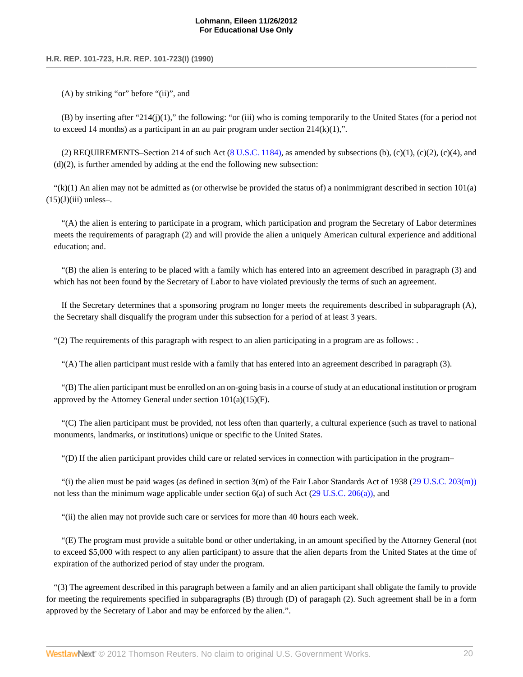#### **H.R. REP. 101-723, H.R. REP. 101-723(I) (1990)**

(A) by striking "or" before "(ii)", and

(B) by inserting after "214(j)(1)," the following: "or (iii) who is coming temporarily to the United States (for a period not to exceed 14 months) as a participant in an au pair program under section  $214(k)(1)$ ,".

(2) REQUIREMENTS–Section 214 of such Act  $(8 \text{ U.S.C. } 1184)$ , as amended by subsections  $(b)$ ,  $(c)(1)$ ,  $(c)(2)$ ,  $(c)(4)$ , and  $(d)(2)$ , is further amended by adding at the end the following new subsection:

 $\mathcal{L}(k)(1)$  An alien may not be admitted as (or otherwise be provided the status of) a nonimmigrant described in section 101(a)  $(15)(J)(iii)$  unless-.

"(A) the alien is entering to participate in a program, which participation and program the Secretary of Labor determines meets the requirements of paragraph (2) and will provide the alien a uniquely American cultural experience and additional education; and.

"(B) the alien is entering to be placed with a family which has entered into an agreement described in paragraph (3) and which has not been found by the Secretary of Labor to have violated previously the terms of such an agreement.

If the Secretary determines that a sponsoring program no longer meets the requirements described in subparagraph (A), the Secretary shall disqualify the program under this subsection for a period of at least 3 years.

"(2) The requirements of this paragraph with respect to an alien participating in a program are as follows: .

"(A) The alien participant must reside with a family that has entered into an agreement described in paragraph (3).

"(B) The alien participant must be enrolled on an on-going basis in a course of study at an educational institution or program approved by the Attorney General under section  $101(a)(15)(F)$ .

"(C) The alien participant must be provided, not less often than quarterly, a cultural experience (such as travel to national monuments, landmarks, or institutions) unique or specific to the United States.

"(D) If the alien participant provides child care or related services in connection with participation in the program–

"(i) the alien must be paid wages (as defined in section 3(m) of the Fair Labor Standards Act of 1938 [\(29 U.S.C. 203\(m\)\)](http://www.westlaw.com/Link/Document/FullText?findType=L&pubNum=1000546&cite=29USCAS203&originatingDoc=I520E9F60643311D9B7CECED691859821&refType=LQ&originationContext=document&vr=3.0&rs=cblt1.0&transitionType=DocumentItem&contextData=(sc.UserEnteredCitation)) not less than the minimum wage applicable under section 6(a) of such Act [\(29 U.S.C. 206\(a\)\),](http://www.westlaw.com/Link/Document/FullText?findType=L&pubNum=1000546&cite=29USCAS206&originatingDoc=I520E9F60643311D9B7CECED691859821&refType=LQ&originationContext=document&vr=3.0&rs=cblt1.0&transitionType=DocumentItem&contextData=(sc.UserEnteredCitation)) and

"(ii) the alien may not provide such care or services for more than 40 hours each week.

"(E) The program must provide a suitable bond or other undertaking, in an amount specified by the Attorney General (not to exceed \$5,000 with respect to any alien participant) to assure that the alien departs from the United States at the time of expiration of the authorized period of stay under the program.

"(3) The agreement described in this paragraph between a family and an alien participant shall obligate the family to provide for meeting the requirements specified in subparagraphs (B) through (D) of paragaph (2). Such agreement shall be in a form approved by the Secretary of Labor and may be enforced by the alien.".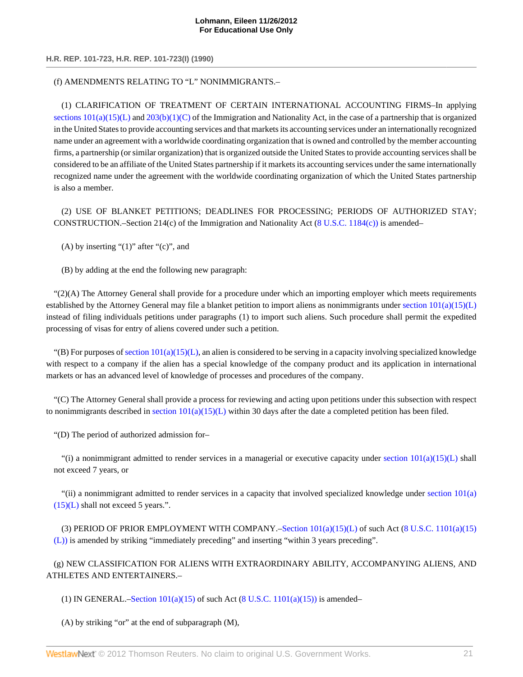## **H.R. REP. 101-723, H.R. REP. 101-723(I) (1990)**

# (f) AMENDMENTS RELATING TO "L" NONIMMIGRANTS.–

(1) CLARIFICATION OF TREATMENT OF CERTAIN INTERNATIONAL ACCOUNTING FIRMS–In applying sections  $101(a)(15)(L)$  and  $203(b)(1)(C)$  of the Immigration and Nationality Act, in the case of a partnership that is organized in the United States to provide accounting services and that markets its accounting services under an internationally recognized name under an agreement with a worldwide coordinating organization that is owned and controlled by the member accounting firms, a partnership (or similar organization) that is organized outside the United States to provide accounting services shall be considered to be an affiliate of the United States partnership if it markets its accounting services under the same internationally recognized name under the agreement with the worldwide coordinating organization of which the United States partnership is also a member.

(2) USE OF BLANKET PETITIONS; DEADLINES FOR PROCESSING; PERIODS OF AUTHORIZED STAY; CONSTRUCTION.–Section 214(c) of the Immigration and Nationality Act ([8 U.S.C. 1184\(c\)\)](http://www.westlaw.com/Link/Document/FullText?findType=L&pubNum=1000546&cite=8USCAS1184&originatingDoc=I520E9F60643311D9B7CECED691859821&refType=LQ&originationContext=document&vr=3.0&rs=cblt1.0&transitionType=DocumentItem&contextData=(sc.UserEnteredCitation)) is amended–

(A) by inserting " $(1)$ " after " $(c)$ ", and

(B) by adding at the end the following new paragraph:

"(2)(A) The Attorney General shall provide for a procedure under which an importing employer which meets requirements established by the Attorney General may file a blanket petition to import aliens as nonimmigrants under section  $101(a)(15)(L)$ instead of filing individuals petitions under paragraphs (1) to import such aliens. Such procedure shall permit the expedited processing of visas for entry of aliens covered under such a petition.

"(B) For purposes of section  $101(a)(15)(L)$ , an alien is considered to be serving in a capacity involving specialized knowledge with respect to a company if the alien has a special knowledge of the company product and its application in international markets or has an advanced level of knowledge of processes and procedures of the company.

"(C) The Attorney General shall provide a process for reviewing and acting upon petitions under this subsection with respect to nonimmigrants described in section  $101(a)(15)(L)$  within 30 days after the date a completed petition has been filed.

"(D) The period of authorized admission for–

"(i) a nonimmigrant admitted to render services in a managerial or executive capacity under section  $101(a)(15)(L)$  shall not exceed 7 years, or

"(ii) a nonimmigrant admitted to render services in a capacity that involved specialized knowledge under [section 101\(a\)](http://www.westlaw.com/Link/Document/FullText?findType=L&pubNum=1000546&cite=29USCAS101&originatingDoc=I520E9F60643311D9B7CECED691859821&refType=LQ&originationContext=document&vr=3.0&rs=cblt1.0&transitionType=DocumentItem&contextData=(sc.UserEnteredCitation))  $(15)(L)$  shall not exceed 5 years.".

(3) PERIOD OF PRIOR EMPLOYMENT WITH COMPANY.—Section  $101(a)(15)(L)$  of such Act (8 U.S.C.  $1101(a)(15)$ [\(L\)\)](http://www.westlaw.com/Link/Document/FullText?findType=L&pubNum=1000546&cite=8USCAS1101&originatingDoc=I520E9F60643311D9B7CECED691859821&refType=LQ&originationContext=document&vr=3.0&rs=cblt1.0&transitionType=DocumentItem&contextData=(sc.UserEnteredCitation)) is amended by striking "immediately preceding" and inserting "within 3 years preceding".

(g) NEW CLASSIFICATION FOR ALIENS WITH EXTRAORDINARY ABILITY, ACCOMPANYING ALIENS, AND ATHLETES AND ENTERTAINERS.–

(1) IN GENERAL.–Section  $101(a)(15)$  of such Act  $(8$  U.S.C.  $1101(a)(15)$  is amended–

(A) by striking "or" at the end of subparagraph (M),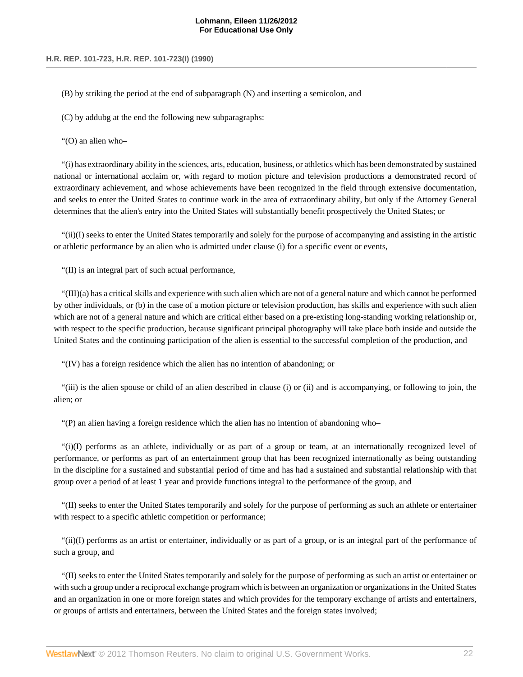#### **H.R. REP. 101-723, H.R. REP. 101-723(I) (1990)**

(B) by striking the period at the end of subparagraph (N) and inserting a semicolon, and

(C) by addubg at the end the following new subparagraphs:

"(O) an alien who–

"(i) has extraordinary ability in the sciences, arts, education, business, or athletics which has been demonstrated by sustained national or international acclaim or, with regard to motion picture and television productions a demonstrated record of extraordinary achievement, and whose achievements have been recognized in the field through extensive documentation, and seeks to enter the United States to continue work in the area of extraordinary ability, but only if the Attorney General determines that the alien's entry into the United States will substantially benefit prospectively the United States; or

"(ii)(I) seeks to enter the United States temporarily and solely for the purpose of accompanying and assisting in the artistic or athletic performance by an alien who is admitted under clause (i) for a specific event or events,

"(II) is an integral part of such actual performance,

"(III)(a) has a critical skills and experience with such alien which are not of a general nature and which cannot be performed by other individuals, or (b) in the case of a motion picture or television production, has skills and experience with such alien which are not of a general nature and which are critical either based on a pre-existing long-standing working relationship or, with respect to the specific production, because significant principal photography will take place both inside and outside the United States and the continuing participation of the alien is essential to the successful completion of the production, and

"(IV) has a foreign residence which the alien has no intention of abandoning; or

"(iii) is the alien spouse or child of an alien described in clause (i) or (ii) and is accompanying, or following to join, the alien; or

"(P) an alien having a foreign residence which the alien has no intention of abandoning who–

"(i)(I) performs as an athlete, individually or as part of a group or team, at an internationally recognized level of performance, or performs as part of an entertainment group that has been recognized internationally as being outstanding in the discipline for a sustained and substantial period of time and has had a sustained and substantial relationship with that group over a period of at least 1 year and provide functions integral to the performance of the group, and

"(II) seeks to enter the United States temporarily and solely for the purpose of performing as such an athlete or entertainer with respect to a specific athletic competition or performance;

"(ii)(I) performs as an artist or entertainer, individually or as part of a group, or is an integral part of the performance of such a group, and

"(II) seeks to enter the United States temporarily and solely for the purpose of performing as such an artist or entertainer or with such a group under a reciprocal exchange program which is between an organization or organizations in the United States and an organization in one or more foreign states and which provides for the temporary exchange of artists and entertainers, or groups of artists and entertainers, between the United States and the foreign states involved;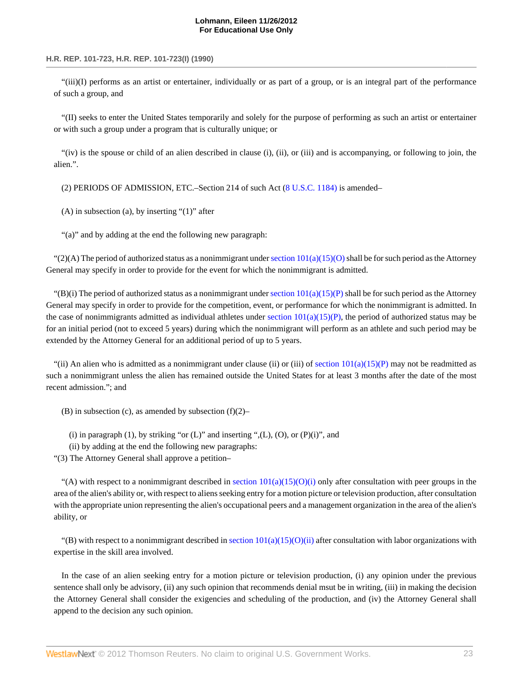### **H.R. REP. 101-723, H.R. REP. 101-723(I) (1990)**

"(iii)(I) performs as an artist or entertainer, individually or as part of a group, or is an integral part of the performance of such a group, and

"(II) seeks to enter the United States temporarily and solely for the purpose of performing as such an artist or entertainer or with such a group under a program that is culturally unique; or

"(iv) is the spouse or child of an alien described in clause (i), (ii), or (iii) and is accompanying, or following to join, the alien.".

(2) PERIODS OF ADMISSION, ETC.–Section 214 of such Act [\(8 U.S.C. 1184\)](http://www.westlaw.com/Link/Document/FullText?findType=L&pubNum=1000546&cite=8USCAS1184&originatingDoc=I520E9F60643311D9B7CECED691859821&refType=LQ&originationContext=document&vr=3.0&rs=cblt1.0&transitionType=DocumentItem&contextData=(sc.UserEnteredCitation)) is amended–

(A) in subsection (a), by inserting "(1)" after

"(a)" and by adding at the end the following new paragraph:

"(2)(A) The period of authorized status as a nonimmigrant under section  $101(a)(15)(O)$  shall be for such period as the Attorney General may specify in order to provide for the event for which the nonimmigrant is admitted.

"(B)(i) The period of authorized status as a nonimmigrant under section  $101(a)(15)(P)$  shall be for such period as the Attorney General may specify in order to provide for the competition, event, or performance for which the nonimmigrant is admitted. In the case of nonimmigrants admitted as individual athletes under section  $101(a)(15)(P)$ , the period of authorized status may be for an initial period (not to exceed 5 years) during which the nonimmigrant will perform as an athlete and such period may be extended by the Attorney General for an additional period of up to 5 years.

"(ii) An alien who is admitted as a nonimmigrant under clause (ii) or (iii) of section  $101(a)(15)(P)$  may not be readmitted as such a nonimmigrant unless the alien has remained outside the United States for at least 3 months after the date of the most recent admission."; and

(B) in subsection (c), as amended by subsection  $(f)(2)$ –

(i) in paragraph (1), by striking "or  $(L)$ " and inserting ", $(L)$ ,  $(O)$ , or  $(P)(i)$ ", and

(ii) by adding at the end the following new paragraphs:

"(3) The Attorney General shall approve a petition–

"(A) with respect to a nonimmigrant described in section  $101(a)(15)(O)(i)$  only after consultation with peer groups in the area of the alien's ability or, with respect to aliens seeking entry for a motion picture or television production, after consultation with the appropriate union representing the alien's occupational peers and a management organization in the area of the alien's ability, or

"(B) with respect to a nonimmigrant described in section  $101(a)(15)(O)(ii)$  after consultation with labor organizations with expertise in the skill area involved.

In the case of an alien seeking entry for a motion picture or television production, (i) any opinion under the previous sentence shall only be advisory, (ii) any such opinion that recommends denial msut be in writing, (iii) in making the decision the Attorney General shall consider the exigencies and scheduling of the production, and (iv) the Attorney General shall append to the decision any such opinion.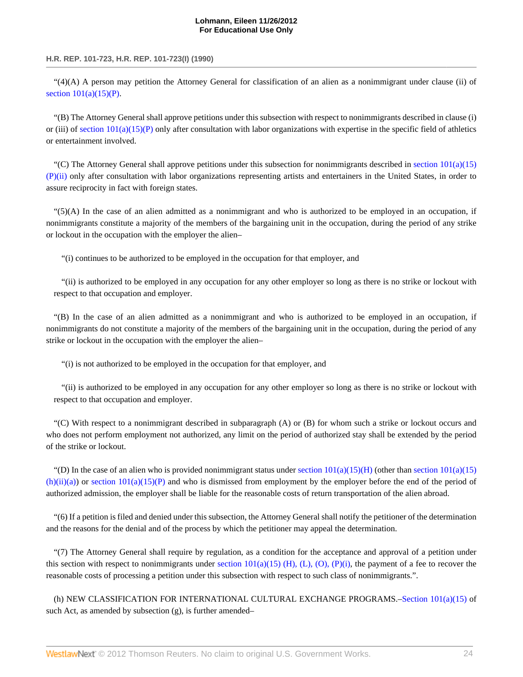# **H.R. REP. 101-723, H.R. REP. 101-723(I) (1990)**

"(4)(A) A person may petition the Attorney General for classification of an alien as a nonimmigrant under clause (ii) of section  $101(a)(15)(P)$ .

"(B) The Attorney General shall approve petitions under this subsection with respect to nonimmigrants described in clause (i) or (iii) of section  $101(a)(15)(P)$  only after consultation with labor organizations with expertise in the specific field of athletics or entertainment involved.

"(C) The Attorney General shall approve petitions under this subsection for nonimmigrants described in section  $101(a)(15)$ [\(P\)\(ii\)](http://www.westlaw.com/Link/Document/FullText?findType=L&pubNum=1000546&cite=29USCAS101&originatingDoc=I520E9F60643311D9B7CECED691859821&refType=LQ&originationContext=document&vr=3.0&rs=cblt1.0&transitionType=DocumentItem&contextData=(sc.UserEnteredCitation)) only after consultation with labor organizations representing artists and entertainers in the United States, in order to assure reciprocity in fact with foreign states.

 $(5)(A)$  In the case of an alien admitted as a nonimmigrant and who is authorized to be employed in an occupation, if nonimmigrants constitute a majority of the members of the bargaining unit in the occupation, during the period of any strike or lockout in the occupation with the employer the alien–

"(i) continues to be authorized to be employed in the occupation for that employer, and

"(ii) is authorized to be employed in any occupation for any other employer so long as there is no strike or lockout with respect to that occupation and employer.

"(B) In the case of an alien admitted as a nonimmigrant and who is authorized to be employed in an occupation, if nonimmigrants do not constitute a majority of the members of the bargaining unit in the occupation, during the period of any strike or lockout in the occupation with the employer the alien–

"(i) is not authorized to be employed in the occupation for that employer, and

"(ii) is authorized to be employed in any occupation for any other employer so long as there is no strike or lockout with respect to that occupation and employer.

"(C) With respect to a nonimmigrant described in subparagraph (A) or (B) for whom such a strike or lockout occurs and who does not perform employment not authorized, any limit on the period of authorized stay shall be extended by the period of the strike or lockout.

"(D) In the case of an alien who is provided nonimmigrant status under section  $101(a)(15)(H)$  (other than section  $101(a)(15)$ )  $(h)(ii)(a)$  or section  $101(a)(15)(P)$  and who is dismissed from employment by the employer before the end of the period of authorized admission, the employer shall be liable for the reasonable costs of return transportation of the alien abroad.

"(6) If a petition is filed and denied under this subsection, the Attorney General shall notify the petitioner of the determination and the reasons for the denial and of the process by which the petitioner may appeal the determination.

"(7) The Attorney General shall require by regulation, as a condition for the acceptance and approval of a petition under this section with respect to nonimmigrants under section  $101(a)(15)$  (H), (L), (O), (P)(i), the payment of a fee to recover the reasonable costs of processing a petition under this subsection with respect to such class of nonimmigrants.".

(h) NEW CLASSIFICATION FOR INTERNATIONAL CULTURAL EXCHANGE PROGRAMS.–[Section 101\(a\)\(15\)](http://www.westlaw.com/Link/Document/FullText?findType=L&pubNum=1000546&cite=29USCAS101&originatingDoc=I520E9F60643311D9B7CECED691859821&refType=LQ&originationContext=document&vr=3.0&rs=cblt1.0&transitionType=DocumentItem&contextData=(sc.UserEnteredCitation)) of such Act, as amended by subsection (g), is further amended–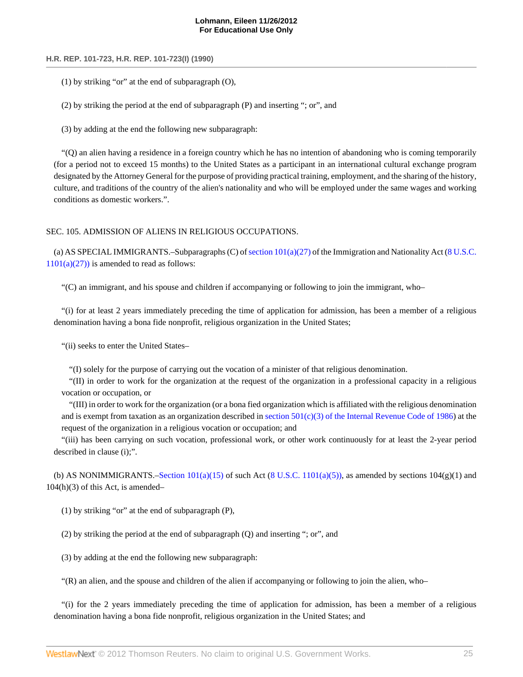# **H.R. REP. 101-723, H.R. REP. 101-723(I) (1990)**

(1) by striking "or" at the end of subparagraph (O),

(2) by striking the period at the end of subparagraph (P) and inserting "; or", and

(3) by adding at the end the following new subparagraph:

"(Q) an alien having a residence in a foreign country which he has no intention of abandoning who is coming temporarily (for a period not to exceed 15 months) to the United States as a participant in an international cultural exchange program designated by the Attorney General for the purpose of providing practical training, employment, and the sharing of the history, culture, and traditions of the country of the alien's nationality and who will be employed under the same wages and working conditions as domestic workers.".

# SEC. 105. ADMISSION OF ALIENS IN RELIGIOUS OCCUPATIONS.

(a) AS SPECIAL IMMIGRANTS.–Subparagraphs  $(C)$  of section  $101(a)(27)$  of the Immigration and Nationality Act [\(8 U.S.C.](http://www.westlaw.com/Link/Document/FullText?findType=L&pubNum=1000546&cite=8USCAS1101&originatingDoc=I520E9F60643311D9B7CECED691859821&refType=LQ&originationContext=document&vr=3.0&rs=cblt1.0&transitionType=DocumentItem&contextData=(sc.UserEnteredCitation))  $1101(a)(27)$ ) is amended to read as follows:

"(C) an immigrant, and his spouse and children if accompanying or following to join the immigrant, who–

"(i) for at least 2 years immediately preceding the time of application for admission, has been a member of a religious denomination having a bona fide nonprofit, religious organization in the United States;

"(ii) seeks to enter the United States–

"(I) solely for the purpose of carrying out the vocation of a minister of that religious denomination.

"(II) in order to work for the organization at the request of the organization in a professional capacity in a religious vocation or occupation, or

"(III) in order to work for the organization (or a bona fied organization which is affiliated with the religious denomination and is exempt from taxation as an organization described in section  $501(c)(3)$  of the Internal Revenue Code of 1986) at the request of the organization in a religious vocation or occupation; and

"(iii) has been carrying on such vocation, professional work, or other work continuously for at least the 2-year period described in clause (i);".

(b) AS NONIMMIGRANTS.–Section  $101(a)(15)$  of such Act (8 U.S.C.  $1101(a)(5)$ ), as amended by sections  $104(g)(1)$  and 104(h)(3) of this Act, is amended–

(1) by striking "or" at the end of subparagraph (P),

(2) by striking the period at the end of subparagraph (Q) and inserting "; or", and

(3) by adding at the end the following new subparagraph:

"(R) an alien, and the spouse and children of the alien if accompanying or following to join the alien, who–

"(i) for the 2 years immediately preceding the time of application for admission, has been a member of a religious denomination having a bona fide nonprofit, religious organization in the United States; and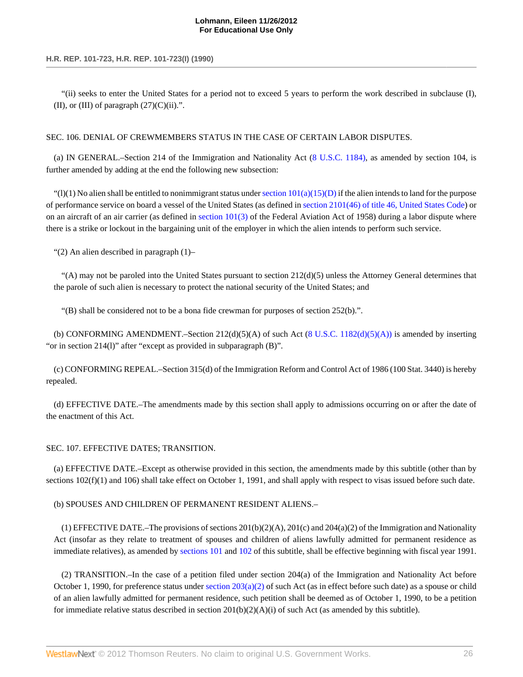## **H.R. REP. 101-723, H.R. REP. 101-723(I) (1990)**

"(ii) seeks to enter the United States for a period not to exceed 5 years to perform the work described in subclause (I), (II), or (III) of paragraph  $(27)(C)(ii)$ .".

# SEC. 106. DENIAL OF CREWMEMBERS STATUS IN THE CASE OF CERTAIN LABOR DISPUTES.

(a) IN GENERAL.–Section 214 of the Immigration and Nationality Act ([8 U.S.C. 1184\),](http://www.westlaw.com/Link/Document/FullText?findType=L&pubNum=1000546&cite=8USCAS1184&originatingDoc=I520E9F60643311D9B7CECED691859821&refType=LQ&originationContext=document&vr=3.0&rs=cblt1.0&transitionType=DocumentItem&contextData=(sc.UserEnteredCitation)) as amended by section 104, is further amended by adding at the end the following new subsection:

 $"(1)(1)$  No alien shall be entitled to nonimmigrant status under section  $101(a)(15)(D)$  if the alien intends to land for the purpose of performance service on board a vessel of the United States (as defined in [section 2101\(46\) of title 46, United States Code](http://www.westlaw.com/Link/Document/FullText?findType=L&pubNum=1000546&cite=46USCAS2101&originatingDoc=I520E9F60643311D9B7CECED691859821&refType=LQ&originationContext=document&vr=3.0&rs=cblt1.0&transitionType=DocumentItem&contextData=(sc.UserEnteredCitation))) or on an aircraft of an air carrier (as defined in section  $101(3)$  of the Federal Aviation Act of 1958) during a labor dispute where there is a strike or lockout in the bargaining unit of the employer in which the alien intends to perform such service.

"(2) An alien described in paragraph (1)–

 $(A)$  may not be paroled into the United States pursuant to section 212(d)(5) unless the Attorney General determines that the parole of such alien is necessary to protect the national security of the United States; and

"(B) shall be considered not to be a bona fide crewman for purposes of section  $252(b)$ .".

(b) CONFORMING AMENDMENT.–Section  $212(d)(5)(A)$  of such Act (8 U.S.C.  $1182(d)(5)(A)$ ) is amended by inserting "or in section 214(l)" after "except as provided in subparagraph (B)".

(c) CONFORMING REPEAL.–Section 315(d) of the Immigration Reform and Control Act of 1986 (100 Stat. 3440) is hereby repealed.

(d) EFFECTIVE DATE.–The amendments made by this section shall apply to admissions occurring on or after the date of the enactment of this Act.

# SEC. 107. EFFECTIVE DATES; TRANSITION.

(a) EFFECTIVE DATE.–Except as otherwise provided in this section, the amendments made by this subtitle (other than by sections  $102(f)(1)$  and  $106$ ) shall take effect on October 1, 1991, and shall apply with respect to visas issued before such date.

(b) SPOUSES AND CHILDREN OF PERMANENT RESIDENT ALIENS.–

(1) EFFECTIVE DATE.–The provisions of sections  $201(b)(2)(A)$ ,  $201(c)$  and  $204(a)(2)$  of the Immigration and Nationality Act (insofar as they relate to treatment of spouses and children of aliens lawfully admitted for permanent residence as immediate relatives), as amended by [sections 101](http://www.westlaw.com/Link/Document/FullText?findType=L&pubNum=1000546&cite=29USCAS101&originatingDoc=I520E9F60643311D9B7CECED691859821&refType=LQ&originationContext=document&vr=3.0&rs=cblt1.0&transitionType=DocumentItem&contextData=(sc.UserEnteredCitation)) and [102](http://www.westlaw.com/Link/Document/FullText?findType=L&pubNum=1000546&cite=29USCAS102&originatingDoc=I520E9F60643311D9B7CECED691859821&refType=LQ&originationContext=document&vr=3.0&rs=cblt1.0&transitionType=DocumentItem&contextData=(sc.UserEnteredCitation)) of this subtitle, shall be effective beginning with fiscal year 1991.

(2) TRANSITION.–In the case of a petition filed under section 204(a) of the Immigration and Nationality Act before October 1, 1990, for preference status under section  $203(a)(2)$  of such Act (as in effect before such date) as a spouse or child of an alien lawfully admitted for permanent residence, such petition shall be deemed as of October 1, 1990, to be a petition for immediate relative status described in section  $201(b)(2)(A)(i)$  of such Act (as amended by this subtitle).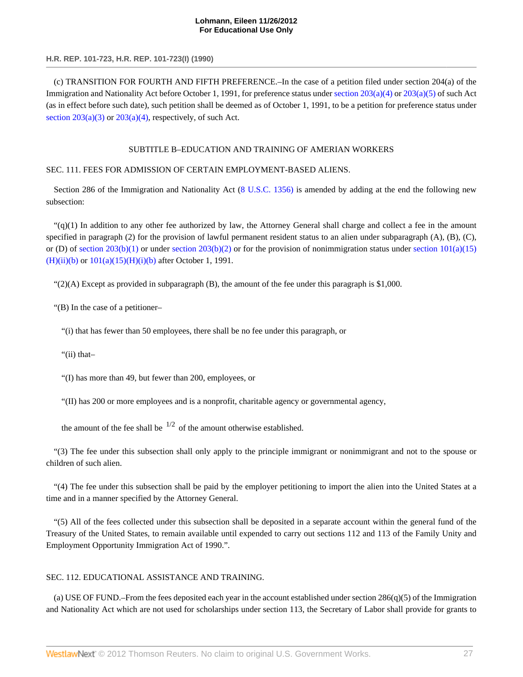# **H.R. REP. 101-723, H.R. REP. 101-723(I) (1990)**

(c) TRANSITION FOR FOURTH AND FIFTH PREFERENCE.–In the case of a petition filed under section 204(a) of the Immigration and Nationality Act before October 1, 1991, for preference status under [section 203\(a\)\(4\)](http://www.westlaw.com/Link/Document/FullText?findType=L&pubNum=1000546&cite=29USCAS203&originatingDoc=I520E9F60643311D9B7CECED691859821&refType=LQ&originationContext=document&vr=3.0&rs=cblt1.0&transitionType=DocumentItem&contextData=(sc.UserEnteredCitation)) or [203\(a\)\(5\)](http://www.westlaw.com/Link/Document/FullText?findType=L&pubNum=1000546&cite=29USCAS203&originatingDoc=I520E9F60643311D9B7CECED691859821&refType=LQ&originationContext=document&vr=3.0&rs=cblt1.0&transitionType=DocumentItem&contextData=(sc.UserEnteredCitation)) of such Act (as in effect before such date), such petition shall be deemed as of October 1, 1991, to be a petition for preference status under section  $203(a)(3)$  or  $203(a)(4)$ , respectively, of such Act.

# SUBTITLE B–EDUCATION AND TRAINING OF AMERIAN WORKERS

# SEC. 111. FEES FOR ADMISSION OF CERTAIN EMPLOYMENT-BASED ALIENS.

Section 286 of the Immigration and Nationality Act ([8 U.S.C. 1356\)](http://www.westlaw.com/Link/Document/FullText?findType=L&pubNum=1000546&cite=8USCAS1356&originatingDoc=I520E9F60643311D9B7CECED691859821&refType=LQ&originationContext=document&vr=3.0&rs=cblt1.0&transitionType=DocumentItem&contextData=(sc.UserEnteredCitation)) is amended by adding at the end the following new subsection:

 $\lq( q)(1)$  In addition to any other fee authorized by law, the Attorney General shall charge and collect a fee in the amount specified in paragraph (2) for the provision of lawful permanent resident status to an alien under subparagraph  $(A)$ ,  $(B)$ ,  $(C)$ , or (D) of section  $203(b)(1)$  or under section  $203(b)(2)$  or for the provision of nonimmigration status under section  $101(a)(15)$  $(H)(ii)(b)$  or  $101(a)(15)(H)(i)(b)$  after October 1, 1991.

 $\Gamma(2)$ (A) Except as provided in subparagraph (B), the amount of the fee under this paragraph is \$1,000.

"(B) In the case of a petitioner–

"(i) that has fewer than 50 employees, there shall be no fee under this paragraph, or

"(ii) that–

"(I) has more than 49, but fewer than 200, employees, or

"(II) has 200 or more employees and is a nonprofit, charitable agency or governmental agency,

the amount of the fee shall be  $1/2$  of the amount otherwise established.

"(3) The fee under this subsection shall only apply to the principle immigrant or nonimmigrant and not to the spouse or children of such alien.

"(4) The fee under this subsection shall be paid by the employer petitioning to import the alien into the United States at a time and in a manner specified by the Attorney General.

"(5) All of the fees collected under this subsection shall be deposited in a separate account within the general fund of the Treasury of the United States, to remain available until expended to carry out sections 112 and 113 of the Family Unity and Employment Opportunity Immigration Act of 1990.".

# SEC. 112. EDUCATIONAL ASSISTANCE AND TRAINING.

(a) USE OF FUND.–From the fees deposited each year in the account established under section  $286(q)(5)$  of the Immigration and Nationality Act which are not used for scholarships under section 113, the Secretary of Labor shall provide for grants to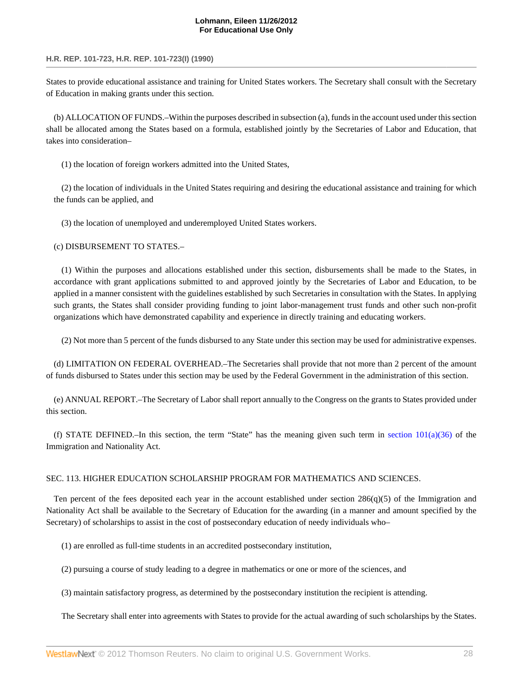## **H.R. REP. 101-723, H.R. REP. 101-723(I) (1990)**

States to provide educational assistance and training for United States workers. The Secretary shall consult with the Secretary of Education in making grants under this section.

(b) ALLOCATION OF FUNDS.–Within the purposes described in subsection (a), funds in the account used under this section shall be allocated among the States based on a formula, established jointly by the Secretaries of Labor and Education, that takes into consideration–

(1) the location of foreign workers admitted into the United States,

(2) the location of individuals in the United States requiring and desiring the educational assistance and training for which the funds can be applied, and

(3) the location of unemployed and underemployed United States workers.

(c) DISBURSEMENT TO STATES.–

(1) Within the purposes and allocations established under this section, disbursements shall be made to the States, in accordance with grant applications submitted to and approved jointly by the Secretaries of Labor and Education, to be applied in a manner consistent with the guidelines established by such Secretaries in consultation with the States. In applying such grants, the States shall consider providing funding to joint labor-management trust funds and other such non-profit organizations which have demonstrated capability and experience in directly training and educating workers.

(2) Not more than 5 percent of the funds disbursed to any State under this section may be used for administrative expenses.

(d) LIMITATION ON FEDERAL OVERHEAD.–The Secretaries shall provide that not more than 2 percent of the amount of funds disbursed to States under this section may be used by the Federal Government in the administration of this section.

(e) ANNUAL REPORT.–The Secretary of Labor shall report annually to the Congress on the grants to States provided under this section.

(f) STATE DEFINED.–In this section, the term "State" has the meaning given such term in section  $101(a)(36)$  of the Immigration and Nationality Act.

# SEC. 113. HIGHER EDUCATION SCHOLARSHIP PROGRAM FOR MATHEMATICS AND SCIENCES.

Ten percent of the fees deposited each year in the account established under section  $286(q)(5)$  of the Immigration and Nationality Act shall be available to the Secretary of Education for the awarding (in a manner and amount specified by the Secretary) of scholarships to assist in the cost of postsecondary education of needy individuals who–

(1) are enrolled as full-time students in an accredited postsecondary institution,

(2) pursuing a course of study leading to a degree in mathematics or one or more of the sciences, and

(3) maintain satisfactory progress, as determined by the postsecondary institution the recipient is attending.

The Secretary shall enter into agreements with States to provide for the actual awarding of such scholarships by the States.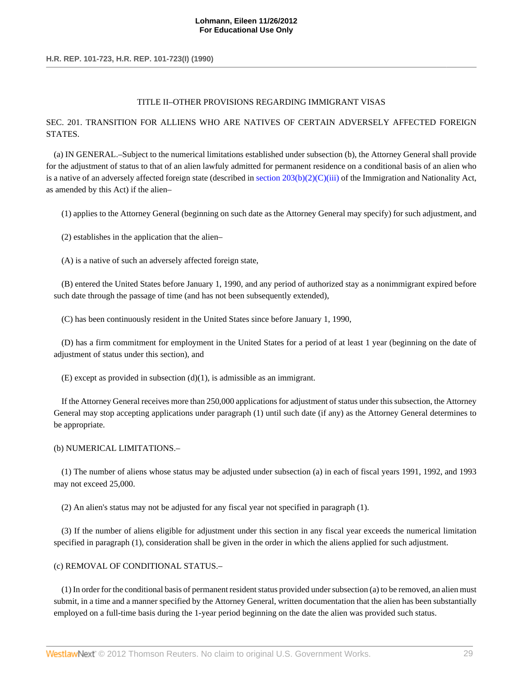# TITLE II–OTHER PROVISIONS REGARDING IMMIGRANT VISAS

# SEC. 201. TRANSITION FOR ALLIENS WHO ARE NATIVES OF CERTAIN ADVERSELY AFFECTED FOREIGN STATES.

(a) IN GENERAL.–Subject to the numerical limitations established under subsection (b), the Attorney General shall provide for the adjustment of status to that of an alien lawfuly admitted for permanent residence on a conditional basis of an alien who is a native of an adversely affected foreign state (described in section  $203(b)(2)(C)(iii)$  of the Immigration and Nationality Act, as amended by this Act) if the alien–

(1) applies to the Attorney General (beginning on such date as the Attorney General may specify) for such adjustment, and

(2) establishes in the application that the alien–

(A) is a native of such an adversely affected foreign state,

(B) entered the United States before January 1, 1990, and any period of authorized stay as a nonimmigrant expired before such date through the passage of time (and has not been subsequently extended),

(C) has been continuously resident in the United States since before January 1, 1990,

(D) has a firm commitment for employment in the United States for a period of at least 1 year (beginning on the date of adjustment of status under this section), and

 $(E)$  except as provided in subsection  $(d)(1)$ , is admissible as an immigrant.

If the Attorney General receives more than 250,000 applications for adjustment of status under this subsection, the Attorney General may stop accepting applications under paragraph (1) until such date (if any) as the Attorney General determines to be appropriate.

## (b) NUMERICAL LIMITATIONS.–

(1) The number of aliens whose status may be adjusted under subsection (a) in each of fiscal years 1991, 1992, and 1993 may not exceed 25,000.

(2) An alien's status may not be adjusted for any fiscal year not specified in paragraph (1).

(3) If the number of aliens eligible for adjustment under this section in any fiscal year exceeds the numerical limitation specified in paragraph (1), consideration shall be given in the order in which the aliens applied for such adjustment.

## (c) REMOVAL OF CONDITIONAL STATUS.–

(1) In order for the conditional basis of permanent resident status provided under subsection (a) to be removed, an alien must submit, in a time and a manner specified by the Attorney General, written documentation that the alien has been substantially employed on a full-time basis during the 1-year period beginning on the date the alien was provided such status.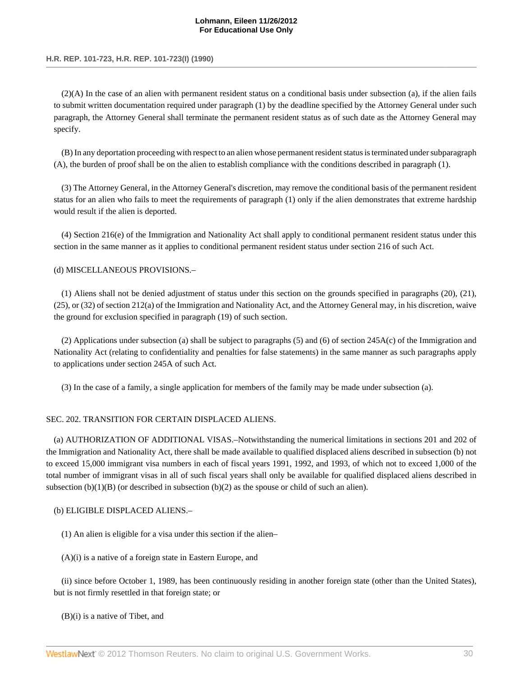### **H.R. REP. 101-723, H.R. REP. 101-723(I) (1990)**

 $(2)$ (A) In the case of an alien with permanent resident status on a conditional basis under subsection (a), if the alien fails to submit written documentation required under paragraph (1) by the deadline specified by the Attorney General under such paragraph, the Attorney General shall terminate the permanent resident status as of such date as the Attorney General may specify.

(B) In any deportation proceeding with respect to an alien whose permanent resident status is terminated under subparagraph (A), the burden of proof shall be on the alien to establish compliance with the conditions described in paragraph (1).

(3) The Attorney General, in the Attorney General's discretion, may remove the conditional basis of the permanent resident status for an alien who fails to meet the requirements of paragraph (1) only if the alien demonstrates that extreme hardship would result if the alien is deported.

(4) Section 216(e) of the Immigration and Nationality Act shall apply to conditional permanent resident status under this section in the same manner as it applies to conditional permanent resident status under section 216 of such Act.

## (d) MISCELLANEOUS PROVISIONS.–

(1) Aliens shall not be denied adjustment of status under this section on the grounds specified in paragraphs (20), (21), (25), or (32) of section 212(a) of the Immigration and Nationality Act, and the Attorney General may, in his discretion, waive the ground for exclusion specified in paragraph (19) of such section.

(2) Applications under subsection (a) shall be subject to paragraphs (5) and (6) of section 245A(c) of the Immigration and Nationality Act (relating to confidentiality and penalties for false statements) in the same manner as such paragraphs apply to applications under section 245A of such Act.

(3) In the case of a family, a single application for members of the family may be made under subsection (a).

## SEC. 202. TRANSITION FOR CERTAIN DISPLACED ALIENS.

(a) AUTHORIZATION OF ADDITIONAL VISAS.–Notwithstanding the numerical limitations in sections 201 and 202 of the Immigration and Nationality Act, there shall be made available to qualified displaced aliens described in subsection (b) not to exceed 15,000 immigrant visa numbers in each of fiscal years 1991, 1992, and 1993, of which not to exceed 1,000 of the total number of immigrant visas in all of such fiscal years shall only be available for qualified displaced aliens described in subsection  $(b)(1)(B)$  (or described in subsection  $(b)(2)$  as the spouse or child of such an alien).

### (b) ELIGIBLE DISPLACED ALIENS.–

(1) An alien is eligible for a visa under this section if the alien–

(A)(i) is a native of a foreign state in Eastern Europe, and

(ii) since before October 1, 1989, has been continuously residing in another foreign state (other than the United States), but is not firmly resettled in that foreign state; or

(B)(i) is a native of Tibet, and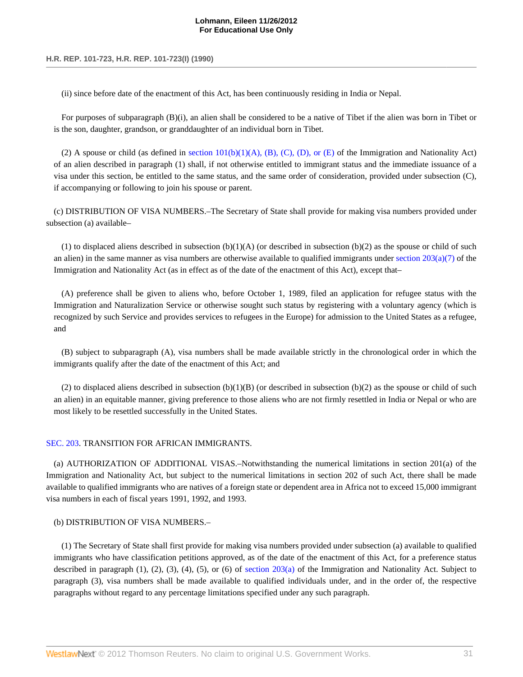## **H.R. REP. 101-723, H.R. REP. 101-723(I) (1990)**

(ii) since before date of the enactment of this Act, has been continuously residing in India or Nepal.

For purposes of subparagraph (B)(i), an alien shall be considered to be a native of Tibet if the alien was born in Tibet or is the son, daughter, grandson, or granddaughter of an individual born in Tibet.

(2) A spouse or child (as defined in section  $101(b)(1)(A)$ ,  $(B)$ ,  $(C)$ ,  $(D)$ , or  $(E)$  of the Immigration and Nationality Act) of an alien described in paragraph (1) shall, if not otherwise entitled to immigrant status and the immediate issuance of a visa under this section, be entitled to the same status, and the same order of consideration, provided under subsection (C), if accompanying or following to join his spouse or parent.

(c) DISTRIBUTION OF VISA NUMBERS.–The Secretary of State shall provide for making visa numbers provided under subsection (a) available–

(1) to displaced aliens described in subsection  $(b)(1)(A)$  (or described in subsection  $(b)(2)$  as the spouse or child of such an alien) in the same manner as visa numbers are otherwise available to qualified immigrants under section  $203(a)(7)$  of the Immigration and Nationality Act (as in effect as of the date of the enactment of this Act), except that–

(A) preference shall be given to aliens who, before October 1, 1989, filed an application for refugee status with the Immigration and Naturalization Service or otherwise sought such status by registering with a voluntary agency (which is recognized by such Service and provides services to refugees in the Europe) for admission to the United States as a refugee, and

(B) subject to subparagraph (A), visa numbers shall be made available strictly in the chronological order in which the immigrants qualify after the date of the enactment of this Act; and

(2) to displaced aliens described in subsection  $(b)(1)(B)$  (or described in subsection  $(b)(2)$  as the spouse or child of such an alien) in an equitable manner, giving preference to those aliens who are not firmly resettled in India or Nepal or who are most likely to be resettled successfully in the United States.

# [SEC. 203](http://www.westlaw.com/Link/Document/FullText?findType=L&pubNum=1000546&cite=29USCAS203&originatingDoc=I520E9F60643311D9B7CECED691859821&refType=LQ&originationContext=document&vr=3.0&rs=cblt1.0&transitionType=DocumentItem&contextData=(sc.UserEnteredCitation)). TRANSITION FOR AFRICAN IMMIGRANTS.

(a) AUTHORIZATION OF ADDITIONAL VISAS.–Notwithstanding the numerical limitations in section 201(a) of the Immigration and Nationality Act, but subject to the numerical limitations in section 202 of such Act, there shall be made available to qualified immigrants who are natives of a foreign state or dependent area in Africa not to exceed 15,000 immigrant visa numbers in each of fiscal years 1991, 1992, and 1993.

# (b) DISTRIBUTION OF VISA NUMBERS.–

(1) The Secretary of State shall first provide for making visa numbers provided under subsection (a) available to qualified immigrants who have classification petitions approved, as of the date of the enactment of this Act, for a preference status described in paragraph  $(1)$ ,  $(2)$ ,  $(3)$ ,  $(4)$ ,  $(5)$ , or  $(6)$  of section 203 $(a)$  of the Immigration and Nationality Act. Subject to paragraph (3), visa numbers shall be made available to qualified individuals under, and in the order of, the respective paragraphs without regard to any percentage limitations specified under any such paragraph.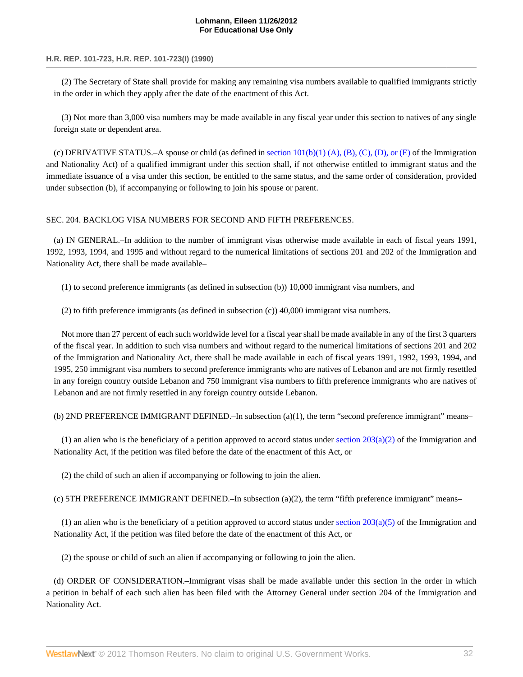## **H.R. REP. 101-723, H.R. REP. 101-723(I) (1990)**

(2) The Secretary of State shall provide for making any remaining visa numbers available to qualified immigrants strictly in the order in which they apply after the date of the enactment of this Act.

(3) Not more than 3,000 visa numbers may be made available in any fiscal year under this section to natives of any single foreign state or dependent area.

(c) DERIVATIVE STATUS.–A spouse or child (as defined in section  $101(b)(1)$  (A),  $(B)$ ,  $(C)$ ,  $(D)$ , or  $(E)$  of the Immigration and Nationality Act) of a qualified immigrant under this section shall, if not otherwise entitled to immigrant status and the immediate issuance of a visa under this section, be entitled to the same status, and the same order of consideration, provided under subsection (b), if accompanying or following to join his spouse or parent.

# SEC. 204. BACKLOG VISA NUMBERS FOR SECOND AND FIFTH PREFERENCES.

(a) IN GENERAL.–In addition to the number of immigrant visas otherwise made available in each of fiscal years 1991, 1992, 1993, 1994, and 1995 and without regard to the numerical limitations of sections 201 and 202 of the Immigration and Nationality Act, there shall be made available–

(1) to second preference immigrants (as defined in subsection (b)) 10,000 immigrant visa numbers, and

(2) to fifth preference immigrants (as defined in subsection (c)) 40,000 immigrant visa numbers.

Not more than 27 percent of each such worldwide level for a fiscal year shall be made available in any of the first 3 quarters of the fiscal year. In addition to such visa numbers and without regard to the numerical limitations of sections 201 and 202 of the Immigration and Nationality Act, there shall be made available in each of fiscal years 1991, 1992, 1993, 1994, and 1995, 250 immigrant visa numbers to second preference immigrants who are natives of Lebanon and are not firmly resettled in any foreign country outside Lebanon and 750 immigrant visa numbers to fifth preference immigrants who are natives of Lebanon and are not firmly resettled in any foreign country outside Lebanon.

(b) 2ND PREFERENCE IMMIGRANT DEFINED.–In subsection (a)(1), the term "second preference immigrant" means–

(1) an alien who is the beneficiary of a petition approved to accord status under section  $203(a)(2)$  of the Immigration and Nationality Act, if the petition was filed before the date of the enactment of this Act, or

(2) the child of such an alien if accompanying or following to join the alien.

(c) 5TH PREFERENCE IMMIGRANT DEFINED.–In subsection (a)(2), the term "fifth preference immigrant" means–

(1) an alien who is the beneficiary of a petition approved to accord status under section  $203(a)(5)$  of the Immigration and Nationality Act, if the petition was filed before the date of the enactment of this Act, or

(2) the spouse or child of such an alien if accompanying or following to join the alien.

(d) ORDER OF CONSIDERATION.–Immigrant visas shall be made available under this section in the order in which a petition in behalf of each such alien has been filed with the Attorney General under section 204 of the Immigration and Nationality Act.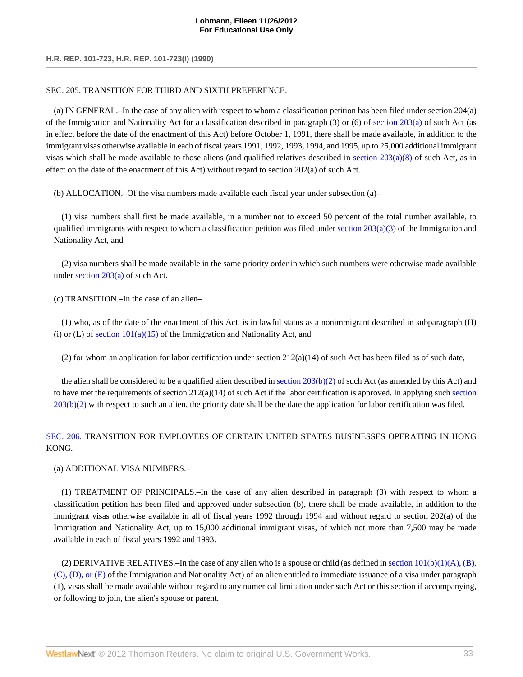## **H.R. REP. 101-723, H.R. REP. 101-723(I) (1990)**

## SEC. 205. TRANSITION FOR THIRD AND SIXTH PREFERENCE.

(a) IN GENERAL.–In the case of any alien with respect to whom a classification petition has been filed under section 204(a) of the Immigration and Nationality Act for a classification described in paragraph (3) or (6) of [section 203\(a\)](http://www.westlaw.com/Link/Document/FullText?findType=L&pubNum=1000546&cite=29USCAS203&originatingDoc=I520E9F60643311D9B7CECED691859821&refType=LQ&originationContext=document&vr=3.0&rs=cblt1.0&transitionType=DocumentItem&contextData=(sc.UserEnteredCitation)) of such Act (as in effect before the date of the enactment of this Act) before October 1, 1991, there shall be made available, in addition to the immigrant visas otherwise available in each of fiscal years 1991, 1992, 1993, 1994, and 1995, up to 25,000 additional immigrant visas which shall be made available to those aliens (and qualified relatives described in section  $203(a)(8)$  of such Act, as in effect on the date of the enactment of this Act) without regard to section 202(a) of such Act.

(b) ALLOCATION.–Of the visa numbers made available each fiscal year under subsection (a)–

(1) visa numbers shall first be made available, in a number not to exceed 50 percent of the total number available, to qualified immigrants with respect to whom a classification petition was filed under section  $203(a)(3)$  of the Immigration and Nationality Act, and

(2) visa numbers shall be made available in the same priority order in which such numbers were otherwise made available under section  $203(a)$  of such Act.

(c) TRANSITION.–In the case of an alien–

(1) who, as of the date of the enactment of this Act, is in lawful status as a nonimmigrant described in subparagraph (H) (i) or (L) of section  $101(a)(15)$  of the Immigration and Nationality Act, and

(2) for whom an application for labor certification under section  $212(a)(14)$  of such Act has been filed as of such date,

the alien shall be considered to be a qualified alien described in section  $203(b)(2)$  of such Act (as amended by this Act) and to have met the requirements of [section](http://www.westlaw.com/Link/Document/FullText?findType=L&pubNum=1000546&cite=29USCAS203&originatingDoc=I520E9F60643311D9B7CECED691859821&refType=LQ&originationContext=document&vr=3.0&rs=cblt1.0&transitionType=DocumentItem&contextData=(sc.UserEnteredCitation))  $212(a)(14)$  of such Act if the labor certification is approved. In applying such section [203\(b\)\(2\)](http://www.westlaw.com/Link/Document/FullText?findType=L&pubNum=1000546&cite=29USCAS203&originatingDoc=I520E9F60643311D9B7CECED691859821&refType=LQ&originationContext=document&vr=3.0&rs=cblt1.0&transitionType=DocumentItem&contextData=(sc.UserEnteredCitation)) with respect to such an alien, the priority date shall be the date the application for labor certification was filed.

# [SEC. 206](http://www.westlaw.com/Link/Document/FullText?findType=L&pubNum=1000546&cite=29USCAS206&originatingDoc=I520E9F60643311D9B7CECED691859821&refType=LQ&originationContext=document&vr=3.0&rs=cblt1.0&transitionType=DocumentItem&contextData=(sc.UserEnteredCitation)). TRANSITION FOR EMPLOYEES OF CERTAIN UNITED STATES BUSINESSES OPERATING IN HONG KONG.

(a) ADDITIONAL VISA NUMBERS.–

(1) TREATMENT OF PRINCIPALS.–In the case of any alien described in paragraph (3) with respect to whom a classification petition has been filed and approved under subsection (b), there shall be made available, in addition to the immigrant visas otherwise available in all of fiscal years 1992 through 1994 and without regard to section 202(a) of the Immigration and Nationality Act, up to 15,000 additional immigrant visas, of which not more than 7,500 may be made available in each of fiscal years 1992 and 1993.

(2) DERIVATIVE RELATIVES.–In the case of any alien who is a spouse or child (as defined in section  $101(b)(1)(A)$ ,  $(B)$ , [\(C\), \(D\), or \(E\)](http://www.westlaw.com/Link/Document/FullText?findType=L&pubNum=1000546&cite=29USCAS101&originatingDoc=I520E9F60643311D9B7CECED691859821&refType=LQ&originationContext=document&vr=3.0&rs=cblt1.0&transitionType=DocumentItem&contextData=(sc.UserEnteredCitation)) of the Immigration and Nationality Act) of an alien entitled to immediate issuance of a visa under paragraph (1), visas shall be made available without regard to any numerical limitation under such Act or this section if accompanying, or following to join, the alien's spouse or parent.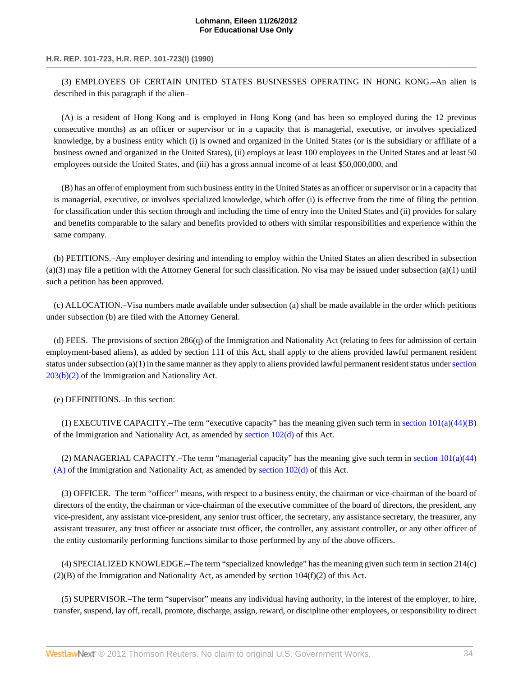## **H.R. REP. 101-723, H.R. REP. 101-723(I) (1990)**

(3) EMPLOYEES OF CERTAIN UNITED STATES BUSINESSES OPERATING IN HONG KONG.–An alien is described in this paragraph if the alien–

(A) is a resident of Hong Kong and is employed in Hong Kong (and has been so employed during the 12 previous consecutive months) as an officer or supervisor or in a capacity that is managerial, executive, or involves specialized knowledge, by a business entity which (i) is owned and organized in the United States (or is the subsidiary or affiliate of a business owned and organized in the United States), (ii) employs at least 100 employees in the United States and at least 50 employees outside the United States, and (iii) has a gross annual income of at least \$50,000,000, and

(B) has an offer of employment from such business entity in the United States as an officer or supervisor or in a capacity that is managerial, executive, or involves specialized knowledge, which offer (i) is effective from the time of filing the petition for classification under this section through and including the time of entry into the United States and (ii) provides for salary and benefits comparable to the salary and benefits provided to others with similar responsibilities and experience within the same company.

(b) PETITIONS.–Any employer desiring and intending to employ within the United States an alien described in subsection (a)(3) may file a petition with the Attorney General for such classification. No visa may be issued under subsection (a)(1) until such a petition has been approved.

(c) ALLOCATION.–Visa numbers made available under subsection (a) shall be made available in the order which petitions under subsection (b) are filed with the Attorney General.

(d) FEES.–The provisions of section 286(q) of the Immigration and Nationality Act (relating to fees for admission of certain employment-based aliens), as added by section 111 of this Act, shall apply to the aliens provided lawful permanent resident status under subsection  $(a)(1)$  in the same manner as they apply to aliens provided lawful permanent resident status under [section](http://www.westlaw.com/Link/Document/FullText?findType=L&pubNum=1000546&cite=29USCAS203&originatingDoc=I520E9F60643311D9B7CECED691859821&refType=LQ&originationContext=document&vr=3.0&rs=cblt1.0&transitionType=DocumentItem&contextData=(sc.UserEnteredCitation)) [203\(b\)\(2\)](http://www.westlaw.com/Link/Document/FullText?findType=L&pubNum=1000546&cite=29USCAS203&originatingDoc=I520E9F60643311D9B7CECED691859821&refType=LQ&originationContext=document&vr=3.0&rs=cblt1.0&transitionType=DocumentItem&contextData=(sc.UserEnteredCitation)) of the Immigration and Nationality Act.

(e) DEFINITIONS.–In this section:

(1) EXECUTIVE CAPACITY.–The term "executive capacity" has the meaning given such term in section  $101(a)(44)(B)$ of the Immigration and Nationality Act, as amended by section  $102(d)$  of this Act.

(2) MANAGERIAL CAPACITY.–The term "managerial capacity" has the meaning give such term in section  $101(a)(44)$ [\(A\)](http://www.westlaw.com/Link/Document/FullText?findType=L&pubNum=1000546&cite=29USCAS101&originatingDoc=I520E9F60643311D9B7CECED691859821&refType=LQ&originationContext=document&vr=3.0&rs=cblt1.0&transitionType=DocumentItem&contextData=(sc.UserEnteredCitation)) of the Immigration and Nationality Act, as amended by [section 102\(d\)](http://www.westlaw.com/Link/Document/FullText?findType=L&pubNum=1000546&cite=29USCAS102&originatingDoc=I520E9F60643311D9B7CECED691859821&refType=LQ&originationContext=document&vr=3.0&rs=cblt1.0&transitionType=DocumentItem&contextData=(sc.UserEnteredCitation)) of this Act.

(3) OFFICER.–The term "officer" means, with respect to a business entity, the chairman or vice-chairman of the board of directors of the entity, the chairman or vice-chairman of the executive committee of the board of directors, the president, any vice-president, any assistant vice-president, any senior trust officer, the secretary, any assistance secretary, the treasurer, any assistant treasurer, any trust officer or associate trust officer, the controller, any assistant controller, or any other officer of the entity customarily performing functions similar to those performed by any of the above officers.

(4) SPECIALIZED KNOWLEDGE.–The term "specialized knowledge" has the meaning given such term in section 214(c)  $(2)(B)$  of the Immigration and Nationality Act, as amended by section  $104(f)(2)$  of this Act.

(5) SUPERVISOR.–The term "supervisor" means any individual having authority, in the interest of the employer, to hire, transfer, suspend, lay off, recall, promote, discharge, assign, reward, or discipline other employees, or responsibility to direct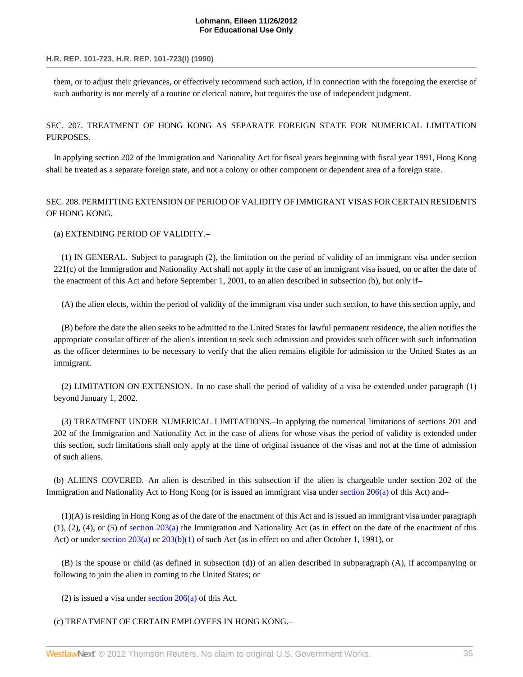## **H.R. REP. 101-723, H.R. REP. 101-723(I) (1990)**

them, or to adjust their grievances, or effectively recommend such action, if in connection with the foregoing the exercise of such authority is not merely of a routine or clerical nature, but requires the use of independent judgment.

# SEC. 207. TREATMENT OF HONG KONG AS SEPARATE FOREIGN STATE FOR NUMERICAL LIMITATION PURPOSES.

In applying section 202 of the Immigration and Nationality Act for fiscal years beginning with fiscal year 1991, Hong Kong shall be treated as a separate foreign state, and not a colony or other component or dependent area of a foreign state.

# SEC. 208. PERMITTING EXTENSION OF PERIOD OF VALIDITY OF IMMIGRANT VISAS FOR CERTAIN RESIDENTS OF HONG KONG.

(a) EXTENDING PERIOD OF VALIDITY.–

(1) IN GENERAL.–Subject to paragraph (2), the limitation on the period of validity of an immigrant visa under section 221(c) of the Immigration and Nationality Act shall not apply in the case of an immigrant visa issued, on or after the date of the enactment of this Act and before September 1, 2001, to an alien described in subsection (b), but only if–

(A) the alien elects, within the period of validity of the immigrant visa under such section, to have this section apply, and

(B) before the date the alien seeks to be admitted to the United States for lawful permanent residence, the alien notifies the appropriate consular officer of the alien's intention to seek such admission and provides such officer with such information as the officer determines to be necessary to verify that the alien remains eligible for admission to the United States as an immigrant.

(2) LIMITATION ON EXTENSION.–In no case shall the period of validity of a visa be extended under paragraph (1) beyond January 1, 2002.

(3) TREATMENT UNDER NUMERICAL LIMITATIONS.–In applying the numerical limitations of sections 201 and 202 of the Immigration and Nationality Act in the case of aliens for whose visas the period of validity is extended under this section, such limitations shall only apply at the time of original issuance of the visas and not at the time of admission of such aliens.

(b) ALIENS COVERED.–An alien is described in this subsection if the alien is chargeable under section 202 of the Immigration and Nationality Act to Hong Kong (or is issued an immigrant visa under [section 206\(a\)](http://www.westlaw.com/Link/Document/FullText?findType=L&pubNum=1000546&cite=29USCAS206&originatingDoc=I520E9F60643311D9B7CECED691859821&refType=LQ&originationContext=document&vr=3.0&rs=cblt1.0&transitionType=DocumentItem&contextData=(sc.UserEnteredCitation)) of this Act) and–

(1)(A) is residing in Hong Kong as of the date of the enactment of this Act and is issued an immigrant visa under paragraph  $(1)$ ,  $(2)$ ,  $(4)$ , or  $(5)$  of section  $203(a)$  the Immigration and Nationality Act (as in effect on the date of the enactment of this Act) or under [section 203\(a\)](http://www.westlaw.com/Link/Document/FullText?findType=L&pubNum=1000546&cite=29USCAS203&originatingDoc=I520E9F60643311D9B7CECED691859821&refType=LQ&originationContext=document&vr=3.0&rs=cblt1.0&transitionType=DocumentItem&contextData=(sc.UserEnteredCitation)) or [203\(b\)\(1\)](http://www.westlaw.com/Link/Document/FullText?findType=L&pubNum=1000546&cite=29USCAS203&originatingDoc=I520E9F60643311D9B7CECED691859821&refType=LQ&originationContext=document&vr=3.0&rs=cblt1.0&transitionType=DocumentItem&contextData=(sc.UserEnteredCitation)) of such Act (as in effect on and after October 1, 1991), or

(B) is the spouse or child (as defined in subsection (d)) of an alien described in subparagraph (A), if accompanying or following to join the alien in coming to the United States; or

(2) is issued a visa under section  $206(a)$  of this Act.

# (c) TREATMENT OF CERTAIN EMPLOYEES IN HONG KONG.–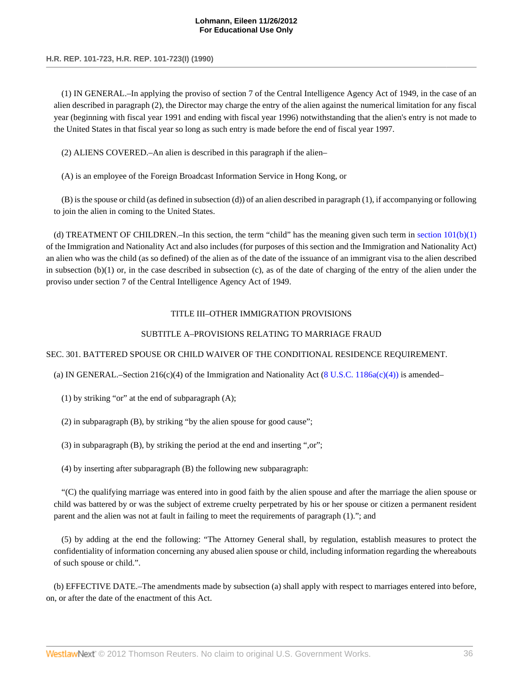## **H.R. REP. 101-723, H.R. REP. 101-723(I) (1990)**

(1) IN GENERAL.–In applying the proviso of section 7 of the Central Intelligence Agency Act of 1949, in the case of an alien described in paragraph (2), the Director may charge the entry of the alien against the numerical limitation for any fiscal year (beginning with fiscal year 1991 and ending with fiscal year 1996) notwithstanding that the alien's entry is not made to the United States in that fiscal year so long as such entry is made before the end of fiscal year 1997.

(2) ALIENS COVERED.–An alien is described in this paragraph if the alien–

(A) is an employee of the Foreign Broadcast Information Service in Hong Kong, or

(B) is the spouse or child (as defined in subsection (d)) of an alien described in paragraph (1), if accompanying or following to join the alien in coming to the United States.

(d) TREATMENT OF CHILDREN.–In this section, the term "child" has the meaning given such term in section  $101(b)(1)$ of the Immigration and Nationality Act and also includes (for purposes of this section and the Immigration and Nationality Act) an alien who was the child (as so defined) of the alien as of the date of the issuance of an immigrant visa to the alien described in subsection  $(b)(1)$  or, in the case described in subsection  $(c)$ , as of the date of charging of the entry of the alien under the proviso under section 7 of the Central Intelligence Agency Act of 1949.

# TITLE III–OTHER IMMIGRATION PROVISIONS

# SUBTITLE A–PROVISIONS RELATING TO MARRIAGE FRAUD

# SEC. 301. BATTERED SPOUSE OR CHILD WAIVER OF THE CONDITIONAL RESIDENCE REQUIREMENT.

(a) IN GENERAL.–Section 216(c)(4) of the Immigration and Nationality Act [\(8 U.S.C. 1186a\(c\)\(4\)\)](http://www.westlaw.com/Link/Document/FullText?findType=L&pubNum=1000546&cite=8USCAS1186A&originatingDoc=I520E9F60643311D9B7CECED691859821&refType=LQ&originationContext=document&vr=3.0&rs=cblt1.0&transitionType=DocumentItem&contextData=(sc.UserEnteredCitation)) is amended–

- (1) by striking "or" at the end of subparagraph (A);
- (2) in subparagraph (B), by striking "by the alien spouse for good cause";
- (3) in subparagraph (B), by striking the period at the end and inserting ",or";
- (4) by inserting after subparagraph (B) the following new subparagraph:

"(C) the qualifying marriage was entered into in good faith by the alien spouse and after the marriage the alien spouse or child was battered by or was the subject of extreme cruelty perpetrated by his or her spouse or citizen a permanent resident parent and the alien was not at fault in failing to meet the requirements of paragraph (1)."; and

(5) by adding at the end the following: "The Attorney General shall, by regulation, establish measures to protect the confidentiality of information concerning any abused alien spouse or child, including information regarding the whereabouts of such spouse or child.".

(b) EFFECTIVE DATE.–The amendments made by subsection (a) shall apply with respect to marriages entered into before, on, or after the date of the enactment of this Act.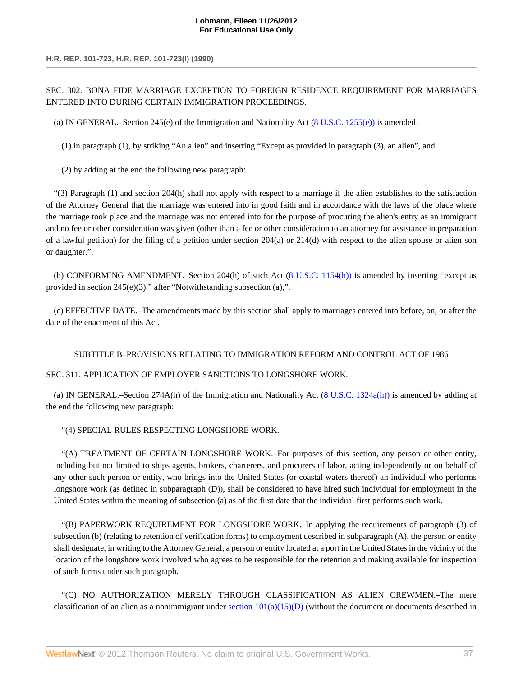## **H.R. REP. 101-723, H.R. REP. 101-723(I) (1990)**

# SEC. 302. BONA FIDE MARRIAGE EXCEPTION TO FOREIGN RESIDENCE REQUIREMENT FOR MARRIAGES ENTERED INTO DURING CERTAIN IMMIGRATION PROCEEDINGS.

(a) IN GENERAL.–Section 245(e) of the Immigration and Nationality Act ([8 U.S.C. 1255\(e\)\)](http://www.westlaw.com/Link/Document/FullText?findType=L&pubNum=1000546&cite=8USCAS1255&originatingDoc=I520E9F60643311D9B7CECED691859821&refType=LQ&originationContext=document&vr=3.0&rs=cblt1.0&transitionType=DocumentItem&contextData=(sc.UserEnteredCitation)) is amended–

(1) in paragraph (1), by striking "An alien" and inserting "Except as provided in paragraph (3), an alien", and

(2) by adding at the end the following new paragraph:

"(3) Paragraph (1) and section 204(h) shall not apply with respect to a marriage if the alien establishes to the satisfaction of the Attorney General that the marriage was entered into in good faith and in accordance with the laws of the place where the marriage took place and the marriage was not entered into for the purpose of procuring the alien's entry as an immigrant and no fee or other consideration was given (other than a fee or other consideration to an attorney for assistance in preparation of a lawful petition) for the filing of a petition under section 204(a) or 214(d) with respect to the alien spouse or alien son or daughter.".

(b) CONFORMING AMENDMENT.–Section 204(h) of such Act [\(8 U.S.C. 1154\(h\)\)](http://www.westlaw.com/Link/Document/FullText?findType=L&pubNum=1000546&cite=8USCAS1154&originatingDoc=I520E9F60643311D9B7CECED691859821&refType=LQ&originationContext=document&vr=3.0&rs=cblt1.0&transitionType=DocumentItem&contextData=(sc.UserEnteredCitation)) is amended by inserting "except as provided in section 245(e)(3)," after "Notwithstanding subsection (a),".

(c) EFFECTIVE DATE.–The amendments made by this section shall apply to marriages entered into before, on, or after the date of the enactment of this Act.

SUBTITLE B–PROVISIONS RELATING TO IMMIGRATION REFORM AND CONTROL ACT OF 1986

## SEC. 311. APPLICATION OF EMPLOYER SANCTIONS TO LONGSHORE WORK.

(a) IN GENERAL.–Section 274A(h) of the Immigration and Nationality Act [\(8 U.S.C. 1324a\(h\)\)](http://www.westlaw.com/Link/Document/FullText?findType=L&pubNum=1000546&cite=8USCAS1324A&originatingDoc=I520E9F60643311D9B7CECED691859821&refType=LQ&originationContext=document&vr=3.0&rs=cblt1.0&transitionType=DocumentItem&contextData=(sc.UserEnteredCitation)) is amended by adding at the end the following new paragraph:

"(4) SPECIAL RULES RESPECTING LONGSHORE WORK.–

"(A) TREATMENT OF CERTAIN LONGSHORE WORK.–For purposes of this section, any person or other entity, including but not limited to ships agents, brokers, charterers, and procurers of labor, acting independently or on behalf of any other such person or entity, who brings into the United States (or coastal waters thereof) an individual who performs longshore work (as defined in subparagraph (D)), shall be considered to have hired such individual for employment in the United States within the meaning of subsection (a) as of the first date that the individual first performs such work.

"(B) PAPERWORK REQUIREMENT FOR LONGSHORE WORK.–In applying the requirements of paragraph (3) of subsection (b) (relating to retention of verification forms) to employment described in subparagraph (A), the person or entity shall designate, in writing to the Attorney General, a person or entity located at a port in the United States in the vicinity of the location of the longshore work involved who agrees to be responsible for the retention and making available for inspection of such forms under such paragraph.

"(C) NO AUTHORIZATION MERELY THROUGH CLASSIFICATION AS ALIEN CREWMEN.–The mere classification of an alien as a nonimmigrant under section  $101(a)(15)(D)$  (without the document or documents described in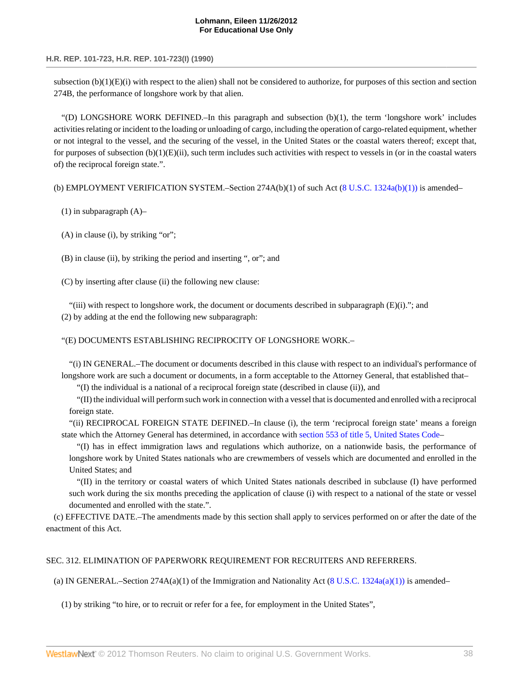## **H.R. REP. 101-723, H.R. REP. 101-723(I) (1990)**

subsection  $(b)(1)(E)(i)$  with respect to the alien) shall not be considered to authorize, for purposes of this section and section 274B, the performance of longshore work by that alien.

"(D) LONGSHORE WORK DEFINED. In this paragraph and subsection  $(b)(1)$ , the term 'longshore work' includes activities relating or incident to the loading or unloading of cargo, including the operation of cargo-related equipment, whether or not integral to the vessel, and the securing of the vessel, in the United States or the coastal waters thereof; except that, for purposes of subsection  $(b)(1)(E)(ii)$ , such term includes such activities with respect to vessels in (or in the coastal waters of) the reciprocal foreign state.".

(b) EMPLOYMENT VERIFICATION SYSTEM.-Section  $274A(b)(1)$  of such Act  $(8 U.S.C. 1324a(b)(1))$  is amended–

(1) in subparagraph (A)–

(A) in clause (i), by striking "or";

(B) in clause (ii), by striking the period and inserting ", or"; and

(C) by inserting after clause (ii) the following new clause:

"(iii) with respect to longshore work, the document or documents described in subparagraph (E)(i)."; and (2) by adding at the end the following new subparagraph:

# "(E) DOCUMENTS ESTABLISHING RECIPROCITY OF LONGSHORE WORK.–

"(i) IN GENERAL.–The document or documents described in this clause with respect to an individual's performance of longshore work are such a document or documents, in a form acceptable to the Attorney General, that established that–

"(I) the individual is a national of a reciprocal foreign state (described in clause (ii)), and

"(II) the individual will perform such work in connection with a vessel that is documented and enrolled with a reciprocal foreign state.

"(ii) RECIPROCAL FOREIGN STATE DEFINED.–In clause (i), the term 'reciprocal foreign state' means a foreign state which the Attorney General has determined, in accordance with [section 553 of title 5, United States Code–](http://www.westlaw.com/Link/Document/FullText?findType=L&pubNum=1000546&cite=5USCAS553&originatingDoc=I520E9F60643311D9B7CECED691859821&refType=LQ&originationContext=document&vr=3.0&rs=cblt1.0&transitionType=DocumentItem&contextData=(sc.UserEnteredCitation))

"(I) has in effect immigration laws and regulations which authorize, on a nationwide basis, the performance of longshore work by United States nationals who are crewmembers of vessels which are documented and enrolled in the United States; and

"(II) in the territory or coastal waters of which United States nationals described in subclause (I) have performed such work during the six months preceding the application of clause (i) with respect to a national of the state or vessel documented and enrolled with the state.".

(c) EFFECTIVE DATE.–The amendments made by this section shall apply to services performed on or after the date of the enactment of this Act.

## SEC. 312. ELIMINATION OF PAPERWORK REQUIREMENT FOR RECRUITERS AND REFERRERS.

(a) IN GENERAL.–Section  $274A(a)(1)$  of the Immigration and Nationality Act ([8 U.S.C. 1324a\(a\)\(1\)\)](http://www.westlaw.com/Link/Document/FullText?findType=L&pubNum=1000546&cite=8USCAS1324A&originatingDoc=I520E9F60643311D9B7CECED691859821&refType=LQ&originationContext=document&vr=3.0&rs=cblt1.0&transitionType=DocumentItem&contextData=(sc.UserEnteredCitation)) is amended–

(1) by striking "to hire, or to recruit or refer for a fee, for employment in the United States",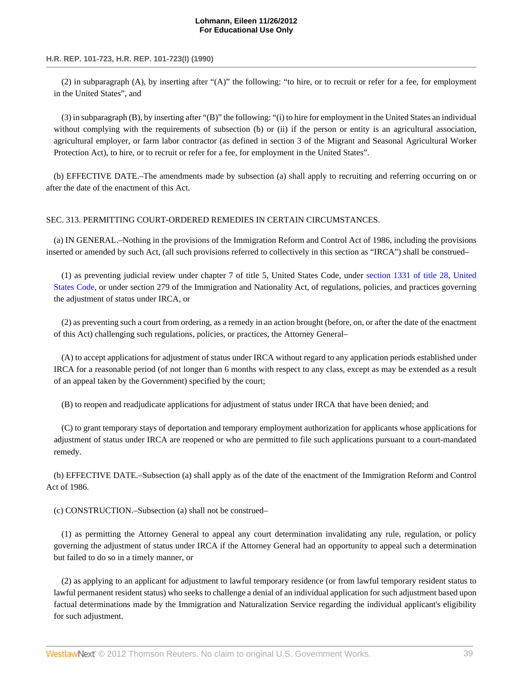## **H.R. REP. 101-723, H.R. REP. 101-723(I) (1990)**

(2) in subparagraph (A), by inserting after "(A)" the following: "to hire, or to recruit or refer for a fee, for employment in the United States", and

(3) in subparagraph (B), by inserting after "(B)" the following: "(i) to hire for employment in the United States an individual without complying with the requirements of subsection (b) or (ii) if the person or entity is an agricultural association, agricultural employer, or farm labor contractor (as defined in section 3 of the Migrant and Seasonal Agricultural Worker Protection Act), to hire, or to recruit or refer for a fee, for employment in the United States".

(b) EFFECTIVE DATE.–The amendments made by subsection (a) shall apply to recruiting and referring occurring on or after the date of the enactment of this Act.

## SEC. 313. PERMITTING COURT-ORDERED REMEDIES IN CERTAIN CIRCUMSTANCES.

(a) IN GENERAL.–Nothing in the provisions of the Immigration Reform and Control Act of 1986, including the provisions inserted or amended by such Act, (all such provisions referred to collectively in this section as "IRCA") shall be construed–

(1) as preventing judicial review under chapter 7 of title 5, United States Code, under [section 1331 of title 28, United](http://www.westlaw.com/Link/Document/FullText?findType=L&pubNum=1000546&cite=28USCAS1331&originatingDoc=I520E9F60643311D9B7CECED691859821&refType=LQ&originationContext=document&vr=3.0&rs=cblt1.0&transitionType=DocumentItem&contextData=(sc.UserEnteredCitation)) [States Code,](http://www.westlaw.com/Link/Document/FullText?findType=L&pubNum=1000546&cite=28USCAS1331&originatingDoc=I520E9F60643311D9B7CECED691859821&refType=LQ&originationContext=document&vr=3.0&rs=cblt1.0&transitionType=DocumentItem&contextData=(sc.UserEnteredCitation)) or under section 279 of the Immigration and Nationality Act, of regulations, policies, and practices governing the adjustment of status under IRCA, or

(2) as preventing such a court from ordering, as a remedy in an action brought (before, on, or after the date of the enactment of this Act) challenging such regulations, policies, or practices, the Attorney General–

(A) to accept applications for adjustment of status under IRCA without regard to any application periods established under IRCA for a reasonable period (of not longer than 6 months with respect to any class, except as may be extended as a result of an appeal taken by the Government) specified by the court;

(B) to reopen and readjudicate applications for adjustment of status under IRCA that have been denied; and

(C) to grant temporary stays of deportation and temporary employment authorization for applicants whose applications for adjustment of status under IRCA are reopened or who are permitted to file such applications pursuant to a court-mandated remedy.

(b) EFFECTIVE DATE.–Subsection (a) shall apply as of the date of the enactment of the Immigration Reform and Control Act of 1986.

(c) CONSTRUCTION.–Subsection (a) shall not be construed–

(1) as permitting the Attorney General to appeal any court determination invalidating any rule, regulation, or policy governing the adjustment of status under IRCA if the Attorney General had an opportunity to appeal such a determination but failed to do so in a timely manner, or

(2) as applying to an applicant for adjustment to lawful temporary residence (or from lawful temporary resident status to lawful permanent resident status) who seeks to challenge a denial of an individual application for such adjustment based upon factual determinations made by the Immigration and Naturalization Service regarding the individual applicant's eligibility for such adjustment.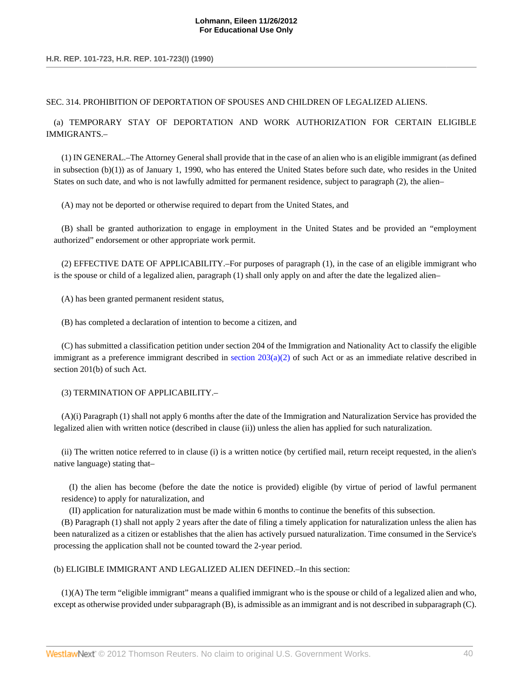## **H.R. REP. 101-723, H.R. REP. 101-723(I) (1990)**

## SEC. 314. PROHIBITION OF DEPORTATION OF SPOUSES AND CHILDREN OF LEGALIZED ALIENS.

(a) TEMPORARY STAY OF DEPORTATION AND WORK AUTHORIZATION FOR CERTAIN ELIGIBLE IMMIGRANTS.–

(1) IN GENERAL.–The Attorney General shall provide that in the case of an alien who is an eligible immigrant (as defined in subsection (b)(1)) as of January 1, 1990, who has entered the United States before such date, who resides in the United States on such date, and who is not lawfully admitted for permanent residence, subject to paragraph (2), the alien–

(A) may not be deported or otherwise required to depart from the United States, and

(B) shall be granted authorization to engage in employment in the United States and be provided an "employment authorized" endorsement or other appropriate work permit.

(2) EFFECTIVE DATE OF APPLICABILITY.–For purposes of paragraph (1), in the case of an eligible immigrant who is the spouse or child of a legalized alien, paragraph (1) shall only apply on and after the date the legalized alien–

(A) has been granted permanent resident status,

(B) has completed a declaration of intention to become a citizen, and

(C) has submitted a classification petition under section 204 of the Immigration and Nationality Act to classify the eligible immigrant as a preference immigrant described in section  $203(a)(2)$  of such Act or as an immediate relative described in section 201(b) of such Act.

(3) TERMINATION OF APPLICABILITY.–

(A)(i) Paragraph (1) shall not apply 6 months after the date of the Immigration and Naturalization Service has provided the legalized alien with written notice (described in clause (ii)) unless the alien has applied for such naturalization.

(ii) The written notice referred to in clause (i) is a written notice (by certified mail, return receipt requested, in the alien's native language) stating that–

(I) the alien has become (before the date the notice is provided) eligible (by virtue of period of lawful permanent residence) to apply for naturalization, and

(II) application for naturalization must be made within 6 months to continue the benefits of this subsection.

(B) Paragraph (1) shall not apply 2 years after the date of filing a timely application for naturalization unless the alien has been naturalized as a citizen or establishes that the alien has actively pursued naturalization. Time consumed in the Service's processing the application shall not be counted toward the 2-year period.

# (b) ELIGIBLE IMMIGRANT AND LEGALIZED ALIEN DEFINED.–In this section:

(1)(A) The term "eligible immigrant" means a qualified immigrant who is the spouse or child of a legalized alien and who, except as otherwise provided under subparagraph (B), is admissible as an immigrant and is not described in subparagraph (C).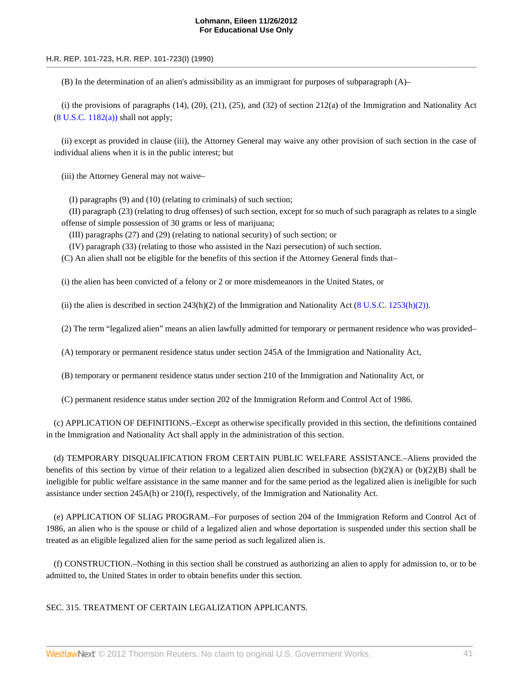## **H.R. REP. 101-723, H.R. REP. 101-723(I) (1990)**

(B) In the determination of an alien's admissibility as an immigrant for purposes of subparagraph (A)–

(i) the provisions of paragraphs (14), (20), (21), (25), and (32) of section 212(a) of the Immigration and Nationality Act  $(8 U.S.C. 1182(a))$  shall not apply;

(ii) except as provided in clause (iii), the Attorney General may waive any other provision of such section in the case of individual aliens when it is in the public interest; but

(iii) the Attorney General may not waive–

(I) paragraphs (9) and (10) (relating to criminals) of such section;

(II) paragraph (23) (relating to drug offenses) of such section, except for so much of such paragraph as relates to a single offense of simple possession of 30 grams or less of marijuana;

(III) paragraphs (27) and (29) (relating to national security) of such section; or

(IV) paragraph (33) (relating to those who assisted in the Nazi persecution) of such section.

(C) An alien shall not be eligible for the benefits of this section if the Attorney General finds that–

(i) the alien has been convicted of a felony or 2 or more misdemeanors in the United States, or

(ii) the alien is described in section 243(h)(2) of the Immigration and Nationality Act [\(8 U.S.C. 1253\(h\)\(2\)\).](http://www.westlaw.com/Link/Document/FullText?findType=L&pubNum=1000546&cite=8USCAS1253&originatingDoc=I520E9F60643311D9B7CECED691859821&refType=LQ&originationContext=document&vr=3.0&rs=cblt1.0&transitionType=DocumentItem&contextData=(sc.UserEnteredCitation))

(2) The term "legalized alien" means an alien lawfully admitted for temporary or permanent residence who was provided–

(A) temporary or permanent residence status under section 245A of the Immigration and Nationality Act,

(B) temporary or permanent residence status under section 210 of the Immigration and Nationality Act, or

(C) permanent residence status under section 202 of the Immigration Reform and Control Act of 1986.

(c) APPLICATION OF DEFINITIONS.–Except as otherwise specifically provided in this section, the definitions contained in the Immigration and Nationality Act shall apply in the administration of this section.

(d) TEMPORARY DISQUALIFICATION FROM CERTAIN PUBLIC WELFARE ASSISTANCE.–Aliens provided the benefits of this section by virtue of their relation to a legalized alien described in subsection  $(b)(2)(A)$  or  $(b)(2)(B)$  shall be ineligible for public welfare assistance in the same manner and for the same period as the legalized alien is ineligible for such assistance under section 245A(h) or 210(f), respectively, of the Immigration and Nationality Act.

(e) APPLICATION OF SLIAG PROGRAM.–For purposes of section 204 of the Immigration Reform and Control Act of 1986, an alien who is the spouse or child of a legalized alien and whose deportation is suspended under this section shall be treated as an eligible legalized alien for the same period as such legalized alien is.

(f) CONSTRUCTION.–Nothing in this section shall be construed as authorizing an alien to apply for admission to, or to be admitted to, the United States in order to obtain benefits under this section.

SEC. 315. TREATMENT OF CERTAIN LEGALIZATION APPLICANTS.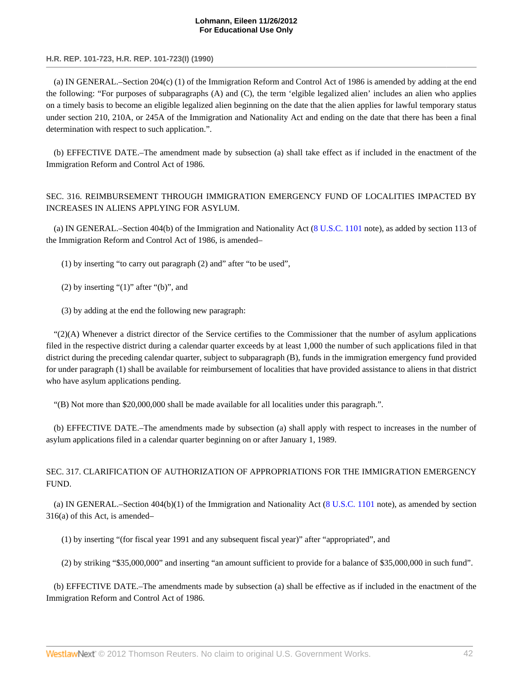## **H.R. REP. 101-723, H.R. REP. 101-723(I) (1990)**

(a) IN GENERAL.–Section 204(c) (1) of the Immigration Reform and Control Act of 1986 is amended by adding at the end the following: "For purposes of subparagraphs (A) and (C), the term 'elgible legalized alien' includes an alien who applies on a timely basis to become an eligible legalized alien beginning on the date that the alien applies for lawful temporary status under section 210, 210A, or 245A of the Immigration and Nationality Act and ending on the date that there has been a final determination with respect to such application.".

(b) EFFECTIVE DATE.–The amendment made by subsection (a) shall take effect as if included in the enactment of the Immigration Reform and Control Act of 1986.

# SEC. 316. REIMBURSEMENT THROUGH IMMIGRATION EMERGENCY FUND OF LOCALITIES IMPACTED BY INCREASES IN ALIENS APPLYING FOR ASYLUM.

(a) IN GENERAL.–Section 404(b) of the Immigration and Nationality Act [\(8 U.S.C. 1101](http://www.westlaw.com/Link/Document/FullText?findType=L&pubNum=1000546&cite=8USCAS1101&originatingDoc=I520E9F60643311D9B7CECED691859821&refType=LQ&originationContext=document&vr=3.0&rs=cblt1.0&transitionType=DocumentItem&contextData=(sc.UserEnteredCitation)) note), as added by section 113 of the Immigration Reform and Control Act of 1986, is amended–

(1) by inserting "to carry out paragraph (2) and" after "to be used",

(2) by inserting " $(1)$ " after " $(b)$ ", and

(3) by adding at the end the following new paragraph:

"(2)(A) Whenever a district director of the Service certifies to the Commissioner that the number of asylum applications filed in the respective district during a calendar quarter exceeds by at least 1,000 the number of such applications filed in that district during the preceding calendar quarter, subject to subparagraph (B), funds in the immigration emergency fund provided for under paragraph (1) shall be available for reimbursement of localities that have provided assistance to aliens in that district who have asylum applications pending.

"(B) Not more than \$20,000,000 shall be made available for all localities under this paragraph.".

(b) EFFECTIVE DATE.–The amendments made by subsection (a) shall apply with respect to increases in the number of asylum applications filed in a calendar quarter beginning on or after January 1, 1989.

# SEC. 317. CLARIFICATION OF AUTHORIZATION OF APPROPRIATIONS FOR THE IMMIGRATION EMERGENCY FUND.

(a) IN GENERAL.–Section 404(b)(1) of the Immigration and Nationality Act ([8 U.S.C. 1101](http://www.westlaw.com/Link/Document/FullText?findType=L&pubNum=1000546&cite=8USCAS1101&originatingDoc=I520E9F60643311D9B7CECED691859821&refType=LQ&originationContext=document&vr=3.0&rs=cblt1.0&transitionType=DocumentItem&contextData=(sc.UserEnteredCitation)) note), as amended by section 316(a) of this Act, is amended–

(1) by inserting "(for fiscal year 1991 and any subsequent fiscal year)" after "appropriated", and

(2) by striking "\$35,000,000" and inserting "an amount sufficient to provide for a balance of \$35,000,000 in such fund".

(b) EFFECTIVE DATE.–The amendments made by subsection (a) shall be effective as if included in the enactment of the Immigration Reform and Control Act of 1986.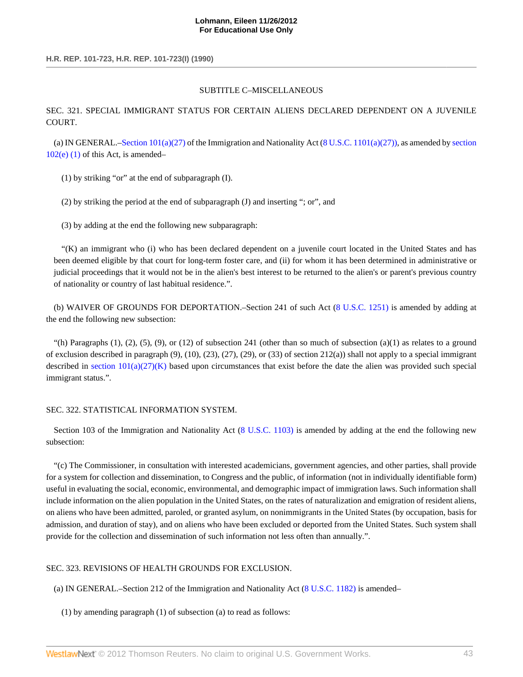#### **H.R. REP. 101-723, H.R. REP. 101-723(I) (1990)**

## SUBTITLE C–MISCELLANEOUS

# SEC. 321. SPECIAL IMMIGRANT STATUS FOR CERTAIN ALIENS DECLARED DEPENDENT ON A JUVENILE COURT.

(a) IN GENERAL.–Section  $101(a)(27)$  of the Immigration and Nationality Act [\(8 U.S.C. 1101\(a\)\(27\)\)](http://www.westlaw.com/Link/Document/FullText?findType=L&pubNum=1000546&cite=8USCAS1101&originatingDoc=I520E9F60643311D9B7CECED691859821&refType=LQ&originationContext=document&vr=3.0&rs=cblt1.0&transitionType=DocumentItem&contextData=(sc.UserEnteredCitation)), as amended by [section](http://www.westlaw.com/Link/Document/FullText?findType=L&pubNum=1000546&cite=29USCAS102&originatingDoc=I520E9F60643311D9B7CECED691859821&refType=LQ&originationContext=document&vr=3.0&rs=cblt1.0&transitionType=DocumentItem&contextData=(sc.UserEnteredCitation))  $102(e)$  (1) of this Act, is amended–

(1) by striking "or" at the end of subparagraph (I).

(2) by striking the period at the end of subparagraph (J) and inserting "; or", and

(3) by adding at the end the following new subparagraph:

"(K) an immigrant who (i) who has been declared dependent on a juvenile court located in the United States and has been deemed eligible by that court for long-term foster care, and (ii) for whom it has been determined in administrative or judicial proceedings that it would not be in the alien's best interest to be returned to the alien's or parent's previous country of nationality or country of last habitual residence.".

(b) WAIVER OF GROUNDS FOR DEPORTATION.–Section 241 of such Act ([8 U.S.C. 1251\)](http://www.westlaw.com/Link/Document/FullText?findType=L&pubNum=1000546&cite=8USCAS1251&originatingDoc=I520E9F60643311D9B7CECED691859821&refType=LQ&originationContext=document&vr=3.0&rs=cblt1.0&transitionType=DocumentItem&contextData=(sc.UserEnteredCitation)) is amended by adding at the end the following new subsection:

"(h) Paragraphs  $(1)$ ,  $(2)$ ,  $(5)$ ,  $(9)$ , or  $(12)$  of subsection 241 (other than so much of subsection  $(a)(1)$  as relates to a ground of exclusion described in paragraph  $(9)$ ,  $(10)$ ,  $(23)$ ,  $(27)$ ,  $(29)$ , or  $(33)$  of section 212(a)) shall not apply to a special immigrant described in [section 101\(a\)\(27\)\(K\)](http://www.westlaw.com/Link/Document/FullText?findType=L&pubNum=1000546&cite=29USCAS101&originatingDoc=I520E9F60643311D9B7CECED691859821&refType=LQ&originationContext=document&vr=3.0&rs=cblt1.0&transitionType=DocumentItem&contextData=(sc.UserEnteredCitation)) based upon circumstances that exist before the date the alien was provided such special immigrant status.".

## SEC. 322. STATISTICAL INFORMATION SYSTEM.

Section 103 of the Immigration and Nationality Act ([8 U.S.C. 1103\)](http://www.westlaw.com/Link/Document/FullText?findType=L&pubNum=1000546&cite=8USCAS1103&originatingDoc=I520E9F60643311D9B7CECED691859821&refType=LQ&originationContext=document&vr=3.0&rs=cblt1.0&transitionType=DocumentItem&contextData=(sc.UserEnteredCitation)) is amended by adding at the end the following new subsection:

"(c) The Commissioner, in consultation with interested academicians, government agencies, and other parties, shall provide for a system for collection and dissemination, to Congress and the public, of information (not in individually identifiable form) useful in evaluating the social, economic, environmental, and demographic impact of immigration laws. Such information shall include information on the alien population in the United States, on the rates of naturalization and emigration of resident aliens, on aliens who have been admitted, paroled, or granted asylum, on nonimmigrants in the United States (by occupation, basis for admission, and duration of stay), and on aliens who have been excluded or deported from the United States. Such system shall provide for the collection and dissemination of such information not less often than annually.".

## SEC. 323. REVISIONS OF HEALTH GROUNDS FOR EXCLUSION.

(a) IN GENERAL.–Section 212 of the Immigration and Nationality Act ([8 U.S.C. 1182\)](http://www.westlaw.com/Link/Document/FullText?findType=L&pubNum=1000546&cite=8USCAS1182&originatingDoc=I520E9F60643311D9B7CECED691859821&refType=LQ&originationContext=document&vr=3.0&rs=cblt1.0&transitionType=DocumentItem&contextData=(sc.UserEnteredCitation)) is amended–

(1) by amending paragraph (1) of subsection (a) to read as follows: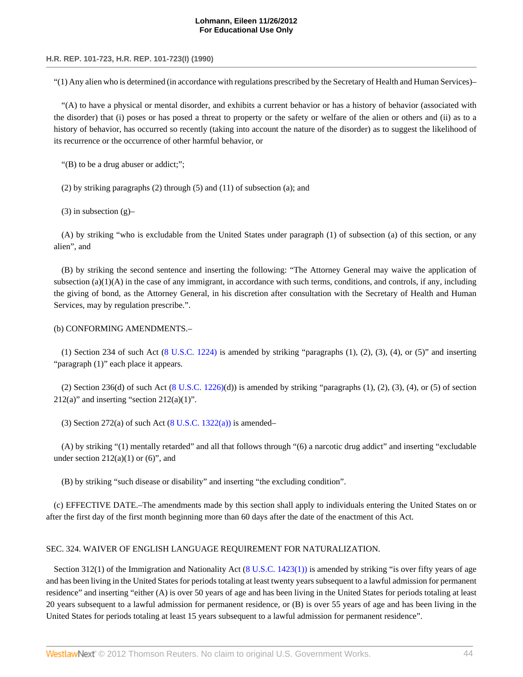## **H.R. REP. 101-723, H.R. REP. 101-723(I) (1990)**

"(1) Any alien who is determined (in accordance with regulations prescribed by the Secretary of Health and Human Services)–

"(A) to have a physical or mental disorder, and exhibits a current behavior or has a history of behavior (associated with the disorder) that (i) poses or has posed a threat to property or the safety or welfare of the alien or others and (ii) as to a history of behavior, has occurred so recently (taking into account the nature of the disorder) as to suggest the likelihood of its recurrence or the occurrence of other harmful behavior, or

"(B) to be a drug abuser or addict;";

(2) by striking paragraphs (2) through (5) and (11) of subsection (a); and

 $(3)$  in subsection  $(g)$ –

(A) by striking "who is excludable from the United States under paragraph (1) of subsection (a) of this section, or any alien", and

(B) by striking the second sentence and inserting the following: "The Attorney General may waive the application of subsection  $(a)(1)(A)$  in the case of any immigrant, in accordance with such terms, conditions, and controls, if any, including the giving of bond, as the Attorney General, in his discretion after consultation with the Secretary of Health and Human Services, may by regulation prescribe.".

## (b) CONFORMING AMENDMENTS.–

(1) Section 234 of such Act [\(8 U.S.C. 1224\)](http://www.westlaw.com/Link/Document/FullText?findType=L&pubNum=1000546&cite=8USCAS1224&originatingDoc=I520E9F60643311D9B7CECED691859821&refType=LQ&originationContext=document&vr=3.0&rs=cblt1.0&transitionType=DocumentItem&contextData=(sc.UserEnteredCitation)) is amended by striking "paragraphs (1), (2), (3), (4), or (5)" and inserting "paragraph (1)" each place it appears.

(2) Section 236(d) of such Act  $(8 \text{ U.S.C. } 1226)(d)$  is amended by striking "paragraphs  $(1)$ ,  $(2)$ ,  $(3)$ ,  $(4)$ , or  $(5)$  of section  $212(a)$ " and inserting "section  $212(a)(1)$ ".

(3) Section 272(a) of such Act  $(8$  U.S.C. 1322(a)) is amended–

(A) by striking "(1) mentally retarded" and all that follows through "(6) a narcotic drug addict" and inserting "excludable under section  $212(a)(1)$  or  $(6)$ ", and

(B) by striking "such disease or disability" and inserting "the excluding condition".

(c) EFFECTIVE DATE.–The amendments made by this section shall apply to individuals entering the United States on or after the first day of the first month beginning more than 60 days after the date of the enactment of this Act.

## SEC. 324. WAIVER OF ENGLISH LANGUAGE REQUIREMENT FOR NATURALIZATION.

Section 312(1) of the Immigration and Nationality Act  $(8 \text{ U.S.C. } 1423(1))$  is amended by striking "is over fifty years of age and has been living in the United States for periods totaling at least twenty years subsequent to a lawful admission for permanent residence" and inserting "either (A) is over 50 years of age and has been living in the United States for periods totaling at least 20 years subsequent to a lawful admission for permanent residence, or (B) is over 55 years of age and has been living in the United States for periods totaling at least 15 years subsequent to a lawful admission for permanent residence".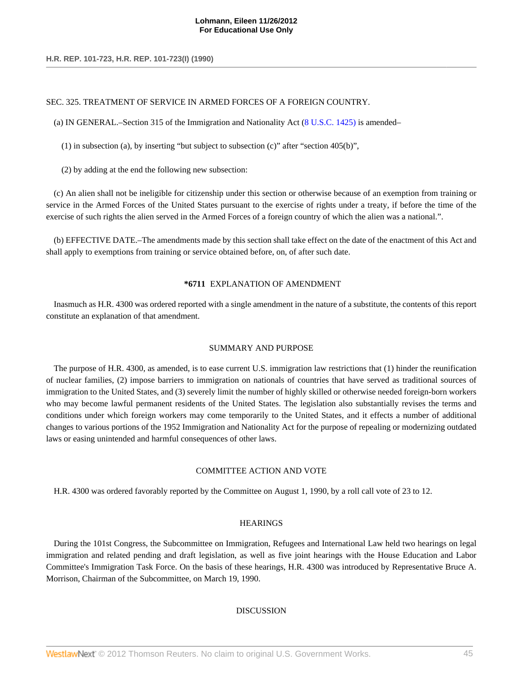#### **H.R. REP. 101-723, H.R. REP. 101-723(I) (1990)**

#### SEC. 325. TREATMENT OF SERVICE IN ARMED FORCES OF A FOREIGN COUNTRY.

(a) IN GENERAL.–Section 315 of the Immigration and Nationality Act ([8 U.S.C. 1425\)](http://www.westlaw.com/Link/Document/FullText?findType=L&pubNum=1000546&cite=8USCAS1425&originatingDoc=I520E9F60643311D9B7CECED691859821&refType=LQ&originationContext=document&vr=3.0&rs=cblt1.0&transitionType=DocumentItem&contextData=(sc.UserEnteredCitation)) is amended–

(1) in subsection (a), by inserting "but subject to subsection (c)" after "section 405(b)",

(2) by adding at the end the following new subsection:

(c) An alien shall not be ineligible for citizenship under this section or otherwise because of an exemption from training or service in the Armed Forces of the United States pursuant to the exercise of rights under a treaty, if before the time of the exercise of such rights the alien served in the Armed Forces of a foreign country of which the alien was a national.".

(b) EFFECTIVE DATE.–The amendments made by this section shall take effect on the date of the enactment of this Act and shall apply to exemptions from training or service obtained before, on, of after such date.

#### **\*6711** EXPLANATION OF AMENDMENT

Inasmuch as H.R. 4300 was ordered reported with a single amendment in the nature of a substitute, the contents of this report constitute an explanation of that amendment.

## SUMMARY AND PURPOSE

The purpose of H.R. 4300, as amended, is to ease current U.S. immigration law restrictions that (1) hinder the reunification of nuclear families, (2) impose barriers to immigration on nationals of countries that have served as traditional sources of immigration to the United States, and (3) severely limit the number of highly skilled or otherwise needed foreign-born workers who may become lawful permanent residents of the United States. The legislation also substantially revises the terms and conditions under which foreign workers may come temporarily to the United States, and it effects a number of additional changes to various portions of the 1952 Immigration and Nationality Act for the purpose of repealing or modernizing outdated laws or easing unintended and harmful consequences of other laws.

## COMMITTEE ACTION AND VOTE

H.R. 4300 was ordered favorably reported by the Committee on August 1, 1990, by a roll call vote of 23 to 12.

## HEARINGS

During the 101st Congress, the Subcommittee on Immigration, Refugees and International Law held two hearings on legal immigration and related pending and draft legislation, as well as five joint hearings with the House Education and Labor Committee's Immigration Task Force. On the basis of these hearings, H.R. 4300 was introduced by Representative Bruce A. Morrison, Chairman of the Subcommittee, on March 19, 1990.

## DISCUSSION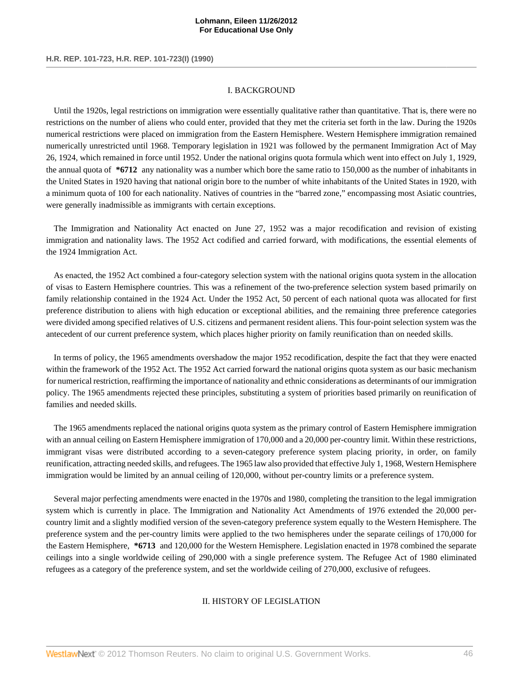#### I. BACKGROUND

Until the 1920s, legal restrictions on immigration were essentially qualitative rather than quantitative. That is, there were no restrictions on the number of aliens who could enter, provided that they met the criteria set forth in the law. During the 1920s numerical restrictions were placed on immigration from the Eastern Hemisphere. Western Hemisphere immigration remained numerically unrestricted until 1968. Temporary legislation in 1921 was followed by the permanent Immigration Act of May 26, 1924, which remained in force until 1952. Under the national origins quota formula which went into effect on July 1, 1929, the annual quota of **\*6712** any nationality was a number which bore the same ratio to 150,000 as the number of inhabitants in the United States in 1920 having that national origin bore to the number of white inhabitants of the United States in 1920, with a minimum quota of 100 for each nationality. Natives of countries in the "barred zone," encompassing most Asiatic countries, were generally inadmissible as immigrants with certain exceptions.

The Immigration and Nationality Act enacted on June 27, 1952 was a major recodification and revision of existing immigration and nationality laws. The 1952 Act codified and carried forward, with modifications, the essential elements of the 1924 Immigration Act.

As enacted, the 1952 Act combined a four-category selection system with the national origins quota system in the allocation of visas to Eastern Hemisphere countries. This was a refinement of the two-preference selection system based primarily on family relationship contained in the 1924 Act. Under the 1952 Act, 50 percent of each national quota was allocated for first preference distribution to aliens with high education or exceptional abilities, and the remaining three preference categories were divided among specified relatives of U.S. citizens and permanent resident aliens. This four-point selection system was the antecedent of our current preference system, which places higher priority on family reunification than on needed skills.

In terms of policy, the 1965 amendments overshadow the major 1952 recodification, despite the fact that they were enacted within the framework of the 1952 Act. The 1952 Act carried forward the national origins quota system as our basic mechanism for numerical restriction, reaffirming the importance of nationality and ethnic considerations as determinants of our immigration policy. The 1965 amendments rejected these principles, substituting a system of priorities based primarily on reunification of families and needed skills.

The 1965 amendments replaced the national origins quota system as the primary control of Eastern Hemisphere immigration with an annual ceiling on Eastern Hemisphere immigration of 170,000 and a 20,000 per-country limit. Within these restrictions, immigrant visas were distributed according to a seven-category preference system placing priority, in order, on family reunification, attracting needed skills, and refugees. The 1965 law also provided that effective July 1, 1968, Western Hemisphere immigration would be limited by an annual ceiling of 120,000, without per-country limits or a preference system.

Several major perfecting amendments were enacted in the 1970s and 1980, completing the transition to the legal immigration system which is currently in place. The Immigration and Nationality Act Amendments of 1976 extended the 20,000 percountry limit and a slightly modified version of the seven-category preference system equally to the Western Hemisphere. The preference system and the per-country limits were applied to the two hemispheres under the separate ceilings of 170,000 for the Eastern Hemisphere, **\*6713** and 120,000 for the Western Hemisphere. Legislation enacted in 1978 combined the separate ceilings into a single worldwide ceiling of 290,000 with a single preference system. The Refugee Act of 1980 eliminated refugees as a category of the preference system, and set the worldwide ceiling of 270,000, exclusive of refugees.

## II. HISTORY OF LEGISLATION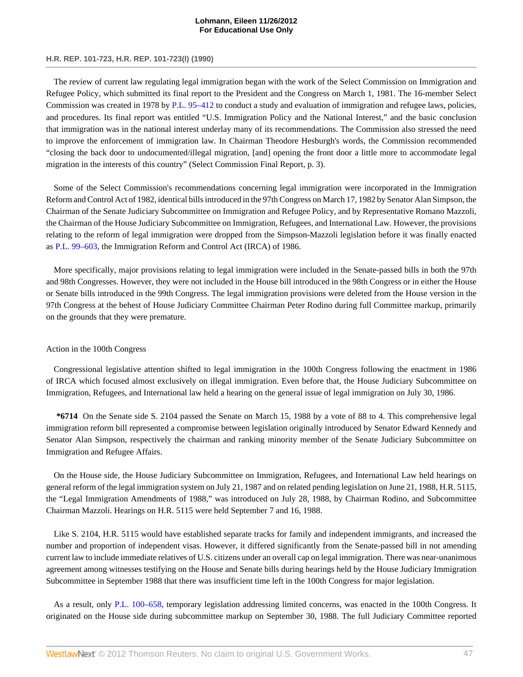#### **H.R. REP. 101-723, H.R. REP. 101-723(I) (1990)**

The review of current law regulating legal immigration began with the work of the Select Commission on Immigration and Refugee Policy, which submitted its final report to the President and the Congress on March 1, 1981. The 16-member Select Commission was created in 1978 by [P.L. 95–412](http://www.westlaw.com/Link/Document/FullText?findType=l&pubNum=1077005&cite=UUID(IF4C3AE4B74-1D4A708330E-1516B0641F8)&originationContext=document&vr=3.0&rs=cblt1.0&transitionType=DocumentItem&contextData=(sc.UserEnteredCitation)) to conduct a study and evaluation of immigration and refugee laws, policies, and procedures. Its final report was entitled "U.S. Immigration Policy and the National Interest," and the basic conclusion that immigration was in the national interest underlay many of its recommendations. The Commission also stressed the need to improve the enforcement of immigration law. In Chairman Theodore Hesburgh's words, the Commission recommended "closing the back door to undocumented/illegal migration, [and] opening the front door a little more to accommodate legal migration in the interests of this country" (Select Commission Final Report, p. 3).

Some of the Select Commission's recommendations concerning legal immigration were incorporated in the Immigration Reform and Control Act of 1982, identical bills introduced in the 97th Congress on March 17, 1982 by Senator Alan Simpson, the Chairman of the Senate Judiciary Subcommittee on Immigration and Refugee Policy, and by Representative Romano Mazzoli, the Chairman of the House Judiciary Subcommittee on Immigration, Refugees, and International Law. However, the provisions relating to the reform of legal immigration were dropped from the Simpson-Mazzoli legislation before it was finally enacted as [P.L. 99–603](http://www.westlaw.com/Link/Document/FullText?findType=l&pubNum=1077005&cite=UUID(I975076B8DB-D349DBB749E-C8B81BBE0BB)&originationContext=document&vr=3.0&rs=cblt1.0&transitionType=DocumentItem&contextData=(sc.UserEnteredCitation)), the Immigration Reform and Control Act (IRCA) of 1986.

More specifically, major provisions relating to legal immigration were included in the Senate-passed bills in both the 97th and 98th Congresses. However, they were not included in the House bill introduced in the 98th Congress or in either the House or Senate bills introduced in the 99th Congress. The legal immigration provisions were deleted from the House version in the 97th Congress at the behest of House Judiciary Committee Chairman Peter Rodino during full Committee markup, primarily on the grounds that they were premature.

## Action in the 100th Congress

Congressional legislative attention shifted to legal immigration in the 100th Congress following the enactment in 1986 of IRCA which focused almost exclusively on illegal immigration. Even before that, the House Judiciary Subcommittee on Immigration, Refugees, and International law held a hearing on the general issue of legal immigration on July 30, 1986.

**\*6714** On the Senate side S. 2104 passed the Senate on March 15, 1988 by a vote of 88 to 4. This comprehensive legal immigration reform bill represented a compromise between legislation originally introduced by Senator Edward Kennedy and Senator Alan Simpson, respectively the chairman and ranking minority member of the Senate Judiciary Subcommittee on Immigration and Refugee Affairs.

On the House side, the House Judiciary Subcommittee on Immigration, Refugees, and International Law held hearings on general reform of the legal immigration system on July 21, 1987 and on related pending legislation on June 21, 1988, H.R. 5115, the "Legal Immigration Amendments of 1988," was introduced on July 28, 1988, by Chairman Rodino, and Subcommittee Chairman Mazzoli. Hearings on H.R. 5115 were held September 7 and 16, 1988.

Like S. 2104, H.R. 5115 would have established separate tracks for family and independent immigrants, and increased the number and proportion of independent visas. However, it differed significantly from the Senate-passed bill in not amending current law to include immediate relatives of U.S. citizens under an overall cap on legal immigration. There was near-unanimous agreement among witnesses testifying on the House and Senate bills during hearings held by the House Judiciary Immigration Subcommittee in September 1988 that there was insufficient time left in the 100th Congress for major legislation.

As a result, only [P.L. 100–658](http://www.westlaw.com/Link/Document/FullText?findType=l&pubNum=1077005&cite=UUID(I36E12A5936-D1411D9DC4B-54E935EBCFC)&originationContext=document&vr=3.0&rs=cblt1.0&transitionType=DocumentItem&contextData=(sc.UserEnteredCitation)), temporary legislation addressing limited concerns, was enacted in the 100th Congress. It originated on the House side during subcommittee markup on September 30, 1988. The full Judiciary Committee reported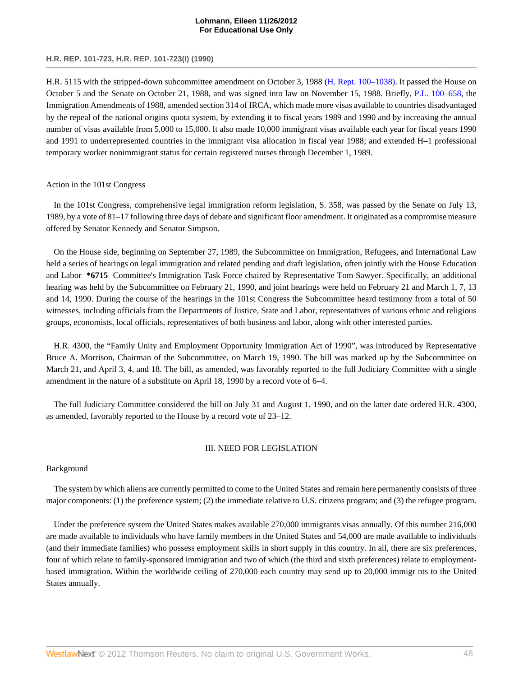## **H.R. REP. 101-723, H.R. REP. 101-723(I) (1990)**

H.R. 5115 with the stripped-down subcommittee amendment on October 3, 1988 [\(H. Rept. 100–1038\).](http://www.westlaw.com/Link/Document/FullText?findType=Y&serNum=0100091743&pubNum=0100014&originationContext=document&vr=3.0&rs=cblt1.0&transitionType=DocumentItem&contextData=(sc.UserEnteredCitation)) It passed the House on October 5 and the Senate on October 21, 1988, and was signed into law on November 15, 1988. Briefly, [P.L. 100–658](http://www.westlaw.com/Link/Document/FullText?findType=l&pubNum=1077005&cite=UUID(I36E12A5936-D1411D9DC4B-54E935EBCFC)&originationContext=document&vr=3.0&rs=cblt1.0&transitionType=DocumentItem&contextData=(sc.UserEnteredCitation)), the Immigration Amendments of 1988, amended section 314 of IRCA, which made more visas available to countries disadvantaged by the repeal of the national origins quota system, by extending it to fiscal years 1989 and 1990 and by increasing the annual number of visas available from 5,000 to 15,000. It also made 10,000 immigrant visas available each year for fiscal years 1990 and 1991 to underrepresented countries in the immigrant visa allocation in fiscal year 1988; and extended H–1 professional temporary worker nonimmigrant status for certain registered nurses through December 1, 1989.

## Action in the 101st Congress

In the 101st Congress, comprehensive legal immigration reform legislation, S. 358, was passed by the Senate on July 13, 1989, by a vote of 81–17 following three days of debate and significant floor amendment. It originated as a compromise measure offered by Senator Kennedy and Senator Simpson.

On the House side, beginning on September 27, 1989, the Subcommittee on Immigration, Refugees, and International Law held a series of hearings on legal immigration and related pending and draft legislation, often jointly with the House Education and Labor **\*6715** Committee's Immigration Task Force chaired by Representative Tom Sawyer. Specifically, an additional hearing was held by the Subcommittee on February 21, 1990, and joint hearings were held on February 21 and March 1, 7, 13 and 14, 1990. During the course of the hearings in the 101st Congress the Subcommittee heard testimony from a total of 50 witnesses, including officials from the Departments of Justice, State and Labor, representatives of various ethnic and religious groups, economists, local officials, representatives of both business and labor, along with other interested parties.

H.R. 4300, the "Family Unity and Employment Opportunity Immigration Act of 1990", was introduced by Representative Bruce A. Morrison, Chairman of the Subcommittee, on March 19, 1990. The bill was marked up by the Subcommittee on March 21, and April 3, 4, and 18. The bill, as amended, was favorably reported to the full Judiciary Committee with a single amendment in the nature of a substitute on April 18, 1990 by a record vote of 6–4.

The full Judiciary Committee considered the bill on July 31 and August 1, 1990, and on the latter date ordered H.R. 4300, as amended, favorably reported to the House by a record vote of 23–12.

## III. NEED FOR LEGISLATION

## Background

The system by which aliens are currently permitted to come to the United States and remain here permanently consists of three major components: (1) the preference system; (2) the immediate relative to U.S. citizens program; and (3) the refugee program.

Under the preference system the United States makes available 270,000 immigrants visas annually. Of this number 216,000 are made available to individuals who have family members in the United States and 54,000 are made available to individuals (and their immediate families) who possess employment skills in short supply in this country. In all, there are six preferences, four of which relate to family-sponsored immigration and two of which (the third and sixth preferences) relate to employmentbased immigration. Within the worldwide ceiling of 270,000 each country may send up to 20,000 immigr nts to the United States annually.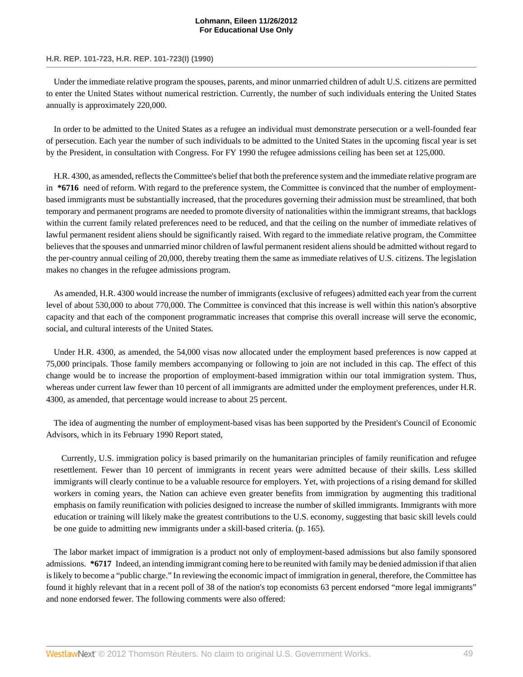### **H.R. REP. 101-723, H.R. REP. 101-723(I) (1990)**

Under the immediate relative program the spouses, parents, and minor unmarried children of adult U.S. citizens are permitted to enter the United States without numerical restriction. Currently, the number of such individuals entering the United States annually is approximately 220,000.

In order to be admitted to the United States as a refugee an individual must demonstrate persecution or a well-founded fear of persecution. Each year the number of such individuals to be admitted to the United States in the upcoming fiscal year is set by the President, in consultation with Congress. For FY 1990 the refugee admissions ceiling has been set at 125,000.

H.R. 4300, as amended, reflects the Committee's belief that both the preference system and the immediate relative program are in **\*6716** need of reform. With regard to the preference system, the Committee is convinced that the number of employmentbased immigrants must be substantially increased, that the procedures governing their admission must be streamlined, that both temporary and permanent programs are needed to promote diversity of nationalities within the immigrant streams, that backlogs within the current family related preferences need to be reduced, and that the ceiling on the number of immediate relatives of lawful permanent resident aliens should be significantly raised. With regard to the immediate relative program, the Committee believes that the spouses and unmarried minor children of lawful permanent resident aliens should be admitted without regard to the per-country annual ceiling of 20,000, thereby treating them the same as immediate relatives of U.S. citizens. The legislation makes no changes in the refugee admissions program.

As amended, H.R. 4300 would increase the number of immigrants (exclusive of refugees) admitted each year from the current level of about 530,000 to about 770,000. The Committee is convinced that this increase is well within this nation's absorptive capacity and that each of the component programmatic increases that comprise this overall increase will serve the economic, social, and cultural interests of the United States.

Under H.R. 4300, as amended, the 54,000 visas now allocated under the employment based preferences is now capped at 75,000 principals. Those family members accompanying or following to join are not included in this cap. The effect of this change would be to increase the proportion of employment-based immigration within our total immigration system. Thus, whereas under current law fewer than 10 percent of all immigrants are admitted under the employment preferences, under H.R. 4300, as amended, that percentage would increase to about 25 percent.

The idea of augmenting the number of employment-based visas has been supported by the President's Council of Economic Advisors, which in its February 1990 Report stated,

Currently, U.S. immigration policy is based primarily on the humanitarian principles of family reunification and refugee resettlement. Fewer than 10 percent of immigrants in recent years were admitted because of their skills. Less skilled immigrants will clearly continue to be a valuable resource for employers. Yet, with projections of a rising demand for skilled workers in coming years, the Nation can achieve even greater benefits from immigration by augmenting this traditional emphasis on family reunification with policies designed to increase the number of skilled immigrants. Immigrants with more education or training will likely make the greatest contributions to the U.S. economy, suggesting that basic skill levels could be one guide to admitting new immigrants under a skill-based criteria. (p. 165).

The labor market impact of immigration is a product not only of employment-based admissions but also family sponsored admissions. **\*6717** Indeed, an intending immigrant coming here to be reunited with family may be denied admission if that alien is likely to become a "public charge." In reviewing the economic impact of immigration in general, therefore, the Committee has found it highly relevant that in a recent poll of 38 of the nation's top economists 63 percent endorsed "more legal immigrants" and none endorsed fewer. The following comments were also offered: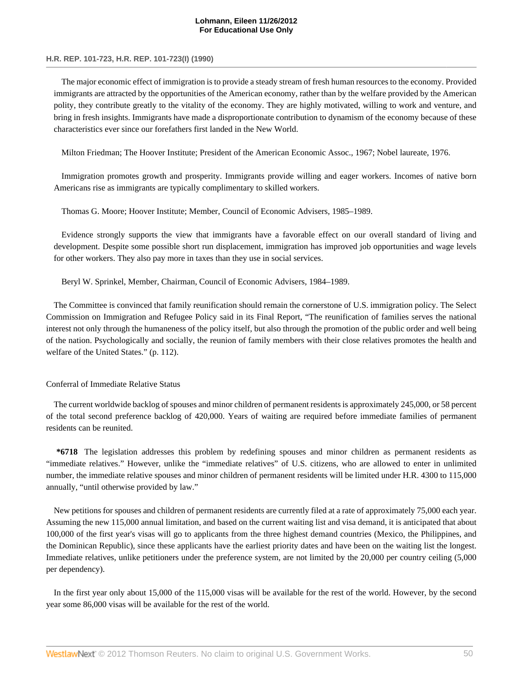## **H.R. REP. 101-723, H.R. REP. 101-723(I) (1990)**

The major economic effect of immigration is to provide a steady stream of fresh human resources to the economy. Provided immigrants are attracted by the opportunities of the American economy, rather than by the welfare provided by the American polity, they contribute greatly to the vitality of the economy. They are highly motivated, willing to work and venture, and bring in fresh insights. Immigrants have made a disproportionate contribution to dynamism of the economy because of these characteristics ever since our forefathers first landed in the New World.

Milton Friedman; The Hoover Institute; President of the American Economic Assoc., 1967; Nobel laureate, 1976.

Immigration promotes growth and prosperity. Immigrants provide willing and eager workers. Incomes of native born Americans rise as immigrants are typically complimentary to skilled workers.

Thomas G. Moore; Hoover Institute; Member, Council of Economic Advisers, 1985–1989.

Evidence strongly supports the view that immigrants have a favorable effect on our overall standard of living and development. Despite some possible short run displacement, immigration has improved job opportunities and wage levels for other workers. They also pay more in taxes than they use in social services.

Beryl W. Sprinkel, Member, Chairman, Council of Economic Advisers, 1984–1989.

The Committee is convinced that family reunification should remain the cornerstone of U.S. immigration policy. The Select Commission on Immigration and Refugee Policy said in its Final Report, "The reunification of families serves the national interest not only through the humaneness of the policy itself, but also through the promotion of the public order and well being of the nation. Psychologically and socially, the reunion of family members with their close relatives promotes the health and welfare of the United States." (p. 112).

## Conferral of Immediate Relative Status

The current worldwide backlog of spouses and minor children of permanent residents is approximately 245,000, or 58 percent of the total second preference backlog of 420,000. Years of waiting are required before immediate families of permanent residents can be reunited.

**\*6718** The legislation addresses this problem by redefining spouses and minor children as permanent residents as "immediate relatives." However, unlike the "immediate relatives" of U.S. citizens, who are allowed to enter in unlimited number, the immediate relative spouses and minor children of permanent residents will be limited under H.R. 4300 to 115,000 annually, "until otherwise provided by law."

New petitions for spouses and children of permanent residents are currently filed at a rate of approximately 75,000 each year. Assuming the new 115,000 annual limitation, and based on the current waiting list and visa demand, it is anticipated that about 100,000 of the first year's visas will go to applicants from the three highest demand countries (Mexico, the Philippines, and the Dominican Republic), since these applicants have the earliest priority dates and have been on the waiting list the longest. Immediate relatives, unlike petitioners under the preference system, are not limited by the 20,000 per country ceiling (5,000 per dependency).

In the first year only about 15,000 of the 115,000 visas will be available for the rest of the world. However, by the second year some 86,000 visas will be available for the rest of the world.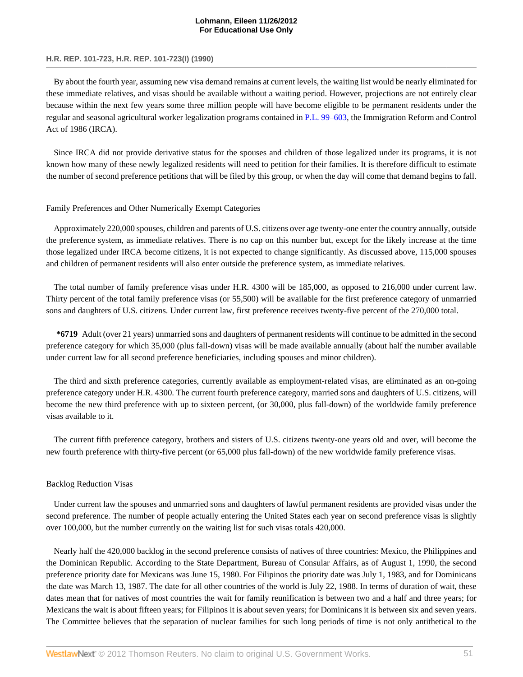#### **H.R. REP. 101-723, H.R. REP. 101-723(I) (1990)**

By about the fourth year, assuming new visa demand remains at current levels, the waiting list would be nearly eliminated for these immediate relatives, and visas should be available without a waiting period. However, projections are not entirely clear because within the next few years some three million people will have become eligible to be permanent residents under the regular and seasonal agricultural worker legalization programs contained in [P.L. 99–603](http://www.westlaw.com/Link/Document/FullText?findType=l&pubNum=1077005&cite=UUID(I975076B8DB-D349DBB749E-C8B81BBE0BB)&originationContext=document&vr=3.0&rs=cblt1.0&transitionType=DocumentItem&contextData=(sc.UserEnteredCitation)), the Immigration Reform and Control Act of 1986 (IRCA).

Since IRCA did not provide derivative status for the spouses and children of those legalized under its programs, it is not known how many of these newly legalized residents will need to petition for their families. It is therefore difficult to estimate the number of second preference petitions that will be filed by this group, or when the day will come that demand begins to fall.

#### Family Preferences and Other Numerically Exempt Categories

Approximately 220,000 spouses, children and parents of U.S. citizens over age twenty-one enter the country annually, outside the preference system, as immediate relatives. There is no cap on this number but, except for the likely increase at the time those legalized under IRCA become citizens, it is not expected to change significantly. As discussed above, 115,000 spouses and children of permanent residents will also enter outside the preference system, as immediate relatives.

The total number of family preference visas under H.R. 4300 will be 185,000, as opposed to 216,000 under current law. Thirty percent of the total family preference visas (or 55,500) will be available for the first preference category of unmarried sons and daughters of U.S. citizens. Under current law, first preference receives twenty-five percent of the 270,000 total.

**\*6719** Adult (over 21 years) unmarried sons and daughters of permanent residents will continue to be admitted in the second preference category for which 35,000 (plus fall-down) visas will be made available annually (about half the number available under current law for all second preference beneficiaries, including spouses and minor children).

The third and sixth preference categories, currently available as employment-related visas, are eliminated as an on-going preference category under H.R. 4300. The current fourth preference category, married sons and daughters of U.S. citizens, will become the new third preference with up to sixteen percent, (or 30,000, plus fall-down) of the worldwide family preference visas available to it.

The current fifth preference category, brothers and sisters of U.S. citizens twenty-one years old and over, will become the new fourth preference with thirty-five percent (or 65,000 plus fall-down) of the new worldwide family preference visas.

#### Backlog Reduction Visas

Under current law the spouses and unmarried sons and daughters of lawful permanent residents are provided visas under the second preference. The number of people actually entering the United States each year on second preference visas is slightly over 100,000, but the number currently on the waiting list for such visas totals 420,000.

Nearly half the 420,000 backlog in the second preference consists of natives of three countries: Mexico, the Philippines and the Dominican Republic. According to the State Department, Bureau of Consular Affairs, as of August 1, 1990, the second preference priority date for Mexicans was June 15, 1980. For Filipinos the priority date was July 1, 1983, and for Dominicans the date was March 13, 1987. The date for all other countries of the world is July 22, 1988. In terms of duration of wait, these dates mean that for natives of most countries the wait for family reunification is between two and a half and three years; for Mexicans the wait is about fifteen years; for Filipinos it is about seven years; for Dominicans it is between six and seven years. The Committee believes that the separation of nuclear families for such long periods of time is not only antithetical to the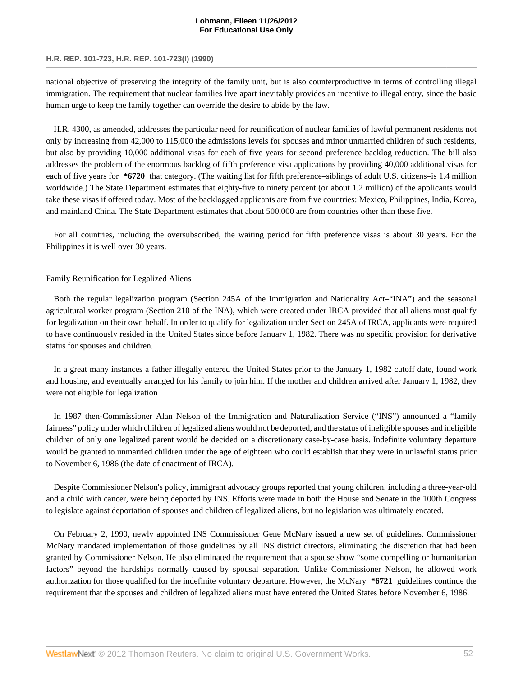## **H.R. REP. 101-723, H.R. REP. 101-723(I) (1990)**

national objective of preserving the integrity of the family unit, but is also counterproductive in terms of controlling illegal immigration. The requirement that nuclear families live apart inevitably provides an incentive to illegal entry, since the basic human urge to keep the family together can override the desire to abide by the law.

H.R. 4300, as amended, addresses the particular need for reunification of nuclear families of lawful permanent residents not only by increasing from 42,000 to 115,000 the admissions levels for spouses and minor unmarried children of such residents, but also by providing 10,000 additional visas for each of five years for second preference backlog reduction. The bill also addresses the problem of the enormous backlog of fifth preference visa applications by providing 40,000 additional visas for each of five years for **\*6720** that category. (The waiting list for fifth preference–siblings of adult U.S. citizens–is 1.4 million worldwide.) The State Department estimates that eighty-five to ninety percent (or about 1.2 million) of the applicants would take these visas if offered today. Most of the backlogged applicants are from five countries: Mexico, Philippines, India, Korea, and mainland China. The State Department estimates that about 500,000 are from countries other than these five.

For all countries, including the oversubscribed, the waiting period for fifth preference visas is about 30 years. For the Philippines it is well over 30 years.

## Family Reunification for Legalized Aliens

Both the regular legalization program (Section 245A of the Immigration and Nationality Act–"INA") and the seasonal agricultural worker program (Section 210 of the INA), which were created under IRCA provided that all aliens must qualify for legalization on their own behalf. In order to qualify for legalization under Section 245A of IRCA, applicants were required to have continuously resided in the United States since before January 1, 1982. There was no specific provision for derivative status for spouses and children.

In a great many instances a father illegally entered the United States prior to the January 1, 1982 cutoff date, found work and housing, and eventually arranged for his family to join him. If the mother and children arrived after January 1, 1982, they were not eligible for legalization

In 1987 then-Commissioner Alan Nelson of the Immigration and Naturalization Service ("INS") announced a "family fairness" policy under which children of legalized aliens would not be deported, and the status of ineligible spouses and ineligible children of only one legalized parent would be decided on a discretionary case-by-case basis. Indefinite voluntary departure would be granted to unmarried children under the age of eighteen who could establish that they were in unlawful status prior to November 6, 1986 (the date of enactment of IRCA).

Despite Commissioner Nelson's policy, immigrant advocacy groups reported that young children, including a three-year-old and a child with cancer, were being deported by INS. Efforts were made in both the House and Senate in the 100th Congress to legislate against deportation of spouses and children of legalized aliens, but no legislation was ultimately encated.

On February 2, 1990, newly appointed INS Commissioner Gene McNary issued a new set of guidelines. Commissioner McNary mandated implementation of those guidelines by all INS district directors, eliminating the discretion that had been granted by Commissioner Nelson. He also eliminated the requirement that a spouse show "some compelling or humanitarian factors" beyond the hardships normally caused by spousal separation. Unlike Commissioner Nelson, he allowed work authorization for those qualified for the indefinite voluntary departure. However, the McNary **\*6721** guidelines continue the requirement that the spouses and children of legalized aliens must have entered the United States before November 6, 1986.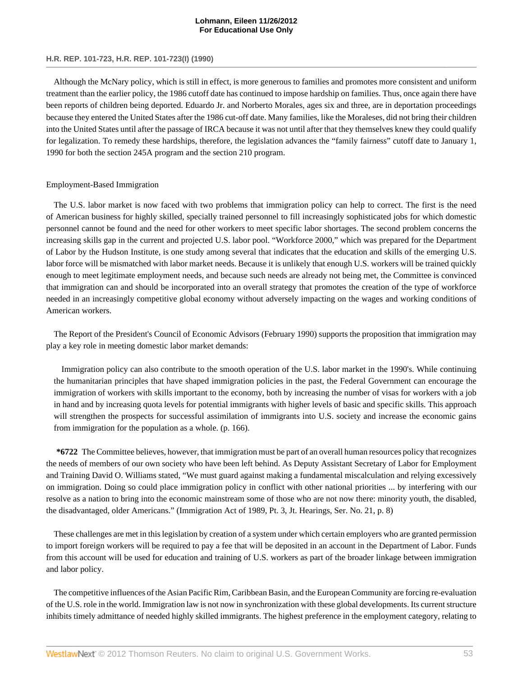### **H.R. REP. 101-723, H.R. REP. 101-723(I) (1990)**

Although the McNary policy, which is still in effect, is more generous to families and promotes more consistent and uniform treatment than the earlier policy, the 1986 cutoff date has continued to impose hardship on families. Thus, once again there have been reports of children being deported. Eduardo Jr. and Norberto Morales, ages six and three, are in deportation proceedings because they entered the United States after the 1986 cut-off date. Many families, like the Moraleses, did not bring their children into the United States until after the passage of IRCA because it was not until after that they themselves knew they could qualify for legalization. To remedy these hardships, therefore, the legislation advances the "family fairness" cutoff date to January 1, 1990 for both the section 245A program and the section 210 program.

## Employment-Based Immigration

The U.S. labor market is now faced with two problems that immigration policy can help to correct. The first is the need of American business for highly skilled, specially trained personnel to fill increasingly sophisticated jobs for which domestic personnel cannot be found and the need for other workers to meet specific labor shortages. The second problem concerns the increasing skills gap in the current and projected U.S. labor pool. "Workforce 2000," which was prepared for the Department of Labor by the Hudson Institute, is one study among several that indicates that the education and skills of the emerging U.S. labor force will be mismatched with labor market needs. Because it is unlikely that enough U.S. workers will be trained quickly enough to meet legitimate employment needs, and because such needs are already not being met, the Committee is convinced that immigration can and should be incorporated into an overall strategy that promotes the creation of the type of workforce needed in an increasingly competitive global economy without adversely impacting on the wages and working conditions of American workers.

The Report of the President's Council of Economic Advisors (February 1990) supports the proposition that immigration may play a key role in meeting domestic labor market demands:

Immigration policy can also contribute to the smooth operation of the U.S. labor market in the 1990's. While continuing the humanitarian principles that have shaped immigration policies in the past, the Federal Government can encourage the immigration of workers with skills important to the economy, both by increasing the number of visas for workers with a job in hand and by increasing quota levels for potential immigrants with higher levels of basic and specific skills. This approach will strengthen the prospects for successful assimilation of immigrants into U.S. society and increase the economic gains from immigration for the population as a whole. (p. 166).

**\*6722** The Committee believes, however, that immigration must be part of an overall human resources policy that recognizes the needs of members of our own society who have been left behind. As Deputy Assistant Secretary of Labor for Employment and Training David O. Williams stated, "We must guard against making a fundamental miscalculation and relying excessively on immigration. Doing so could place immigration policy in conflict with other national priorities ... by interfering with our resolve as a nation to bring into the economic mainstream some of those who are not now there: minority youth, the disabled, the disadvantaged, older Americans." (Immigration Act of 1989, Pt. 3, Jt. Hearings, Ser. No. 21, p. 8)

These challenges are met in this legislation by creation of a system under which certain employers who are granted permission to import foreign workers will be required to pay a fee that will be deposited in an account in the Department of Labor. Funds from this account will be used for education and training of U.S. workers as part of the broader linkage between immigration and labor policy.

The competitive influences of the Asian Pacific Rim, Caribbean Basin, and the European Community are forcing re-evaluation of the U.S. role in the world. Immigration law is not now in synchronization with these global developments. Its current structure inhibits timely admittance of needed highly skilled immigrants. The highest preference in the employment category, relating to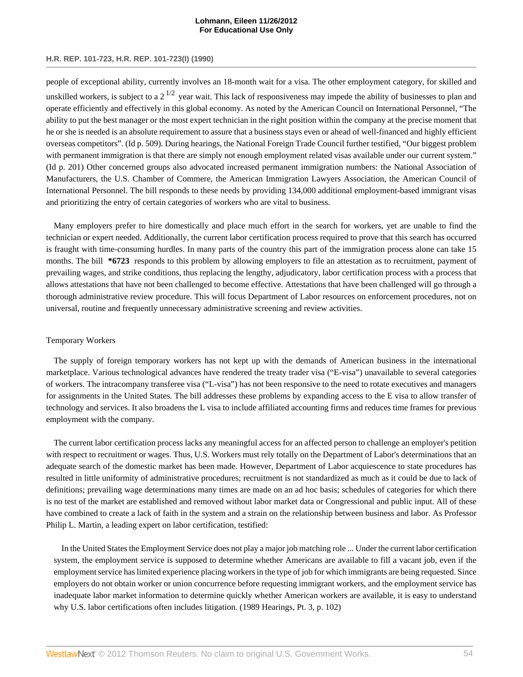#### **H.R. REP. 101-723, H.R. REP. 101-723(I) (1990)**

people of exceptional ability, currently involves an 18-month wait for a visa. The other employment category, for skilled and unskilled workers, is subject to a  $2^{1/2}$  year wait. This lack of responsiveness may impede the ability of businesses to plan and operate efficiently and effectively in this global economy. As noted by the American Council on International Personnel, "The ability to put the best manager or the most expert technician in the right position within the company at the precise moment that he or she is needed is an absolute requirement to assure that a business stays even or ahead of well-financed and highly efficient overseas competitors". (Id p. 509). During hearings, the National Foreign Trade Council further testified, "Our biggest problem with permanent immigration is that there are simply not enough employment related visas available under our current system." (Id p. 201) Other concerned groups also advocated increased permanent immigration numbers: the National Association of Manufacturers, the U.S. Chamber of Commere, the American Immigration Lawyers Association, the American Council of International Personnel. The bill responds to these needs by providing 134,000 additional employment-based immigrant visas and prioritizing the entry of certain categories of workers who are vital to business.

Many employers prefer to hire domestically and place much effort in the search for workers, yet are unable to find the technician or expert needed. Additionally, the current labor certification process required to prove that this search has occurred is fraught with time-consuming hurdles. In many parts of the country this part of the immigration process alone can take 15 months. The bill **\*6723** responds to this problem by allowing employers to file an attestation as to recruitment, payment of prevailing wages, and strike conditions, thus replacing the lengthy, adjudicatory, labor certification process with a process that allows attestations that have not been challenged to become effective. Attestations that have been challenged will go through a thorough administrative review procedure. This will focus Department of Labor resources on enforcement procedures, not on universal, routine and frequently unnecessary administrative screening and review activities.

#### Temporary Workers

The supply of foreign temporary workers has not kept up with the demands of American business in the international marketplace. Various technological advances have rendered the treaty trader visa ("E-visa") unavailable to several categories of workers. The intracompany transferee visa ("L-visa") has not been responsive to the need to rotate executives and managers for assignments in the United States. The bill addresses these problems by expanding access to the E visa to allow transfer of technology and services. It also broadens the L visa to include affiliated accounting firms and reduces time frames for previous employment with the company.

The current labor certification process lacks any meaningful access for an affected person to challenge an employer's petition with respect to recruitment or wages. Thus, U.S. Workers must rely totally on the Department of Labor's determinations that an adequate search of the domestic market has been made. However, Department of Labor acquiescence to state procedures has resulted in little uniformity of administrative procedures; recruitment is not standardized as much as it could be due to lack of definitions; prevailing wage determinations many times are made on an ad hoc basis; schedules of categories for which there is no test of the market are established and removed without labor market data or Congressional and public input. All of these have combined to create a lack of faith in the system and a strain on the relationship between business and labor. As Professor Philip L. Martin, a leading expert on labor certification, testified:

In the United States the Employment Service does not play a major job matching role ... Under the current labor certification system, the employment service is supposed to determine whether Americans are available to fill a vacant job, even if the employment service has limited experience placing workers in the type of job for which immigrants are being requested. Since employers do not obtain worker or union concurrence before requesting immigrant workers, and the employment service has inadequate labor market information to determine quickly whether American workers are available, it is easy to understand why U.S. labor certifications often includes litigation. (1989 Hearings, Pt. 3, p. 102)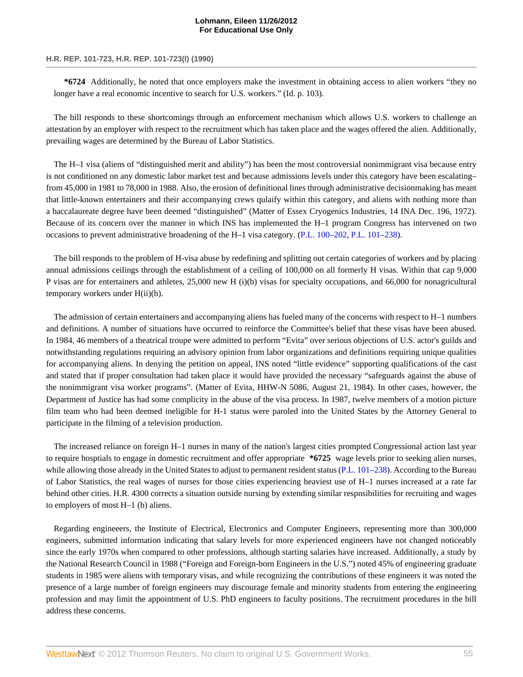#### **H.R. REP. 101-723, H.R. REP. 101-723(I) (1990)**

**\*6724** Additionally, he noted that once employers make the investment in obtaining access to alien workers "they no longer have a real economic incentive to search for U.S. workers." (Id. p. 103).

The bill responds to these shortcomings through an enforcement mechanism which allows U.S. workers to challenge an attestation by an employer with respect to the recruitment which has taken place and the wages offered the alien. Additionally, prevailing wages are determined by the Bureau of Labor Statistics.

The H–1 visa (aliens of "distinguished merit and ability") has been the most controversial nonimmigrant visa because entry is not conditioned on any domestic labor market test and because admissions levels under this category have been escalating– from 45,000 in 1981 to 78,000 in 1988. Also, the erosion of definitional lines through administrative decisionmaking has meant that little-known entertainers and their accompanying crews qulaify within this category, and aliens with nothing more than a baccalaureate degree have been deemed "distinguished" (Matter of Essex Cryogenics Industries, 14 INA Dec. 196, 1972). Because of its concern over the manner in which INS has implemented the H–1 program Congress has intervened on two occasions to prevent administrative broadening of the H–1 visa category. ([P.L. 100–202](http://www.westlaw.com/Link/Document/FullText?findType=l&pubNum=1077005&cite=UUID(I908B8F861A-F1432D812B6-2FC91CCA02A)&originationContext=document&vr=3.0&rs=cblt1.0&transitionType=DocumentItem&contextData=(sc.UserEnteredCitation)), [P.L. 101–238](http://www.westlaw.com/Link/Document/FullText?findType=l&pubNum=1077005&cite=UUID(ID2FB2628F9-A741958D47E-DBF9A8C2973)&originationContext=document&vr=3.0&rs=cblt1.0&transitionType=DocumentItem&contextData=(sc.UserEnteredCitation))).

The bill responds to the problem of H-visa abuse by redefining and splitting out certain categories of workers and by placing annual admissions ceilings through the establishment of a ceiling of 100,000 on all formerly H visas. Within that cap 9,000 P visas are for entertainers and athletes, 25,000 new H (i)(b) visas for specialty occupations, and 66,000 for nonagricultural temporary workers under H(ii)(b).

The admission of certain entertainers and accompanying aliens has fueled many of the concerns with respect to H–1 numbers and definitions. A number of situations have occurred to reinforce the Committee's belief that these visas have been abused. In 1984, 46 members of a theatrical troupe were admitted to perform "Evita" over serious objections of U.S. actor's guilds and notwithstanding regulations requiring an advisory opinion from labor organizations and definitions requiring unique qualities for accompanying aliens. In denying the petition on appeal, INS noted "little evidence" supporting qualifications of the cast and stated that if proper consultation had taken place it would have provided the necessary "safeguards against the abuse of the nonimmigrant visa worker programs". (Matter of Evita, HHW-N 5086, August 21, 1984). In other cases, however, the Department of Justice has had some complicity in the abuse of the visa process. In 1987, twelve members of a motion picture film team who had been deemed ineligible for H-1 status were paroled into the United States by the Attorney General to participate in the filming of a television production.

The increased reliance on foreign H–1 nurses in many of the nation's largest cities prompted Congressional action last year to require hosptials to engage in domestic recruitment and offer appropriate **\*6725** wage levels prior to seeking alien nurses, while allowing those already in the United States to adjust to permanent resident status ([P.L. 101–238](http://www.westlaw.com/Link/Document/FullText?findType=l&pubNum=1077005&cite=UUID(ID2FB2628F9-A741958D47E-DBF9A8C2973)&originationContext=document&vr=3.0&rs=cblt1.0&transitionType=DocumentItem&contextData=(sc.UserEnteredCitation))). According to the Bureau of Labor Statistics, the real wages of nurses for those cities experiencing heaviest use of H–1 nurses increased at a rate far behind other cities. H.R. 4300 corrects a situation outside nursing by extending similar respnsibilities for recruiting and wages to employers of most H–1 (b) aliens.

Regarding engineeers, the Institute of Electrical, Electronics and Computer Engineers, representing more than 300,000 engineers, submitted information indicating that salary levels for more experienced engineers have not changed noticeably since the early 1970s when compared to other professions, although starting salaries have increased. Additionally, a study by the National Research Council in 1988 ("Foreign and Foreign-born Engineers in the U.S.") noted 45% of engineering graduate students in 1985 were aliens with temporary visas, and while recognizing the contributions of these engineers it was noted the presence of a large number of foreign engineers may discourage female and minority students from entering the engineering profession and may limit the appointment of U.S. PhD engineers to faculty positions. The recruitment procedures in the bill address these concerns.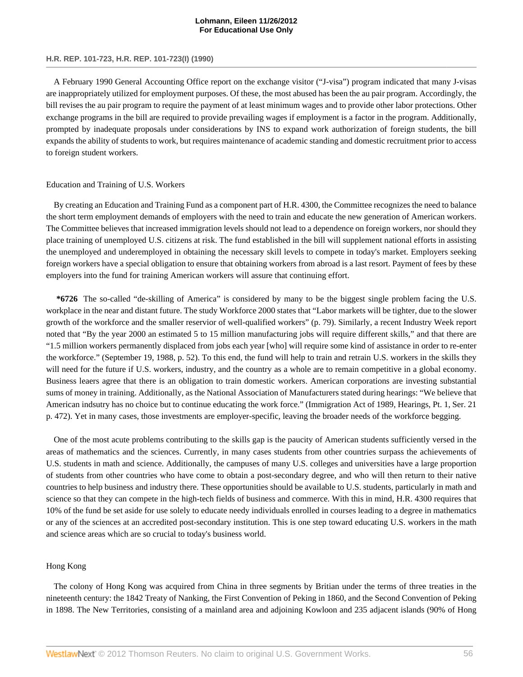#### **H.R. REP. 101-723, H.R. REP. 101-723(I) (1990)**

A February 1990 General Accounting Office report on the exchange visitor ("J-visa") program indicated that many J-visas are inappropriately utilized for employment purposes. Of these, the most abused has been the au pair program. Accordingly, the bill revises the au pair program to require the payment of at least minimum wages and to provide other labor protections. Other exchange programs in the bill are required to provide prevailing wages if employment is a factor in the program. Additionally, prompted by inadequate proposals under considerations by INS to expand work authorization of foreign students, the bill expands the ability of students to work, but requires maintenance of academic standing and domestic recruitment prior to access to foreign student workers.

#### Education and Training of U.S. Workers

By creating an Education and Training Fund as a component part of H.R. 4300, the Committee recognizes the need to balance the short term employment demands of employers with the need to train and educate the new generation of American workers. The Committee believes that increased immigration levels should not lead to a dependence on foreign workers, nor should they place training of unemployed U.S. citizens at risk. The fund established in the bill will supplement national efforts in assisting the unemployed and underemployed in obtaining the necessary skill levels to compete in today's market. Employers seeking foreign workers have a special obligation to ensure that obtaining workers from abroad is a last resort. Payment of fees by these employers into the fund for training American workers will assure that continuing effort.

**\*6726** The so-called "de-skilling of America" is considered by many to be the biggest single problem facing the U.S. workplace in the near and distant future. The study Workforce 2000 states that "Labor markets will be tighter, due to the slower growth of the workforce and the smaller reservior of well-qualified workers" (p. 79). Similarly, a recent Industry Week report noted that "By the year 2000 an estimated 5 to 15 million manufacturing jobs will require different skills," and that there are "1.5 million workers permanently displaced from jobs each year [who] will require some kind of assistance in order to re-enter the workforce." (September 19, 1988, p. 52). To this end, the fund will help to train and retrain U.S. workers in the skills they will need for the future if U.S. workers, industry, and the country as a whole are to remain competitive in a global economy. Business leaers agree that there is an obligation to train domestic workers. American corporations are investing substantial sums of money in training. Additionally, as the National Association of Manufacturers stated during hearings: "We believe that American indsutry has no choice but to continue educating the work force." (Immigration Act of 1989, Hearings, Pt. 1, Ser. 21 p. 472). Yet in many cases, those investments are employer-specific, leaving the broader needs of the workforce begging.

One of the most acute problems contributing to the skills gap is the paucity of American students sufficiently versed in the areas of mathematics and the sciences. Currently, in many cases students from other countries surpass the achievements of U.S. students in math and science. Additionally, the campuses of many U.S. colleges and universities have a large proportion of students from other countries who have come to obtain a post-secondary degree, and who will then return to their native countries to help business and industry there. These opportunities should be available to U.S. students, particularly in math and science so that they can compete in the high-tech fields of business and commerce. With this in mind, H.R. 4300 requires that 10% of the fund be set aside for use solely to educate needy individuals enrolled in courses leading to a degree in mathematics or any of the sciences at an accredited post-secondary institution. This is one step toward educating U.S. workers in the math and science areas which are so crucial to today's business world.

## Hong Kong

The colony of Hong Kong was acquired from China in three segments by Britian under the terms of three treaties in the nineteenth century: the 1842 Treaty of Nanking, the First Convention of Peking in 1860, and the Second Convention of Peking in 1898. The New Territories, consisting of a mainland area and adjoining Kowloon and 235 adjacent islands (90% of Hong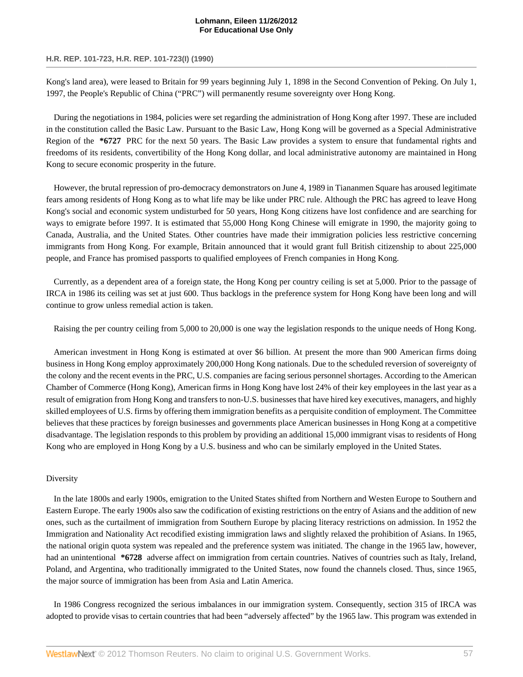## **H.R. REP. 101-723, H.R. REP. 101-723(I) (1990)**

Kong's land area), were leased to Britain for 99 years beginning July 1, 1898 in the Second Convention of Peking. On July 1, 1997, the People's Republic of China ("PRC") will permanently resume sovereignty over Hong Kong.

During the negotiations in 1984, policies were set regarding the administration of Hong Kong after 1997. These are included in the constitution called the Basic Law. Pursuant to the Basic Law, Hong Kong will be governed as a Special Administrative Region of the **\*6727** PRC for the next 50 years. The Basic Law provides a system to ensure that fundamental rights and freedoms of its residents, convertibility of the Hong Kong dollar, and local administrative autonomy are maintained in Hong Kong to secure economic prosperity in the future.

However, the brutal repression of pro-democracy demonstrators on June 4, 1989 in Tiananmen Square has aroused legitimate fears among residents of Hong Kong as to what life may be like under PRC rule. Although the PRC has agreed to leave Hong Kong's social and economic system undisturbed for 50 years, Hong Kong citizens have lost confidence and are searching for ways to emigrate before 1997. It is estimated that 55,000 Hong Kong Chinese will emigrate in 1990, the majority going to Canada, Australia, and the United States. Other countries have made their immigration policies less restrictive concerning immigrants from Hong Kong. For example, Britain announced that it would grant full British citizenship to about 225,000 people, and France has promised passports to qualified employees of French companies in Hong Kong.

Currently, as a dependent area of a foreign state, the Hong Kong per country ceiling is set at 5,000. Prior to the passage of IRCA in 1986 its ceiling was set at just 600. Thus backlogs in the preference system for Hong Kong have been long and will continue to grow unless remedial action is taken.

Raising the per country ceiling from 5,000 to 20,000 is one way the legislation responds to the unique needs of Hong Kong.

American investment in Hong Kong is estimated at over \$6 billion. At present the more than 900 American firms doing business in Hong Kong employ approximately 200,000 Hong Kong nationals. Due to the scheduled reversion of sovereignty of the colony and the recent events in the PRC, U.S. companies are facing serious personnel shortages. According to the American Chamber of Commerce (Hong Kong), American firms in Hong Kong have lost 24% of their key employees in the last year as a result of emigration from Hong Kong and transfers to non-U.S. businesses that have hired key executives, managers, and highly skilled employees of U.S. firms by offering them immigration benefits as a perquisite condition of employment. The Committee believes that these practices by foreign businesses and governments place American businesses in Hong Kong at a competitive disadvantage. The legislation responds to this problem by providing an additional 15,000 immigrant visas to residents of Hong Kong who are employed in Hong Kong by a U.S. business and who can be similarly employed in the United States.

## Diversity

In the late 1800s and early 1900s, emigration to the United States shifted from Northern and Westen Europe to Southern and Eastern Europe. The early 1900s also saw the codification of existing restrictions on the entry of Asians and the addition of new ones, such as the curtailment of immigration from Southern Europe by placing literacy restrictions on admission. In 1952 the Immigration and Nationality Act recodified existing immigration laws and slightly relaxed the prohibition of Asians. In 1965, the national origin quota system was repealed and the preference system was initiated. The change in the 1965 law, however, had an unintentional **\*6728** adverse affect on immigration from certain countries. Natives of countries such as Italy, Ireland, Poland, and Argentina, who traditionally immigrated to the United States, now found the channels closed. Thus, since 1965, the major source of immigration has been from Asia and Latin America.

In 1986 Congress recognized the serious imbalances in our immigration system. Consequently, section 315 of IRCA was adopted to provide visas to certain countries that had been "adversely affected" by the 1965 law. This program was extended in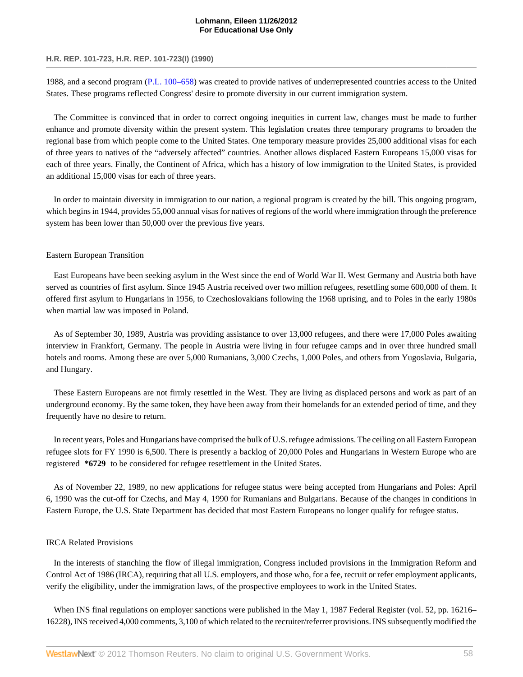#### **H.R. REP. 101-723, H.R. REP. 101-723(I) (1990)**

1988, and a second program ([P.L. 100–658](http://www.westlaw.com/Link/Document/FullText?findType=l&pubNum=1077005&cite=UUID(I36E12A5936-D1411D9DC4B-54E935EBCFC)&originationContext=document&vr=3.0&rs=cblt1.0&transitionType=DocumentItem&contextData=(sc.UserEnteredCitation))) was created to provide natives of underrepresented countries access to the United States. These programs reflected Congress' desire to promote diversity in our current immigration system.

The Committee is convinced that in order to correct ongoing inequities in current law, changes must be made to further enhance and promote diversity within the present system. This legislation creates three temporary programs to broaden the regional base from which people come to the United States. One temporary measure provides 25,000 additional visas for each of three years to natives of the "adversely affected" countries. Another allows displaced Eastern Europeans 15,000 visas for each of three years. Finally, the Continent of Africa, which has a history of low immigration to the United States, is provided an additional 15,000 visas for each of three years.

In order to maintain diversity in immigration to our nation, a regional program is created by the bill. This ongoing program, which begins in 1944, provides 55,000 annual visas for natives of regions of the world where immigration through the preference system has been lower than 50,000 over the previous five years.

## Eastern European Transition

East Europeans have been seeking asylum in the West since the end of World War II. West Germany and Austria both have served as countries of first asylum. Since 1945 Austria received over two million refugees, resettling some 600,000 of them. It offered first asylum to Hungarians in 1956, to Czechoslovakians following the 1968 uprising, and to Poles in the early 1980s when martial law was imposed in Poland.

As of September 30, 1989, Austria was providing assistance to over 13,000 refugees, and there were 17,000 Poles awaiting interview in Frankfort, Germany. The people in Austria were living in four refugee camps and in over three hundred small hotels and rooms. Among these are over 5,000 Rumanians, 3,000 Czechs, 1,000 Poles, and others from Yugoslavia, Bulgaria, and Hungary.

These Eastern Europeans are not firmly resettled in the West. They are living as displaced persons and work as part of an underground economy. By the same token, they have been away from their homelands for an extended period of time, and they frequently have no desire to return.

In recent years, Poles and Hungarians have comprised the bulk of U.S. refugee admissions. The ceiling on all Eastern European refugee slots for FY 1990 is 6,500. There is presently a backlog of 20,000 Poles and Hungarians in Western Europe who are registered **\*6729** to be considered for refugee resettlement in the United States.

As of November 22, 1989, no new applications for refugee status were being accepted from Hungarians and Poles: April 6, 1990 was the cut-off for Czechs, and May 4, 1990 for Rumanians and Bulgarians. Because of the changes in conditions in Eastern Europe, the U.S. State Department has decided that most Eastern Europeans no longer qualify for refugee status.

## IRCA Related Provisions

In the interests of stanching the flow of illegal immigration, Congress included provisions in the Immigration Reform and Control Act of 1986 (IRCA), requiring that all U.S. employers, and those who, for a fee, recruit or refer employment applicants, verify the eligibility, under the immigration laws, of the prospective employees to work in the United States.

When INS final regulations on employer sanctions were published in the May 1, 1987 Federal Register (vol. 52, pp. 16216– 16228), INS received 4,000 comments, 3,100 of which related to the recruiter/referrer provisions. INS subsequently modified the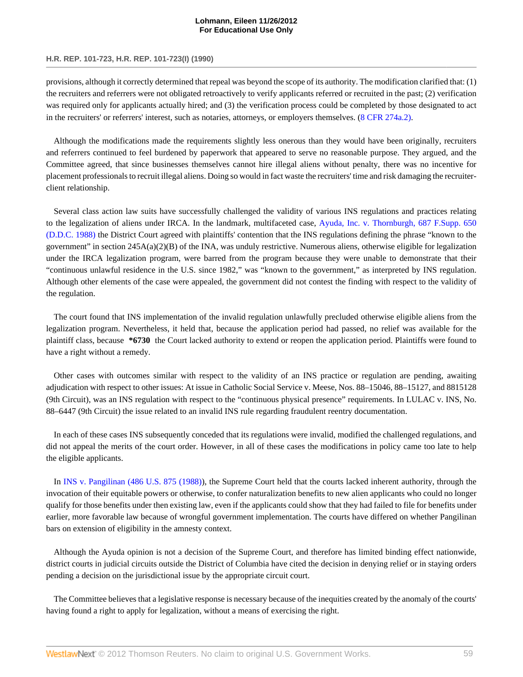#### **H.R. REP. 101-723, H.R. REP. 101-723(I) (1990)**

provisions, although it correctly determined that repeal was beyond the scope of its authority. The modification clarified that: (1) the recruiters and referrers were not obligated retroactively to verify applicants referred or recruited in the past; (2) verification was required only for applicants actually hired; and (3) the verification process could be completed by those designated to act in the recruiters' or referrers' interest, such as notaries, attorneys, or employers themselves. [\(8 CFR 274a.2\)](http://www.westlaw.com/Link/Document/FullText?findType=L&pubNum=1000547&cite=8CFRS274A.2&originatingDoc=I520E9F60643311D9B7CECED691859821&refType=LQ&originationContext=document&vr=3.0&rs=cblt1.0&transitionType=DocumentItem&contextData=(sc.UserEnteredCitation)).

Although the modifications made the requirements slightly less onerous than they would have been originally, recruiters and referrers continued to feel burdened by paperwork that appeared to serve no reasonable purpose. They argued, and the Committee agreed, that since businesses themselves cannot hire illegal aliens without penalty, there was no incentive for placement professionals to recruit illegal aliens. Doing so would in fact waste the recruiters' time and risk damaging the recruiterclient relationship.

Several class action law suits have successfully challenged the validity of various INS regulations and practices relating to the legalization of aliens under IRCA. In the landmark, multifaceted case, [Ayuda, Inc. v. Thornburgh, 687 F.Supp. 650](http://www.westlaw.com/Link/Document/FullText?findType=Y&serNum=1988063686&pubNum=345&originationContext=document&vr=3.0&rs=cblt1.0&transitionType=DocumentItem&contextData=(sc.UserEnteredCitation)) [\(D.D.C. 1988\)](http://www.westlaw.com/Link/Document/FullText?findType=Y&serNum=1988063686&pubNum=345&originationContext=document&vr=3.0&rs=cblt1.0&transitionType=DocumentItem&contextData=(sc.UserEnteredCitation)) the District Court agreed with plaintiffs' contention that the INS regulations defining the phrase "known to the government" in section  $245A(a)(2)(B)$  of the INA, was unduly restrictive. Numerous aliens, otherwise eligible for legalization under the IRCA legalization program, were barred from the program because they were unable to demonstrate that their "continuous unlawful residence in the U.S. since 1982," was "known to the government," as interpreted by INS regulation. Although other elements of the case were appealed, the government did not contest the finding with respect to the validity of the regulation.

The court found that INS implementation of the invalid regulation unlawfully precluded otherwise eligible aliens from the legalization program. Nevertheless, it held that, because the application period had passed, no relief was available for the plaintiff class, because **\*6730** the Court lacked authority to extend or reopen the application period. Plaintiffs were found to have a right without a remedy.

Other cases with outcomes similar with respect to the validity of an INS practice or regulation are pending, awaiting adjudication with respect to other issues: At issue in Catholic Social Service v. Meese, Nos. 88–15046, 88–15127, and 8815128 (9th Circuit), was an INS regulation with respect to the "continuous physical presence" requirements. In LULAC v. INS, No. 88–6447 (9th Circuit) the issue related to an invalid INS rule regarding fraudulent reentry documentation.

In each of these cases INS subsequently conceded that its regulations were invalid, modified the challenged regulations, and did not appeal the merits of the court order. However, in all of these cases the modifications in policy came too late to help the eligible applicants.

In [INS v. Pangilinan \(486 U.S. 875 \(1988\)](http://www.westlaw.com/Link/Document/FullText?findType=Y&serNum=1988078743&pubNum=780&originationContext=document&vr=3.0&rs=cblt1.0&transitionType=DocumentItem&contextData=(sc.UserEnteredCitation))), the Supreme Court held that the courts lacked inherent authority, through the invocation of their equitable powers or otherwise, to confer naturalization benefits to new alien applicants who could no longer qualify for those benefits under then existing law, even if the applicants could show that they had failed to file for benefits under earlier, more favorable law because of wrongful government implementation. The courts have differed on whether Pangilinan bars on extension of eligibility in the amnesty context.

Although the Ayuda opinion is not a decision of the Supreme Court, and therefore has limited binding effect nationwide, district courts in judicial circuits outside the District of Columbia have cited the decision in denying relief or in staying orders pending a decision on the jurisdictional issue by the appropriate circuit court.

The Committee believes that a legislative response is necessary because of the inequities created by the anomaly of the courts' having found a right to apply for legalization, without a means of exercising the right.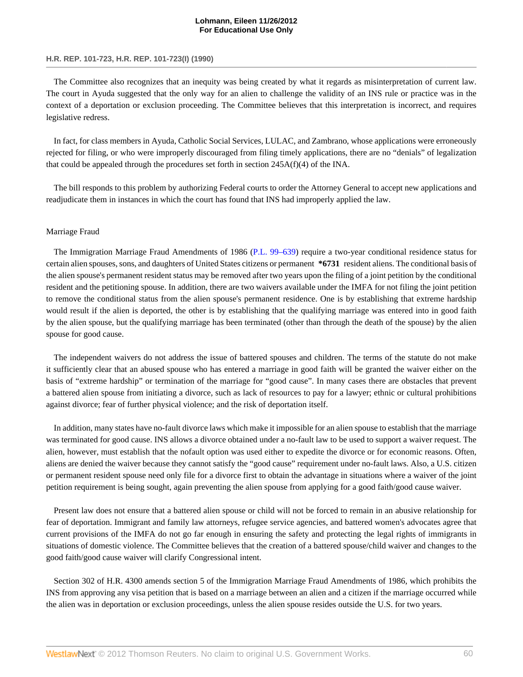#### **H.R. REP. 101-723, H.R. REP. 101-723(I) (1990)**

The Committee also recognizes that an inequity was being created by what it regards as misinterpretation of current law. The court in Ayuda suggested that the only way for an alien to challenge the validity of an INS rule or practice was in the context of a deportation or exclusion proceeding. The Committee believes that this interpretation is incorrect, and requires legislative redress.

In fact, for class members in Ayuda, Catholic Social Services, LULAC, and Zambrano, whose applications were erroneously rejected for filing, or who were improperly discouraged from filing timely applications, there are no "denials" of legalization that could be appealed through the procedures set forth in section  $245A(f)(4)$  of the INA.

The bill responds to this problem by authorizing Federal courts to order the Attorney General to accept new applications and readjudicate them in instances in which the court has found that INS had improperly applied the law.

## Marriage Fraud

The Immigration Marriage Fraud Amendments of 1986 [\(P.L. 99–639](http://www.westlaw.com/Link/Document/FullText?findType=l&pubNum=1077005&cite=UUID(I4BF095BAEB-E24BAEBD515-C28DFBCB418)&originationContext=document&vr=3.0&rs=cblt1.0&transitionType=DocumentItem&contextData=(sc.UserEnteredCitation))) require a two-year conditional residence status for certain alien spouses, sons, and daughters of United States citizens or permanent **\*6731** resident aliens. The conditional basis of the alien spouse's permanent resident status may be removed after two years upon the filing of a joint petition by the conditional resident and the petitioning spouse. In addition, there are two waivers available under the IMFA for not filing the joint petition to remove the conditional status from the alien spouse's permanent residence. One is by establishing that extreme hardship would result if the alien is deported, the other is by establishing that the qualifying marriage was entered into in good faith by the alien spouse, but the qualifying marriage has been terminated (other than through the death of the spouse) by the alien spouse for good cause.

The independent waivers do not address the issue of battered spouses and children. The terms of the statute do not make it sufficiently clear that an abused spouse who has entered a marriage in good faith will be granted the waiver either on the basis of "extreme hardship" or termination of the marriage for "good cause". In many cases there are obstacles that prevent a battered alien spouse from initiating a divorce, such as lack of resources to pay for a lawyer; ethnic or cultural prohibitions against divorce; fear of further physical violence; and the risk of deportation itself.

In addition, many states have no-fault divorce laws which make it impossible for an alien spouse to establish that the marriage was terminated for good cause. INS allows a divorce obtained under a no-fault law to be used to support a waiver request. The alien, however, must establish that the nofault option was used either to expedite the divorce or for economic reasons. Often, aliens are denied the waiver because they cannot satisfy the "good cause" requirement under no-fault laws. Also, a U.S. citizen or permanent resident spouse need only file for a divorce first to obtain the advantage in situations where a waiver of the joint petition requirement is being sought, again preventing the alien spouse from applying for a good faith/good cause waiver.

Present law does not ensure that a battered alien spouse or child will not be forced to remain in an abusive relationship for fear of deportation. Immigrant and family law attorneys, refugee service agencies, and battered women's advocates agree that current provisions of the IMFA do not go far enough in ensuring the safety and protecting the legal rights of immigrants in situations of domestic violence. The Committee believes that the creation of a battered spouse/child waiver and changes to the good faith/good cause waiver will clarify Congressional intent.

Section 302 of H.R. 4300 amends section 5 of the Immigration Marriage Fraud Amendments of 1986, which prohibits the INS from approving any visa petition that is based on a marriage between an alien and a citizen if the marriage occurred while the alien was in deportation or exclusion proceedings, unless the alien spouse resides outside the U.S. for two years.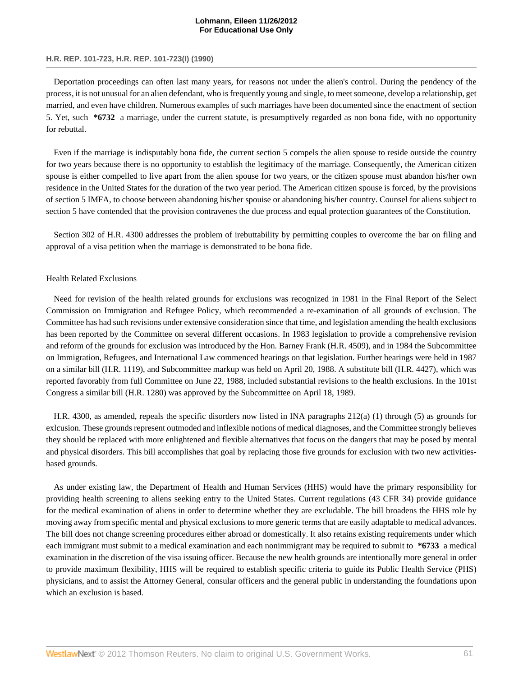#### **H.R. REP. 101-723, H.R. REP. 101-723(I) (1990)**

Deportation proceedings can often last many years, for reasons not under the alien's control. During the pendency of the process, it is not unusual for an alien defendant, who is frequently young and single, to meet someone, develop a relationship, get married, and even have children. Numerous examples of such marriages have been documented since the enactment of section 5. Yet, such **\*6732** a marriage, under the current statute, is presumptively regarded as non bona fide, with no opportunity for rebuttal.

Even if the marriage is indisputably bona fide, the current section 5 compels the alien spouse to reside outside the country for two years because there is no opportunity to establish the legitimacy of the marriage. Consequently, the American citizen spouse is either compelled to live apart from the alien spouse for two years, or the citizen spouse must abandon his/her own residence in the United States for the duration of the two year period. The American citizen spouse is forced, by the provisions of section 5 IMFA, to choose between abandoning his/her spouise or abandoning his/her country. Counsel for aliens subject to section 5 have contended that the provision contravenes the due process and equal protection guarantees of the Constitution.

Section 302 of H.R. 4300 addresses the problem of irebuttability by permitting couples to overcome the bar on filing and approval of a visa petition when the marriage is demonstrated to be bona fide.

## Health Related Exclusions

Need for revision of the health related grounds for exclusions was recognized in 1981 in the Final Report of the Select Commission on Immigration and Refugee Policy, which recommended a re-examination of all grounds of exclusion. The Committee has had such revisions under extensive consideration since that time, and legislation amending the health exclusions has been reported by the Committee on several different occasions. In 1983 legislation to provide a comprehensive revision and reform of the grounds for exclusion was introduced by the Hon. Barney Frank (H.R. 4509), and in 1984 the Subcommittee on Immigration, Refugees, and International Law commenced hearings on that legislation. Further hearings were held in 1987 on a similar bill (H.R. 1119), and Subcommittee markup was held on April 20, 1988. A substitute bill (H.R. 4427), which was reported favorably from full Committee on June 22, 1988, included substantial revisions to the health exclusions. In the 101st Congress a similar bill (H.R. 1280) was approved by the Subcommittee on April 18, 1989.

H.R. 4300, as amended, repeals the specific disorders now listed in INA paragraphs 212(a) (1) through (5) as grounds for exlcusion. These grounds represent outmoded and inflexible notions of medical diagnoses, and the Committee strongly believes they should be replaced with more enlightened and flexible alternatives that focus on the dangers that may be posed by mental and physical disorders. This bill accomplishes that goal by replacing those five grounds for exclusion with two new activitiesbased grounds.

As under existing law, the Department of Health and Human Services (HHS) would have the primary responsibility for providing health screening to aliens seeking entry to the United States. Current regulations (43 CFR 34) provide guidance for the medical examination of aliens in order to determine whether they are excludable. The bill broadens the HHS role by moving away from specific mental and physical exclusions to more generic terms that are easily adaptable to medical advances. The bill does not change screening procedures either abroad or domestically. It also retains existing requirements under which each immigrant must submit to a medical examination and each nonimmigrant may be required to submit to **\*6733** a medical examination in the discretion of the visa issuing officer. Because the new health grounds are intentionally more general in order to provide maximum flexibility, HHS will be required to establish specific criteria to guide its Public Health Service (PHS) physicians, and to assist the Attorney General, consular officers and the general public in understanding the foundations upon which an exclusion is based.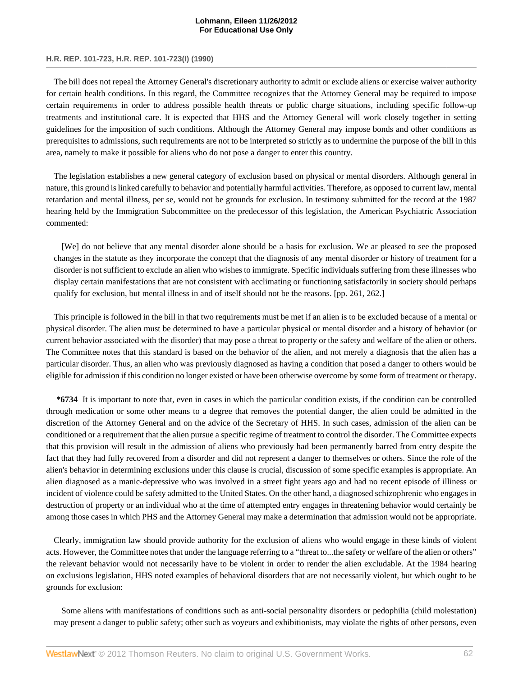#### **H.R. REP. 101-723, H.R. REP. 101-723(I) (1990)**

The bill does not repeal the Attorney General's discretionary authority to admit or exclude aliens or exercise waiver authority for certain health conditions. In this regard, the Committee recognizes that the Attorney General may be required to impose certain requirements in order to address possible health threats or public charge situations, including specific follow-up treatments and institutional care. It is expected that HHS and the Attorney General will work closely together in setting guidelines for the imposition of such conditions. Although the Attorney General may impose bonds and other conditions as prerequisites to admissions, such requirements are not to be interpreted so strictly as to undermine the purpose of the bill in this area, namely to make it possible for aliens who do not pose a danger to enter this country.

The legislation establishes a new general category of exclusion based on physical or mental disorders. Although general in nature, this ground is linked carefully to behavior and potentially harmful activities. Therefore, as opposed to current law, mental retardation and mental illness, per se, would not be grounds for exclusion. In testimony submitted for the record at the 1987 hearing held by the Immigration Subcommittee on the predecessor of this legislation, the American Psychiatric Association commented:

[We] do not believe that any mental disorder alone should be a basis for exclusion. We ar pleased to see the proposed changes in the statute as they incorporate the concept that the diagnosis of any mental disorder or history of treatment for a disorder is not sufficient to exclude an alien who wishes to immigrate. Specific individuals suffering from these illnesses who display certain manifestations that are not consistent with acclimating or functioning satisfactorily in society should perhaps qualify for exclusion, but mental illness in and of itself should not be the reasons. [pp. 261, 262.]

This principle is followed in the bill in that two requirements must be met if an alien is to be excluded because of a mental or physical disorder. The alien must be determined to have a particular physical or mental disorder and a history of behavior (or current behavior associated with the disorder) that may pose a threat to property or the safety and welfare of the alien or others. The Committee notes that this standard is based on the behavior of the alien, and not merely a diagnosis that the alien has a particular disorder. Thus, an alien who was previously diagnosed as having a condition that posed a danger to others would be eligible for admission if this condition no longer existed or have been otherwise overcome by some form of treatment or therapy.

**\*6734** It is important to note that, even in cases in which the particular condition exists, if the condition can be controlled through medication or some other means to a degree that removes the potential danger, the alien could be admitted in the discretion of the Attorney General and on the advice of the Secretary of HHS. In such cases, admission of the alien can be conditioned or a requirement that the alien pursue a specific regime of treatment to control the disorder. The Committee expects that this provision will result in the admission of aliens who previously had been permanently barred from entry despite the fact that they had fully recovered from a disorder and did not represent a danger to themselves or others. Since the role of the alien's behavior in determining exclusions under this clause is crucial, discussion of some specific examples is appropriate. An alien diagnosed as a manic-depressive who was involved in a street fight years ago and had no recent episode of illiness or incident of violence could be safety admitted to the United States. On the other hand, a diagnosed schizophrenic who engages in destruction of property or an individual who at the time of attempted entry engages in threatening behavior would certainly be among those cases in which PHS and the Attorney General may make a determination that admission would not be appropriate.

Clearly, immigration law should provide authority for the exclusion of aliens who would engage in these kinds of violent acts. However, the Committee notes that under the language referring to a "threat to...the safety or welfare of the alien or others" the relevant behavior would not necessarily have to be violent in order to render the alien excludable. At the 1984 hearing on exclusions legislation, HHS noted examples of behavioral disorders that are not necessarily violent, but which ought to be grounds for exclusion:

Some aliens with manifestations of conditions such as anti-social personality disorders or pedophilia (child molestation) may present a danger to public safety; other such as voyeurs and exhibitionists, may violate the rights of other persons, even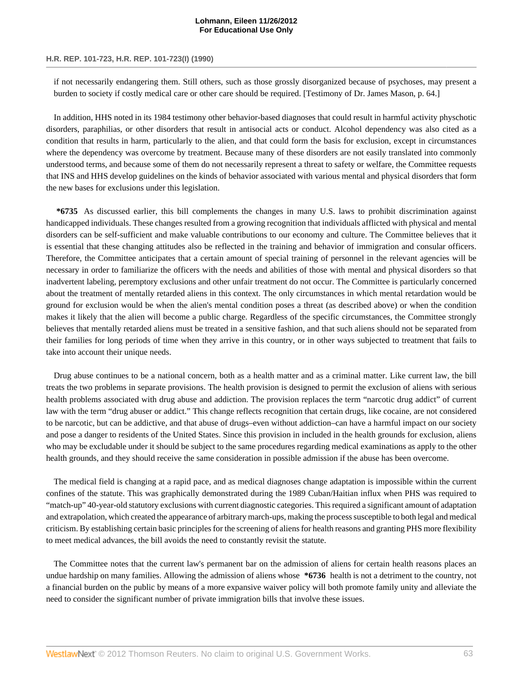#### **H.R. REP. 101-723, H.R. REP. 101-723(I) (1990)**

if not necessarily endangering them. Still others, such as those grossly disorganized because of psychoses, may present a burden to society if costly medical care or other care should be required. [Testimony of Dr. James Mason, p. 64.]

In addition, HHS noted in its 1984 testimony other behavior-based diagnoses that could result in harmful activity physchotic disorders, paraphilias, or other disorders that result in antisocial acts or conduct. Alcohol dependency was also cited as a condition that results in harm, particularly to the alien, and that could form the basis for exclusion, except in circumstances where the dependency was overcome by treatment. Because many of these disorders are not easily translated into commonly understood terms, and because some of them do not necessarily represent a threat to safety or welfare, the Committee requests that INS and HHS develop guidelines on the kinds of behavior associated with various mental and physical disorders that form the new bases for exclusions under this legislation.

**\*6735** As discussed earlier, this bill complements the changes in many U.S. laws to prohibit discrimination against handicapped individuals. These changes resulted from a growing recognition that individuals afflicted with physical and mental disorders can be self-sufficient and make valuable contributions to our economy and culture. The Committee believes that it is essential that these changing attitudes also be reflected in the training and behavior of immigration and consular officers. Therefore, the Committee anticipates that a certain amount of special training of personnel in the relevant agencies will be necessary in order to familiarize the officers with the needs and abilities of those with mental and physical disorders so that inadvertent labeling, peremptory exclusions and other unfair treatment do not occur. The Committee is particularly concerned about the treatment of mentally retarded aliens in this context. The only circumstances in which mental retardation would be ground for exclusion would be when the alien's mental condition poses a threat (as described above) or when the condition makes it likely that the alien will become a public charge. Regardless of the specific circumstances, the Committee strongly believes that mentally retarded aliens must be treated in a sensitive fashion, and that such aliens should not be separated from their families for long periods of time when they arrive in this country, or in other ways subjected to treatment that fails to take into account their unique needs.

Drug abuse continues to be a national concern, both as a health matter and as a criminal matter. Like current law, the bill treats the two problems in separate provisions. The health provision is designed to permit the exclusion of aliens with serious health problems associated with drug abuse and addiction. The provision replaces the term "narcotic drug addict" of current law with the term "drug abuser or addict." This change reflects recognition that certain drugs, like cocaine, are not considered to be narcotic, but can be addictive, and that abuse of drugs–even without addiction–can have a harmful impact on our society and pose a danger to residents of the United States. Since this provision in included in the health grounds for exclusion, aliens who may be excludable under it should be subject to the same procedures regarding medical examinations as apply to the other health grounds, and they should receive the same consideration in possible admission if the abuse has been overcome.

The medical field is changing at a rapid pace, and as medical diagnoses change adaptation is impossible within the current confines of the statute. This was graphically demonstrated during the 1989 Cuban/Haitian influx when PHS was required to "match-up" 40-year-old statutory exclusions with current diagnostic categories. This required a significant amount of adaptation and extrapolation, which created the appearance of arbitrary march-ups, making the process susceptible to both legal and medical criticism. By establishing certain basic principles for the screening of aliens for health reasons and granting PHS more flexibility to meet medical advances, the bill avoids the need to constantly revisit the statute.

The Committee notes that the current law's permanent bar on the admission of aliens for certain health reasons places an undue hardship on many families. Allowing the admission of aliens whose **\*6736** health is not a detriment to the country, not a financial burden on the public by means of a more expansive waiver policy will both promote family unity and alleviate the need to consider the significant number of private immigration bills that involve these issues.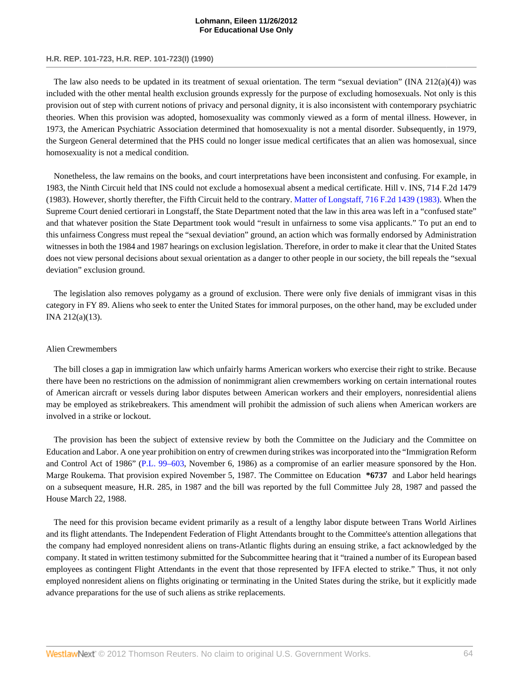#### **H.R. REP. 101-723, H.R. REP. 101-723(I) (1990)**

The law also needs to be updated in its treatment of sexual orientation. The term "sexual deviation" (INA  $212(a)(4)$ ) was included with the other mental health exclusion grounds expressly for the purpose of excluding homosexuals. Not only is this provision out of step with current notions of privacy and personal dignity, it is also inconsistent with contemporary psychiatric theories. When this provision was adopted, homosexuality was commonly viewed as a form of mental illness. However, in 1973, the American Psychiatric Association determined that homosexuality is not a mental disorder. Subsequently, in 1979, the Surgeon General determined that the PHS could no longer issue medical certificates that an alien was homosexual, since homosexuality is not a medical condition.

Nonetheless, the law remains on the books, and court interpretations have been inconsistent and confusing. For example, in 1983, the Ninth Circuit held that INS could not exclude a homosexual absent a medical certificate. Hill v. INS, 714 F.2d 1479 (1983). However, shortly therefter, the Fifth Circuit held to the contrary. [Matter of Longstaff, 716 F.2d 1439 \(1983\).](http://www.westlaw.com/Link/Document/FullText?findType=Y&serNum=1983144238&pubNum=350&originationContext=document&vr=3.0&rs=cblt1.0&transitionType=DocumentItem&contextData=(sc.UserEnteredCitation)) When the Supreme Court denied certiorari in Longstaff, the State Department noted that the law in this area was left in a "confused state" and that whatever position the State Department took would "result in unfairness to some visa applicants." To put an end to this unfairness Congress must repeal the "sexual deviation" ground, an action which was formally endorsed by Administration witnesses in both the 1984 and 1987 hearings on exclusion legislation. Therefore, in order to make it clear that the United States does not view personal decisions about sexual orientation as a danger to other people in our society, the bill repeals the "sexual deviation" exclusion ground.

The legislation also removes polygamy as a ground of exclusion. There were only five denials of immigrant visas in this category in FY 89. Aliens who seek to enter the United States for immoral purposes, on the other hand, may be excluded under INA 212(a)(13).

## Alien Crewmembers

The bill closes a gap in immigration law which unfairly harms American workers who exercise their right to strike. Because there have been no restrictions on the admission of nonimmigrant alien crewmembers working on certain international routes of American aircraft or vessels during labor disputes between American workers and their employers, nonresidential aliens may be employed as strikebreakers. This amendment will prohibit the admission of such aliens when American workers are involved in a strike or lockout.

The provision has been the subject of extensive review by both the Committee on the Judiciary and the Committee on Education and Labor. A one year prohibition on entry of crewmen during strikes was incorporated into the "Immigration Reform and Control Act of 1986" ([P.L. 99–603,](http://www.westlaw.com/Link/Document/FullText?findType=l&pubNum=1077005&cite=UUID(I975076B8DB-D349DBB749E-C8B81BBE0BB)&originationContext=document&vr=3.0&rs=cblt1.0&transitionType=DocumentItem&contextData=(sc.UserEnteredCitation)) November 6, 1986) as a compromise of an earlier measure sponsored by the Hon. Marge Roukema. That provision expired November 5, 1987. The Committee on Education **\*6737** and Labor held hearings on a subsequent measure, H.R. 285, in 1987 and the bill was reported by the full Committee July 28, 1987 and passed the House March 22, 1988.

The need for this provision became evident primarily as a result of a lengthy labor dispute between Trans World Airlines and its flight attendants. The Independent Federation of Flight Attendants brought to the Committee's attention allegations that the company had employed nonresident aliens on trans-Atlantic flights during an ensuing strike, a fact acknowledged by the company. It stated in written testimony submitted for the Subcommittee hearing that it "trained a number of its European based employees as contingent Flight Attendants in the event that those represented by IFFA elected to strike." Thus, it not only employed nonresident aliens on flights originating or terminating in the United States during the strike, but it explicitly made advance preparations for the use of such aliens as strike replacements.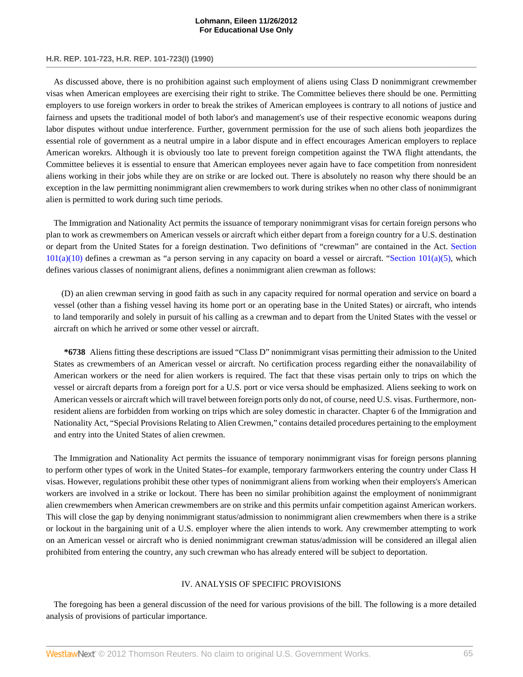#### **H.R. REP. 101-723, H.R. REP. 101-723(I) (1990)**

As discussed above, there is no prohibition against such employment of aliens using Class D nonimmigrant crewmember visas when American employees are exercising their right to strike. The Committee believes there should be one. Permitting employers to use foreign workers in order to break the strikes of American employees is contrary to all notions of justice and fairness and upsets the traditional model of both labor's and management's use of their respective economic weapons during labor disputes without undue interference. Further, government permission for the use of such aliens both jeopardizes the essential role of government as a neutral umpire in a labor dispute and in effect encourages American employers to replace American worekrs. Although it is obviously too late to prevent foreign competition against the TWA flight attendants, the Committee believes it is essential to ensure that American employees never again have to face competition from nonresident aliens working in their jobs while they are on strike or are locked out. There is absolutely no reason why there should be an exception in the law permitting nonimmigrant alien crewmembers to work during strikes when no other class of nonimmigrant alien is permitted to work during such time periods.

The Immigration and Nationality Act permits the issuance of temporary nonimmigrant visas for certain foreign persons who plan to work as crewmembers on American vessels or aircraft which either depart from a foreign country for a U.S. destination or depart from the United States for a foreign destination. Two definitions of "crewman" are contained in the Act. [Section](http://www.westlaw.com/Link/Document/FullText?findType=L&pubNum=1000546&cite=29USCAS101&originatingDoc=I520E9F60643311D9B7CECED691859821&refType=LQ&originationContext=document&vr=3.0&rs=cblt1.0&transitionType=DocumentItem&contextData=(sc.UserEnteredCitation))  $101(a)(10)$  defines a crewman as "a person serving in any capacity on board a vessel or aircraft. "Section  $101(a)(5)$ , which defines various classes of nonimigrant aliens, defines a nonimmigrant alien crewman as follows:

(D) an alien crewman serving in good faith as such in any capacity required for normal operation and service on board a vessel (other than a fishing vessel having its home port or an operating base in the United States) or aircraft, who intends to land temporarily and solely in pursuit of his calling as a crewman and to depart from the United States with the vessel or aircraft on which he arrived or some other vessel or aircraft.

**\*6738** Aliens fitting these descriptions are issued "Class D" nonimmigrant visas permitting their admission to the United States as crewmembers of an American vessel or aircraft. No certification process regarding either the nonavailability of American workers or the need for alien workers is required. The fact that these visas pertain only to trips on which the vessel or aircraft departs from a foreign port for a U.S. port or vice versa should be emphasized. Aliens seeking to work on American vessels or aircraft which will travel between foreign ports only do not, of course, need U.S. visas. Furthermore, nonresident aliens are forbidden from working on trips which are soley domestic in character. Chapter 6 of the Immigration and Nationality Act, "Special Provisions Relating to Alien Crewmen," contains detailed procedures pertaining to the employment and entry into the United States of alien crewmen.

The Immigration and Nationality Act permits the issuance of temporary nonimmigrant visas for foreign persons planning to perform other types of work in the United States–for example, temporary farmworkers entering the country under Class H visas. However, regulations prohibit these other types of nonimmigrant aliens from working when their employers's American workers are involved in a strike or lockout. There has been no similar prohibition against the employment of nonimmigrant alien crewmembers when American crewmembers are on strike and this permits unfair competition against American workers. This will close the gap by denying nonimmigrant status/admission to nonimmigrant alien crewmembers when there is a strike or lockout in the bargaining unit of a U.S. employer where the alien intends to work. Any crewmember attempting to work on an American vessel or aircraft who is denied nonimmigrant crewman status/admission will be considered an illegal alien prohibited from entering the country, any such crewman who has already entered will be subject to deportation.

## IV. ANALYSIS OF SPECIFIC PROVISIONS

The foregoing has been a general discussion of the need for various provisions of the bill. The following is a more detailed analysis of provisions of particular importance.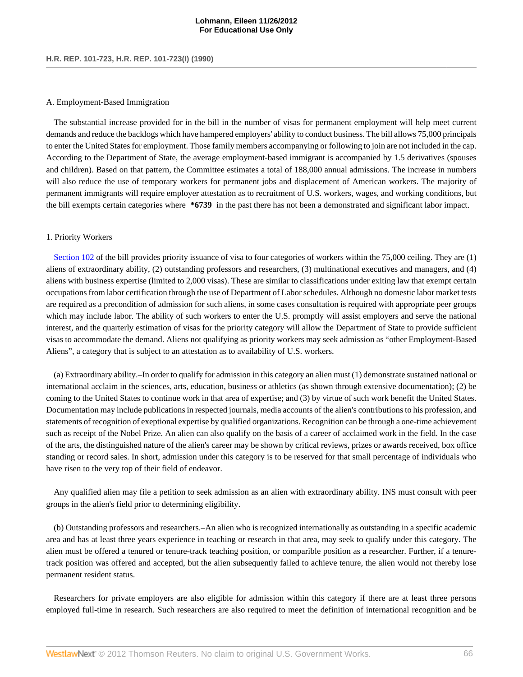#### A. Employment-Based Immigration

The substantial increase provided for in the bill in the number of visas for permanent employment will help meet current demands and reduce the backlogs which have hampered employers' ability to conduct business. The bill allows 75,000 principals to enter the United States for employment. Those family members accompanying or following to join are not included in the cap. According to the Department of State, the average employment-based immigrant is accompanied by 1.5 derivatives (spouses and children). Based on that pattern, the Committee estimates a total of 188,000 annual admissions. The increase in numbers will also reduce the use of temporary workers for permanent jobs and displacement of American workers. The majority of permanent immigrants will require employer attestation as to recruitment of U.S. workers, wages, and working conditions, but the bill exempts certain categories where **\*6739** in the past there has not been a demonstrated and significant labor impact.

#### 1. Priority Workers

[Section 102](http://www.westlaw.com/Link/Document/FullText?findType=L&pubNum=1000546&cite=29USCAS102&originatingDoc=I520E9F60643311D9B7CECED691859821&refType=LQ&originationContext=document&vr=3.0&rs=cblt1.0&transitionType=DocumentItem&contextData=(sc.UserEnteredCitation)) of the bill provides priority issuance of visa to four categories of workers within the 75,000 ceiling. They are (1) aliens of extraordinary ability, (2) outstanding professors and researchers, (3) multinational executives and managers, and (4) aliens with business expertise (limited to 2,000 visas). These are similar to classifications under exiting law that exempt certain occupations from labor certification through the use of Department of Labor schedules. Although no domestic labor market tests are required as a precondition of admission for such aliens, in some cases consultation is required with appropriate peer groups which may include labor. The ability of such workers to enter the U.S. promptly will assist employers and serve the national interest, and the quarterly estimation of visas for the priority category will allow the Department of State to provide sufficient visas to accommodate the demand. Aliens not qualifying as priority workers may seek admission as "other Employment-Based Aliens", a category that is subject to an attestation as to availability of U.S. workers.

(a) Extraordinary ability.–In order to qualify for admission in this category an alien must (1) demonstrate sustained national or international acclaim in the sciences, arts, education, business or athletics (as shown through extensive documentation); (2) be coming to the United States to continue work in that area of expertise; and (3) by virtue of such work benefit the United States. Documentation may include publications in respected journals, media accounts of the alien's contributions to his profession, and statements of recognition of exeptional expertise by qualified organizations. Recognition can be through a one-time achievement such as receipt of the Nobel Prize. An alien can also qualify on the basis of a career of acclaimed work in the field. In the case of the arts, the distinguished nature of the alien's career may be shown by critical reviews, prizes or awards received, box office standing or record sales. In short, admission under this category is to be reserved for that small percentage of individuals who have risen to the very top of their field of endeavor.

Any qualified alien may file a petition to seek admission as an alien with extraordinary ability. INS must consult with peer groups in the alien's field prior to determining eligibility.

(b) Outstanding professors and researchers.–An alien who is recognized internationally as outstanding in a specific academic area and has at least three years experience in teaching or research in that area, may seek to qualify under this category. The alien must be offered a tenured or tenure-track teaching position, or comparible position as a researcher. Further, if a tenuretrack position was offered and accepted, but the alien subsequently failed to achieve tenure, the alien would not thereby lose permanent resident status.

Researchers for private employers are also eligible for admission within this category if there are at least three persons employed full-time in research. Such researchers are also required to meet the definition of international recognition and be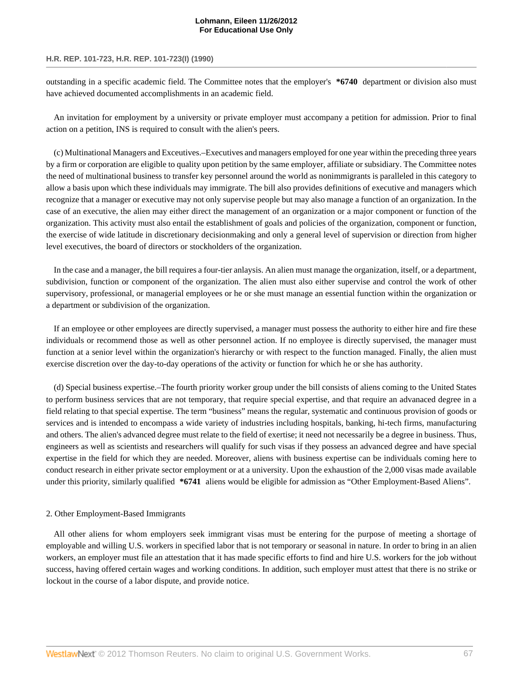### **H.R. REP. 101-723, H.R. REP. 101-723(I) (1990)**

outstanding in a specific academic field. The Committee notes that the employer's **\*6740** department or division also must have achieved documented accomplishments in an academic field.

An invitation for employment by a university or private employer must accompany a petition for admission. Prior to final action on a petition, INS is required to consult with the alien's peers.

(c) Multinational Managers and Exceutives.–Executives and managers employed for one year within the preceding three years by a firm or corporation are eligible to quality upon petition by the same employer, affiliate or subsidiary. The Committee notes the need of multinational business to transfer key personnel around the world as nonimmigrants is paralleled in this category to allow a basis upon which these individuals may immigrate. The bill also provides definitions of executive and managers which recognize that a manager or executive may not only supervise people but may also manage a function of an organization. In the case of an executive, the alien may either direct the management of an organization or a major component or function of the organization. This activity must also entail the establishment of goals and policies of the organization, component or function, the exercise of wide latitude in discretionary decisionmaking and only a general level of supervision or direction from higher level executives, the board of directors or stockholders of the organization.

In the case and a manager, the bill requires a four-tier anlaysis. An alien must manage the organization, itself, or a department, subdivision, function or component of the organization. The alien must also either supervise and control the work of other supervisory, professional, or managerial employees or he or she must manage an essential function within the organization or a department or subdivision of the organization.

If an employee or other employees are directly supervised, a manager must possess the authority to either hire and fire these individuals or recommend those as well as other personnel action. If no employee is directly supervised, the manager must function at a senior level within the organization's hierarchy or with respect to the function managed. Finally, the alien must exercise discretion over the day-to-day operations of the activity or function for which he or she has authority.

(d) Special business expertise.–The fourth priority worker group under the bill consists of aliens coming to the United States to perform business services that are not temporary, that require special expertise, and that require an advanaced degree in a field relating to that special expertise. The term "business" means the regular, systematic and continuous provision of goods or services and is intended to encompass a wide variety of industries including hospitals, banking, hi-tech firms, manufacturing and others. The alien's advanced degree must relate to the field of exertise; it need not necessarily be a degree in business. Thus, engineers as well as scientists and researchers will qualify for such visas if they possess an advanced degree and have special expertise in the field for which they are needed. Moreover, aliens with business expertise can be individuals coming here to conduct research in either private sector employment or at a university. Upon the exhaustion of the 2,000 visas made available under this priority, similarly qualified **\*6741** aliens would be eligible for admission as "Other Employment-Based Aliens".

## 2. Other Employment-Based Immigrants

All other aliens for whom employers seek immigrant visas must be entering for the purpose of meeting a shortage of employable and willing U.S. workers in specified labor that is not temporary or seasonal in nature. In order to bring in an alien workers, an employer must file an attestation that it has made specific efforts to find and hire U.S. workers for the job without success, having offered certain wages and working conditions. In addition, such employer must attest that there is no strike or lockout in the course of a labor dispute, and provide notice.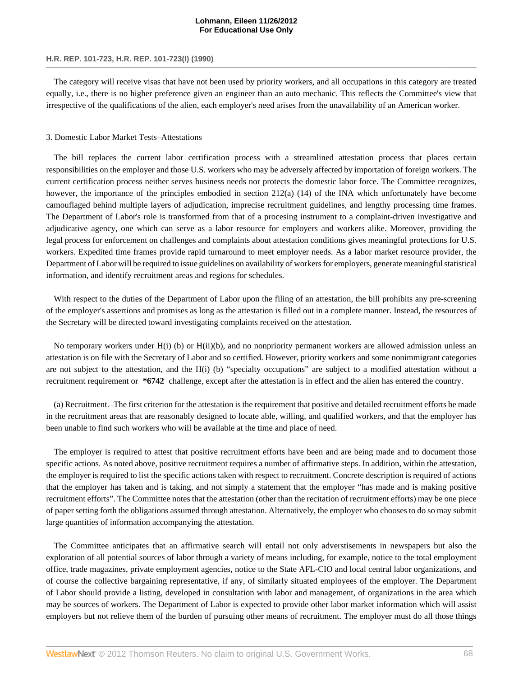### **H.R. REP. 101-723, H.R. REP. 101-723(I) (1990)**

The category will receive visas that have not been used by priority workers, and all occupations in this category are treated equally, i.e., there is no higher preference given an engineer than an auto mechanic. This reflects the Committee's view that irrespective of the qualifications of the alien, each employer's need arises from the unavailability of an American worker.

#### 3. Domestic Labor Market Tests–Attestations

The bill replaces the current labor certification process with a streamlined attestation process that places certain responsibilities on the employer and those U.S. workers who may be adversely affected by importation of foreign workers. The current certification process neither serves business needs nor protects the domestic labor force. The Committee recognizes, however, the importance of the principles embodied in section 212(a) (14) of the INA which unfortunately have become camouflaged behind multiple layers of adjudication, imprecise recruitment guidelines, and lengthy processing time frames. The Department of Labor's role is transformed from that of a procesing instrument to a complaint-driven investigative and adjudicative agency, one which can serve as a labor resource for employers and workers alike. Moreover, providing the legal process for enforcement on challenges and complaints about attestation conditions gives meaningful protections for U.S. workers. Expedited time frames provide rapid turnaround to meet employer needs. As a labor market resource provider, the Department of Labor will be required to issue guidelines on availability of workers for employers, generate meaningful statistical information, and identify recruitment areas and regions for schedules.

With respect to the duties of the Department of Labor upon the filing of an attestation, the bill prohibits any pre-screening of the employer's assertions and promises as long as the attestation is filled out in a complete manner. Instead, the resources of the Secretary will be directed toward investigating complaints received on the attestation.

No temporary workers under H(i) (b) or H(ii)(b), and no nonpriority permanent workers are allowed admission unless an attestation is on file with the Secretary of Labor and so certified. However, priority workers and some nonimmigrant categories are not subject to the attestation, and the H(i) (b) "specialty occupations" are subject to a modified attestation without a recruitment requirement or **\*6742** challenge, except after the attestation is in effect and the alien has entered the country.

(a) Recruitment.–The first criterion for the attestation is the requirement that positive and detailed recruitment efforts be made in the recruitment areas that are reasonably designed to locate able, willing, and qualified workers, and that the employer has been unable to find such workers who will be available at the time and place of need.

The employer is required to attest that positive recruitment efforts have been and are being made and to document those specific actions. As noted above, positive recruitment requires a number of affirmative steps. In addition, within the attestation, the employer is required to list the specific actions taken with respect to recruitment. Concrete description is required of actions that the employer has taken and is taking, and not simply a statement that the employer "has made and is making positive recruitment efforts". The Committee notes that the attestation (other than the recitation of recruitment efforts) may be one piece of paper setting forth the obligations assumed through attestation. Alternatively, the employer who chooses to do so may submit large quantities of information accompanying the attestation.

The Committee anticipates that an affirmative search will entail not only adverstisements in newspapers but also the exploration of all potential sources of labor through a variety of means including, for example, notice to the total employment office, trade magazines, private employment agencies, notice to the State AFL-CIO and local central labor organizations, and of course the collective bargaining representative, if any, of similarly situated employees of the employer. The Department of Labor should provide a listing, developed in consultation with labor and management, of organizations in the area which may be sources of workers. The Department of Labor is expected to provide other labor market information which will assist employers but not relieve them of the burden of pursuing other means of recruitment. The employer must do all those things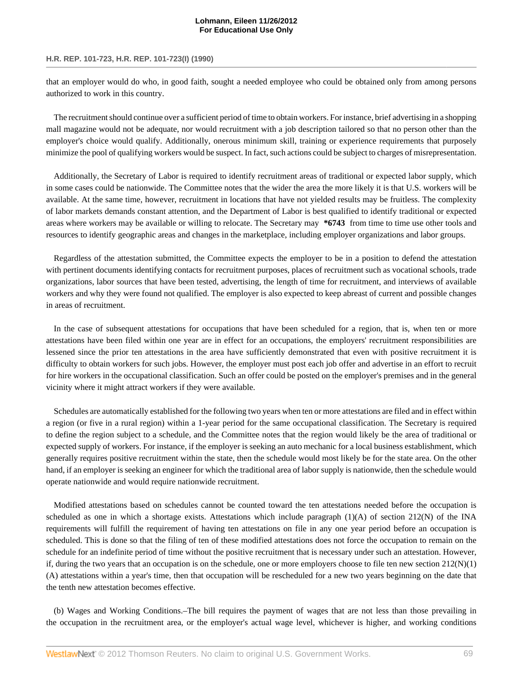## **H.R. REP. 101-723, H.R. REP. 101-723(I) (1990)**

that an employer would do who, in good faith, sought a needed employee who could be obtained only from among persons authorized to work in this country.

The recruitment should continue over a sufficient period of time to obtain workers. For instance, brief advertising in a shopping mall magazine would not be adequate, nor would recruitment with a job description tailored so that no person other than the employer's choice would qualify. Additionally, onerous minimum skill, training or experience requirements that purposely minimize the pool of qualifying workers would be suspect. In fact, such actions could be subject to charges of misrepresentation.

Additionally, the Secretary of Labor is required to identify recruitment areas of traditional or expected labor supply, which in some cases could be nationwide. The Committee notes that the wider the area the more likely it is that U.S. workers will be available. At the same time, however, recruitment in locations that have not yielded results may be fruitless. The complexity of labor markets demands constant attention, and the Department of Labor is best qualified to identify traditional or expected areas where workers may be available or willing to relocate. The Secretary may **\*6743** from time to time use other tools and resources to identify geographic areas and changes in the marketplace, including employer organizations and labor groups.

Regardless of the attestation submitted, the Committee expects the employer to be in a position to defend the attestation with pertinent documents identifying contacts for recruitment purposes, places of recruitment such as vocational schools, trade organizations, labor sources that have been tested, advertising, the length of time for recruitment, and interviews of available workers and why they were found not qualified. The employer is also expected to keep abreast of current and possible changes in areas of recruitment.

In the case of subsequent attestations for occupations that have been scheduled for a region, that is, when ten or more attestations have been filed within one year are in effect for an occupations, the employers' recruitment responsibilities are lessened since the prior ten attestations in the area have sufficiently demonstrated that even with positive recruitment it is difficulty to obtain workers for such jobs. However, the employer must post each job offer and advertise in an effort to recruit for hire workers in the occupational classification. Such an offer could be posted on the employer's premises and in the general vicinity where it might attract workers if they were available.

Schedules are automatically established for the following two years when ten or more attestations are filed and in effect within a region (or five in a rural region) within a 1-year period for the same occupational classification. The Secretary is required to define the region subject to a schedule, and the Committee notes that the region would likely be the area of traditional or expected supply of workers. For instance, if the employer is seeking an auto mechanic for a local business establishment, which generally requires positive recruitment within the state, then the schedule would most likely be for the state area. On the other hand, if an employer is seeking an engineer for which the traditional area of labor supply is nationwide, then the schedule would operate nationwide and would require nationwide recruitment.

Modified attestations based on schedules cannot be counted toward the ten attestations needed before the occupation is scheduled as one in which a shortage exists. Attestations which include paragraph (1)(A) of section 212(N) of the INA requirements will fulfill the requirement of having ten attestations on file in any one year period before an occupation is scheduled. This is done so that the filing of ten of these modified attestations does not force the occupation to remain on the schedule for an indefinite period of time without the positive recruitment that is necessary under such an attestation. However, if, during the two years that an occupation is on the schedule, one or more employers choose to file ten new section  $212(N)(1)$ (A) attestations within a year's time, then that occupation will be rescheduled for a new two years beginning on the date that the tenth new attestation becomes effective.

(b) Wages and Working Conditions.–The bill requires the payment of wages that are not less than those prevailing in the occupation in the recruitment area, or the employer's actual wage level, whichever is higher, and working conditions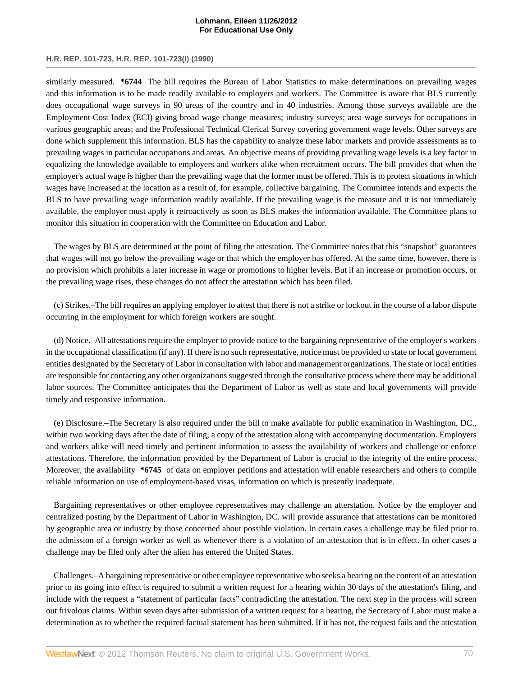## **H.R. REP. 101-723, H.R. REP. 101-723(I) (1990)**

similarly measured. **\*6744** The bill requires the Bureau of Labor Statistics to make determinations on prevailing wages and this information is to be made readily available to employers and workers. The Committee is aware that BLS currently does occupational wage surveys in 90 areas of the country and in 40 industries. Among those surveys available are the Employment Cost Index (ECI) giving broad wage change measures; industry surveys; area wage surveys for occupations in various geographic areas; and the Professional Technical Clerical Survey covering government wage levels. Other surveys are done which supplement this information. BLS has the capability to analyze these labor markets and provide assessments as to prevailing wages in particular occupations and areas. An objective means of providing prevailing wage levels is a key factor in equalizing the knowledge available to employers and workers alike when recruitment occurs. The bill provides that when the employer's actual wage is higher than the prevailing wage that the former must be offered. This is to protect situations in which wages have increased at the location as a result of, for example, collective bargaining. The Committee intends and expects the BLS to have prevailing wage information readily available. If the prevailing wage is the measure and it is not immediately available, the employer must apply it retroactively as soon as BLS makes the information available. The Committee plans to monitor this situation in cooperation with the Committee on Education and Labor.

The wages by BLS are determined at the point of filing the attestation. The Committee notes that this "snapshot" guarantees that wages will not go below the prevailing wage or that which the employer has offered. At the same time, however, there is no provision which prohibits a later increase in wage or promotions to higher levels. But if an increase or promotion occurs, or the prevailing wage rises, these changes do not affect the attestation which has been filed.

(c) Strikes.–The bill requires an applying employer to attest that there is not a strike or lockout in the course of a labor dispute occurring in the employment for which foreign workers are sought.

(d) Notice.–All attestations require the employer to provide notice to the bargaining representative of the employer's workers in the occupational classification (if any). If there is no such representative, notice must be provided to state or local government entities designated by the Secretary of Labor in consultation with labor and management organizations. The state or local entities are responsible for contacting any other organizations suggested through the consultative process where there may be additional labor sources. The Committee anticipates that the Department of Labor as well as state and local governments will provide timely and responsive information.

(e) Disclosure.–The Secretary is also required under the bill to make available for public examination in Washington, DC., within two working days after the date of filing, a copy of the attestation along with accompanying documentation. Employers and workers alike will need timely and pertinent information to assess the availability of workers and challenge or enforce attestations. Therefore, the information provided by the Department of Labor is crucial to the integrity of the entire process. Moreover, the availability \***6745** of data on employer petitions and attestation will enable researchers and others to compile reliable information on use of employment-based visas, information on which is presently inadequate.

Bargaining representatives or other employee representatives may challenge an atterstation. Notice by the employer and centralized posting by the Department of Labor in Washington, DC. will provide assurance that attestations can be monitored by geographic area or industry by those concerned about possible violation. In certain cases a challenge may be filed prior to the admission of a foreign worker as well as whenever there is a violation of an attestation that is in effect. In other cases a challenge may be filed only after the alien has entered the United States.

Challenges.–A bargaining representative or other employee representative who seeks a hearing on the content of an attestation prior to its going into effect is required to submit a written request for a hearing within 30 days of the attestation's filing, and include with the request a "statement of particular facts" contradicting the attestation. The next step in the process will screen out frivolous claims. Within seven days after submission of a written request for a hearing, the Secretary of Labor must make a determination as to whether the required factual statement has been submitted. If it has not, the request fails and the attestation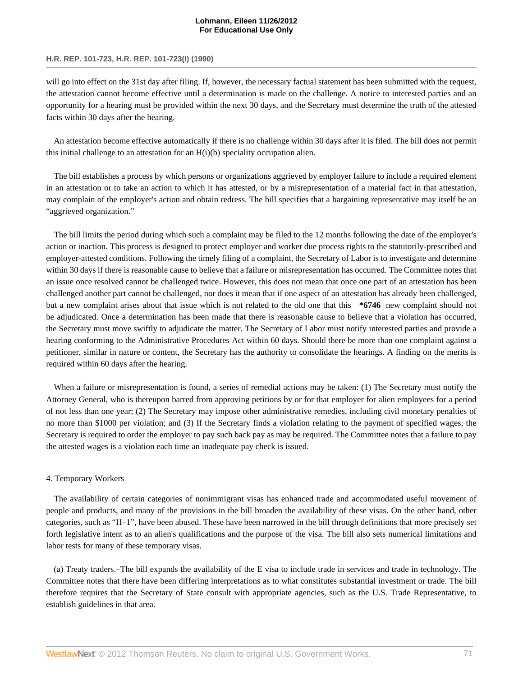#### **H.R. REP. 101-723, H.R. REP. 101-723(I) (1990)**

will go into effect on the 31st day after filing. If, however, the necessary factual statement has been submitted with the request, the attestation cannot become effective until a determination is made on the challenge. A notice to interested parties and an opportunity for a hearing must be provided within the next 30 days, and the Secretary must determine the truth of the attested facts within 30 days after the hearing.

An attestation become effective automatically if there is no challenge within 30 days after it is filed. The bill does not permit this initial challenge to an attestation for an H(i)(b) speciality occupation alien.

The bill establishes a process by which persons or organizations aggrieved by employer failure to include a required element in an attestation or to take an action to which it has attested, or by a misrepresentation of a material fact in that attestation, may complain of the employer's action and obtain redress. The bill specifies that a bargaining representative may itself be an "aggrieved organization."

The bill limits the period during which such a complaint may be filed to the 12 months following the date of the employer's action or inaction. This process is designed to protect employer and worker due process rights to the statutorily-prescribed and employer-attested conditions. Following the timely filing of a complaint, the Secretary of Labor is to investigate and determine within 30 days if there is reasonable cause to believe that a failure or misrepresentation has occurred. The Committee notes that an issue once resolved cannot be challenged twice. However, this does not mean that once one part of an attestation has been challenged another part cannot be challenged, nor does it mean that if one aspect of an attestation has already been challenged, but a new complaint arises about that issue which is not related to the old one that this **\*6746** new complaint should not be adjudicated. Once a determination has been made that there is reasonable cause to believe that a violation has occurred, the Secretary must move swiftly to adjudicate the matter. The Secretary of Labor must notify interested parties and provide a hearing conforming to the Administrative Procedures Act within 60 days. Should there be more than one complaint against a petitioner, similar in nature or content, the Secretary has the authority to consolidate the hearings. A finding on the merits is required within 60 days after the hearing.

When a failure or misrepresentation is found, a series of remedial actions may be taken: (1) The Secretary must notify the Attorney General, who is thereupon barred from approving petitions by or for that employer for alien employees for a period of not less than one year; (2) The Secretary may impose other administrative remedies, including civil monetary penalties of no more than \$1000 per violation; and (3) If the Secretary finds a violation relating to the payment of specified wages, the Secretary is required to order the employer to pay such back pay as may be required. The Committee notes that a failure to pay the attested wages is a violation each time an inadequate pay check is issued.

## 4. Temporary Workers

The availability of certain categories of nonimmigrant visas has enhanced trade and accommodated useful movement of people and products, and many of the provisions in the bill broaden the availability of these visas. On the other hand, other categories, such as "H–1", have been abused. These have been narrowed in the bill through definitions that more precisely set forth legislative intent as to an alien's qualifications and the purpose of the visa. The bill also sets numerical limitations and labor tests for many of these temporary visas.

(a) Treaty traders.–The bill expands the availability of the E visa to include trade in services and trade in technology. The Committee notes that there have been differing interpretations as to what constitutes substantial investment or trade. The bill therefore requires that the Secretary of State consult with appropriate agencies, such as the U.S. Trade Representative, to establish guidelines in that area.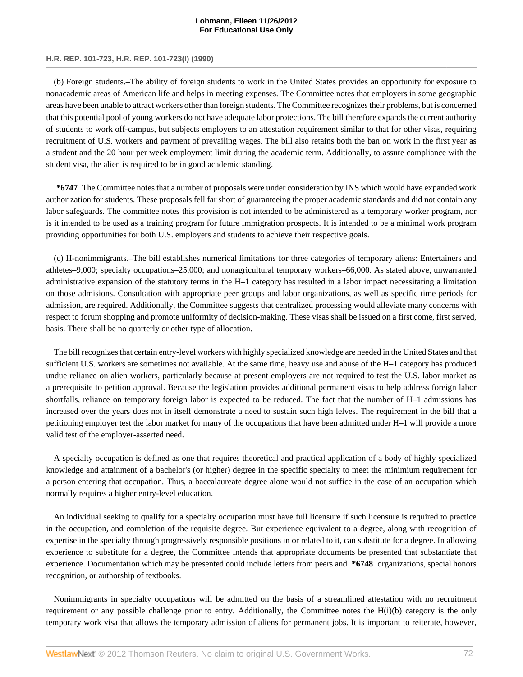#### **H.R. REP. 101-723, H.R. REP. 101-723(I) (1990)**

(b) Foreign students.–The ability of foreign students to work in the United States provides an opportunity for exposure to nonacademic areas of American life and helps in meeting expenses. The Committee notes that employers in some geographic areas have been unable to attract workers other than foreign students. The Committee recognizes their problems, but is concerned that this potential pool of young workers do not have adequate labor protections. The bill therefore expands the current authority of students to work off-campus, but subjects employers to an attestation requirement similar to that for other visas, requiring recruitment of U.S. workers and payment of prevailing wages. The bill also retains both the ban on work in the first year as a student and the 20 hour per week employment limit during the academic term. Additionally, to assure compliance with the student visa, the alien is required to be in good academic standing.

**\*6747** The Committee notes that a number of proposals were under consideration by INS which would have expanded work authorization for students. These proposals fell far short of guaranteeing the proper academic standards and did not contain any labor safeguards. The committee notes this provision is not intended to be administered as a temporary worker program, nor is it intended to be used as a training program for future immigration prospects. It is intended to be a minimal work program providing opportunities for both U.S. employers and students to achieve their respective goals.

(c) H-nonimmigrants.–The bill establishes numerical limitations for three categories of temporary aliens: Entertainers and athletes–9,000; specialty occupations–25,000; and nonagricultural temporary workers–66,000. As stated above, unwarranted administrative expansion of the statutory terms in the H–1 category has resulted in a labor impact necessitating a limitation on those admisions. Consultation with appropriate peer groups and labor organizations, as well as specific time periods for admission, are required. Additionally, the Committee suggests that centralized processing would alleviate many concerns with respect to forum shopping and promote uniformity of decision-making. These visas shall be issued on a first come, first served, basis. There shall be no quarterly or other type of allocation.

The bill recognizes that certain entry-level workers with highly specialized knowledge are needed in the United States and that sufficient U.S. workers are sometimes not available. At the same time, heavy use and abuse of the H–1 category has produced undue reliance on alien workers, particularly because at present employers are not required to test the U.S. labor market as a prerequisite to petition approval. Because the legislation provides additional permanent visas to help address foreign labor shortfalls, reliance on temporary foreign labor is expected to be reduced. The fact that the number of H–1 admissions has increased over the years does not in itself demonstrate a need to sustain such high lelves. The requirement in the bill that a petitioning employer test the labor market for many of the occupations that have been admitted under H–1 will provide a more valid test of the employer-asserted need.

A specialty occupation is defined as one that requires theoretical and practical application of a body of highly specialized knowledge and attainment of a bachelor's (or higher) degree in the specific specialty to meet the minimium requirement for a person entering that occupation. Thus, a baccalaureate degree alone would not suffice in the case of an occupation which normally requires a higher entry-level education.

An individual seeking to qualify for a specialty occupation must have full licensure if such licensure is required to practice in the occupation, and completion of the requisite degree. But experience equivalent to a degree, along with recognition of expertise in the specialty through progressively responsible positions in or related to it, can substitute for a degree. In allowing experience to substitute for a degree, the Committee intends that appropriate documents be presented that substantiate that experience. Documentation which may be presented could include letters from peers and **\*6748** organizations, special honors recognition, or authorship of textbooks.

Nonimmigrants in specialty occupations will be admitted on the basis of a streamlined attestation with no recruitment requirement or any possible challenge prior to entry. Additionally, the Committee notes the H(i)(b) category is the only temporary work visa that allows the temporary admission of aliens for permanent jobs. It is important to reiterate, however,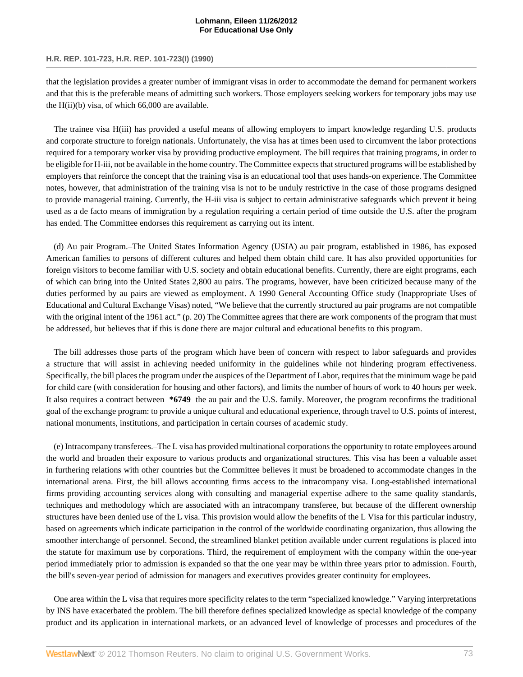### **H.R. REP. 101-723, H.R. REP. 101-723(I) (1990)**

that the legislation provides a greater number of immigrant visas in order to accommodate the demand for permanent workers and that this is the preferable means of admitting such workers. Those employers seeking workers for temporary jobs may use the H(ii)(b) visa, of which 66,000 are available.

The trainee visa H(iii) has provided a useful means of allowing employers to impart knowledge regarding U.S. products and corporate structure to foreign nationals. Unfortunately, the visa has at times been used to circumvent the labor protections required for a temporary worker visa by providing productive employment. The bill requires that training programs, in order to be eligible for H-iii, not be available in the home country. The Committee expects that structured programs will be established by employers that reinforce the concept that the training visa is an educational tool that uses hands-on experience. The Committee notes, however, that administration of the training visa is not to be unduly restrictive in the case of those programs designed to provide managerial training. Currently, the H-iii visa is subject to certain administrative safeguards which prevent it being used as a de facto means of immigration by a regulation requiring a certain period of time outside the U.S. after the program has ended. The Committee endorses this requirement as carrying out its intent.

(d) Au pair Program.–The United States Information Agency (USIA) au pair program, established in 1986, has exposed American families to persons of different cultures and helped them obtain child care. It has also provided opportunities for foreign visitors to become familiar with U.S. society and obtain educational benefits. Currently, there are eight programs, each of which can bring into the United States 2,800 au pairs. The programs, however, have been criticized because many of the duties performed by au pairs are viewed as employment. A 1990 General Accounting Office study (Inappropriate Uses of Educational and Cultural Exchange Visas) noted, "We believe that the currently structured au pair programs are not compatible with the original intent of the 1961 act." (p. 20) The Committee agrees that there are work components of the program that must be addressed, but believes that if this is done there are major cultural and educational benefits to this program.

The bill addresses those parts of the program which have been of concern with respect to labor safeguards and provides a structure that will assist in achieving needed uniformity in the guidelines while not hindering program effectiveness. Specifically, the bill places the program under the auspices of the Department of Labor, requires that the minimum wage be paid for child care (with consideration for housing and other factors), and limits the number of hours of work to 40 hours per week. It also requires a contract between **\*6749** the au pair and the U.S. family. Moreover, the program reconfirms the traditional goal of the exchange program: to provide a unique cultural and educational experience, through travel to U.S. points of interest, national monuments, institutions, and participation in certain courses of academic study.

(e) Intracompany transferees.–The L visa has provided multinational corporations the opportunity to rotate employees around the world and broaden their exposure to various products and organizational structures. This visa has been a valuable asset in furthering relations with other countries but the Committee believes it must be broadened to accommodate changes in the international arena. First, the bill allows accounting firms access to the intracompany visa. Long-established international firms providing accounting services along with consulting and managerial expertise adhere to the same quality standards, techniques and methodology which are associated with an intracompany transferee, but because of the different ownership structures have been denied use of the L visa. This provision would allow the benefits of the L Visa for this particular industry, based on agreements which indicate participation in the control of the worldwide coordinating organization, thus allowing the smoother interchange of personnel. Second, the streamlined blanket petition available under current regulations is placed into the statute for maximum use by corporations. Third, the requirement of employment with the company within the one-year period immediately prior to admission is expanded so that the one year may be within three years prior to admission. Fourth, the bill's seven-year period of admission for managers and executives provides greater continuity for employees.

One area within the L visa that requires more specificity relates to the term "specialized knowledge." Varying interpretations by INS have exacerbated the problem. The bill therefore defines specialized knowledge as special knowledge of the company product and its application in international markets, or an advanced level of knowledge of processes and procedures of the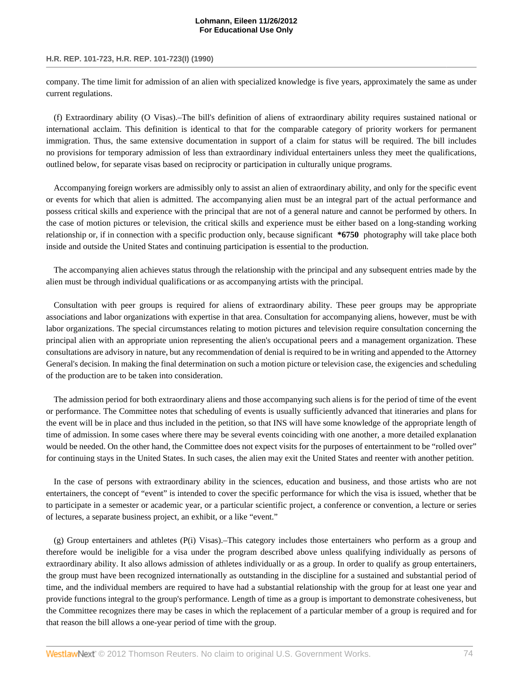### **H.R. REP. 101-723, H.R. REP. 101-723(I) (1990)**

company. The time limit for admission of an alien with specialized knowledge is five years, approximately the same as under current regulations.

(f) Extraordinary ability (O Visas).–The bill's definition of aliens of extraordinary ability requires sustained national or international acclaim. This definition is identical to that for the comparable category of priority workers for permanent immigration. Thus, the same extensive documentation in support of a claim for status will be required. The bill includes no provisions for temporary admission of less than extraordinary individual entertainers unless they meet the qualifications, outlined below, for separate visas based on reciprocity or participation in culturally unique programs.

Accompanying foreign workers are admissibly only to assist an alien of extraordinary ability, and only for the specific event or events for which that alien is admitted. The accompanying alien must be an integral part of the actual performance and possess critical skills and experience with the principal that are not of a general nature and cannot be performed by others. In the case of motion pictures or television, the critical skills and experience must be either based on a long-standing working relationship or, if in connection with a specific production only, because significant **\*6750** photography will take place both inside and outside the United States and continuing participation is essential to the production.

The accompanying alien achieves status through the relationship with the principal and any subsequent entries made by the alien must be through individual qualifications or as accompanying artists with the principal.

Consultation with peer groups is required for aliens of extraordinary ability. These peer groups may be appropriate associations and labor organizations with expertise in that area. Consultation for accompanying aliens, however, must be with labor organizations. The special circumstances relating to motion pictures and television require consultation concerning the principal alien with an appropriate union representing the alien's occupational peers and a management organization. These consultations are advisory in nature, but any recommendation of denial is required to be in writing and appended to the Attorney General's decision. In making the final determination on such a motion picture or television case, the exigencies and scheduling of the production are to be taken into consideration.

The admission period for both extraordinary aliens and those accompanying such aliens is for the period of time of the event or performance. The Committee notes that scheduling of events is usually sufficiently advanced that itineraries and plans for the event will be in place and thus included in the petition, so that INS will have some knowledge of the appropriate length of time of admission. In some cases where there may be several events coinciding with one another, a more detailed explanation would be needed. On the other hand, the Committee does not expect visits for the purposes of entertainment to be "rolled over" for continuing stays in the United States. In such cases, the alien may exit the United States and reenter with another petition.

In the case of persons with extraordinary ability in the sciences, education and business, and those artists who are not entertainers, the concept of "event" is intended to cover the specific performance for which the visa is issued, whether that be to participate in a semester or academic year, or a particular scientific project, a conference or convention, a lecture or series of lectures, a separate business project, an exhibit, or a like "event."

(g) Group entertainers and athletes (P(i) Visas).–This category includes those entertainers who perform as a group and therefore would be ineligible for a visa under the program described above unless qualifying individually as persons of extraordinary ability. It also allows admission of athletes individually or as a group. In order to qualify as group entertainers, the group must have been recognized internationally as outstanding in the discipline for a sustained and substantial period of time, and the individual members are required to have had a substantial relationship with the group for at least one year and provide functions integral to the group's performance. Length of time as a group is important to demonstrate cohesiveness, but the Committee recognizes there may be cases in which the replacement of a particular member of a group is required and for that reason the bill allows a one-year period of time with the group.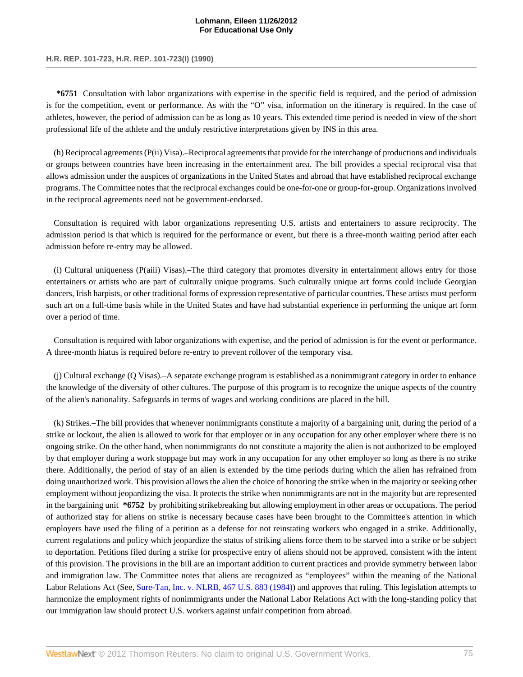### **H.R. REP. 101-723, H.R. REP. 101-723(I) (1990)**

**\*6751** Consultation with labor organizations with expertise in the specific field is required, and the period of admission is for the competition, event or performance. As with the "O" visa, information on the itinerary is required. In the case of athletes, however, the period of admission can be as long as 10 years. This extended time period is needed in view of the short professional life of the athlete and the unduly restrictive interpretations given by INS in this area.

(h) Reciprocal agreements (P(ii) Visa).–Reciprocal agreements that provide for the interchange of productions and individuals or groups between countries have been increasing in the entertainment area. The bill provides a special reciprocal visa that allows admission under the auspices of organizations in the United States and abroad that have established reciprocal exchange programs. The Committee notes that the reciprocal exchanges could be one-for-one or group-for-group. Organizations involved in the reciprocal agreements need not be government-endorsed.

Consultation is required with labor organizations representing U.S. artists and entertainers to assure reciprocity. The admission period is that which is required for the performance or event, but there is a three-month waiting period after each admission before re-entry may be allowed.

(i) Cultural uniqueness (P(aiii) Visas).–The third category that promotes diversity in entertainment allows entry for those entertainers or artists who are part of culturally unique programs. Such culturally unique art forms could include Georgian dancers, Irish harpists, or other traditional forms of expression representative of particular countries. These artists must perform such art on a full-time basis while in the United States and have had substantial experience in performing the unique art form over a period of time.

Consultation is required with labor organizations with expertise, and the period of admission is for the event or performance. A three-month hiatus is required before re-entry to prevent rollover of the temporary visa.

(j) Cultural exchange (Q Visas).–A separate exchange program is established as a nonimmigrant category in order to enhance the knowledge of the diversity of other cultures. The purpose of this program is to recognize the unique aspects of the country of the alien's nationality. Safeguards in terms of wages and working conditions are placed in the bill.

(k) Strikes.–The bill provides that whenever nonimmigrants constitute a majority of a bargaining unit, during the period of a strike or lockout, the alien is allowed to work for that employer or in any occupation for any other employer where there is no ongoing strike. On the other hand, when nonimmigrants do not constitute a majority the alien is not authorized to be employed by that employer during a work stoppage but may work in any occupation for any other employer so long as there is no strike there. Additionally, the period of stay of an alien is extended by the time periods during which the alien has refrained from doing unauthorized work. This provision allows the alien the choice of honoring the strike when in the majority or seeking other employment without jeopardizing the visa. It protects the strike when nonimmigrants are not in the majority but are represented in the bargaining unit **\*6752** by prohibiting strikebreaking but allowing employment in other areas or occupations. The period of authorized stay for aliens on strike is necessary because cases have been brought to the Committee's attention in which employers have used the filing of a petition as a defense for not reinstating workers who engaged in a strike. Additionally, current regulations and policy which jeopardize the status of striking aliens force them to be starved into a strike or be subject to deportation. Petitions filed during a strike for prospective entry of aliens should not be approved, consistent with the intent of this provision. The provisions in the bill are an important addition to current practices and provide symmetry between labor and immigration law. The Committee notes that aliens are recognized as "employees" within the meaning of the National Labor Relations Act (See, [Sure-Tan, Inc. v. NLRB, 467 U.S. 883 \(1984\)\)](http://www.westlaw.com/Link/Document/FullText?findType=Y&serNum=1984130738&pubNum=780&originationContext=document&vr=3.0&rs=cblt1.0&transitionType=DocumentItem&contextData=(sc.UserEnteredCitation)) and approves that ruling. This legislation attempts to harmonize the employment rights of nonimmigrants under the National Labor Relations Act with the long-standing policy that our immigration law should protect U.S. workers against unfair competition from abroad.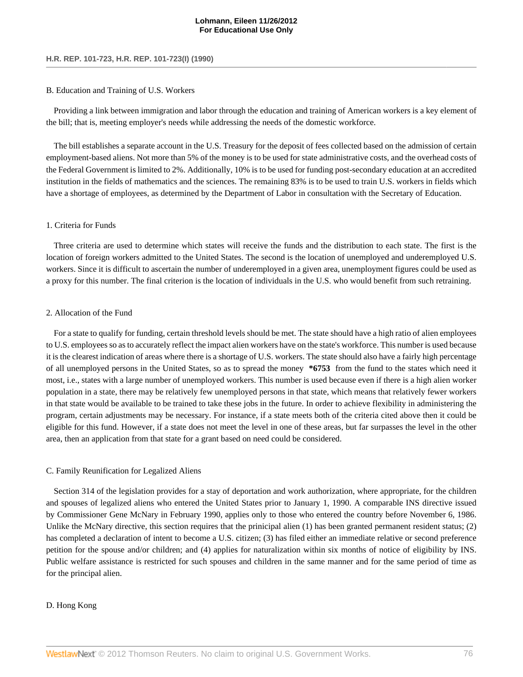### B. Education and Training of U.S. Workers

Providing a link between immigration and labor through the education and training of American workers is a key element of the bill; that is, meeting employer's needs while addressing the needs of the domestic workforce.

The bill establishes a separate account in the U.S. Treasury for the deposit of fees collected based on the admission of certain employment-based aliens. Not more than 5% of the money is to be used for state administrative costs, and the overhead costs of the Federal Government is limited to 2%. Additionally, 10% is to be used for funding post-secondary education at an accredited institution in the fields of mathematics and the sciences. The remaining 83% is to be used to train U.S. workers in fields which have a shortage of employees, as determined by the Department of Labor in consultation with the Secretary of Education.

### 1. Criteria for Funds

Three criteria are used to determine which states will receive the funds and the distribution to each state. The first is the location of foreign workers admitted to the United States. The second is the location of unemployed and underemployed U.S. workers. Since it is difficult to ascertain the number of underemployed in a given area, unemployment figures could be used as a proxy for this number. The final criterion is the location of individuals in the U.S. who would benefit from such retraining.

## 2. Allocation of the Fund

For a state to qualify for funding, certain threshold levels should be met. The state should have a high ratio of alien employees to U.S. employees so as to accurately reflect the impact alien workers have on the state's workforce. This number is used because it is the clearest indication of areas where there is a shortage of U.S. workers. The state should also have a fairly high percentage of all unemployed persons in the United States, so as to spread the money **\*6753** from the fund to the states which need it most, i.e., states with a large number of unemployed workers. This number is used because even if there is a high alien worker population in a state, there may be relatively few unemployed persons in that state, which means that relatively fewer workers in that state would be available to be trained to take these jobs in the future. In order to achieve flexibility in administering the program, certain adjustments may be necessary. For instance, if a state meets both of the criteria cited above then it could be eligible for this fund. However, if a state does not meet the level in one of these areas, but far surpasses the level in the other area, then an application from that state for a grant based on need could be considered.

### C. Family Reunification for Legalized Aliens

Section 314 of the legislation provides for a stay of deportation and work authorization, where appropriate, for the children and spouses of legalized aliens who entered the United States prior to January 1, 1990. A comparable INS directive issued by Commissioner Gene McNary in February 1990, applies only to those who entered the country before November 6, 1986. Unlike the McNary directive, this section requires that the prinicipal alien (1) has been granted permanent resident status; (2) has completed a declaration of intent to become a U.S. citizen; (3) has filed either an immediate relative or second preference petition for the spouse and/or children; and (4) applies for naturalization within six months of notice of eligibility by INS. Public welfare assistance is restricted for such spouses and children in the same manner and for the same period of time as for the principal alien.

### D. Hong Kong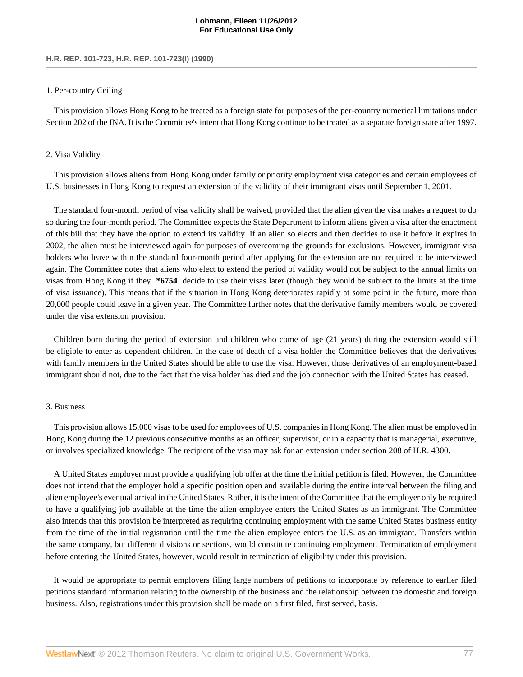### **H.R. REP. 101-723, H.R. REP. 101-723(I) (1990)**

### 1. Per-country Ceiling

This provision allows Hong Kong to be treated as a foreign state for purposes of the per-country numerical limitations under Section 202 of the INA. It is the Committee's intent that Hong Kong continue to be treated as a separate foreign state after 1997.

### 2. Visa Validity

This provision allows aliens from Hong Kong under family or priority employment visa categories and certain employees of U.S. businesses in Hong Kong to request an extension of the validity of their immigrant visas until September 1, 2001.

The standard four-month period of visa validity shall be waived, provided that the alien given the visa makes a request to do so during the four-month period. The Committee expects the State Department to inform aliens given a visa after the enactment of this bill that they have the option to extend its validity. If an alien so elects and then decides to use it before it expires in 2002, the alien must be interviewed again for purposes of overcoming the grounds for exclusions. However, immigrant visa holders who leave within the standard four-month period after applying for the extension are not required to be interviewed again. The Committee notes that aliens who elect to extend the period of validity would not be subject to the annual limits on visas from Hong Kong if they **\*6754** decide to use their visas later (though they would be subject to the limits at the time of visa issuance). This means that if the situation in Hong Kong deteriorates rapidly at some point in the future, more than 20,000 people could leave in a given year. The Committee further notes that the derivative family members would be covered under the visa extension provision.

Children born during the period of extension and children who come of age (21 years) during the extension would still be eligible to enter as dependent children. In the case of death of a visa holder the Committee believes that the derivatives with family members in the United States should be able to use the visa. However, those derivatives of an employment-based immigrant should not, due to the fact that the visa holder has died and the job connection with the United States has ceased.

### 3. Business

This provision allows 15,000 visas to be used for employees of U.S. companies in Hong Kong. The alien must be employed in Hong Kong during the 12 previous consecutive months as an officer, supervisor, or in a capacity that is managerial, executive, or involves specialized knowledge. The recipient of the visa may ask for an extension under section 208 of H.R. 4300.

A United States employer must provide a qualifying job offer at the time the initial petition is filed. However, the Committee does not intend that the employer hold a specific position open and available during the entire interval between the filing and alien employee's eventual arrival in the United States. Rather, it is the intent of the Committee that the employer only be required to have a qualifying job available at the time the alien employee enters the United States as an immigrant. The Committee also intends that this provision be interpreted as requiring continuing employment with the same United States business entity from the time of the initial registration until the time the alien employee enters the U.S. as an immigrant. Transfers within the same company, but different divisions or sections, would constitute continuing employment. Termination of employment before entering the United States, however, would result in termination of eligibility under this provision.

It would be appropriate to permit employers filing large numbers of petitions to incorporate by reference to earlier filed petitions standard information relating to the ownership of the business and the relationship between the domestic and foreign business. Also, registrations under this provision shall be made on a first filed, first served, basis.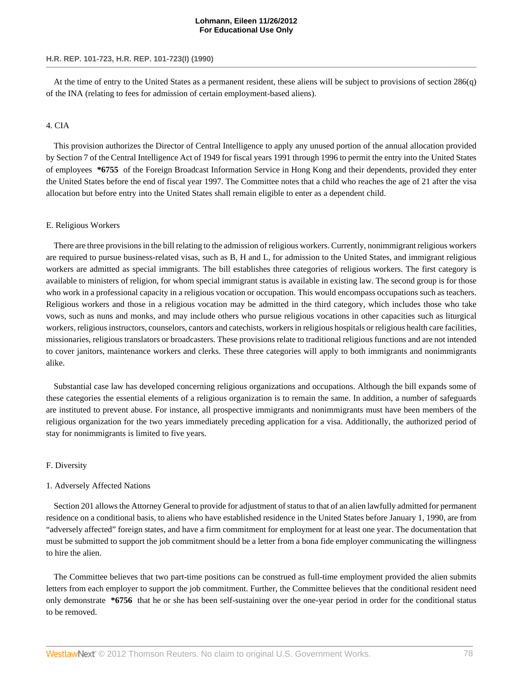### **H.R. REP. 101-723, H.R. REP. 101-723(I) (1990)**

At the time of entry to the United States as a permanent resident, these aliens will be subject to provisions of section 286(q) of the INA (relating to fees for admission of certain employment-based aliens).

# 4. CIA

This provision authorizes the Director of Central Intelligence to apply any unused portion of the annual allocation provided by Section 7 of the Central Intelligence Act of 1949 for fiscal years 1991 through 1996 to permit the entry into the United States of employees **\*6755** of the Foreign Broadcast Information Service in Hong Kong and their dependents, provided they enter the United States before the end of fiscal year 1997. The Committee notes that a child who reaches the age of 21 after the visa allocation but before entry into the United States shall remain eligible to enter as a dependent child.

### E. Religious Workers

There are three provisions in the bill relating to the admission of religious workers. Currently, nonimmigrant religious workers are required to pursue business-related visas, such as B, H and L, for admission to the United States, and immigrant religious workers are admitted as special immigrants. The bill establishes three categories of religious workers. The first category is available to ministers of religion, for whom special immigrant status is available in existing law. The second group is for those who work in a professional capacity in a religious vocation or occupation. This would encompass occupations such as teachers. Religious workers and those in a religious vocation may be admitted in the third category, which includes those who take vows, such as nuns and monks, and may include others who pursue religious vocations in other capacities such as liturgical workers, religious instructors, counselors, cantors and catechists, workers in religious hospitals or religious health care facilities, missionaries, religious translators or broadcasters. These provisions relate to traditional religious functions and are not intended to cover janitors, maintenance workers and clerks. These three categories will apply to both immigrants and nonimmigrants alike.

Substantial case law has developed concerning religious organizations and occupations. Although the bill expands some of these categories the essential elements of a religious organization is to remain the same. In addition, a number of safeguards are instituted to prevent abuse. For instance, all prospective immigrants and nonimmigrants must have been members of the religious organization for the two years immediately preceding application for a visa. Additionally, the authorized period of stay for nonimmigrants is limited to five years.

### F. Diversity

### 1. Adversely Affected Nations

Section 201 allows the Attorney General to provide for adjustment of status to that of an alien lawfully admitted for permanent residence on a conditional basis, to aliens who have established residence in the United States before January 1, 1990, are from "adversely affected" foreign states, and have a firm commitment for employment for at least one year. The documentation that must be submitted to support the job commitment should be a letter from a bona fide employer communicating the willingness to hire the alien.

The Committee believes that two part-time positions can be construed as full-time employment provided the alien submits letters from each employer to support the job commitment. Further, the Committee believes that the conditional resident need only demonstrate **\*6756** that he or she has been self-sustaining over the one-year period in order for the conditional status to be removed.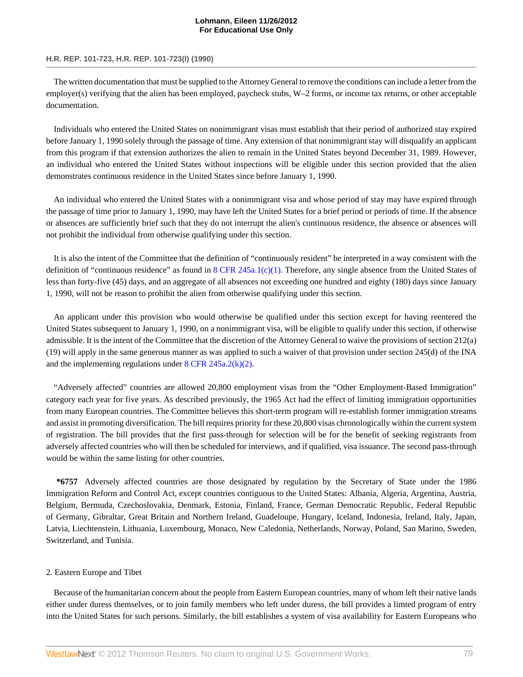### **H.R. REP. 101-723, H.R. REP. 101-723(I) (1990)**

The written documentation that must be supplied to the Attorney General to remove the conditions can include a letter from the employer(s) verifying that the alien has been employed, paycheck stubs, W–2 forms, or income tax returns, or other acceptable documentation.

Individuals who entered the United States on nonimmigrant visas must establish that their period of authorized stay expired before January 1, 1990 solely through the passage of time. Any extension of that nonimmigrant stay will disqualify an applicant from this program if that extension authorizes the alien to remain in the United States beyond December 31, 1989. However, an individual who entered the United States without inspections will be eligible under this section provided that the alien demonstrates continuous residence in the United States since before January 1, 1990.

An individual who entered the United States with a nonimmigrant visa and whose period of stay may have expired through the passage of time prior to January 1, 1990, may have left the United States for a brief period or periods of time. If the absence or absences are sufficiently brief such that they do not interrupt the alien's continuous residence, the absence or absences will not prohibit the individual from otherwise qualifying under this section.

It is also the intent of the Committee that the definition of "continuously resident" be interpreted in a way consistent with the definition of "continuous residence" as found in  $8$  CFR 245a.1(c)(1). Therefore, any single absence from the United States of less than forty-five (45) days, and an aggregate of all absences not exceeding one hundred and eighty (180) days since January 1, 1990, will not be reason to prohibit the alien from otherwise qualifying under this section.

An applicant under this provision who would otherwise be qualified under this section except for having reentered the United States subsequent to January 1, 1990, on a nonimmigrant visa, will be eligible to qualify under this section, if otherwise admissible. It is the intent of the Committee that the discretion of the Attorney General to waive the provisions of section 212(a) (19) will apply in the same generous manner as was applied to such a waiver of that provision under section 245(d) of the INA and the implementing regulations under [8 CFR 245a.2\(k\)\(2\)](http://www.westlaw.com/Link/Document/FullText?findType=L&pubNum=1000547&cite=8CFRS245A.2&originatingDoc=I520E9F60643311D9B7CECED691859821&refType=LQ&originationContext=document&vr=3.0&rs=cblt1.0&transitionType=DocumentItem&contextData=(sc.UserEnteredCitation)).

"Adversely affected" countries are allowed 20,800 employment visas from the "Other Employment-Based Immigration" category each year for five years. As described previously, the 1965 Act had the effect of limiting immigration opportunities from many European countries. The Committee believes this short-term program will re-establish former immigration streams and assist in promoting diversification. The bill requires priority for these 20,800 visas chronologically within the current system of registration. The bill provides that the first pass-through for selection will be for the benefit of seeking registrants from adversely affected countries who will then be scheduled for interviews, and if qualified, visa issuance. The second pass-through would be within the same listing for other countries.

**\*6757** Adversely affected countries are those designated by regulation by the Secretary of State under the 1986 Immigration Reform and Control Act, except countries contiguous to the United States: Albania, Algeria, Argentina, Austria, Belgium, Bermuda, Czechoslovakia, Denmark, Estonia, Finland, France, German Democratic Republic, Federal Republic of Germany, Gibraltar, Great Britain and Northern Ireland, Guadeloupe, Hungary, Iceland, Indonesia, Ireland, Italy, Japan, Latvia, Liechtenstein, Lithuania, Luxembourg, Monaco, New Caledonia, Netherlands, Norway, Poland, San Marino, Sweden, Switzerland, and Tunisia.

### 2. Eastern Europe and Tibet

Because of the humanitarian concern about the people from Eastern European countries, many of whom left their native lands either under duress themselves, or to join family members who left under duress, the bill provides a limted program of entry into the United States for such persons. Similarly, the bill establishes a system of visa availability for Eastern Europeans who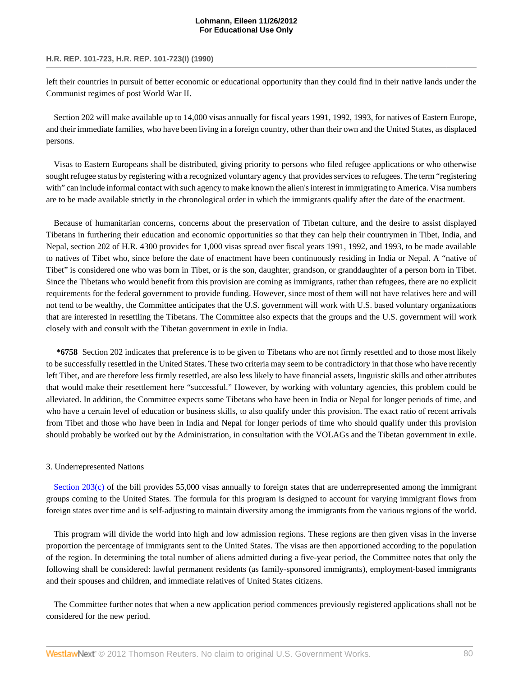### **H.R. REP. 101-723, H.R. REP. 101-723(I) (1990)**

left their countries in pursuit of better economic or educational opportunity than they could find in their native lands under the Communist regimes of post World War II.

Section 202 will make available up to 14,000 visas annually for fiscal years 1991, 1992, 1993, for natives of Eastern Europe, and their immediate families, who have been living in a foreign country, other than their own and the United States, as displaced persons.

Visas to Eastern Europeans shall be distributed, giving priority to persons who filed refugee applications or who otherwise sought refugee status by registering with a recognized voluntary agency that provides services to refugees. The term "registering with" can include informal contact with such agency to make known the alien's interest in immigrating to America. Visa numbers are to be made available strictly in the chronological order in which the immigrants qualify after the date of the enactment.

Because of humanitarian concerns, concerns about the preservation of Tibetan culture, and the desire to assist displayed Tibetans in furthering their education and economic opportunities so that they can help their countrymen in Tibet, India, and Nepal, section 202 of H.R. 4300 provides for 1,000 visas spread over fiscal years 1991, 1992, and 1993, to be made available to natives of Tibet who, since before the date of enactment have been continuously residing in India or Nepal. A "native of Tibet" is considered one who was born in Tibet, or is the son, daughter, grandson, or granddaughter of a person born in Tibet. Since the Tibetans who would benefit from this provision are coming as immigrants, rather than refugees, there are no explicit requirements for the federal government to provide funding. However, since most of them will not have relatives here and will not tend to be wealthy, the Committee anticipates that the U.S. government will work with U.S. based voluntary organizations that are interested in resettling the Tibetans. The Committee also expects that the groups and the U.S. government will work closely with and consult with the Tibetan government in exile in India.

**\*6758** Section 202 indicates that preference is to be given to Tibetans who are not firmly resettled and to those most likely to be successfully resettled in the United States. These two criteria may seem to be contradictory in that those who have recently left Tibet, and are therefore less firmly resettled, are also less likely to have financial assets, linguistic skills and other attributes that would make their resettlement here "successful." However, by working with voluntary agencies, this problem could be alleviated. In addition, the Committee expects some Tibetans who have been in India or Nepal for longer periods of time, and who have a certain level of education or business skills, to also qualify under this provision. The exact ratio of recent arrivals from Tibet and those who have been in India and Nepal for longer periods of time who should qualify under this provision should probably be worked out by the Administration, in consultation with the VOLAGs and the Tibetan government in exile.

### 3. Underrepresented Nations

[Section 203\(c\)](http://www.westlaw.com/Link/Document/FullText?findType=L&pubNum=1000546&cite=29USCAS203&originatingDoc=I520E9F60643311D9B7CECED691859821&refType=LQ&originationContext=document&vr=3.0&rs=cblt1.0&transitionType=DocumentItem&contextData=(sc.UserEnteredCitation)) of the bill provides 55,000 visas annually to foreign states that are underrepresented among the immigrant groups coming to the United States. The formula for this program is designed to account for varying immigrant flows from foreign states over time and is self-adjusting to maintain diversity among the immigrants from the various regions of the world.

This program will divide the world into high and low admission regions. These regions are then given visas in the inverse proportion the percentage of immigrants sent to the United States. The visas are then apportioned according to the population of the region. In determining the total number of aliens admitted during a five-year period, the Committee notes that only the following shall be considered: lawful permanent residents (as family-sponsored immigrants), employment-based immigrants and their spouses and children, and immediate relatives of United States citizens.

The Committee further notes that when a new application period commences previously registered applications shall not be considered for the new period.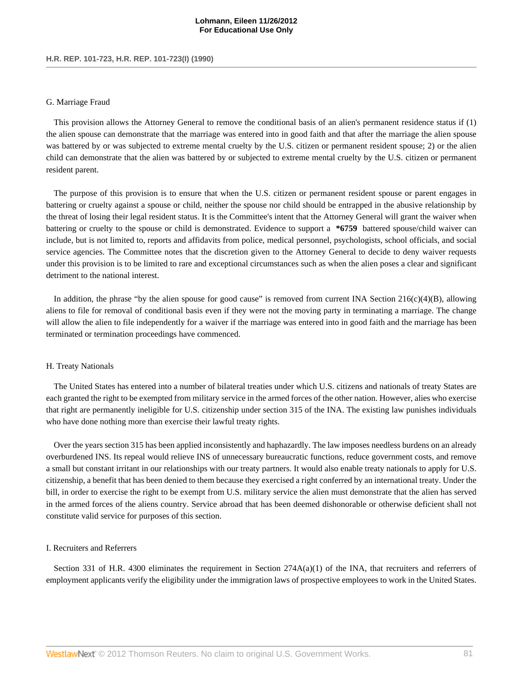### G. Marriage Fraud

This provision allows the Attorney General to remove the conditional basis of an alien's permanent residence status if (1) the alien spouse can demonstrate that the marriage was entered into in good faith and that after the marriage the alien spouse was battered by or was subjected to extreme mental cruelty by the U.S. citizen or permanent resident spouse; 2) or the alien child can demonstrate that the alien was battered by or subjected to extreme mental cruelty by the U.S. citizen or permanent resident parent.

The purpose of this provision is to ensure that when the U.S. citizen or permanent resident spouse or parent engages in battering or cruelty against a spouse or child, neither the spouse nor child should be entrapped in the abusive relationship by the threat of losing their legal resident status. It is the Committee's intent that the Attorney General will grant the waiver when battering or cruelty to the spouse or child is demonstrated. Evidence to support a **\*6759** battered spouse/child waiver can include, but is not limited to, reports and affidavits from police, medical personnel, psychologists, school officials, and social service agencies. The Committee notes that the discretion given to the Attorney General to decide to deny waiver requests under this provision is to be limited to rare and exceptional circumstances such as when the alien poses a clear and significant detriment to the national interest.

In addition, the phrase "by the alien spouse for good cause" is removed from current INA Section  $216(c)(4)(B)$ , allowing aliens to file for removal of conditional basis even if they were not the moving party in terminating a marriage. The change will allow the alien to file independently for a waiver if the marriage was entered into in good faith and the marriage has been terminated or termination proceedings have commenced.

#### H. Treaty Nationals

The United States has entered into a number of bilateral treaties under which U.S. citizens and nationals of treaty States are each granted the right to be exempted from military service in the armed forces of the other nation. However, alies who exercise that right are permanently ineligible for U.S. citizenship under section 315 of the INA. The existing law punishes individuals who have done nothing more than exercise their lawful treaty rights.

Over the years section 315 has been applied inconsistently and haphazardly. The law imposes needless burdens on an already overburdened INS. Its repeal would relieve INS of unnecessary bureaucratic functions, reduce government costs, and remove a small but constant irritant in our relationships with our treaty partners. It would also enable treaty nationals to apply for U.S. citizenship, a benefit that has been denied to them because they exercised a right conferred by an international treaty. Under the bill, in order to exercise the right to be exempt from U.S. military service the alien must demonstrate that the alien has served in the armed forces of the aliens country. Service abroad that has been deemed dishonorable or otherwise deficient shall not constitute valid service for purposes of this section.

### I. Recruiters and Referrers

Section 331 of H.R. 4300 eliminates the requirement in Section  $274A(a)(1)$  of the INA, that recruiters and referrers of employment applicants verify the eligibility under the immigration laws of prospective employees to work in the United States.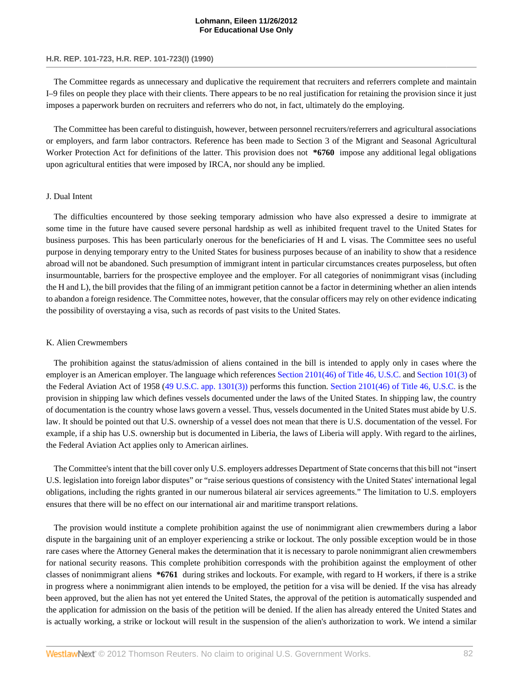#### **H.R. REP. 101-723, H.R. REP. 101-723(I) (1990)**

The Committee regards as unnecessary and duplicative the requirement that recruiters and referrers complete and maintain I–9 files on people they place with their clients. There appears to be no real justification for retaining the provision since it just imposes a paperwork burden on recruiters and referrers who do not, in fact, ultimately do the employing.

The Committee has been careful to distinguish, however, between personnel recruiters/referrers and agricultural associations or employers, and farm labor contractors. Reference has been made to Section 3 of the Migrant and Seasonal Agricultural Worker Protection Act for definitions of the latter. This provision does not **\*6760** impose any additional legal obligations upon agricultural entities that were imposed by IRCA, nor should any be implied.

# J. Dual Intent

The difficulties encountered by those seeking temporary admission who have also expressed a desire to immigrate at some time in the future have caused severe personal hardship as well as inhibited frequent travel to the United States for business purposes. This has been particularly onerous for the beneficiaries of H and L visas. The Committee sees no useful purpose in denying temporary entry to the United States for business purposes because of an inability to show that a residence abroad will not be abandoned. Such presumption of immigrant intent in particular circumstances creates purposeless, but often insurmountable, barriers for the prospective employee and the employer. For all categories of nonimmigrant visas (including the H and L), the bill provides that the filing of an immigrant petition cannot be a factor in determining whether an alien intends to abandon a foreign residence. The Committee notes, however, that the consular officers may rely on other evidence indicating the possibility of overstaying a visa, such as records of past visits to the United States.

# K. Alien Crewmembers

The prohibition against the status/admission of aliens contained in the bill is intended to apply only in cases where the employer is an American employer. The language which references [Section 2101\(46\) of Title 46, U.S.C.](http://www.westlaw.com/Link/Document/FullText?findType=L&pubNum=1000546&cite=46USCAS2101&originatingDoc=I520E9F60643311D9B7CECED691859821&refType=LQ&originationContext=document&vr=3.0&rs=cblt1.0&transitionType=DocumentItem&contextData=(sc.UserEnteredCitation)) and [Section 101\(3\)](http://www.westlaw.com/Link/Document/FullText?findType=L&pubNum=1000546&cite=29USCAS101&originatingDoc=I520E9F60643311D9B7CECED691859821&refType=LQ&originationContext=document&vr=3.0&rs=cblt1.0&transitionType=DocumentItem&contextData=(sc.UserEnteredCitation)) of the Federal Aviation Act of 1958 [\(49 U.S.C. app. 1301\(3\)\)](http://www.westlaw.com/Link/Document/FullText?findType=L&pubNum=1000546&cite=49APPUSCAS1301&originatingDoc=I520E9F60643311D9B7CECED691859821&refType=LQ&originationContext=document&vr=3.0&rs=cblt1.0&transitionType=DocumentItem&contextData=(sc.UserEnteredCitation)) performs this function. [Section 2101\(46\) of Title 46, U.S.C.](http://www.westlaw.com/Link/Document/FullText?findType=L&pubNum=1000546&cite=46USCAS2101&originatingDoc=I520E9F60643311D9B7CECED691859821&refType=LQ&originationContext=document&vr=3.0&rs=cblt1.0&transitionType=DocumentItem&contextData=(sc.UserEnteredCitation)) is the provision in shipping law which defines vessels documented under the laws of the United States. In shipping law, the country of documentation is the country whose laws govern a vessel. Thus, vessels documented in the United States must abide by U.S. law. It should be pointed out that U.S. ownership of a vessel does not mean that there is U.S. documentation of the vessel. For example, if a ship has U.S. ownership but is documented in Liberia, the laws of Liberia will apply. With regard to the airlines, the Federal Aviation Act applies only to American airlines.

The Committee's intent that the bill cover only U.S. employers addresses Department of State concerns that this bill not "insert U.S. legislation into foreign labor disputes" or "raise serious questions of consistency with the United States' international legal obligations, including the rights granted in our numerous bilateral air services agreements." The limitation to U.S. employers ensures that there will be no effect on our international air and maritime transport relations.

The provision would institute a complete prohibition against the use of nonimmigrant alien crewmembers during a labor dispute in the bargaining unit of an employer experiencing a strike or lockout. The only possible exception would be in those rare cases where the Attorney General makes the determination that it is necessary to parole nonimmigrant alien crewmembers for national security reasons. This complete prohibition corresponds with the prohibition against the employment of other classes of nonimmigrant aliens **\*6761** during strikes and lockouts. For example, with regard to H workers, if there is a strike in progress where a nonimmigrant alien intends to be employed, the petition for a visa will be denied. If the visa has already been approved, but the alien has not yet entered the United States, the approval of the petition is automatically suspended and the application for admission on the basis of the petition will be denied. If the alien has already entered the United States and is actually working, a strike or lockout will result in the suspension of the alien's authorization to work. We intend a similar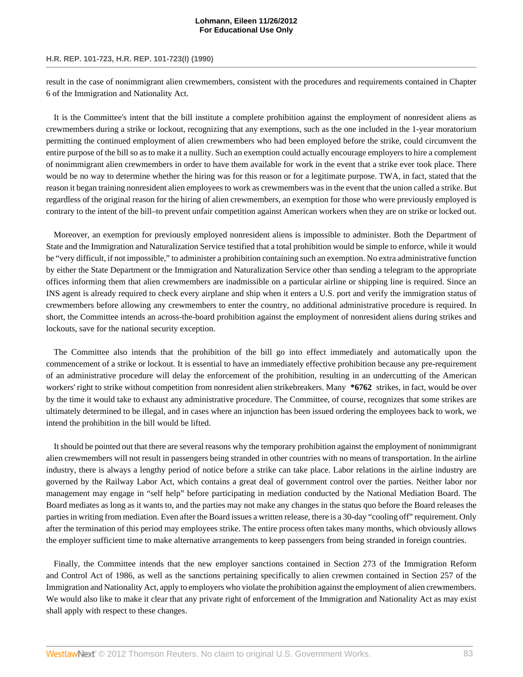### **H.R. REP. 101-723, H.R. REP. 101-723(I) (1990)**

result in the case of nonimmigrant alien crewmembers, consistent with the procedures and requirements contained in Chapter 6 of the Immigration and Nationality Act.

It is the Committee's intent that the bill institute a complete prohibition against the employment of nonresident aliens as crewmembers during a strike or lockout, recognizing that any exemptions, such as the one included in the 1-year moratorium permitting the continued employment of alien crewmembers who had been employed before the strike, could circumvent the entire purpose of the bill so as to make it a nullity. Such an exemption could actually encourage employers to hire a complement of nonimmigrant alien crewmembers in order to have them available for work in the event that a strike ever took place. There would be no way to determine whether the hiring was for this reason or for a legitimate purpose. TWA, in fact, stated that the reason it began training nonresident alien employees to work as crewmembers was in the event that the union called a strike. But regardless of the original reason for the hiring of alien crewmembers, an exemption for those who were previously employed is contrary to the intent of the bill–to prevent unfair competition against American workers when they are on strike or locked out.

Moreover, an exemption for previously employed nonresident aliens is impossible to administer. Both the Department of State and the Immigration and Naturalization Service testified that a total prohibition would be simple to enforce, while it would be "very difficult, if not impossible," to administer a prohibition containing such an exemption. No extra administrative function by either the State Department or the Immigration and Naturalization Service other than sending a telegram to the appropriate offices informing them that alien crewmembers are inadmissible on a particular airline or shipping line is required. Since an INS agent is already required to check every airplane and ship when it enters a U.S. port and verify the immigration status of crewmembers before allowing any crewmembers to enter the country, no additional administrative procedure is required. In short, the Committee intends an across-the-board prohibition against the employment of nonresident aliens during strikes and lockouts, save for the national security exception.

The Committee also intends that the prohibition of the bill go into effect immediately and automatically upon the commencement of a strike or lockout. It is essential to have an immediately effective prohibition because any pre-requirement of an administrative procedure will delay the enforcement of the prohibition, resulting in an undercutting of the American workers' right to strike without competition from nonresident alien strikebreakers. Many **\*6762** strikes, in fact, would be over by the time it would take to exhaust any administrative procedure. The Committee, of course, recognizes that some strikes are ultimately determined to be illegal, and in cases where an injunction has been issued ordering the employees back to work, we intend the prohibition in the bill would be lifted.

It should be pointed out that there are several reasons why the temporary prohibition against the employment of nonimmigrant alien crewmembers will not result in passengers being stranded in other countries with no means of transportation. In the airline industry, there is always a lengthy period of notice before a strike can take place. Labor relations in the airline industry are governed by the Railway Labor Act, which contains a great deal of government control over the parties. Neither labor nor management may engage in "self help" before participating in mediation conducted by the National Mediation Board. The Board mediates as long as it wants to, and the parties may not make any changes in the status quo before the Board releases the parties in writing from mediation. Even after the Board issues a written release, there is a 30-day "cooling off" requirement. Only after the termination of this period may employees strike. The entire process often takes many months, which obviously allows the employer sufficient time to make alternative arrangements to keep passengers from being stranded in foreign countries.

Finally, the Committee intends that the new employer sanctions contained in Section 273 of the Immigration Reform and Control Act of 1986, as well as the sanctions pertaining specifically to alien crewmen contained in Section 257 of the Immigration and Nationality Act, apply to employers who violate the prohibition against the employment of alien crewmembers. We would also like to make it clear that any private right of enforcement of the Immigration and Nationality Act as may exist shall apply with respect to these changes.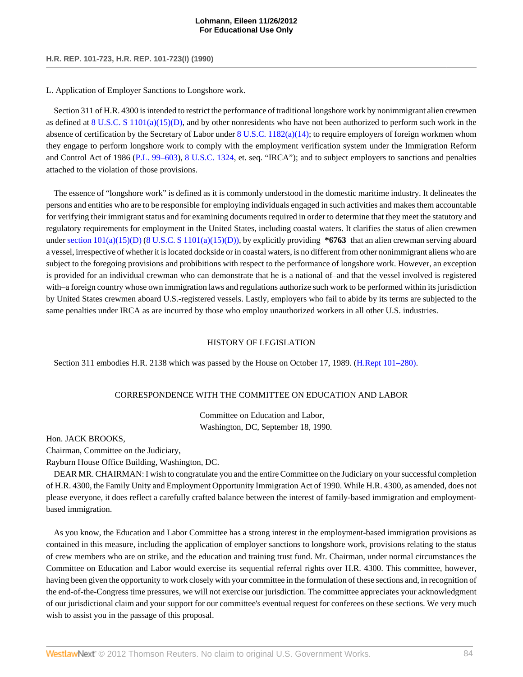L. Application of Employer Sanctions to Longshore work.

Section 311 of H.R. 4300 is intended to restrict the performance of traditional longshore work by nonimmigrant alien crewmen as defined at [8 U.S.C. S 1101\(a\)\(15\)\(D\),](http://www.westlaw.com/Link/Document/FullText?findType=L&pubNum=1000546&cite=8USCAS1101&originatingDoc=I520E9F60643311D9B7CECED691859821&refType=LQ&originationContext=document&vr=3.0&rs=cblt1.0&transitionType=DocumentItem&contextData=(sc.UserEnteredCitation)) and by other nonresidents who have not been authorized to perform such work in the absence of certification by the Secretary of Labor under  $8 \text{ U.S.C. } 1182(a)(14)$ ; to require employers of foreign workmen whom they engage to perform longshore work to comply with the employment verification system under the Immigration Reform and Control Act of 1986 ([P.L. 99–603](http://www.westlaw.com/Link/Document/FullText?findType=l&pubNum=1077005&cite=UUID(I975076B8DB-D349DBB749E-C8B81BBE0BB)&originationContext=document&vr=3.0&rs=cblt1.0&transitionType=DocumentItem&contextData=(sc.UserEnteredCitation))), [8 U.S.C. 1324,](http://www.westlaw.com/Link/Document/FullText?findType=L&pubNum=1000546&cite=8USCAS1324&originatingDoc=I520E9F60643311D9B7CECED691859821&refType=LQ&originationContext=document&vr=3.0&rs=cblt1.0&transitionType=DocumentItem&contextData=(sc.UserEnteredCitation)) et. seq. "IRCA"); and to subject employers to sanctions and penalties attached to the violation of those provisions.

The essence of "longshore work" is defined as it is commonly understood in the domestic maritime industry. It delineates the persons and entities who are to be responsible for employing individuals engaged in such activities and makes them accountable for verifying their immigrant status and for examining documents required in order to determine that they meet the statutory and regulatory requirements for employment in the United States, including coastal waters. It clarifies the status of alien crewmen under section  $101(a)(15)(D)$  (8 U.S.C. S  $1101(a)(15)(D)$ ), by explicitly providing \*6763 that an alien crewman serving aboard a vessel, irrespective of whether it is located dockside or in coastal waters, is no different from other nonimmigrant aliens who are subject to the foregoing provisions and probibitions with respect to the performance of longshore work. However, an exception is provided for an individual crewman who can demonstrate that he is a national of–and that the vessel involved is registered with–a foreign country whose own immigration laws and regulations authorize such work to be performed within its jurisdiction by United States crewmen aboard U.S.-registered vessels. Lastly, employers who fail to abide by its terms are subjected to the same penalties under IRCA as are incurred by those who employ unauthorized workers in all other U.S. industries.

### HISTORY OF LEGISLATION

Section 311 embodies H.R. 2138 which was passed by the House on October 17, 1989. ([H.Rept 101–280\)](http://www.westlaw.com/Link/Document/FullText?findType=Y&pubNum=0100014&cite=HRREP101-280&originationContext=document&vr=3.0&rs=cblt1.0&transitionType=DocumentItem&contextData=(sc.UserEnteredCitation)).

# CORRESPONDENCE WITH THE COMMITTEE ON EDUCATION AND LABOR

Committee on Education and Labor, Washington, DC, September 18, 1990.

Hon. JACK BROOKS,

Chairman, Committee on the Judiciary,

Rayburn House Office Building, Washington, DC.

DEAR MR. CHAIRMAN: I wish to congratulate you and the entire Committee on the Judiciary on your successful completion of H.R. 4300, the Family Unity and Employment Opportunity Immigration Act of 1990. While H.R. 4300, as amended, does not please everyone, it does reflect a carefully crafted balance between the interest of family-based immigration and employmentbased immigration.

As you know, the Education and Labor Committee has a strong interest in the employment-based immigration provisions as contained in this measure, including the application of employer sanctions to longshore work, provisions relating to the status of crew members who are on strike, and the education and training trust fund. Mr. Chairman, under normal circumstances the Committee on Education and Labor would exercise its sequential referral rights over H.R. 4300. This committee, however, having been given the opportunity to work closely with your committee in the formulation of these sections and, in recognition of the end-of-the-Congress time pressures, we will not exercise our jurisdiction. The committee appreciates your acknowledgment of our jurisdictional claim and your support for our committee's eventual request for conferees on these sections. We very much wish to assist you in the passage of this proposal.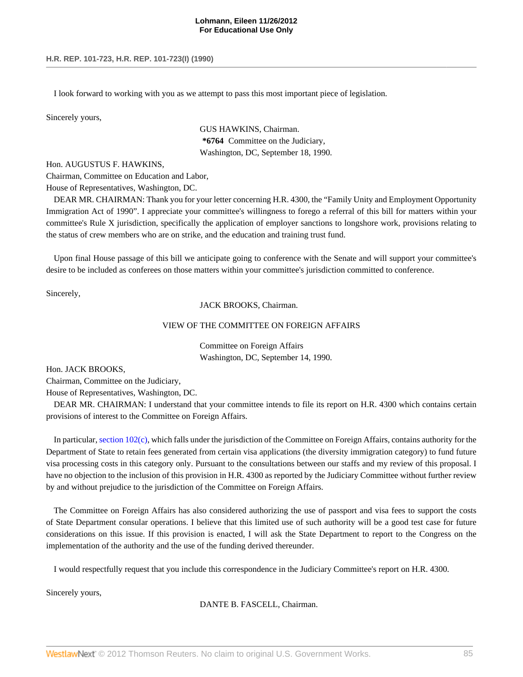### **H.R. REP. 101-723, H.R. REP. 101-723(I) (1990)**

I look forward to working with you as we attempt to pass this most important piece of legislation.

Sincerely yours,

GUS HAWKINS, Chairman. **\*6764** Committee on the Judiciary, Washington, DC, September 18, 1990.

Hon. AUGUSTUS F. HAWKINS,

Chairman, Committee on Education and Labor,

House of Representatives, Washington, DC.

DEAR MR. CHAIRMAN: Thank you for your letter concerning H.R. 4300, the "Family Unity and Employment Opportunity Immigration Act of 1990". I appreciate your committee's willingness to forego a referral of this bill for matters within your committee's Rule X jurisdiction, specifically the application of employer sanctions to longshore work, provisions relating to the status of crew members who are on strike, and the education and training trust fund.

Upon final House passage of this bill we anticipate going to conference with the Senate and will support your committee's desire to be included as conferees on those matters within your committee's jurisdiction committed to conference.

Sincerely,

JACK BROOKS, Chairman.

### VIEW OF THE COMMITTEE ON FOREIGN AFFAIRS

Committee on Foreign Affairs Washington, DC, September 14, 1990.

Hon. JACK BROOKS,

Chairman, Committee on the Judiciary,

House of Representatives, Washington, DC.

DEAR MR. CHAIRMAN: I understand that your committee intends to file its report on H.R. 4300 which contains certain provisions of interest to the Committee on Foreign Affairs.

In particular, [section 102\(c\),](http://www.westlaw.com/Link/Document/FullText?findType=L&pubNum=1000546&cite=29USCAS102&originatingDoc=I520E9F60643311D9B7CECED691859821&refType=LQ&originationContext=document&vr=3.0&rs=cblt1.0&transitionType=DocumentItem&contextData=(sc.UserEnteredCitation)) which falls under the jurisdiction of the Committee on Foreign Affairs, contains authority for the Department of State to retain fees generated from certain visa applications (the diversity immigration category) to fund future visa processing costs in this category only. Pursuant to the consultations between our staffs and my review of this proposal. I have no objection to the inclusion of this provision in H.R. 4300 as reported by the Judiciary Committee without further review by and without prejudice to the jurisdiction of the Committee on Foreign Affairs.

The Committee on Foreign Affairs has also considered authorizing the use of passport and visa fees to support the costs of State Department consular operations. I believe that this limited use of such authority will be a good test case for future considerations on this issue. If this provision is enacted, I will ask the State Department to report to the Congress on the implementation of the authority and the use of the funding derived thereunder.

I would respectfully request that you include this correspondence in the Judiciary Committee's report on H.R. 4300.

Sincerely yours,

DANTE B. FASCELL, Chairman.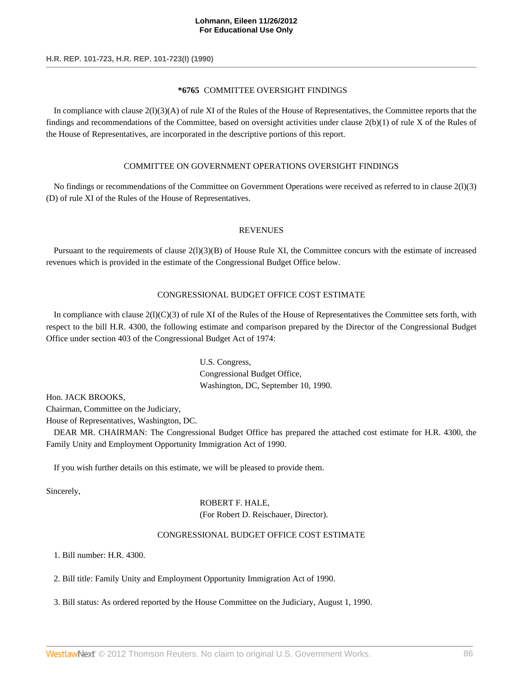### **\*6765** COMMITTEE OVERSIGHT FINDINGS

In compliance with clause  $2(1)(3)(A)$  of rule XI of the Rules of the House of Representatives, the Committee reports that the findings and recommendations of the Committee, based on oversight activities under clause 2(b)(1) of rule X of the Rules of the House of Representatives, are incorporated in the descriptive portions of this report.

### COMMITTEE ON GOVERNMENT OPERATIONS OVERSIGHT FINDINGS

No findings or recommendations of the Committee on Government Operations were received as referred to in clause 2(l)(3) (D) of rule XI of the Rules of the House of Representatives.

# REVENUES

Pursuant to the requirements of clause 2(l)(3)(B) of House Rule XI, the Committee concurs with the estimate of increased revenues which is provided in the estimate of the Congressional Budget Office below.

### CONGRESSIONAL BUDGET OFFICE COST ESTIMATE

In compliance with clause  $2(l)(C)(3)$  of rule XI of the Rules of the House of Representatives the Committee sets forth, with respect to the bill H.R. 4300, the following estimate and comparison prepared by the Director of the Congressional Budget Office under section 403 of the Congressional Budget Act of 1974:

> U.S. Congress, Congressional Budget Office, Washington, DC, September 10, 1990.

Hon. JACK BROOKS,

Chairman, Committee on the Judiciary,

House of Representatives, Washington, DC.

DEAR MR. CHAIRMAN: The Congressional Budget Office has prepared the attached cost estimate for H.R. 4300, the Family Unity and Employment Opportunity Immigration Act of 1990.

If you wish further details on this estimate, we will be pleased to provide them.

Sincerely,

#### ROBERT F. HALE,

(For Robert D. Reischauer, Director).

# CONGRESSIONAL BUDGET OFFICE COST ESTIMATE

1. Bill number: H.R. 4300.

2. Bill title: Family Unity and Employment Opportunity Immigration Act of 1990.

3. Bill status: As ordered reported by the House Committee on the Judiciary, August 1, 1990.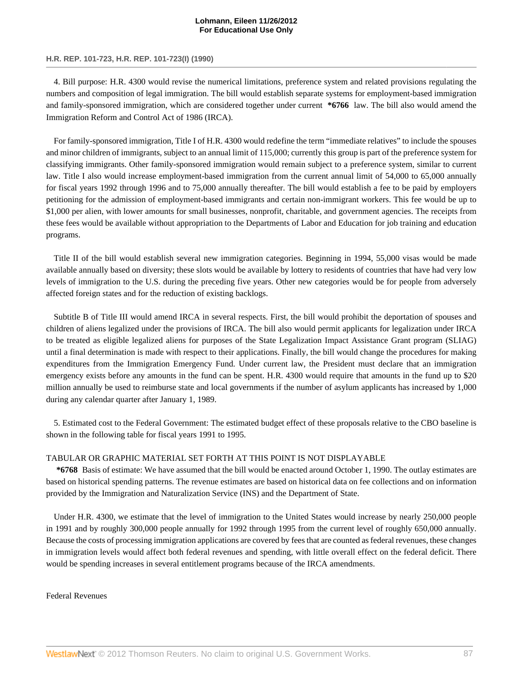### **H.R. REP. 101-723, H.R. REP. 101-723(I) (1990)**

4. Bill purpose: H.R. 4300 would revise the numerical limitations, preference system and related provisions regulating the numbers and composition of legal immigration. The bill would establish separate systems for employment-based immigration and family-sponsored immigration, which are considered together under current **\*6766** law. The bill also would amend the Immigration Reform and Control Act of 1986 (IRCA).

For family-sponsored immigration, Title I of H.R. 4300 would redefine the term "immediate relatives" to include the spouses and minor children of immigrants, subject to an annual limit of 115,000; currently this group is part of the preference system for classifying immigrants. Other family-sponsored immigration would remain subject to a preference system, similar to current law. Title I also would increase employment-based immigration from the current annual limit of 54,000 to 65,000 annually for fiscal years 1992 through 1996 and to 75,000 annually thereafter. The bill would establish a fee to be paid by employers petitioning for the admission of employment-based immigrants and certain non-immigrant workers. This fee would be up to \$1,000 per alien, with lower amounts for small businesses, nonprofit, charitable, and government agencies. The receipts from these fees would be available without appropriation to the Departments of Labor and Education for job training and education programs.

Title II of the bill would establish several new immigration categories. Beginning in 1994, 55,000 visas would be made available annually based on diversity; these slots would be available by lottery to residents of countries that have had very low levels of immigration to the U.S. during the preceding five years. Other new categories would be for people from adversely affected foreign states and for the reduction of existing backlogs.

Subtitle B of Title III would amend IRCA in several respects. First, the bill would prohibit the deportation of spouses and children of aliens legalized under the provisions of IRCA. The bill also would permit applicants for legalization under IRCA to be treated as eligible legalized aliens for purposes of the State Legalization Impact Assistance Grant program (SLIAG) until a final determination is made with respect to their applications. Finally, the bill would change the procedures for making expenditures from the Immigration Emergency Fund. Under current law, the President must declare that an immigration emergency exists before any amounts in the fund can be spent. H.R. 4300 would require that amounts in the fund up to \$20 million annually be used to reimburse state and local governments if the number of asylum applicants has increased by 1,000 during any calendar quarter after January 1, 1989.

5. Estimated cost to the Federal Government: The estimated budget effect of these proposals relative to the CBO baseline is shown in the following table for fiscal years 1991 to 1995.

# TABULAR OR GRAPHIC MATERIAL SET FORTH AT THIS POINT IS NOT DISPLAYABLE

**\*6768** Basis of estimate: We have assumed that the bill would be enacted around October 1, 1990. The outlay estimates are based on historical spending patterns. The revenue estimates are based on historical data on fee collections and on information provided by the Immigration and Naturalization Service (INS) and the Department of State.

Under H.R. 4300, we estimate that the level of immigration to the United States would increase by nearly 250,000 people in 1991 and by roughly 300,000 people annually for 1992 through 1995 from the current level of roughly 650,000 annually. Because the costs of processing immigration applications are covered by fees that are counted as federal revenues, these changes in immigration levels would affect both federal revenues and spending, with little overall effect on the federal deficit. There would be spending increases in several entitlement programs because of the IRCA amendments.

Federal Revenues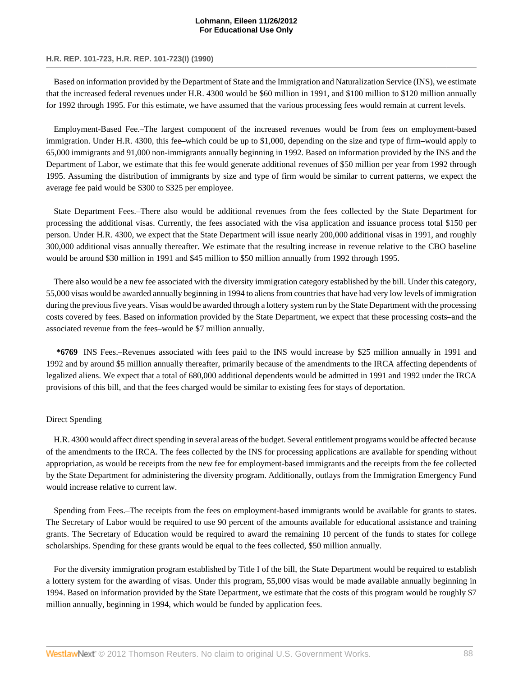### **H.R. REP. 101-723, H.R. REP. 101-723(I) (1990)**

Based on information provided by the Department of State and the Immigration and Naturalization Service (INS), we estimate that the increased federal revenues under H.R. 4300 would be \$60 million in 1991, and \$100 million to \$120 million annually for 1992 through 1995. For this estimate, we have assumed that the various processing fees would remain at current levels.

Employment-Based Fee.–The largest component of the increased revenues would be from fees on employment-based immigration. Under H.R. 4300, this fee–which could be up to \$1,000, depending on the size and type of firm–would apply to 65,000 immigrants and 91,000 non-immigrants annually beginning in 1992. Based on information provided by the INS and the Department of Labor, we estimate that this fee would generate additional revenues of \$50 million per year from 1992 through 1995. Assuming the distribution of immigrants by size and type of firm would be similar to current patterns, we expect the average fee paid would be \$300 to \$325 per employee.

State Department Fees.–There also would be additional revenues from the fees collected by the State Department for processing the additional visas. Currently, the fees associated with the visa application and issuance process total \$150 per person. Under H.R. 4300, we expect that the State Department will issue nearly 200,000 additional visas in 1991, and roughly 300,000 additional visas annually thereafter. We estimate that the resulting increase in revenue relative to the CBO baseline would be around \$30 million in 1991 and \$45 million to \$50 million annually from 1992 through 1995.

There also would be a new fee associated with the diversity immigration category established by the bill. Under this category, 55,000 visas would be awarded annually beginning in 1994 to aliens from countries that have had very low levels of immigration during the previous five years. Visas would be awarded through a lottery system run by the State Department with the processing costs covered by fees. Based on information provided by the State Department, we expect that these processing costs–and the associated revenue from the fees–would be \$7 million annually.

**\*6769** INS Fees.–Revenues associated with fees paid to the INS would increase by \$25 million annually in 1991 and 1992 and by around \$5 million annually thereafter, primarily because of the amendments to the IRCA affecting dependents of legalized aliens. We expect that a total of 680,000 additional dependents would be admitted in 1991 and 1992 under the IRCA provisions of this bill, and that the fees charged would be similar to existing fees for stays of deportation.

### Direct Spending

H.R. 4300 would affect direct spending in several areas of the budget. Several entitlement programs would be affected because of the amendments to the IRCA. The fees collected by the INS for processing applications are available for spending without appropriation, as would be receipts from the new fee for employment-based immigrants and the receipts from the fee collected by the State Department for administering the diversity program. Additionally, outlays from the Immigration Emergency Fund would increase relative to current law.

Spending from Fees.–The receipts from the fees on employment-based immigrants would be available for grants to states. The Secretary of Labor would be required to use 90 percent of the amounts available for educational assistance and training grants. The Secretary of Education would be required to award the remaining 10 percent of the funds to states for college scholarships. Spending for these grants would be equal to the fees collected, \$50 million annually.

For the diversity immigration program established by Title I of the bill, the State Department would be required to establish a lottery system for the awarding of visas. Under this program, 55,000 visas would be made available annually beginning in 1994. Based on information provided by the State Department, we estimate that the costs of this program would be roughly \$7 million annually, beginning in 1994, which would be funded by application fees.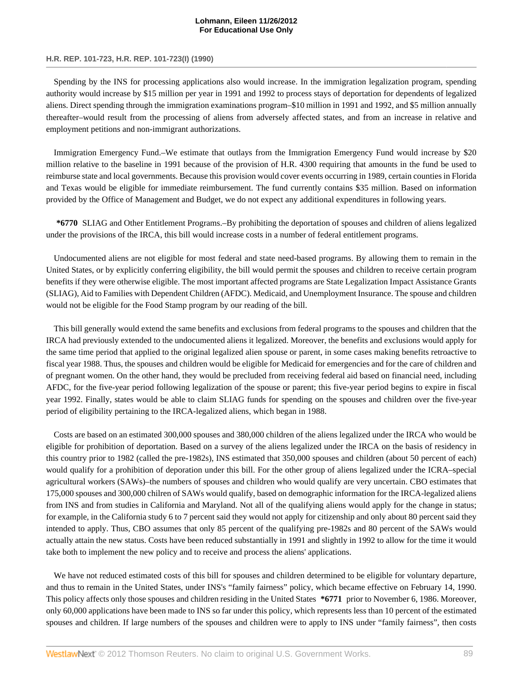### **H.R. REP. 101-723, H.R. REP. 101-723(I) (1990)**

Spending by the INS for processing applications also would increase. In the immigration legalization program, spending authority would increase by \$15 million per year in 1991 and 1992 to process stays of deportation for dependents of legalized aliens. Direct spending through the immigration examinations program–\$10 million in 1991 and 1992, and \$5 million annually thereafter–would result from the processing of aliens from adversely affected states, and from an increase in relative and employment petitions and non-immigrant authorizations.

Immigration Emergency Fund.–We estimate that outlays from the Immigration Emergency Fund would increase by \$20 million relative to the baseline in 1991 because of the provision of H.R. 4300 requiring that amounts in the fund be used to reimburse state and local governments. Because this provision would cover events occurring in 1989, certain counties in Florida and Texas would be eligible for immediate reimbursement. The fund currently contains \$35 million. Based on information provided by the Office of Management and Budget, we do not expect any additional expenditures in following years.

**\*6770** SLIAG and Other Entitlement Programs.–By prohibiting the deportation of spouses and children of aliens legalized under the provisions of the IRCA, this bill would increase costs in a number of federal entitlement programs.

Undocumented aliens are not eligible for most federal and state need-based programs. By allowing them to remain in the United States, or by explicitly conferring eligibility, the bill would permit the spouses and children to receive certain program benefits if they were otherwise eligible. The most important affected programs are State Legalization Impact Assistance Grants (SLIAG), Aid to Families with Dependent Children (AFDC). Medicaid, and Unemployment Insurance. The spouse and children would not be eligible for the Food Stamp program by our reading of the bill.

This bill generally would extend the same benefits and exclusions from federal programs to the spouses and children that the IRCA had previously extended to the undocumented aliens it legalized. Moreover, the benefits and exclusions would apply for the same time period that applied to the original legalized alien spouse or parent, in some cases making benefits retroactive to fiscal year 1988. Thus, the spouses and children would be eligible for Medicaid for emergencies and for the care of children and of pregnant women. On the other hand, they would be precluded from receiving federal aid based on financial need, including AFDC, for the five-year period following legalization of the spouse or parent; this five-year period begins to expire in fiscal year 1992. Finally, states would be able to claim SLIAG funds for spending on the spouses and children over the five-year period of eligibility pertaining to the IRCA-legalized aliens, which began in 1988.

Costs are based on an estimated 300,000 spouses and 380,000 children of the aliens legalized under the IRCA who would be eligible for prohibition of deportation. Based on a survey of the aliens legalized under the IRCA on the basis of residency in this country prior to 1982 (called the pre-1982s), INS estimated that 350,000 spouses and children (about 50 percent of each) would qualify for a prohibition of deporation under this bill. For the other group of aliens legalized under the ICRA–special agricultural workers (SAWs)–the numbers of spouses and children who would qualify are very uncertain. CBO estimates that 175,000 spouses and 300,000 chilren of SAWs would qualify, based on demographic information for the IRCA-legalized aliens from INS and from studies in California and Maryland. Not all of the qualifying aliens would apply for the change in status; for example, in the California study 6 to 7 percent said they would not apply for citizenship and only about 80 percent said they intended to apply. Thus, CBO assumes that only 85 percent of the qualifying pre-1982s and 80 percent of the SAWs would actually attain the new status. Costs have been reduced substantially in 1991 and slightly in 1992 to allow for the time it would take both to implement the new policy and to receive and process the aliens' applications.

We have not reduced estimated costs of this bill for spouses and children determined to be eligible for voluntary departure, and thus to remain in the United States, under INS's "family fairness" policy, which became effective on February 14, 1990. This policy affects only those spouses and children residing in the United States **\*6771** prior to November 6, 1986. Moreover, only 60,000 applications have been made to INS so far under this policy, which represents less than 10 percent of the estimated spouses and children. If large numbers of the spouses and children were to apply to INS under "family fairness", then costs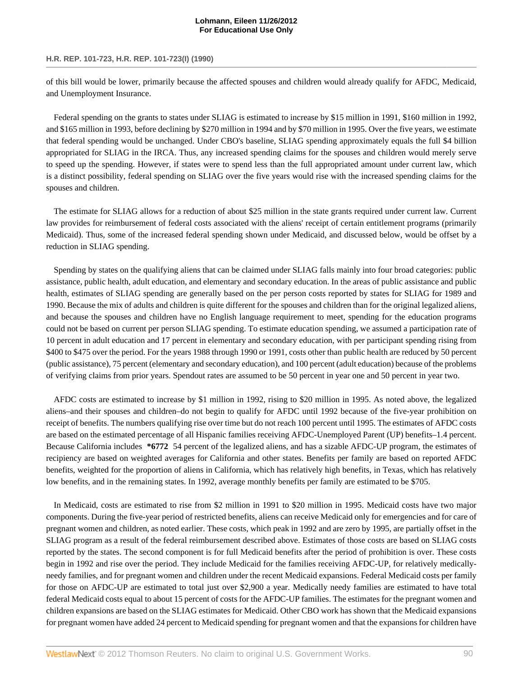### **H.R. REP. 101-723, H.R. REP. 101-723(I) (1990)**

of this bill would be lower, primarily because the affected spouses and children would already qualify for AFDC, Medicaid, and Unemployment Insurance.

Federal spending on the grants to states under SLIAG is estimated to increase by \$15 million in 1991, \$160 million in 1992, and \$165 million in 1993, before declining by \$270 million in 1994 and by \$70 million in 1995. Over the five years, we estimate that federal spending would be unchanged. Under CBO's baseline, SLIAG spending approximately equals the full \$4 billion appropriated for SLIAG in the IRCA. Thus, any increased spending claims for the spouses and children would merely serve to speed up the spending. However, if states were to spend less than the full appropriated amount under current law, which is a distinct possibility, federal spending on SLIAG over the five years would rise with the increased spending claims for the spouses and children.

The estimate for SLIAG allows for a reduction of about \$25 million in the state grants required under current law. Current law provides for reimbursement of federal costs associated with the aliens' receipt of certain entitlement programs (primarily Medicaid). Thus, some of the increased federal spending shown under Medicaid, and discussed below, would be offset by a reduction in SLIAG spending.

Spending by states on the qualifying aliens that can be claimed under SLIAG falls mainly into four broad categories: public assistance, public health, adult education, and elementary and secondary education. In the areas of public assistance and public health, estimates of SLIAG spending are generally based on the per person costs reported by states for SLIAG for 1989 and 1990. Because the mix of adults and children is quite different for the spouses and children than for the original legalized aliens, and because the spouses and children have no English language requirement to meet, spending for the education programs could not be based on current per person SLIAG spending. To estimate education spending, we assumed a participation rate of 10 percent in adult education and 17 percent in elementary and secondary education, with per participant spending rising from \$400 to \$475 over the period. For the years 1988 through 1990 or 1991, costs other than public health are reduced by 50 percent (public assistance), 75 percent (elementary and secondary education), and 100 percent (adult education) because of the problems of verifying claims from prior years. Spendout rates are assumed to be 50 percent in year one and 50 percent in year two.

AFDC costs are estimated to increase by \$1 million in 1992, rising to \$20 million in 1995. As noted above, the legalized aliens–and their spouses and children–do not begin to qualify for AFDC until 1992 because of the five-year prohibition on receipt of benefits. The numbers qualifying rise over time but do not reach 100 percent until 1995. The estimates of AFDC costs are based on the estimated percentage of all Hispanic families receiving AFDC-Unemployed Parent (UP) benefits–1.4 percent. Because California includes **\*6772** 54 percent of the legalized aliens, and has a sizable AFDC-UP program, the estimates of recipiency are based on weighted averages for California and other states. Benefits per family are based on reported AFDC benefits, weighted for the proportion of aliens in California, which has relatively high benefits, in Texas, which has relatively low benefits, and in the remaining states. In 1992, average monthly benefits per family are estimated to be \$705.

In Medicaid, costs are estimated to rise from \$2 million in 1991 to \$20 million in 1995. Medicaid costs have two major components. During the five-year period of restricted benefits, aliens can receive Medicaid only for emergencies and for care of pregnant women and children, as noted earlier. These costs, which peak in 1992 and are zero by 1995, are partially offset in the SLIAG program as a result of the federal reimbursement described above. Estimates of those costs are based on SLIAG costs reported by the states. The second component is for full Medicaid benefits after the period of prohibition is over. These costs begin in 1992 and rise over the period. They include Medicaid for the families receiving AFDC-UP, for relatively medicallyneedy families, and for pregnant women and children under the recent Medicaid expansions. Federal Medicaid costs per family for those on AFDC-UP are estimated to total just over \$2,900 a year. Medically needy families are estimated to have total federal Medicaid costs equal to about 15 percent of costs for the AFDC-UP families. The estimates for the pregnant women and children expansions are based on the SLIAG estimates for Medicaid. Other CBO work has shown that the Medicaid expansions for pregnant women have added 24 percent to Medicaid spending for pregnant women and that the expansions for children have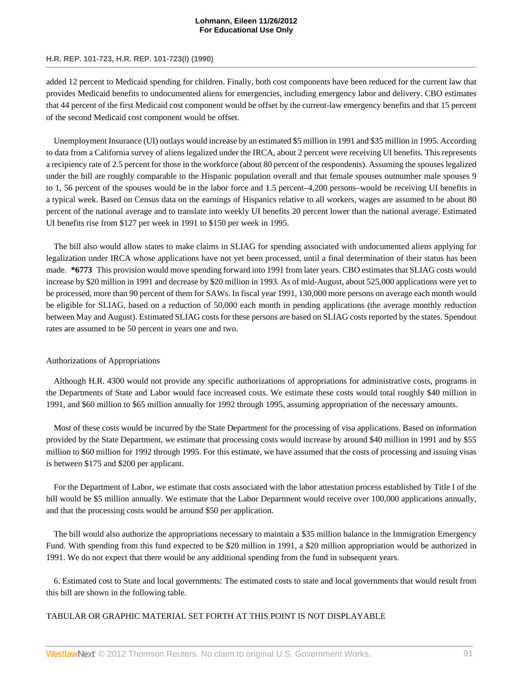### **H.R. REP. 101-723, H.R. REP. 101-723(I) (1990)**

added 12 percent to Medicaid spending for children. Finally, both cost components have been reduced for the current law that provides Medicaid benefits to undocumented aliens for emergencies, including emergency labor and delivery. CBO estimates that 44 percent of the first Medicaid cost component would be offset by the current-law emergency benefits and that 15 percent of the second Medicaid cost component would be offset.

Unemployment Insurance (UI) outlays would increase by an estimated \$5 million in 1991 and \$35 million in 1995. According to data from a California survey of aliens legalized under the IRCA, about 2 percent were receiving UI benefits. This represents a recipiency rate of 2.5 percent for those in the workforce (about 80 percent of the respondents). Assuming the spouses legalized under the bill are roughly comparable to the Hispanic population overall and that female spouses outnumber male spouses 9 to 1, 56 percent of the spouses would be in the labor force and 1.5 percent–4,200 persons–would be receiving UI benefits in a typical week. Based on Census data on the earnings of Hispanics relative to all workers, wages are assumed to be about 80 percent of the national average and to translate into weekly UI benefits 20 percent lower than the national average. Estimated UI benefits rise from \$127 per week in 1991 to \$150 per week in 1995.

The bill also would allow states to make claims in SLIAG for spending associated with undocumented aliens applying for legalization under IRCA whose applications have not yet been processed, until a final determination of their status has been made. **\*6773** This provision would move spending forward into 1991 from later years. CBO estimates that SLIAG costs would increase by \$20 million in 1991 and decrease by \$20 million in 1993. As of mid-August, about 525,000 applications were yet to be processed, more than 90 percent of them for SAWs. In fiscal year 1991, 130,000 more persons on average each month would be eligible for SLIAG, based on a reduction of 50,000 each month in pending applications (the average monthly reduction between May and August). Estimated SLIAG costs for these persons are based on SLIAG costs reported by the states. Spendout rates are assumed to be 50 percent in years one and two.

# Authorizations of Appropriations

Although H.R. 4300 would not provide any specific authorizations of appropriations for administrative costs, programs in the Departments of State and Labor would face increased costs. We estimate these costs would total roughly \$40 million in 1991, and \$60 million to \$65 million annually for 1992 through 1995, assuming appropriation of the necessary amounts.

Most of these costs would be incurred by the State Department for the processing of visa applications. Based on information provided by the State Department, we estimate that processing costs would increase by around \$40 million in 1991 and by \$55 million to \$60 million for 1992 through 1995. For this estimate, we have assumed that the costs of processing and issuing visas is between \$175 and \$200 per applicant.

For the Department of Labor, we estimate that costs associated with the labor attestation process established by Title I of the bill would be \$5 million annually. We estimate that the Labor Department would receive over 100,000 applications annually, and that the processing costs would be around \$50 per application.

The bill would also authorize the appropriations necessary to maintain a \$35 million balance in the Immigration Emergency Fund. With spending from this fund expected to be \$20 million in 1991, a \$20 million appropriation would be authorized in 1991. We do not expect that there would be any additional spending from the fund in subsequent years.

6. Estimated cost to State and local governments: The estimated costs to state and local governments that would result from this bill are shown in the following table.

# TABULAR OR GRAPHIC MATERIAL SET FORTH AT THIS POINT IS NOT DISPLAYABLE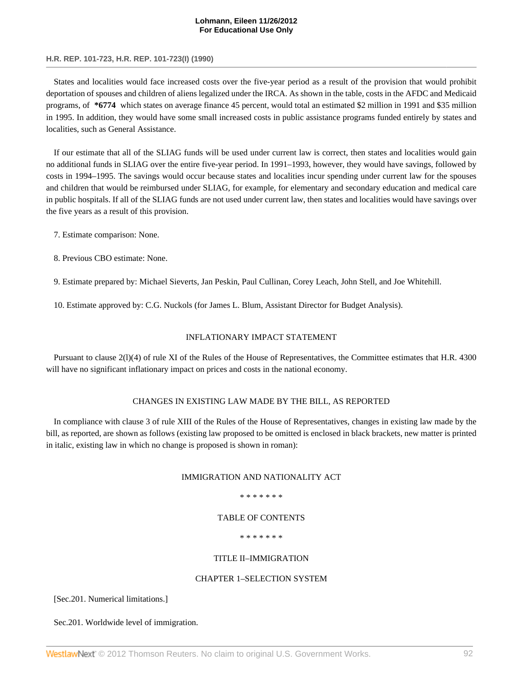### **H.R. REP. 101-723, H.R. REP. 101-723(I) (1990)**

States and localities would face increased costs over the five-year period as a result of the provision that would prohibit deportation of spouses and children of aliens legalized under the IRCA. As shown in the table, costs in the AFDC and Medicaid programs, of **\*6774** which states on average finance 45 percent, would total an estimated \$2 million in 1991 and \$35 million in 1995. In addition, they would have some small increased costs in public assistance programs funded entirely by states and localities, such as General Assistance.

If our estimate that all of the SLIAG funds will be used under current law is correct, then states and localities would gain no additional funds in SLIAG over the entire five-year period. In 1991–1993, however, they would have savings, followed by costs in 1994–1995. The savings would occur because states and localities incur spending under current law for the spouses and children that would be reimbursed under SLIAG, for example, for elementary and secondary education and medical care in public hospitals. If all of the SLIAG funds are not used under current law, then states and localities would have savings over the five years as a result of this provision.

7. Estimate comparison: None.

8. Previous CBO estimate: None.

9. Estimate prepared by: Michael Sieverts, Jan Peskin, Paul Cullinan, Corey Leach, John Stell, and Joe Whitehill.

10. Estimate approved by: C.G. Nuckols (for James L. Blum, Assistant Director for Budget Analysis).

# INFLATIONARY IMPACT STATEMENT

Pursuant to clause 2(l)(4) of rule XI of the Rules of the House of Representatives, the Committee estimates that H.R. 4300 will have no significant inflationary impact on prices and costs in the national economy.

### CHANGES IN EXISTING LAW MADE BY THE BILL, AS REPORTED

In compliance with clause 3 of rule XIII of the Rules of the House of Representatives, changes in existing law made by the bill, as reported, are shown as follows (existing law proposed to be omitted is enclosed in black brackets, new matter is printed in italic, existing law in which no change is proposed is shown in roman):

# IMMIGRATION AND NATIONALITY ACT

\* \* \* \* \* \* \*

# TABLE OF CONTENTS

#### \* \* \* \* \* \* \*

# TITLE II–IMMIGRATION

### CHAPTER 1–SELECTION SYSTEM

[Sec.201. Numerical limitations.]

Sec.201. Worldwide level of immigration.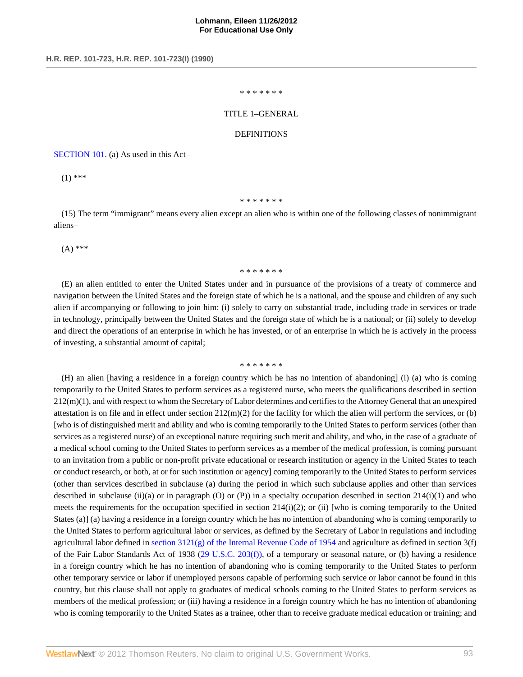#### \* \* \* \* \* \* \*

### TITLE 1–GENERAL

### DEFINITIONS

[SECTION 101.](http://www.westlaw.com/Link/Document/FullText?findType=L&pubNum=1000546&cite=29USCAS101&originatingDoc=I520E9F60643311D9B7CECED691859821&refType=LQ&originationContext=document&vr=3.0&rs=cblt1.0&transitionType=DocumentItem&contextData=(sc.UserEnteredCitation)) (a) As used in this Act–

 $(1)$  \*\*\*

#### \* \* \* \* \* \* \*

(15) The term "immigrant" means every alien except an alien who is within one of the following classes of nonimmigrant aliens–

(A) \*\*\*

#### \* \* \* \* \* \* \*

(E) an alien entitled to enter the United States under and in pursuance of the provisions of a treaty of commerce and navigation between the United States and the foreign state of which he is a national, and the spouse and children of any such alien if accompanying or following to join him: (i) solely to carry on substantial trade, including trade in services or trade in technology, principally between the United States and the foreign state of which he is a national; or (ii) solely to develop and direct the operations of an enterprise in which he has invested, or of an enterprise in which he is actively in the process of investing, a substantial amount of capital;

#### \* \* \* \* \* \* \*

(H) an alien [having a residence in a foreign country which he has no intention of abandoning] (i) (a) who is coming temporarily to the United States to perform services as a registered nurse, who meets the qualifications described in section 212(m)(1), and with respect to whom the Secretary of Labor determines and certifies to the Attorney General that an unexpired attestation is on file and in effect under section  $212(m)(2)$  for the facility for which the alien will perform the services, or (b) [who is of distinguished merit and ability and who is coming temporarily to the United States to perform services (other than services as a registered nurse) of an exceptional nature requiring such merit and ability, and who, in the case of a graduate of a medical school coming to the United States to perform services as a member of the medical profession, is coming pursuant to an invitation from a public or non-profit private educational or research institution or agency in the United States to teach or conduct research, or both, at or for such institution or agency] coming temporarily to the United States to perform services (other than services described in subclause (a) during the period in which such subclause applies and other than services described in subclause (ii)(a) or in paragraph (O) or (P)) in a specialty occupation described in section  $214(i)(1)$  and who meets the requirements for the occupation specified in section  $214(i)(2)$ ; or (ii) [who is coming temporarily to the United States (a)] (a) having a residence in a foreign country which he has no intention of abandoning who is coming temporarily to the United States to perform agricultural labor or services, as defined by the Secretary of Labor in regulations and including agricultural labor defined in section  $3121(g)$  of the Internal Revenue Code of 1954 and agriculture as defined in section  $3(f)$ of the Fair Labor Standards Act of 1938 [\(29 U.S.C. 203\(f\)\),](http://www.westlaw.com/Link/Document/FullText?findType=L&pubNum=1000546&cite=29USCAS203&originatingDoc=I520E9F60643311D9B7CECED691859821&refType=LQ&originationContext=document&vr=3.0&rs=cblt1.0&transitionType=DocumentItem&contextData=(sc.UserEnteredCitation)) of a temporary or seasonal nature, or (b) having a residence in a foreign country which he has no intention of abandoning who is coming temporarily to the United States to perform other temporary service or labor if unemployed persons capable of performing such service or labor cannot be found in this country, but this clause shall not apply to graduates of medical schools coming to the United States to perform services as members of the medical profession; or (iii) having a residence in a foreign country which he has no intention of abandoning who is coming temporarily to the United States as a trainee, other than to receive graduate medical education or training; and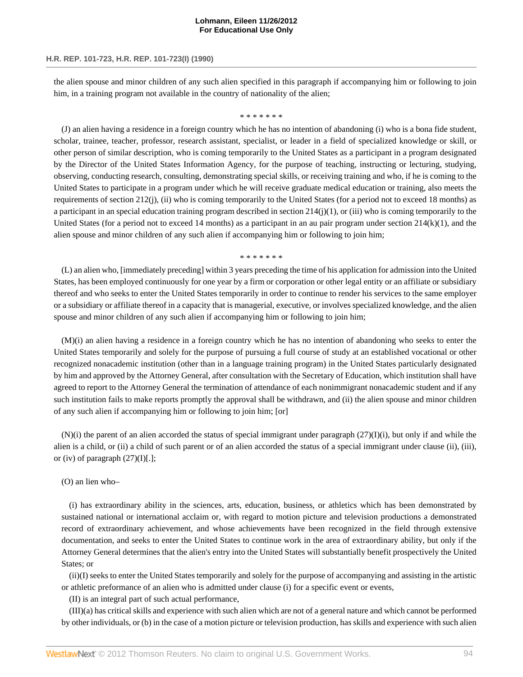#### **H.R. REP. 101-723, H.R. REP. 101-723(I) (1990)**

the alien spouse and minor children of any such alien specified in this paragraph if accompanying him or following to join him, in a training program not available in the country of nationality of the alien;

\* \* \* \* \* \* \*

(J) an alien having a residence in a foreign country which he has no intention of abandoning (i) who is a bona fide student, scholar, trainee, teacher, professor, research assistant, specialist, or leader in a field of specialized knowledge or skill, or other person of similar description, who is coming temporarily to the United States as a participant in a program designated by the Director of the United States Information Agency, for the purpose of teaching, instructing or lecturing, studying, observing, conducting research, consulting, demonstrating special skills, or receiving training and who, if he is coming to the United States to participate in a program under which he will receive graduate medical education or training, also meets the requirements of section 212(j), (ii) who is coming temporarily to the United States (for a period not to exceed 18 months) as a participant in an special education training program described in section  $214(j)(1)$ , or (iii) who is coming temporarily to the United States (for a period not to exceed 14 months) as a participant in an au pair program under section  $214(k)(1)$ , and the alien spouse and minor children of any such alien if accompanying him or following to join him;

\* \* \* \* \* \* \*

(L) an alien who, [immediately preceding] within 3 years preceding the time of his application for admission into the United States, has been employed continuously for one year by a firm or corporation or other legal entity or an affiliate or subsidiary thereof and who seeks to enter the United States temporarily in order to continue to render his services to the same employer or a subsidiary or affiliate thereof in a capacity that is managerial, executive, or involves specialized knowledge, and the alien spouse and minor children of any such alien if accompanying him or following to join him;

(M)(i) an alien having a residence in a foreign country which he has no intention of abandoning who seeks to enter the United States temporarily and solely for the purpose of pursuing a full course of study at an established vocational or other recognized nonacademic institution (other than in a language training program) in the United States particularly designated by him and approved by the Attorney General, after consultation with the Secretary of Education, which institution shall have agreed to report to the Attorney General the termination of attendance of each nonimmigrant nonacademic student and if any such institution fails to make reports promptly the approval shall be withdrawn, and (ii) the alien spouse and minor children of any such alien if accompanying him or following to join him; [or]

 $(N)(i)$  the parent of an alien accorded the status of special immigrant under paragraph  $(27)(I)(i)$ , but only if and while the alien is a child, or (ii) a child of such parent or of an alien accorded the status of a special immigrant under clause (ii), (iii), or (iv) of paragraph  $(27)(I)$ [.];

### (O) an lien who–

(i) has extraordinary ability in the sciences, arts, education, business, or athletics which has been demonstrated by sustained national or international acclaim or, with regard to motion picture and television productions a demonstrated record of extraordinary achievement, and whose achievements have been recognized in the field through extensive documentation, and seeks to enter the United States to continue work in the area of extraordinary ability, but only if the Attorney General determines that the alien's entry into the United States will substantially benefit prospectively the United States; or

(ii)(I) seeks to enter the United States temporarily and solely for the purpose of accompanying and assisting in the artistic or athletic preformance of an alien who is admitted under clause (i) for a specific event or events,

(II) is an integral part of such actual performance,

(III)(a) has critical skills and experience with such alien which are not of a general nature and which cannot be performed by other individuals, or (b) in the case of a motion picture or television production, has skills and experience with such alien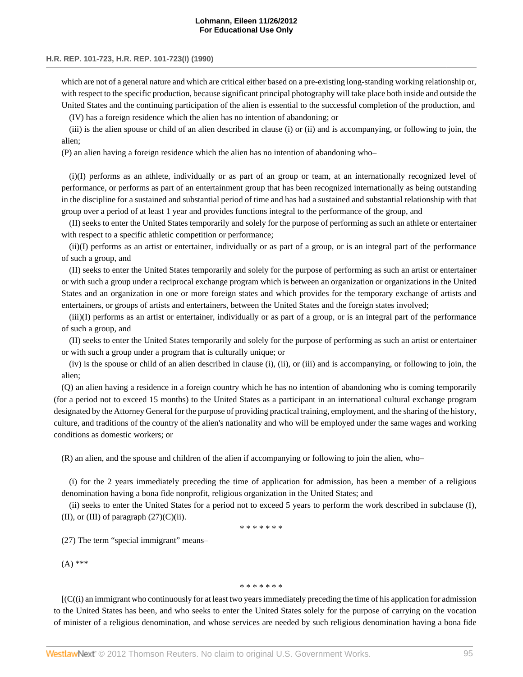### **H.R. REP. 101-723, H.R. REP. 101-723(I) (1990)**

which are not of a general nature and which are critical either based on a pre-existing long-standing working relationship or, with respect to the specific production, because significant principal photography will take place both inside and outside the United States and the continuing participation of the alien is essential to the successful completion of the production, and

(IV) has a foreign residence which the alien has no intention of abandoning; or

(iii) is the alien spouse or child of an alien described in clause (i) or (ii) and is accompanying, or following to join, the alien;

(P) an alien having a foreign residence which the alien has no intention of abandoning who–

(i)(I) performs as an athlete, individually or as part of an group or team, at an internationally recognized level of performance, or performs as part of an entertainment group that has been recognized internationally as being outstanding in the discipline for a sustained and substantial period of time and has had a sustained and substantial relationship with that group over a period of at least 1 year and provides functions integral to the performance of the group, and

(II) seeks to enter the United States temporarily and solely for the purpose of performing as such an athlete or entertainer with respect to a specific athletic competition or performance;

(ii)(I) performs as an artist or entertainer, individually or as part of a group, or is an integral part of the performance of such a group, and

(II) seeks to enter the United States temporarily and solely for the purpose of performing as such an artist or entertainer or with such a group under a reciprocal exchange program which is between an organization or organizations in the United States and an organization in one or more foreign states and which provides for the temporary exchange of artists and entertainers, or groups of artists and entertainers, between the United States and the foreign states involved;

(iii)(I) performs as an artist or entertainer, individually or as part of a group, or is an integral part of the performance of such a group, and

(II) seeks to enter the United States temporarily and solely for the purpose of performing as such an artist or entertainer or with such a group under a program that is culturally unique; or

(iv) is the spouse or child of an alien described in clause (i), (ii), or (iii) and is accompanying, or following to join, the alien;

(Q) an alien having a residence in a foreign country which he has no intention of abandoning who is coming temporarily (for a period not to exceed 15 months) to the United States as a participant in an international cultural exchange program designated by the Attorney General for the purpose of providing practical training, employment, and the sharing of the history, culture, and traditions of the country of the alien's nationality and who will be employed under the same wages and working conditions as domestic workers; or

(R) an alien, and the spouse and children of the alien if accompanying or following to join the alien, who–

(i) for the 2 years immediately preceding the time of application for admission, has been a member of a religious denomination having a bona fide nonprofit, religious organization in the United States; and

(ii) seeks to enter the United States for a period not to exceed 5 years to perform the work described in subclause (I), (II), or (III) of paragraph  $(27)(C)(ii)$ .

\* \* \* \* \* \* \*

(27) The term "special immigrant" means–

(A) \*\*\*

#### \* \* \* \* \* \* \*

 $[CC(i)$  an immigrant who continuously for at least two years immediately preceding the time of his application for admission to the United States has been, and who seeks to enter the United States solely for the purpose of carrying on the vocation of minister of a religious denomination, and whose services are needed by such religious denomination having a bona fide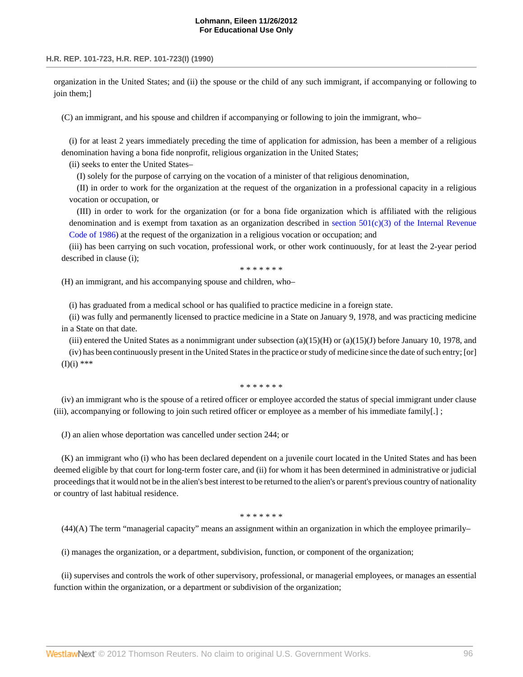### **H.R. REP. 101-723, H.R. REP. 101-723(I) (1990)**

organization in the United States; and (ii) the spouse or the child of any such immigrant, if accompanying or following to join them;]

(C) an immigrant, and his spouse and children if accompanying or following to join the immigrant, who–

(i) for at least 2 years immediately preceding the time of application for admission, has been a member of a religious denomination having a bona fide nonprofit, religious organization in the United States;

(ii) seeks to enter the United States–

(I) solely for the purpose of carrying on the vocation of a minister of that religious denomination,

(II) in order to work for the organization at the request of the organization in a professional capacity in a religious vocation or occupation, or

(III) in order to work for the organization (or for a bona fide organization which is affiliated with the religious denomination and is exempt from taxation as an organization described in section  $501(c)(3)$  of the Internal Revenue [Code of 1986](http://www.westlaw.com/Link/Document/FullText?findType=L&pubNum=1000546&cite=26USCAS501&originatingDoc=I520E9F60643311D9B7CECED691859821&refType=LQ&originationContext=document&vr=3.0&rs=cblt1.0&transitionType=DocumentItem&contextData=(sc.UserEnteredCitation))) at the request of the organization in a religious vocation or occupation; and

(iii) has been carrying on such vocation, professional work, or other work continuously, for at least the 2-year period described in clause (i);

\* \* \* \* \* \* \*

(H) an immigrant, and his accompanying spouse and children, who–

(i) has graduated from a medical school or has qualified to practice medicine in a foreign state.

(ii) was fully and permanently licensed to practice medicine in a State on January 9, 1978, and was practicing medicine in a State on that date.

(iii) entered the United States as a nonimmigrant under subsection  $(a)(15)(H)$  or  $(a)(15)(J)$  before January 10, 1978, and (iv) has been continuously present in the United States in the practice or study of medicine since the date of such entry; [or] (I)(i) \*\*\*

#### \* \* \* \* \* \* \*

(iv) an immigrant who is the spouse of a retired officer or employee accorded the status of special immigrant under clause (iii), accompanying or following to join such retired officer or employee as a member of his immediate family[.] ;

(J) an alien whose deportation was cancelled under section 244; or

(K) an immigrant who (i) who has been declared dependent on a juvenile court located in the United States and has been deemed eligible by that court for long-term foster care, and (ii) for whom it has been determined in administrative or judicial proceedings that it would not be in the alien's best interest to be returned to the alien's or parent's previous country of nationality or country of last habitual residence.

#### \* \* \* \* \* \* \*

(44)(A) The term "managerial capacity" means an assignment within an organization in which the employee primarily–

(i) manages the organization, or a department, subdivision, function, or component of the organization;

(ii) supervises and controls the work of other supervisory, professional, or managerial employees, or manages an essential function within the organization, or a department or subdivision of the organization;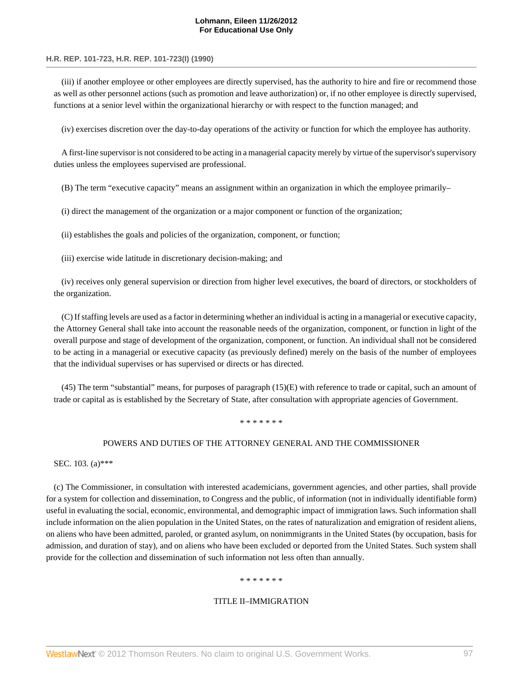### **H.R. REP. 101-723, H.R. REP. 101-723(I) (1990)**

(iii) if another employee or other employees are directly supervised, has the authority to hire and fire or recommend those as well as other personnel actions (such as promotion and leave authorization) or, if no other employee is directly supervised, functions at a senior level within the organizational hierarchy or with respect to the function managed; and

(iv) exercises discretion over the day-to-day operations of the activity or function for which the employee has authority.

A first-line supervisor is not considered to be acting in a managerial capacity merely by virtue of the supervisor's supervisory duties unless the employees supervised are professional.

(B) The term "executive capacity" means an assignment within an organization in which the employee primarily–

(i) direct the management of the organization or a major component or function of the organization;

(ii) establishes the goals and policies of the organization, component, or function;

(iii) exercise wide latitude in discretionary decision-making; and

(iv) receives only general supervision or direction from higher level executives, the board of directors, or stockholders of the organization.

(C) If staffing levels are used as a factor in determining whether an individual is acting in a managerial or executive capacity, the Attorney General shall take into account the reasonable needs of the organization, component, or function in light of the overall purpose and stage of development of the organization, component, or function. An individual shall not be considered to be acting in a managerial or executive capacity (as previously defined) merely on the basis of the number of employees that the individual supervises or has supervised or directs or has directed.

(45) The term "substantial" means, for purposes of paragraph (15)(E) with reference to trade or capital, such an amount of trade or capital as is established by the Secretary of State, after consultation with appropriate agencies of Government.

\* \* \* \* \* \* \*

### POWERS AND DUTIES OF THE ATTORNEY GENERAL AND THE COMMISSIONER

SEC. 103. (a)\*\*\*

(c) The Commissioner, in consultation with interested academicians, government agencies, and other parties, shall provide for a system for collection and dissemination, to Congress and the public, of information (not in individually identifiable form) useful in evaluating the social, economic, environmental, and demographic impact of immigration laws. Such information shall include information on the alien population in the United States, on the rates of naturalization and emigration of resident aliens, on aliens who have been admitted, paroled, or granted asylum, on nonimmigrants in the United States (by occupation, basis for admission, and duration of stay), and on aliens who have been excluded or deported from the United States. Such system shall provide for the collection and dissemination of such information not less often than annually.

### \* \* \* \* \* \* \*

### TITLE II–IMMIGRATION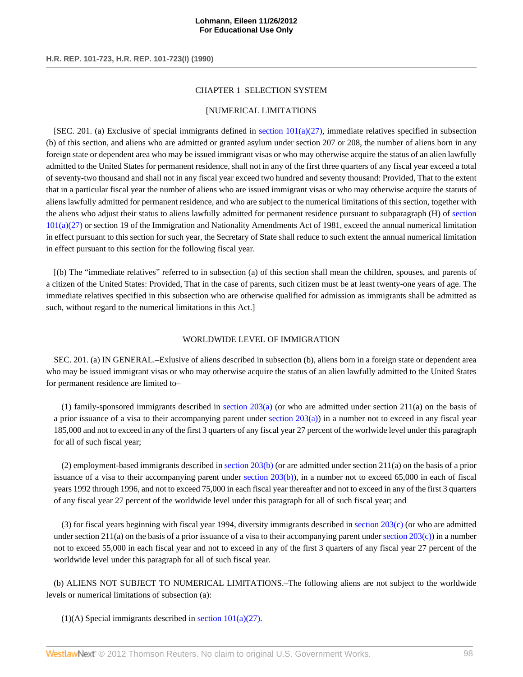### CHAPTER 1–SELECTION SYSTEM

### [NUMERICAL LIMITATIONS

[SEC. 201. (a) Exclusive of special immigrants defined in section  $101(a)(27)$ , immediate relatives specified in subsection (b) of this section, and aliens who are admitted or granted asylum under section 207 or 208, the number of aliens born in any foreign state or dependent area who may be issued immigrant visas or who may otherwise acquire the status of an alien lawfully admitted to the United States for permanent residence, shall not in any of the first three quarters of any fiscal year exceed a total of seventy-two thousand and shall not in any fiscal year exceed two hundred and seventy thousand: Provided, That to the extent that in a particular fiscal year the number of aliens who are issued immigrant visas or who may otherwise acquire the statuts of aliens lawfully admitted for permanent residence, and who are subject to the numerical limitations of this section, together with the aliens who adjust their status to aliens lawfully admitted for permanent residence pursuant to subparagraph (H) of [section](http://www.westlaw.com/Link/Document/FullText?findType=L&pubNum=1000546&cite=29USCAS101&originatingDoc=I520E9F60643311D9B7CECED691859821&refType=LQ&originationContext=document&vr=3.0&rs=cblt1.0&transitionType=DocumentItem&contextData=(sc.UserEnteredCitation))  $101(a)(27)$  or section 19 of the Immigration and Nationality Amendments Act of 1981, exceed the annual numerical limitation in effect pursuant to this section for such year, the Secretary of State shall reduce to such extent the annual numerical limitation in effect pursuant to this section for the following fiscal year.

[(b) The "immediate relatives" referred to in subsection (a) of this section shall mean the children, spouses, and parents of a citizen of the United States: Provided, That in the case of parents, such citizen must be at least twenty-one years of age. The immediate relatives specified in this subsection who are otherwise qualified for admission as immigrants shall be admitted as such, without regard to the numerical limitations in this Act.]

### WORLDWIDE LEVEL OF IMMIGRATION

SEC. 201. (a) IN GENERAL.–Exlusive of aliens described in subsection (b), aliens born in a foreign state or dependent area who may be issued immigrant visas or who may otherwise acquire the status of an alien lawfully admitted to the United States for permanent residence are limited to–

(1) family-sponsored immigrants described in [section 203\(a\)](http://www.westlaw.com/Link/Document/FullText?findType=L&pubNum=1000546&cite=29USCAS203&originatingDoc=I520E9F60643311D9B7CECED691859821&refType=LQ&originationContext=document&vr=3.0&rs=cblt1.0&transitionType=DocumentItem&contextData=(sc.UserEnteredCitation)) (or who are admitted under section 211(a) on the basis of a prior issuance of a visa to their accompanying parent under section  $203(a)$ ) in a number not to exceed in any fiscal year 185,000 and not to exceed in any of the first 3 quarters of any fiscal year 27 percent of the worlwide level under this paragraph for all of such fiscal year;

(2) employment-based immigrants described in [section 203\(b\)](http://www.westlaw.com/Link/Document/FullText?findType=L&pubNum=1000546&cite=29USCAS203&originatingDoc=I520E9F60643311D9B7CECED691859821&refType=LQ&originationContext=document&vr=3.0&rs=cblt1.0&transitionType=DocumentItem&contextData=(sc.UserEnteredCitation)) (or are admitted under section 211(a) on the basis of a prior issuance of a visa to their accompanying parent under [section 203\(b\)\)](http://www.westlaw.com/Link/Document/FullText?findType=L&pubNum=1000546&cite=29USCAS203&originatingDoc=I520E9F60643311D9B7CECED691859821&refType=LQ&originationContext=document&vr=3.0&rs=cblt1.0&transitionType=DocumentItem&contextData=(sc.UserEnteredCitation)), in a number not to exceed 65,000 in each of fiscal years 1992 through 1996, and not to exceed 75,000 in each fiscal year thereafter and not to exceed in any of the first 3 quarters of any fiscal year 27 percent of the worldwide level under this paragraph for all of such fiscal year; and

(3) for fiscal years beginning with fiscal year 1994, diversity immigrants described in [section 203\(c\)](http://www.westlaw.com/Link/Document/FullText?findType=L&pubNum=1000546&cite=29USCAS203&originatingDoc=I520E9F60643311D9B7CECED691859821&refType=LQ&originationContext=document&vr=3.0&rs=cblt1.0&transitionType=DocumentItem&contextData=(sc.UserEnteredCitation)) (or who are admitted under section  $211(a)$  on the basis of a prior issuance of a visa to their accompanying parent under section  $203(c)$ ) in a number not to exceed 55,000 in each fiscal year and not to exceed in any of the first 3 quarters of any fiscal year 27 percent of the worldwide level under this paragraph for all of such fiscal year.

(b) ALIENS NOT SUBJECT TO NUMERICAL LIMITATIONS.–The following aliens are not subject to the worldwide levels or numerical limitations of subsection (a):

 $(1)(A)$  Special immigrants described in section  $101(a)(27)$ .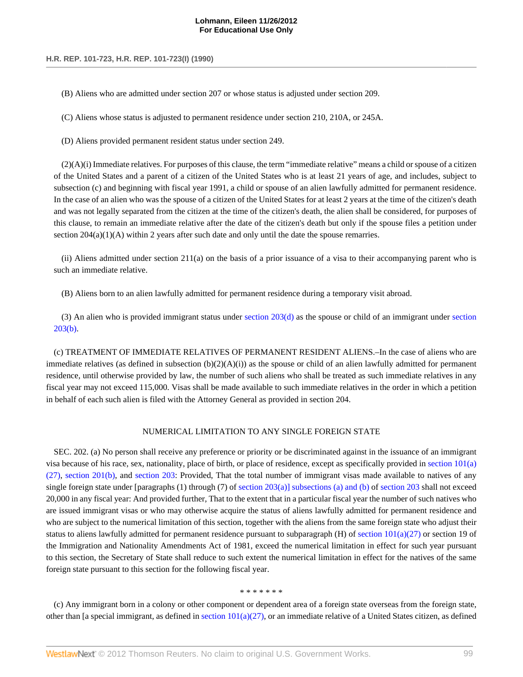### **H.R. REP. 101-723, H.R. REP. 101-723(I) (1990)**

(B) Aliens who are admitted under section 207 or whose status is adjusted under section 209.

(C) Aliens whose status is adjusted to permanent residence under section 210, 210A, or 245A.

(D) Aliens provided permanent resident status under section 249.

 $(2)$ (A)(i) Immediate relatives. For purposes of this clause, the term "immediate relative" means a child or spouse of a citizen of the United States and a parent of a citizen of the United States who is at least 21 years of age, and includes, subject to subsection (c) and beginning with fiscal year 1991, a child or spouse of an alien lawfully admitted for permanent residence. In the case of an alien who was the spouse of a citizen of the United States for at least 2 years at the time of the citizen's death and was not legally separated from the citizen at the time of the citizen's death, the alien shall be considered, for purposes of this clause, to remain an immediate relative after the date of the citizen's death but only if the spouse files a petition under section  $204(a)(1)(A)$  within 2 years after such date and only until the date the spouse remarries.

(ii) Aliens admitted under section 211(a) on the basis of a prior issuance of a visa to their accompanying parent who is such an immediate relative.

(B) Aliens born to an alien lawfully admitted for permanent residence during a temporary visit abroad.

(3) An alien who is provided immigrant status under [section](http://www.westlaw.com/Link/Document/FullText?findType=L&pubNum=1000546&cite=29USCAS203&originatingDoc=I520E9F60643311D9B7CECED691859821&refType=LQ&originationContext=document&vr=3.0&rs=cblt1.0&transitionType=DocumentItem&contextData=(sc.UserEnteredCitation))  $203(d)$  as the spouse or child of an immigrant under section [203\(b\).](http://www.westlaw.com/Link/Document/FullText?findType=L&pubNum=1000546&cite=29USCAS203&originatingDoc=I520E9F60643311D9B7CECED691859821&refType=LQ&originationContext=document&vr=3.0&rs=cblt1.0&transitionType=DocumentItem&contextData=(sc.UserEnteredCitation))

(c) TREATMENT OF IMMEDIATE RELATIVES OF PERMANENT RESIDENT ALIENS.–In the case of aliens who are immediate relatives (as defined in subsection  $(b)(2)(A)(i)$ ) as the spouse or child of an alien lawfully admitted for permanent residence, until otherwise provided by law, the number of such aliens who shall be treated as such immediate relatives in any fiscal year may not exceed 115,000. Visas shall be made available to such immediate relatives in the order in which a petition in behalf of each such alien is filed with the Attorney General as provided in section 204.

### NUMERICAL LIMITATION TO ANY SINGLE FOREIGN STATE

SEC. 202. (a) No person shall receive any preference or priority or be discriminated against in the issuance of an immigrant visa because of his race, sex, nationality, place of birth, or place of residence, except as specifically provided in [section 101\(a\)](http://www.westlaw.com/Link/Document/FullText?findType=L&pubNum=1000546&cite=29USCAS101&originatingDoc=I520E9F60643311D9B7CECED691859821&refType=LQ&originationContext=document&vr=3.0&rs=cblt1.0&transitionType=DocumentItem&contextData=(sc.UserEnteredCitation)) [\(27\),](http://www.westlaw.com/Link/Document/FullText?findType=L&pubNum=1000546&cite=29USCAS101&originatingDoc=I520E9F60643311D9B7CECED691859821&refType=LQ&originationContext=document&vr=3.0&rs=cblt1.0&transitionType=DocumentItem&contextData=(sc.UserEnteredCitation)) [section 201\(b\),](http://www.westlaw.com/Link/Document/FullText?findType=L&pubNum=1000546&cite=29USCAS201&originatingDoc=I520E9F60643311D9B7CECED691859821&refType=LQ&originationContext=document&vr=3.0&rs=cblt1.0&transitionType=DocumentItem&contextData=(sc.UserEnteredCitation)) and [section 203:](http://www.westlaw.com/Link/Document/FullText?findType=L&pubNum=1000546&cite=29USCAS203&originatingDoc=I520E9F60643311D9B7CECED691859821&refType=LQ&originationContext=document&vr=3.0&rs=cblt1.0&transitionType=DocumentItem&contextData=(sc.UserEnteredCitation)) Provided, That the total number of immigrant visas made available to natives of any single foreign state under [paragraphs (1) through (7) of [section 203\(a\)\] subsections \(a\) and \(b\)](http://www.westlaw.com/Link/Document/FullText?findType=L&pubNum=1000546&cite=29USCAS203&originatingDoc=I520E9F60643311D9B7CECED691859821&refType=LQ&originationContext=document&vr=3.0&rs=cblt1.0&transitionType=DocumentItem&contextData=(sc.UserEnteredCitation)) of [section 203](http://www.westlaw.com/Link/Document/FullText?findType=L&pubNum=1000546&cite=29USCAS203&originatingDoc=I520E9F60643311D9B7CECED691859821&refType=LQ&originationContext=document&vr=3.0&rs=cblt1.0&transitionType=DocumentItem&contextData=(sc.UserEnteredCitation)) shall not exceed 20,000 in any fiscal year: And provided further, That to the extent that in a particular fiscal year the number of such natives who are issued immigrant visas or who may otherwise acquire the status of aliens lawfully admitted for permanent residence and who are subject to the numerical limitation of this section, together with the aliens from the same foreign state who adjust their status to aliens lawfully admitted for permanent residence pursuant to subparagraph (H) of section  $101(a)(27)$  or section 19 of the Immigration and Nationality Amendments Act of 1981, exceed the numerical limitation in effect for such year pursuant to this section, the Secretary of State shall reduce to such extent the numerical limitation in effect for the natives of the same foreign state pursuant to this section for the following fiscal year.

### \* \* \* \* \* \* \*

(c) Any immigrant born in a colony or other component or dependent area of a foreign state overseas from the foreign state, other than [a special immigrant, as defined in section  $101(a)(27)$ , or an immediate relative of a United States citizen, as defined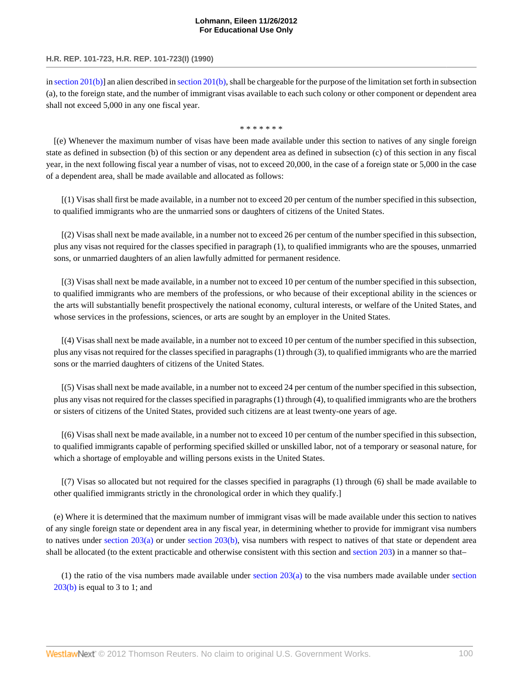### **H.R. REP. 101-723, H.R. REP. 101-723(I) (1990)**

in section  $201(b)$ ] an alien described in section  $201(b)$ , shall be chargeable for the purpose of the limitation set forth in subsection (a), to the foreign state, and the number of immigrant visas available to each such colony or other component or dependent area shall not exceed 5,000 in any one fiscal year.

\* \* \* \* \* \* \*

[(e) Whenever the maximum number of visas have been made available under this section to natives of any single foreign state as defined in subsection (b) of this section or any dependent area as defined in subsection (c) of this section in any fiscal year, in the next following fiscal year a number of visas, not to exceed 20,000, in the case of a foreign state or 5,000 in the case of a dependent area, shall be made available and allocated as follows:

[(1) Visas shall first be made available, in a number not to exceed 20 per centum of the number specified in this subsection, to qualified immigrants who are the unmarried sons or daughters of citizens of the United States.

[(2) Visas shall next be made available, in a number not to exceed 26 per centum of the number specified in this subsection, plus any visas not required for the classes specified in paragraph (1), to qualified immigrants who are the spouses, unmarried sons, or unmarried daughters of an alien lawfully admitted for permanent residence.

[(3) Visas shall next be made available, in a number not to exceed 10 per centum of the number specified in this subsection, to qualified immigrants who are members of the professions, or who because of their exceptional ability in the sciences or the arts will substantially benefit prospectively the national economy, cultural interests, or welfare of the United States, and whose services in the professions, sciences, or arts are sought by an employer in the United States.

[(4) Visas shall next be made available, in a number not to exceed 10 per centum of the number specified in this subsection, plus any visas not required for the classes specified in paragraphs (1) through (3), to qualified immigrants who are the married sons or the married daughters of citizens of the United States.

[(5) Visas shall next be made available, in a number not to exceed 24 per centum of the number specified in this subsection, plus any visas not required for the classes specified in paragraphs (1) through (4), to qualified immigrants who are the brothers or sisters of citizens of the United States, provided such citizens are at least twenty-one years of age.

[(6) Visas shall next be made available, in a number not to exceed 10 per centum of the number specified in this subsection, to qualified immigrants capable of performing specified skilled or unskilled labor, not of a temporary or seasonal nature, for which a shortage of employable and willing persons exists in the United States.

[(7) Visas so allocated but not required for the classes specified in paragraphs (1) through (6) shall be made available to other qualified immigrants strictly in the chronological order in which they qualify.]

(e) Where it is determined that the maximum number of immigrant visas will be made available under this section to natives of any single foreign state or dependent area in any fiscal year, in determining whether to provide for immigrant visa numbers to natives under section  $203(a)$  or under section  $203(b)$ , visa numbers with respect to natives of that state or dependent area shall be allocated (to the extent practicable and otherwise consistent with this section and [section 203](http://www.westlaw.com/Link/Document/FullText?findType=L&pubNum=1000546&cite=29USCAS203&originatingDoc=I520E9F60643311D9B7CECED691859821&refType=LQ&originationContext=document&vr=3.0&rs=cblt1.0&transitionType=DocumentItem&contextData=(sc.UserEnteredCitation))) in a manner so that–

(1) the ratio of the visa numbers made available under [section](http://www.westlaw.com/Link/Document/FullText?findType=L&pubNum=1000546&cite=29USCAS203&originatingDoc=I520E9F60643311D9B7CECED691859821&refType=LQ&originationContext=document&vr=3.0&rs=cblt1.0&transitionType=DocumentItem&contextData=(sc.UserEnteredCitation))  $203(a)$  to the visa numbers made available under section [203\(b\)](http://www.westlaw.com/Link/Document/FullText?findType=L&pubNum=1000546&cite=29USCAS203&originatingDoc=I520E9F60643311D9B7CECED691859821&refType=LQ&originationContext=document&vr=3.0&rs=cblt1.0&transitionType=DocumentItem&contextData=(sc.UserEnteredCitation)) is equal to 3 to 1; and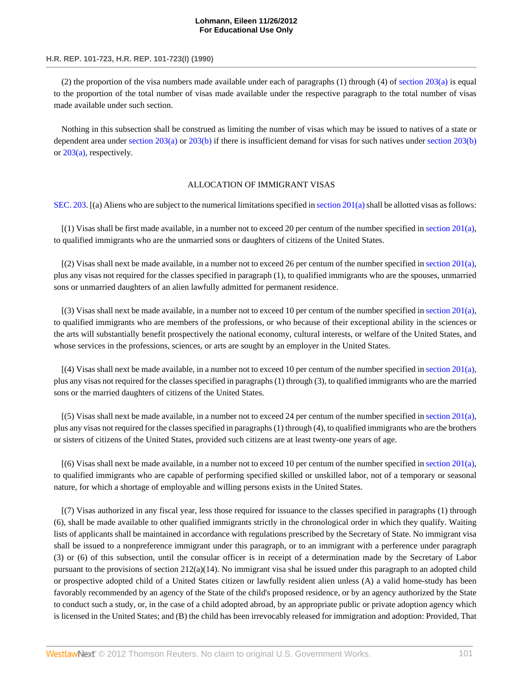# **H.R. REP. 101-723, H.R. REP. 101-723(I) (1990)**

(2) the proportion of the visa numbers made available under each of paragraphs (1) through (4) of [section 203\(a\)](http://www.westlaw.com/Link/Document/FullText?findType=L&pubNum=1000546&cite=29USCAS203&originatingDoc=I520E9F60643311D9B7CECED691859821&refType=LQ&originationContext=document&vr=3.0&rs=cblt1.0&transitionType=DocumentItem&contextData=(sc.UserEnteredCitation)) is equal to the proportion of the total number of visas made available under the respective paragraph to the total number of visas made available under such section.

Nothing in this subsection shall be construed as limiting the number of visas which may be issued to natives of a state or dependent area under section  $203(a)$  or  $203(b)$  if there is insufficient demand for visas for such natives under section  $203(b)$ or [203\(a\),](http://www.westlaw.com/Link/Document/FullText?findType=L&pubNum=1000546&cite=29USCAS203&originatingDoc=I520E9F60643311D9B7CECED691859821&refType=LQ&originationContext=document&vr=3.0&rs=cblt1.0&transitionType=DocumentItem&contextData=(sc.UserEnteredCitation)) respectively.

# ALLOCATION OF IMMIGRANT VISAS

[SEC. 203.](http://www.westlaw.com/Link/Document/FullText?findType=L&pubNum=1000546&cite=29USCAS203&originatingDoc=I520E9F60643311D9B7CECED691859821&refType=LQ&originationContext=document&vr=3.0&rs=cblt1.0&transitionType=DocumentItem&contextData=(sc.UserEnteredCitation)) [(a) Aliens who are subject to the numerical limitations specified in section  $201(a)$  shall be allotted visas as follows:

[(1) Visas shall be first made available, in a number not to exceed 20 per centum of the number specified in [section 201\(a\),](http://www.westlaw.com/Link/Document/FullText?findType=L&pubNum=1000546&cite=29USCAS201&originatingDoc=I520E9F60643311D9B7CECED691859821&refType=LQ&originationContext=document&vr=3.0&rs=cblt1.0&transitionType=DocumentItem&contextData=(sc.UserEnteredCitation)) to qualified immigrants who are the unmarried sons or daughters of citizens of the United States.

[(2) Visas shall next be made available, in a number not to exceed 26 per centum of the number specified in [section 201\(a\),](http://www.westlaw.com/Link/Document/FullText?findType=L&pubNum=1000546&cite=29USCAS201&originatingDoc=I520E9F60643311D9B7CECED691859821&refType=LQ&originationContext=document&vr=3.0&rs=cblt1.0&transitionType=DocumentItem&contextData=(sc.UserEnteredCitation)) plus any visas not required for the classes specified in paragraph (1), to qualified immigrants who are the spouses, unmarried sons or unmarried daughters of an alien lawfully admitted for permanent residence.

[(3) Visas shall next be made available, in a number not to exceed 10 per centum of the number specified in [section 201\(a\),](http://www.westlaw.com/Link/Document/FullText?findType=L&pubNum=1000546&cite=29USCAS201&originatingDoc=I520E9F60643311D9B7CECED691859821&refType=LQ&originationContext=document&vr=3.0&rs=cblt1.0&transitionType=DocumentItem&contextData=(sc.UserEnteredCitation)) to qualified immigrants who are members of the professions, or who because of their exceptional ability in the sciences or the arts will substantially benefit prospectively the national economy, cultural interests, or welfare of the United States, and whose services in the professions, sciences, or arts are sought by an employer in the United States.

 $(4)$  Visas shall next be made available, in a number not to exceed 10 per centum of the number specified in [section 201\(a\),](http://www.westlaw.com/Link/Document/FullText?findType=L&pubNum=1000546&cite=29USCAS201&originatingDoc=I520E9F60643311D9B7CECED691859821&refType=LQ&originationContext=document&vr=3.0&rs=cblt1.0&transitionType=DocumentItem&contextData=(sc.UserEnteredCitation)) plus any visas not required for the classes specified in paragraphs (1) through (3), to qualified immigrants who are the married sons or the married daughters of citizens of the United States.

[(5) Visas shall next be made available, in a number not to exceed 24 per centum of the number specified in [section 201\(a\),](http://www.westlaw.com/Link/Document/FullText?findType=L&pubNum=1000546&cite=29USCAS201&originatingDoc=I520E9F60643311D9B7CECED691859821&refType=LQ&originationContext=document&vr=3.0&rs=cblt1.0&transitionType=DocumentItem&contextData=(sc.UserEnteredCitation)) plus any visas not required for the classes specified in paragraphs (1) through (4), to qualified immigrants who are the brothers or sisters of citizens of the United States, provided such citizens are at least twenty-one years of age.

[(6) Visas shall next be made available, in a number not to exceed 10 per centum of the number specified in [section 201\(a\),](http://www.westlaw.com/Link/Document/FullText?findType=L&pubNum=1000546&cite=29USCAS201&originatingDoc=I520E9F60643311D9B7CECED691859821&refType=LQ&originationContext=document&vr=3.0&rs=cblt1.0&transitionType=DocumentItem&contextData=(sc.UserEnteredCitation)) to qualified immigrants who are capable of performing specified skilled or unskilled labor, not of a temporary or seasonal nature, for which a shortage of employable and willing persons exists in the United States.

[(7) Visas authorized in any fiscal year, less those required for issuance to the classes specified in paragraphs (1) through (6), shall be made available to other qualified immigrants strictly in the chronological order in which they qualify. Waiting lists of applicants shall be maintained in accordance with regulations prescribed by the Secretary of State. No immigrant visa shall be issued to a nonpreference immigrant under this paragraph, or to an immigrant with a perference under paragraph (3) or (6) of this subsection, until the consular officer is in receipt of a determination made by the Secretary of Labor pursuant to the provisions of section  $212(a)(14)$ . No immigrant visa shal be issued under this paragraph to an adopted child or prospective adopted child of a United States citizen or lawfully resident alien unless (A) a valid home-study has been favorably recommended by an agency of the State of the child's proposed residence, or by an agency authorized by the State to conduct such a study, or, in the case of a child adopted abroad, by an appropriate public or private adoption agency which is licensed in the United States; and (B) the child has been irrevocably released for immigration and adoption: Provided, That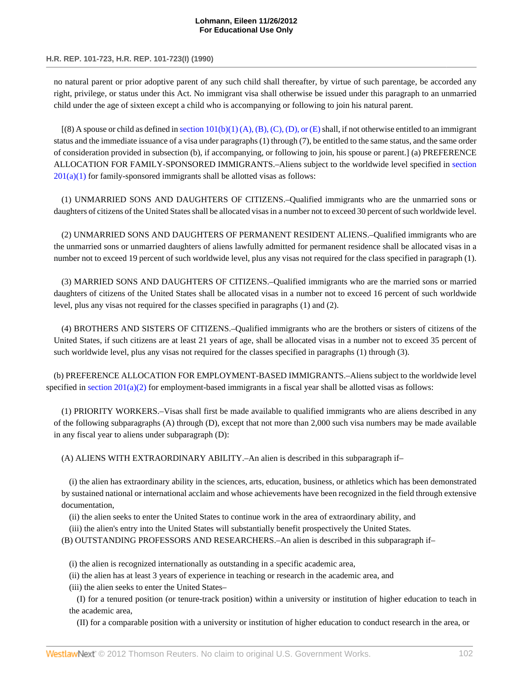### **H.R. REP. 101-723, H.R. REP. 101-723(I) (1990)**

no natural parent or prior adoptive parent of any such child shall thereafter, by virtue of such parentage, be accorded any right, privilege, or status under this Act. No immigrant visa shall otherwise be issued under this paragraph to an unmarried child under the age of sixteen except a child who is accompanying or following to join his natural parent.

 $[(8)$  A spouse or child as defined in section  $101(b)(1)(A), (B), (C), (D),$  or  $(E)$  shall, if not otherwise entitled to an immigrant status and the immediate issuance of a visa under paragraphs (1) through (7), be entitled to the same status, and the same order of consideration provided in subsection (b), if accompanying, or following to join, his spouse or parent.] (a) PREFERENCE ALLOCATION FOR FAMILY-SPONSORED IMMIGRANTS.–Aliens subject to the worldwide level specified in [section](http://www.westlaw.com/Link/Document/FullText?findType=L&pubNum=1000546&cite=29USCAS201&originatingDoc=I520E9F60643311D9B7CECED691859821&refType=LQ&originationContext=document&vr=3.0&rs=cblt1.0&transitionType=DocumentItem&contextData=(sc.UserEnteredCitation))  $201(a)(1)$  for family-sponsored immigrants shall be allotted visas as follows:

(1) UNMARRIED SONS AND DAUGHTERS OF CITIZENS.–Qualified immigrants who are the unmarried sons or daughters of citizens of the United States shall be allocated visas in a number not to exceed 30 percent of such worldwide level.

(2) UNMARRIED SONS AND DAUGHTERS OF PERMANENT RESIDENT ALIENS.–Qualified immigrants who are the unmarried sons or unmarried daughters of aliens lawfully admitted for permanent residence shall be allocated visas in a number not to exceed 19 percent of such worldwide level, plus any visas not required for the class specified in paragraph (1).

(3) MARRIED SONS AND DAUGHTERS OF CITIZENS.–Qualified immigrants who are the married sons or married daughters of citizens of the United States shall be allocated visas in a number not to exceed 16 percent of such worldwide level, plus any visas not required for the classes specified in paragraphs (1) and (2).

(4) BROTHERS AND SISTERS OF CITIZENS.–Qualified immigrants who are the brothers or sisters of citizens of the United States, if such citizens are at least 21 years of age, shall be allocated visas in a number not to exceed 35 percent of such worldwide level, plus any visas not required for the classes specified in paragraphs (1) through (3).

(b) PREFERENCE ALLOCATION FOR EMPLOYMENT-BASED IMMIGRANTS.–Aliens subject to the worldwide level specified in section  $201(a)(2)$  for employment-based immigrants in a fiscal year shall be allotted visas as follows:

(1) PRIORITY WORKERS.–Visas shall first be made available to qualified immigrants who are aliens described in any of the following subparagraphs (A) through (D), except that not more than 2,000 such visa numbers may be made available in any fiscal year to aliens under subparagraph (D):

(A) ALIENS WITH EXTRAORDINARY ABILITY.–An alien is described in this subparagraph if–

(i) the alien has extraordinary ability in the sciences, arts, education, business, or athletics which has been demonstrated by sustained national or international acclaim and whose achievements have been recognized in the field through extensive documentation,

(ii) the alien seeks to enter the United States to continue work in the area of extraordinary ability, and

(iii) the alien's entry into the United States will substantially benefit prospectively the United States.

(B) OUTSTANDING PROFESSORS AND RESEARCHERS.–An alien is described in this subparagraph if–

(i) the alien is recognized internationally as outstanding in a specific academic area,

(ii) the alien has at least 3 years of experience in teaching or research in the academic area, and

(iii) the alien seeks to enter the United States–

(I) for a tenured position (or tenure-track position) within a university or institution of higher education to teach in the academic area,

(II) for a comparable position with a university or institution of higher education to conduct research in the area, or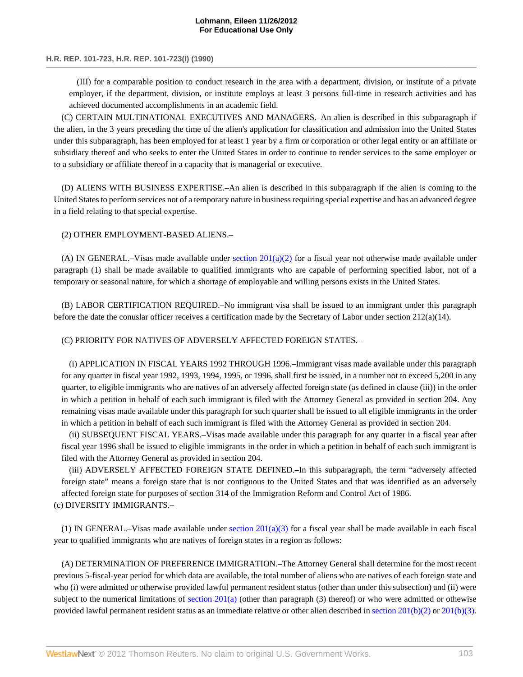### **H.R. REP. 101-723, H.R. REP. 101-723(I) (1990)**

(III) for a comparable position to conduct research in the area with a department, division, or institute of a private employer, if the department, division, or institute employs at least 3 persons full-time in research activities and has achieved documented accomplishments in an academic field.

(C) CERTAIN MULTINATIONAL EXECUTIVES AND MANAGERS.–An alien is described in this subparagraph if the alien, in the 3 years preceding the time of the alien's application for classification and admission into the United States under this subparagraph, has been employed for at least 1 year by a firm or corporation or other legal entity or an affiliate or subsidiary thereof and who seeks to enter the United States in order to continue to render services to the same employer or to a subsidiary or affiliate thereof in a capacity that is managerial or executive.

(D) ALIENS WITH BUSINESS EXPERTISE.–An alien is described in this subparagraph if the alien is coming to the United States to perform services not of a temporary nature in business requiring special expertise and has an advanced degree in a field relating to that special expertise.

# (2) OTHER EMPLOYMENT-BASED ALIENS.–

(A) IN GENERAL.–Visas made available under section  $201(a)(2)$  for a fiscal year not otherwise made available under paragraph (1) shall be made available to qualified immigrants who are capable of performing specified labor, not of a temporary or seasonal nature, for which a shortage of employable and willing persons exists in the United States.

(B) LABOR CERTIFICATION REQUIRED.–No immigrant visa shall be issued to an immigrant under this paragraph before the date the conuslar officer receives a certification made by the Secretary of Labor under section  $212(a)(14)$ .

# (C) PRIORITY FOR NATIVES OF ADVERSELY AFFECTED FOREIGN STATES.–

(i) APPLICATION IN FISCAL YEARS 1992 THROUGH 1996.–Immigrant visas made available under this paragraph for any quarter in fiscal year 1992, 1993, 1994, 1995, or 1996, shall first be issued, in a number not to exceed 5,200 in any quarter, to eligible immigrants who are natives of an adversely affected foreign state (as defined in clause (iii)) in the order in which a petition in behalf of each such immigrant is filed with the Attorney General as provided in section 204. Any remaining visas made available under this paragraph for such quarter shall be issued to all eligible immigrants in the order in which a petition in behalf of each such immigrant is filed with the Attorney General as provided in section 204.

(ii) SUBSEQUENT FISCAL YEARS.–Visas made available under this paragraph for any quarter in a fiscal year after fiscal year 1996 shall be issued to eligible immigrants in the order in which a petition in behalf of each such immigrant is filed with the Attorney General as provided in section 204.

(iii) ADVERSELY AFFECTED FOREIGN STATE DEFINED.–In this subparagraph, the term "adversely affected foreign state" means a foreign state that is not contiguous to the United States and that was identified as an adversely affected foreign state for purposes of section 314 of the Immigration Reform and Control Act of 1986.

# (c) DIVERSITY IMMIGRANTS.–

(1) IN GENERAL.–Visas made available under section  $201(a)(3)$  for a fiscal year shall be made available in each fiscal year to qualified immigrants who are natives of foreign states in a region as follows:

(A) DETERMINATION OF PREFERENCE IMMIGRATION.–The Attorney General shall determine for the most recent previous 5-fiscal-year period for which data are available, the total number of aliens who are natives of each foreign state and who (i) were admitted or otherwise provided lawful permanent resident status (other than under this subsection) and (ii) were subject to the numerical limitations of section  $201(a)$  (other than paragraph (3) thereof) or who were admitted or othewise provided lawful permanent resident status as an immediate relative or other alien described in section  $201(b)(2)$  or  $201(b)(3)$ .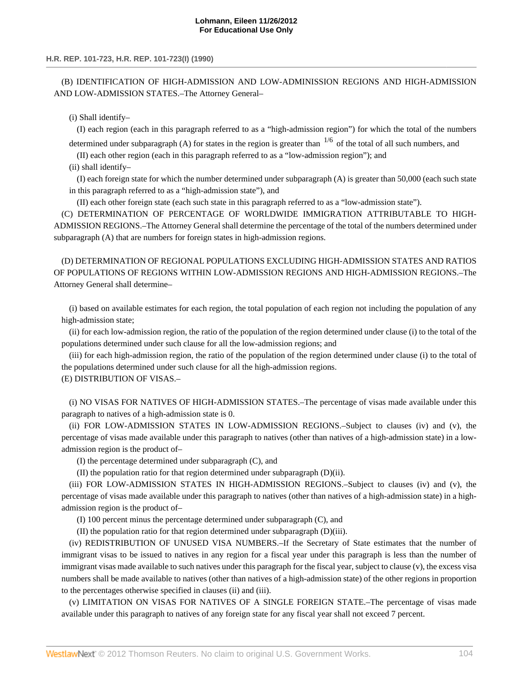### **H.R. REP. 101-723, H.R. REP. 101-723(I) (1990)**

(B) IDENTIFICATION OF HIGH-ADMISSION AND LOW-ADMINISSION REGIONS AND HIGH-ADMISSION AND LOW-ADMISSION STATES.–The Attorney General–

(i) Shall identify–

(I) each region (each in this paragraph referred to as a "high-admission region") for which the total of the numbers determined under subparagraph (A) for states in the region is greater than  $1/6$  of the total of all such numbers, and

(II) each other region (each in this paragraph referred to as a "low-admission region"); and

(ii) shall identify–

(I) each foreign state for which the number determined under subparagraph (A) is greater than 50,000 (each such state in this paragraph referred to as a "high-admission state"), and

(II) each other foreign state (each such state in this paragraph referred to as a "low-admission state").

(C) DETERMINATION OF PERCENTAGE OF WORLDWIDE IMMIGRATION ATTRIBUTABLE TO HIGH-ADMISSION REGIONS.–The Attorney General shall determine the percentage of the total of the numbers determined under subparagraph (A) that are numbers for foreign states in high-admission regions.

(D) DETERMINATION OF REGIONAL POPULATIONS EXCLUDING HIGH-ADMISSION STATES AND RATIOS OF POPULATIONS OF REGIONS WITHIN LOW-ADMISSION REGIONS AND HIGH-ADMISSION REGIONS.–The Attorney General shall determine–

(i) based on available estimates for each region, the total population of each region not including the population of any high-admission state;

(ii) for each low-admission region, the ratio of the population of the region determined under clause (i) to the total of the populations determined under such clause for all the low-admission regions; and

(iii) for each high-admission region, the ratio of the population of the region determined under clause (i) to the total of the populations determined under such clause for all the high-admission regions.

(E) DISTRIBUTION OF VISAS.–

(i) NO VISAS FOR NATIVES OF HIGH-ADMISSION STATES.–The percentage of visas made available under this paragraph to natives of a high-admission state is 0.

(ii) FOR LOW-ADMISSION STATES IN LOW-ADMISSION REGIONS.–Subject to clauses (iv) and (v), the percentage of visas made available under this paragraph to natives (other than natives of a high-admission state) in a lowadmission region is the product of–

(I) the percentage determined under subparagraph (C), and

(II) the population ratio for that region determined under subparagraph (D)(ii).

(iii) FOR LOW-ADMISSION STATES IN HIGH-ADMISSION REGIONS.–Subject to clauses (iv) and (v), the percentage of visas made available under this paragraph to natives (other than natives of a high-admission state) in a highadmission region is the product of–

(I) 100 percent minus the percentage determined under subparagraph (C), and

(II) the population ratio for that region determined under subparagraph (D)(iii).

(iv) REDISTRIBUTION OF UNUSED VISA NUMBERS.–If the Secretary of State estimates that the number of immigrant visas to be issued to natives in any region for a fiscal year under this paragraph is less than the number of immigrant visas made available to such natives under this paragraph for the fiscal year, subject to clause (v), the excess visa numbers shall be made available to natives (other than natives of a high-admission state) of the other regions in proportion to the percentages otherwise specified in clauses (ii) and (iii).

(v) LIMITATION ON VISAS FOR NATIVES OF A SINGLE FOREIGN STATE.–The percentage of visas made available under this paragraph to natives of any foreign state for any fiscal year shall not exceed 7 percent.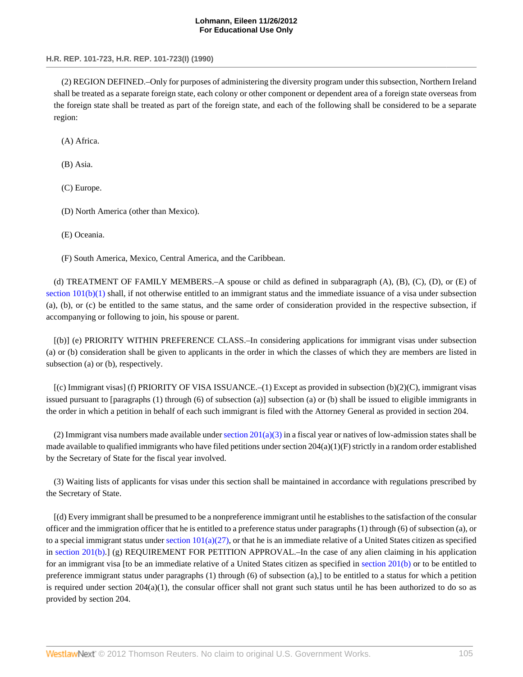### **H.R. REP. 101-723, H.R. REP. 101-723(I) (1990)**

(2) REGION DEFINED.–Only for purposes of administering the diversity program under this subsection, Northern Ireland shall be treated as a separate foreign state, each colony or other component or dependent area of a foreign state overseas from the foreign state shall be treated as part of the foreign state, and each of the following shall be considered to be a separate region:

(A) Africa.

(B) Asia.

(C) Europe.

(D) North America (other than Mexico).

(E) Oceania.

(F) South America, Mexico, Central America, and the Caribbean.

(d) TREATMENT OF FAMILY MEMBERS.–A spouse or child as defined in subparagraph (A), (B), (C), (D), or (E) of section  $101(b)(1)$  shall, if not otherwise entitled to an immigrant status and the immediate issuance of a visa under subsection (a), (b), or (c) be entitled to the same status, and the same order of consideration provided in the respective subsection, if accompanying or following to join, his spouse or parent.

[(b)] (e) PRIORITY WITHIN PREFERENCE CLASS.–In considering applications for immigrant visas under subsection (a) or (b) consideration shall be given to applicants in the order in which the classes of which they are members are listed in subsection (a) or (b), respectively.

 $[(c)$  Immigrant visas] (f) PRIORITY OF VISA ISSUANCE.–(1) Except as provided in subsection (b)(2)(C), immigrant visas issued pursuant to [paragraphs (1) through (6) of subsection (a)] subsection (a) or (b) shall be issued to eligible immigrants in the order in which a petition in behalf of each such immigrant is filed with the Attorney General as provided in section 204.

(2) Immigrant visa numbers made available under section  $201(a)(3)$  in a fiscal year or natives of low-admission states shall be made available to qualified immigrants who have filed petitions under section  $204(a)(1)(F)$  strictly in a random order established by the Secretary of State for the fiscal year involved.

(3) Waiting lists of applicants for visas under this section shall be maintained in accordance with regulations prescribed by the Secretary of State.

[(d) Every immigrant shall be presumed to be a nonpreference immigrant until he establishes to the satisfaction of the consular officer and the immigration officer that he is entitled to a preference status under paragraphs (1) through (6) of subsection (a), or to a special immigrant status under section  $101(a)(27)$ , or that he is an immediate relative of a United States citizen as specified in [section 201\(b\).](http://www.westlaw.com/Link/Document/FullText?findType=L&pubNum=1000546&cite=29USCAS201&originatingDoc=I520E9F60643311D9B7CECED691859821&refType=LQ&originationContext=document&vr=3.0&rs=cblt1.0&transitionType=DocumentItem&contextData=(sc.UserEnteredCitation))] (g) REQUIREMENT FOR PETITION APPROVAL.–In the case of any alien claiming in his application for an immigrant visa [to be an immediate relative of a United States citizen as specified in section  $201(b)$  or to be entitled to preference immigrant status under paragraphs (1) through (6) of subsection (a),] to be entitled to a status for which a petition is required under section  $204(a)(1)$ , the consular officer shall not grant such status until he has been authorized to do so as provided by section 204.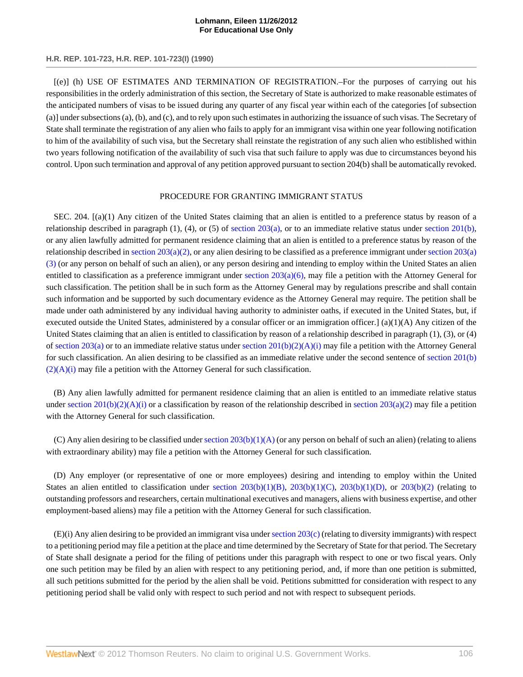### **H.R. REP. 101-723, H.R. REP. 101-723(I) (1990)**

[(e)] (h) USE OF ESTIMATES AND TERMINATION OF REGISTRATION.–For the purposes of carrying out his responsibilities in the orderly administration of this section, the Secretary of State is authorized to make reasonable estimates of the anticipated numbers of visas to be issued during any quarter of any fiscal year within each of the categories [of subsection (a)] under subsections (a), (b), and (c), and to rely upon such estimates in authorizing the issuance of such visas. The Secretary of State shall terminate the registration of any alien who fails to apply for an immigrant visa within one year following notification to him of the availability of such visa, but the Secretary shall reinstate the registration of any such alien who estiblished within two years following notification of the availability of such visa that such failure to apply was due to circumstances beyond his control. Upon such termination and approval of any petition approved pursuant to section 204(b) shall be automatically revoked.

## PROCEDURE FOR GRANTING IMMIGRANT STATUS

SEC. 204. [(a)(1) Any citizen of the United States claiming that an alien is entitled to a preference status by reason of a relationship described in paragraph (1), (4), or (5) of [section 203\(a\)](http://www.westlaw.com/Link/Document/FullText?findType=L&pubNum=1000546&cite=29USCAS203&originatingDoc=I520E9F60643311D9B7CECED691859821&refType=LQ&originationContext=document&vr=3.0&rs=cblt1.0&transitionType=DocumentItem&contextData=(sc.UserEnteredCitation)), or to an immediate relative status under [section 201\(b\)](http://www.westlaw.com/Link/Document/FullText?findType=L&pubNum=1000546&cite=29USCAS201&originatingDoc=I520E9F60643311D9B7CECED691859821&refType=LQ&originationContext=document&vr=3.0&rs=cblt1.0&transitionType=DocumentItem&contextData=(sc.UserEnteredCitation)), or any alien lawfully admitted for permanent residence claiming that an alien is entitled to a preference status by reason of the relationship described in section  $203(a)(2)$ , or any alien desiring to be classified as a preference immigrant under section  $203(a)$ [\(3\)](http://www.westlaw.com/Link/Document/FullText?findType=L&pubNum=1000546&cite=29USCAS203&originatingDoc=I520E9F60643311D9B7CECED691859821&refType=LQ&originationContext=document&vr=3.0&rs=cblt1.0&transitionType=DocumentItem&contextData=(sc.UserEnteredCitation)) (or any person on behalf of such an alien), or any person desiring and intending to employ within the United States an alien entitled to classification as a preference immigrant under section  $203(a)(6)$ , may file a petition with the Attorney General for such classification. The petition shall be in such form as the Attorney General may by regulations prescribe and shall contain such information and be supported by such documentary evidence as the Attorney General may require. The petition shall be made under oath administered by any individual having authority to administer oaths, if executed in the United States, but, if executed outside the United States, administered by a consular officer or an immigration officer.] (a)(1)(A) Any citizen of the United States claiming that an alien is entitled to classification by reason of a relationship described in paragraph (1), (3), or (4) of [section 203\(a\)](http://www.westlaw.com/Link/Document/FullText?findType=L&pubNum=1000546&cite=29USCAS203&originatingDoc=I520E9F60643311D9B7CECED691859821&refType=LQ&originationContext=document&vr=3.0&rs=cblt1.0&transitionType=DocumentItem&contextData=(sc.UserEnteredCitation)) or to an immediate relative status under section  $201(b)(2)(A)(i)$  may file a petition with the Attorney General for such classification. An alien desiring to be classified as an immediate relative under the second sentence of [section 201\(b\)](http://www.westlaw.com/Link/Document/FullText?findType=L&pubNum=1000546&cite=29USCAS201&originatingDoc=I520E9F60643311D9B7CECED691859821&refType=LQ&originationContext=document&vr=3.0&rs=cblt1.0&transitionType=DocumentItem&contextData=(sc.UserEnteredCitation))  $(2)(A)(i)$  may file a petition with the Attorney General for such classification.

(B) Any alien lawfully admitted for permanent residence claiming that an alien is entitled to an immediate relative status under section  $201(b)(2)(A)(i)$  or a classification by reason of the relationship described in section  $203(a)(2)$  may file a petition with the Attorney General for such classification.

(C) Any alien desiring to be classified under section  $203(b)(1)(A)$  (or any person on behalf of such an alien) (relating to aliens with extraordinary ability) may file a petition with the Attorney General for such classification.

(D) Any employer (or representative of one or more employees) desiring and intending to employ within the United States an alien entitled to classification under section  $203(b)(1)(B)$ ,  $203(b)(1)(C)$ ,  $203(b)(1)(D)$ , or  $203(b)(2)$  (relating to outstanding professors and researchers, certain multinational executives and managers, aliens with business expertise, and other employment-based aliens) may file a petition with the Attorney General for such classification.

(E)(i) Any alien desiring to be provided an immigrant visa under section  $203(c)$  (relating to diversity immigrants) with respect to a petitioning period may file a petition at the place and time determined by the Secretary of State for that period. The Secretary of State shall designate a period for the filing of petitions under this paragraph with respect to one or two fiscal years. Only one such petition may be filed by an alien with respect to any petitioning period, and, if more than one petition is submitted, all such petitions submitted for the period by the alien shall be void. Petitions submittted for consideration with respect to any petitioning period shall be valid only with respect to such period and not with respect to subsequent periods.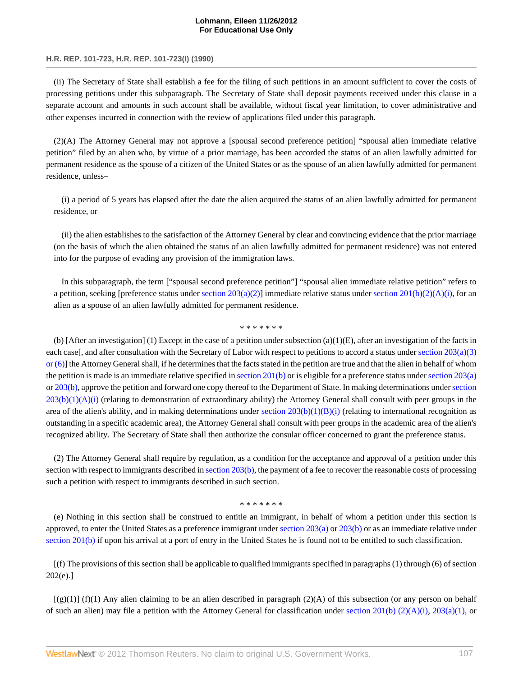### **H.R. REP. 101-723, H.R. REP. 101-723(I) (1990)**

(ii) The Secretary of State shall establish a fee for the filing of such petitions in an amount sufficient to cover the costs of processing petitions under this subparagraph. The Secretary of State shall deposit payments received under this clause in a separate account and amounts in such account shall be available, without fiscal year limitation, to cover administrative and other expenses incurred in connection with the review of applications filed under this paragraph.

(2)(A) The Attorney General may not approve a [spousal second preference petition] "spousal alien immediate relative petition" filed by an alien who, by virtue of a prior marriage, has been accorded the status of an alien lawfully admitted for permanent residence as the spouse of a citizen of the United States or as the spouse of an alien lawfully admitted for permanent residence, unless–

(i) a period of 5 years has elapsed after the date the alien acquired the status of an alien lawfully admitted for permanent residence, or

(ii) the alien establishes to the satisfaction of the Attorney General by clear and convincing evidence that the prior marriage (on the basis of which the alien obtained the status of an alien lawfully admitted for permanent residence) was not entered into for the purpose of evading any provision of the immigration laws.

In this subparagraph, the term ["spousal second preference petition"] "spousal alien immediate relative petition" refers to a petition, seeking [preference status under section  $203(a)(2)$ ] immediate relative status under section  $201(b)(2)(A)(i)$ , for an alien as a spouse of an alien lawfully admitted for permanent residence.

#### \* \* \* \* \* \* \*

(b) [After an investigation] (1) Except in the case of a petition under subsection (a)(1)(E), after an investigation of the facts in each case[, and after consultation with the Secretary of Labor with respect to petitions to accord a status under [section 203\(a\)\(3\)](http://www.westlaw.com/Link/Document/FullText?findType=L&pubNum=1000546&cite=29USCAS203&originatingDoc=I520E9F60643311D9B7CECED691859821&refType=LQ&originationContext=document&vr=3.0&rs=cblt1.0&transitionType=DocumentItem&contextData=(sc.UserEnteredCitation)) [or \(6\)\]](http://www.westlaw.com/Link/Document/FullText?findType=L&pubNum=1000546&cite=29USCAS203&originatingDoc=I520E9F60643311D9B7CECED691859821&refType=LQ&originationContext=document&vr=3.0&rs=cblt1.0&transitionType=DocumentItem&contextData=(sc.UserEnteredCitation)) the Attorney General shall, if he determines that the facts stated in the petition are true and that the alien in behalf of whom the petition is made is an immediate relative specified in [section 201\(b\)](http://www.westlaw.com/Link/Document/FullText?findType=L&pubNum=1000546&cite=29USCAS201&originatingDoc=I520E9F60643311D9B7CECED691859821&refType=LQ&originationContext=document&vr=3.0&rs=cblt1.0&transitionType=DocumentItem&contextData=(sc.UserEnteredCitation)) or is eligible for a preference status under [section 203\(a\)](http://www.westlaw.com/Link/Document/FullText?findType=L&pubNum=1000546&cite=29USCAS203&originatingDoc=I520E9F60643311D9B7CECED691859821&refType=LQ&originationContext=document&vr=3.0&rs=cblt1.0&transitionType=DocumentItem&contextData=(sc.UserEnteredCitation)) or [203\(b\),](http://www.westlaw.com/Link/Document/FullText?findType=L&pubNum=1000546&cite=29USCAS203&originatingDoc=I520E9F60643311D9B7CECED691859821&refType=LQ&originationContext=document&vr=3.0&rs=cblt1.0&transitionType=DocumentItem&contextData=(sc.UserEnteredCitation)) approve the petition and forward one copy thereof to the Department of State. In making determinations under [section](http://www.westlaw.com/Link/Document/FullText?findType=L&pubNum=1000546&cite=29USCAS203&originatingDoc=I520E9F60643311D9B7CECED691859821&refType=LQ&originationContext=document&vr=3.0&rs=cblt1.0&transitionType=DocumentItem&contextData=(sc.UserEnteredCitation))  $203(b)(1)(A)(i)$  (relating to demonstration of extraordinary ability) the Attorney General shall consult with peer groups in the area of the alien's ability, and in making determinations under section  $203(b)(1)(B)(i)$  (relating to international recognition as outstanding in a specific academic area), the Attorney General shall consult with peer groups in the academic area of the alien's recognized ability. The Secretary of State shall then authorize the consular officer concerned to grant the preference status.

(2) The Attorney General shall require by regulation, as a condition for the acceptance and approval of a petition under this section with respect to immigrants described in [section 203\(b\),](http://www.westlaw.com/Link/Document/FullText?findType=L&pubNum=1000546&cite=29USCAS203&originatingDoc=I520E9F60643311D9B7CECED691859821&refType=LQ&originationContext=document&vr=3.0&rs=cblt1.0&transitionType=DocumentItem&contextData=(sc.UserEnteredCitation)) the payment of a fee to recover the reasonable costs of processing such a petition with respect to immigrants described in such section.

#### \* \* \* \* \* \* \*

(e) Nothing in this section shall be construed to entitle an immigrant, in behalf of whom a petition under this section is approved, to enter the United States as a preference immigrant under [section 203\(a\)](http://www.westlaw.com/Link/Document/FullText?findType=L&pubNum=1000546&cite=29USCAS203&originatingDoc=I520E9F60643311D9B7CECED691859821&refType=LQ&originationContext=document&vr=3.0&rs=cblt1.0&transitionType=DocumentItem&contextData=(sc.UserEnteredCitation)) or [203\(b\)](http://www.westlaw.com/Link/Document/FullText?findType=L&pubNum=1000546&cite=29USCAS203&originatingDoc=I520E9F60643311D9B7CECED691859821&refType=LQ&originationContext=document&vr=3.0&rs=cblt1.0&transitionType=DocumentItem&contextData=(sc.UserEnteredCitation)) or as an immediate relative under [section 201\(b\)](http://www.westlaw.com/Link/Document/FullText?findType=L&pubNum=1000546&cite=29USCAS201&originatingDoc=I520E9F60643311D9B7CECED691859821&refType=LQ&originationContext=document&vr=3.0&rs=cblt1.0&transitionType=DocumentItem&contextData=(sc.UserEnteredCitation)) if upon his arrival at a port of entry in the United States he is found not to be entitled to such classification.

[(f) The provisions of this section shall be applicable to qualified immigrants specified in paragraphs (1) through (6) of section 202(e).]

 $[(g)(1)]$  (f)(1) Any alien claiming to be an alien described in paragraph (2)(A) of this subsection (or any person on behalf of such an alien) may file a petition with the Attorney General for classification under section  $201(b) (2)(A)(i)$ ,  $203(a)(1)$ , or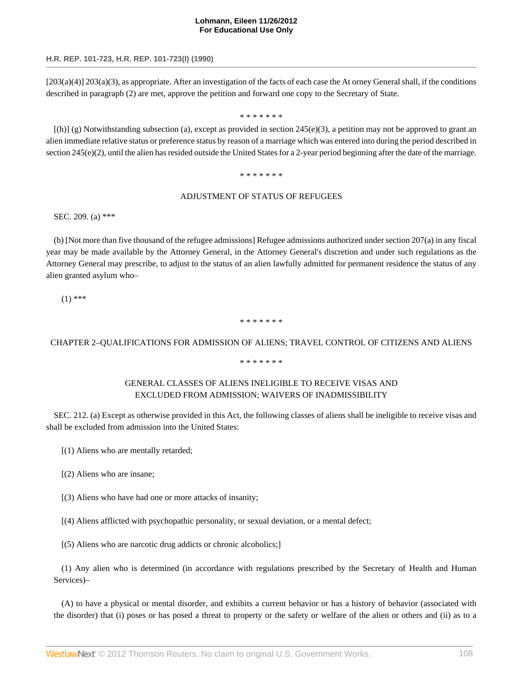### **H.R. REP. 101-723, H.R. REP. 101-723(I) (1990)**

 $[203(a)(4)]$   $203(a)(3)$ , as appropriate. After an investigation of the facts of each case the At orney General shall, if the conditions described in paragraph (2) are met, approve the petition and forward one copy to the Secretary of State.

\* \* \* \* \* \* \*

 $[(h)]$  (g) Notwithstanding subsection (a), except as provided in section 245(e)(3), a petition may not be approved to grant an alien immediate relative status or preference status by reason of a marriage which was entered into during the period described in section 245(e)(2), until the alien has resided outside the United States for a 2-year period beginning after the date of the marriage.

### \* \* \* \* \* \* \*

# ADJUSTMENT OF STATUS OF REFUGEES

SEC. 209. (a) \*\*\*

(b) [Not more than five thousand of the refugee admissions] Refugee admissions authorized under section 207(a) in any fiscal year may be made available by the Attorney General, in the Attorney General's discretion and under such regulations as the Attorney General may prescribe, to adjust to the status of an alien lawfully admitted for permanent residence the status of any alien granted asylum who–

 $(1)$  \*\*\*

# \* \* \* \* \* \* \*

CHAPTER 2–QUALIFICATIONS FOR ADMISSION OF ALIENS; TRAVEL CONTROL OF CITIZENS AND ALIENS

# \* \* \* \* \* \* \*

# GENERAL CLASSES OF ALIENS INELIGIBLE TO RECEIVE VISAS AND EXCLUDED FROM ADMISSION; WAIVERS OF INADMISSIBILITY

SEC. 212. (a) Except as otherwise provided in this Act, the following classes of aliens shall be ineligible to receive visas and shall be excluded from admission into the United States:

- [(1) Aliens who are mentally retarded;
- [(2) Aliens who are insane;
- [(3) Aliens who have had one or more attacks of insanity;
- [(4) Aliens afflicted with psychopathic personality, or sexual deviation, or a mental defect;
- [(5) Aliens who are narcotic drug addicts or chronic alcoholics;]

(1) Any alien who is determined (in accordance with regulations prescribed by the Secretary of Health and Human Services)–

(A) to have a physical or mental disorder, and exhibits a current behavior or has a history of behavior (associated with the disorder) that (i) poses or has posed a threat to property or the safety or welfare of the alien or others and (ii) as to a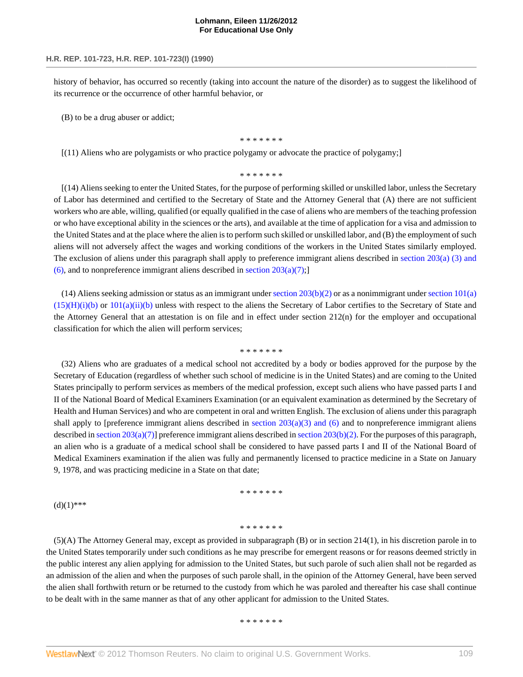#### **H.R. REP. 101-723, H.R. REP. 101-723(I) (1990)**

history of behavior, has occurred so recently (taking into account the nature of the disorder) as to suggest the likelihood of its recurrence or the occurrence of other harmful behavior, or

(B) to be a drug abuser or addict;

#### \* \* \* \* \* \* \*

[(11) Aliens who are polygamists or who practice polygamy or advocate the practice of polygamy;]

#### \* \* \* \* \* \* \*

[(14) Aliens seeking to enter the United States, for the purpose of performing skilled or unskilled labor, unless the Secretary of Labor has determined and certified to the Secretary of State and the Attorney General that (A) there are not sufficient workers who are able, willing, qualified (or equally qualified in the case of aliens who are members of the teaching profession or who have exceptional ability in the sciences or the arts), and available at the time of application for a visa and admission to the United States and at the place where the alien is to perform such skilled or unskilled labor, and (B) the employment of such aliens will not adversely affect the wages and working conditions of the workers in the United States similarly employed. The exclusion of aliens under this paragraph shall apply to preference immigrant aliens described in [section 203\(a\) \(3\) and](http://www.westlaw.com/Link/Document/FullText?findType=L&pubNum=1000546&cite=29USCAS203&originatingDoc=I520E9F60643311D9B7CECED691859821&refType=LQ&originationContext=document&vr=3.0&rs=cblt1.0&transitionType=DocumentItem&contextData=(sc.UserEnteredCitation))  $(6)$ , and to nonpreference immigrant aliens described in section  $203(a)(7)$ ;

(14) Aliens seeking admission or status as an immigrant under section  $203(b)(2)$  or as a nonimmigrant under section  $101(a)$  $(15)(H)(i)(b)$  or  $101(a)(ii)(b)$  unless with respect to the aliens the Secretary of Labor certifies to the Secretary of State and the Attorney General that an attestation is on file and in effect under section 212(n) for the employer and occupational classification for which the alien will perform services;

#### \* \* \* \* \* \* \*

(32) Aliens who are graduates of a medical school not accredited by a body or bodies approved for the purpose by the Secretary of Education (regardless of whether such school of medicine is in the United States) and are coming to the United States principally to perform services as members of the medical profession, except such aliens who have passed parts I and II of the National Board of Medical Examiners Examination (or an equivalent examination as determined by the Secretary of Health and Human Services) and who are competent in oral and written English. The exclusion of aliens under this paragraph shall apply to [preference immigrant aliens described in section  $203(a)(3)$  and (6) and to nonpreference immigrant aliens described in section  $203(a)(7)$ ] preference immigrant aliens described in section  $203(b)(2)$ . For the purposes of this paragraph, an alien who is a graduate of a medical school shall be considered to have passed parts I and II of the National Board of Medical Examiners examination if the alien was fully and permanently licensed to practice medicine in a State on January 9, 1978, and was practicing medicine in a State on that date;

 $(d)(1)$ \*\*\*

\* \* \* \* \* \* \*

#### \* \* \* \* \* \* \*

(5)(A) The Attorney General may, except as provided in subparagraph (B) or in section 214(1), in his discretion parole in to the United States temporarily under such conditions as he may prescribe for emergent reasons or for reasons deemed strictly in the public interest any alien applying for admission to the United States, but such parole of such alien shall not be regarded as an admission of the alien and when the purposes of such parole shall, in the opinion of the Attorney General, have been served the alien shall forthwith return or be returned to the custody from which he was paroled and thereafter his case shall continue to be dealt with in the same manner as that of any other applicant for admission to the United States.

#### \* \* \* \* \* \* \*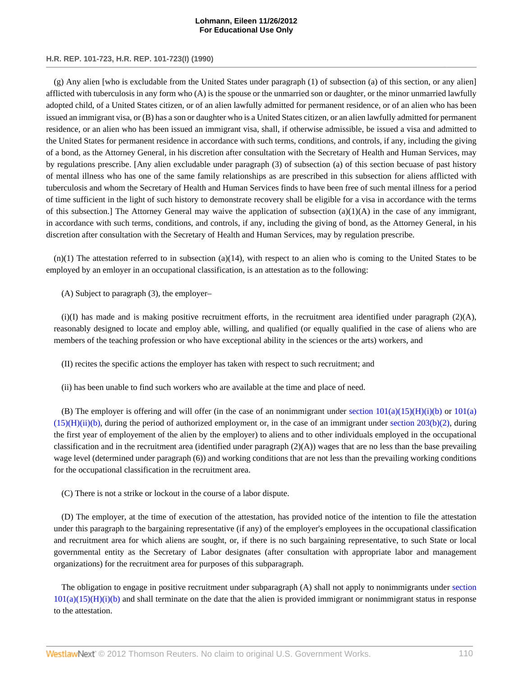## **H.R. REP. 101-723, H.R. REP. 101-723(I) (1990)**

(g) Any alien [who is excludable from the United States under paragraph (1) of subsection (a) of this section, or any alien] afflicted with tuberculosis in any form who  $(A)$  is the spouse or the unmarried son or daughter, or the minor unmarried lawfully adopted child, of a United States citizen, or of an alien lawfully admitted for permanent residence, or of an alien who has been issued an immigrant visa, or (B) has a son or daughter who is a United States citizen, or an alien lawfully admitted for permanent residence, or an alien who has been issued an immigrant visa, shall, if otherwise admissible, be issued a visa and admitted to the United States for permanent residence in accordance with such terms, conditions, and controls, if any, including the giving of a bond, as the Attorney General, in his discretion after consultation with the Secretary of Health and Human Services, may by regulations prescribe. [Any alien excludable under paragraph (3) of subsection (a) of this section becuase of past history of mental illness who has one of the same family relationships as are prescribed in this subsection for aliens afflicted with tuberculosis and whom the Secretary of Health and Human Services finds to have been free of such mental illness for a period of time sufficient in the light of such history to demonstrate recovery shall be eligible for a visa in accordance with the terms of this subsection.] The Attorney General may waive the application of subsection  $(a)(1)(A)$  in the case of any immigrant, in accordance with such terms, conditions, and controls, if any, including the giving of bond, as the Attorney General, in his discretion after consultation with the Secretary of Health and Human Services, may by regulation prescribe.

 $(n)(1)$  The attestation referred to in subsection  $(a)(14)$ , with respect to an alien who is coming to the United States to be employed by an emloyer in an occupational classification, is an attestation as to the following:

(A) Subject to paragraph (3), the employer–

 $(i)(I)$  has made and is making positive recruitment efforts, in the recruitment area identified under paragraph  $(2)(A)$ , reasonably designed to locate and employ able, willing, and qualified (or equally qualified in the case of aliens who are members of the teaching profession or who have exceptional ability in the sciences or the arts) workers, and

(II) recites the specific actions the employer has taken with respect to such recruitment; and

(ii) has been unable to find such workers who are available at the time and place of need.

(B) The employer is offering and will offer (in the case of an nonimmigrant under section  $101(a)(15)(H)(i)(b)$  $101(a)(15)(H)(i)(b)$  or  $101(a)$  $(15)(H)(ii)(b)$ , during the period of authorized employment or, in the case of an immigrant under [section 203\(b\)\(2\),](http://www.westlaw.com/Link/Document/FullText?findType=L&pubNum=1000546&cite=29USCAS203&originatingDoc=I520E9F60643311D9B7CECED691859821&refType=LQ&originationContext=document&vr=3.0&rs=cblt1.0&transitionType=DocumentItem&contextData=(sc.UserEnteredCitation)) during the first year of employement of the alien by the employer) to aliens and to other individuals employed in the occupational classification and in the recruitment area (identified under paragraph  $(2)(A)$ ) wages that are no less than the base prevailing wage level (determined under paragraph (6)) and working conditions that are not less than the prevailing working conditions for the occupational classification in the recruitment area.

(C) There is not a strike or lockout in the course of a labor dispute.

(D) The employer, at the time of execution of the attestation, has provided notice of the intention to file the attestation under this paragraph to the bargaining representative (if any) of the employer's employees in the occupational classification and recruitment area for which aliens are sought, or, if there is no such bargaining representative, to such State or local governmental entity as the Secretary of Labor designates (after consultation with appropriate labor and management organizations) for the recruitment area for purposes of this subparagraph.

The obligation to engage in positive recruitment under subparagraph (A) shall not apply to nonimmigrants under [section](http://www.westlaw.com/Link/Document/FullText?findType=L&pubNum=1000546&cite=29USCAS101&originatingDoc=I520E9F60643311D9B7CECED691859821&refType=LQ&originationContext=document&vr=3.0&rs=cblt1.0&transitionType=DocumentItem&contextData=(sc.UserEnteredCitation))  $101(a)(15)(H)(i)$  and shall terminate on the date that the alien is provided immigrant or nonimmigrant status in response to the attestation.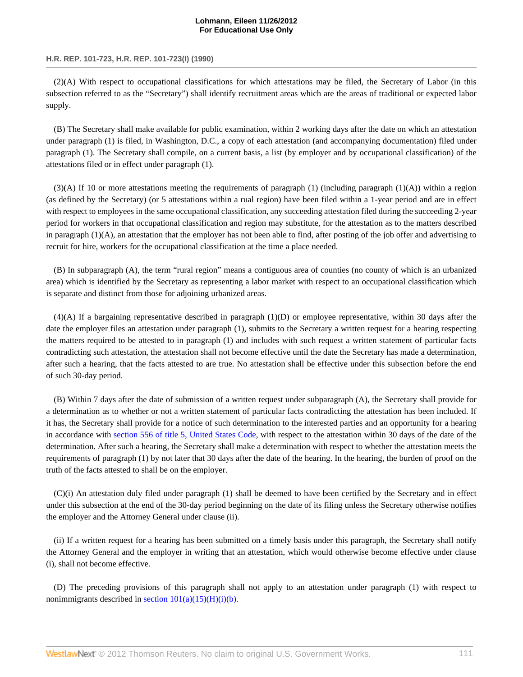### **H.R. REP. 101-723, H.R. REP. 101-723(I) (1990)**

(2)(A) With respect to occupational classifications for which attestations may be filed, the Secretary of Labor (in this subsection referred to as the "Secretary") shall identify recruitment areas which are the areas of traditional or expected labor supply.

(B) The Secretary shall make available for public examination, within 2 working days after the date on which an attestation under paragraph (1) is filed, in Washington, D.C., a copy of each attestation (and accompanying documentation) filed under paragraph (1). The Secretary shall compile, on a current basis, a list (by employer and by occupational classification) of the attestations filed or in effect under paragraph (1).

 $(3)$ (A) If 10 or more attestations meeting the requirements of paragraph (1) (including paragraph (1)(A)) within a region (as defined by the Secretary) (or 5 attestations within a rual region) have been filed within a 1-year period and are in effect with respect to employees in the same occupational classification, any succeeding attestation filed during the succeeding 2-year period for workers in that occupational classification and region may substitute, for the attestation as to the matters described in paragraph (1)(A), an attestation that the employer has not been able to find, after posting of the job offer and advertising to recruit for hire, workers for the occupational classification at the time a place needed.

(B) In subparagraph (A), the term "rural region" means a contiguous area of counties (no county of which is an urbanized area) which is identified by the Secretary as representing a labor market with respect to an occupational classification which is separate and distinct from those for adjoining urbanized areas.

(4)(A) If a bargaining representative described in paragraph (1)(D) or employee representative, within 30 days after the date the employer files an attestation under paragraph (1), submits to the Secretary a written request for a hearing respecting the matters required to be attested to in paragraph (1) and includes with such request a written statement of particular facts contradicting such attestation, the attestation shall not become effective until the date the Secretary has made a determination, after such a hearing, that the facts attested to are true. No attestation shall be effective under this subsection before the end of such 30-day period.

(B) Within 7 days after the date of submission of a written request under subparagraph (A), the Secretary shall provide for a determination as to whether or not a written statement of particular facts contradicting the attestation has been included. If it has, the Secretary shall provide for a notice of such determination to the interested parties and an opportunity for a hearing in accordance with [section 556 of title 5, United States Code,](http://www.westlaw.com/Link/Document/FullText?findType=L&pubNum=1000546&cite=5USCAS556&originatingDoc=I520E9F60643311D9B7CECED691859821&refType=LQ&originationContext=document&vr=3.0&rs=cblt1.0&transitionType=DocumentItem&contextData=(sc.UserEnteredCitation)) with respect to the attestation within 30 days of the date of the determination. After such a hearing, the Secretary shall make a determination with respect to whether the attestation meets the requirements of paragraph (1) by not later that 30 days after the date of the hearing. In the hearing, the burden of proof on the truth of the facts attested to shall be on the employer.

(C)(i) An attestation duly filed under paragraph (1) shall be deemed to have been certified by the Secretary and in effect under this subsection at the end of the 30-day period beginning on the date of its filing unless the Secretary otherwise notifies the employer and the Attorney General under clause (ii).

(ii) If a written request for a hearing has been submitted on a timely basis under this paragraph, the Secretary shall notify the Attorney General and the employer in writing that an attestation, which would otherwise become effective under clause (i), shall not become effective.

(D) The preceding provisions of this paragraph shall not apply to an attestation under paragraph (1) with respect to nonimmigrants described in section  $101(a)(15)(H)(i)(b)$ .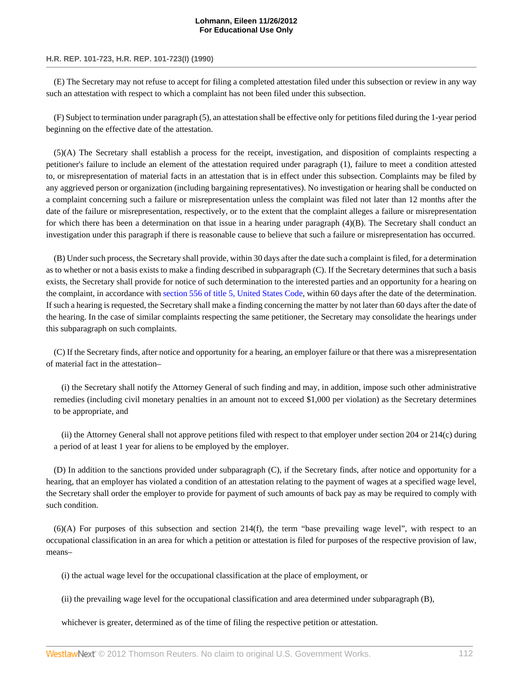# **H.R. REP. 101-723, H.R. REP. 101-723(I) (1990)**

(E) The Secretary may not refuse to accept for filing a completed attestation filed under this subsection or review in any way such an attestation with respect to which a complaint has not been filed under this subsection.

(F) Subject to termination under paragraph (5), an attestation shall be effective only for petitions filed during the 1-year period beginning on the effective date of the attestation.

(5)(A) The Secretary shall establish a process for the receipt, investigation, and disposition of complaints respecting a petitioner's failure to include an element of the attestation required under paragraph (1), failure to meet a condition attested to, or misrepresentation of material facts in an attestation that is in effect under this subsection. Complaints may be filed by any aggrieved person or organization (including bargaining representatives). No investigation or hearing shall be conducted on a complaint concerning such a failure or misrepresentation unless the complaint was filed not later than 12 months after the date of the failure or misrepresentation, respectively, or to the extent that the complaint alleges a failure or misrepresentation for which there has been a determination on that issue in a hearing under paragraph  $(4)(B)$ . The Secretary shall conduct an investigation under this paragraph if there is reasonable cause to believe that such a failure or misrepresentation has occurred.

(B) Under such process, the Secretary shall provide, within 30 days after the date such a complaint is filed, for a determination as to whether or not a basis exists to make a finding described in subparagraph (C). If the Secretary determines that such a basis exists, the Secretary shall provide for notice of such determination to the interested parties and an opportunity for a hearing on the complaint, in accordance with [section 556 of title 5, United States Code,](http://www.westlaw.com/Link/Document/FullText?findType=L&pubNum=1000546&cite=5USCAS556&originatingDoc=I520E9F60643311D9B7CECED691859821&refType=LQ&originationContext=document&vr=3.0&rs=cblt1.0&transitionType=DocumentItem&contextData=(sc.UserEnteredCitation)) within 60 days after the date of the determination. If such a hearing is requested, the Secretary shall make a finding concerning the matter by not later than 60 days after the date of the hearing. In the case of similar complaints respecting the same petitioner, the Secretary may consolidate the hearings under this subparagraph on such complaints.

(C) If the Secretary finds, after notice and opportunity for a hearing, an employer failure or that there was a misrepresentation of material fact in the attestation–

(i) the Secretary shall notify the Attorney General of such finding and may, in addition, impose such other administrative remedies (including civil monetary penalties in an amount not to exceed \$1,000 per violation) as the Secretary determines to be appropriate, and

(ii) the Attorney General shall not approve petitions filed with respect to that employer under section 204 or 214(c) during a period of at least 1 year for aliens to be employed by the employer.

(D) In addition to the sanctions provided under subparagraph (C), if the Secretary finds, after notice and opportunity for a hearing, that an employer has violated a condition of an attestation relating to the payment of wages at a specified wage level, the Secretary shall order the employer to provide for payment of such amounts of back pay as may be required to comply with such condition.

(6)(A) For purposes of this subsection and section 214(f), the term "base prevailing wage level", with respect to an occupational classification in an area for which a petition or attestation is filed for purposes of the respective provision of law, means–

(i) the actual wage level for the occupational classification at the place of employment, or

(ii) the prevailing wage level for the occupational classification and area determined under subparagraph (B),

whichever is greater, determined as of the time of filing the respective petition or attestation.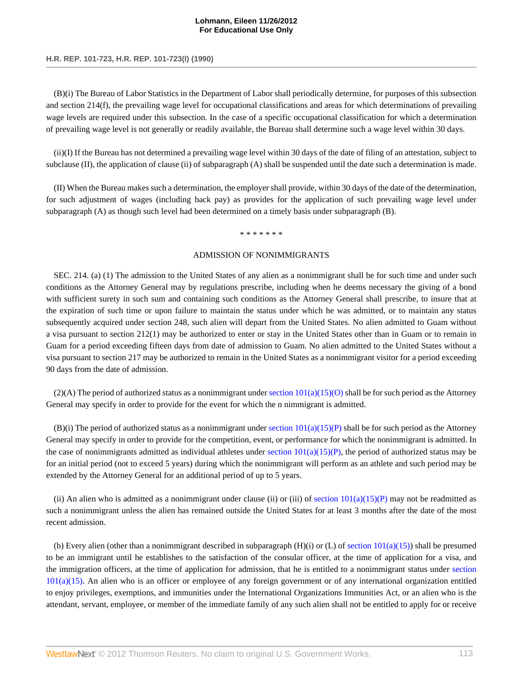### **H.R. REP. 101-723, H.R. REP. 101-723(I) (1990)**

(B)(i) The Bureau of Labor Statistics in the Department of Labor shall periodically determine, for purposes of this subsection and section 214(f), the prevailing wage level for occupational classifications and areas for which determinations of prevailing wage levels are required under this subsection. In the case of a specific occupational classification for which a determination of prevailing wage level is not generally or readily available, the Bureau shall determine such a wage level within 30 days.

(ii)(I) If the Bureau has not determined a prevailing wage level within 30 days of the date of filing of an attestation, subject to subclause (II), the application of clause (ii) of subparagraph (A) shall be suspended until the date such a determination is made.

(II) When the Bureau makes such a determination, the employer shall provide, within 30 days of the date of the determination, for such adjustment of wages (including back pay) as provides for the application of such prevailing wage level under subparagraph (A) as though such level had been determined on a timely basis under subparagraph (B).

\* \* \* \* \* \* \*

### ADMISSION OF NONIMMIGRANTS

SEC. 214. (a) (1) The admission to the United States of any alien as a nonimmigrant shall be for such time and under such conditions as the Attorney General may by regulations prescribe, including when he deems necessary the giving of a bond with sufficient surety in such sum and containing such conditions as the Attorney General shall prescribe, to insure that at the expiration of such time or upon failure to maintain the status under which he was admitted, or to maintain any status subsequently acquired under section 248, such alien will depart from the United States. No alien admitted to Guam without a visa pursuant to section 212(1) may be authorized to enter or stay in the United States other than in Guam or to remain in Guam for a period exceeding fifteen days from date of admission to Guam. No alien admitted to the United States without a visa pursuant to section 217 may be authorized to remain in the United States as a nonimmigrant visitor for a period exceeding 90 days from the date of admission.

 $(2)$ (A) The period of authorized status as a nonimmigrant under section  $101(a)(15)(O)$  shall be for such period as the Attorney General may specify in order to provide for the event for which the n nimmigrant is admitted.

(B)(i) The period of authorized status as a nonimmigrant under section  $101(a)(15)(P)$  shall be for such period as the Attorney General may specify in order to provide for the competition, event, or performance for which the nonimmigrant is admitted. In the case of nonimmigrants admitted as individual athletes under section  $101(a)(15)(P)$ , the period of authorized status may be for an initial period (not to exceed 5 years) during which the nonimmigrant will perform as an athlete and such period may be extended by the Attorney General for an additional period of up to 5 years.

(ii) An alien who is admitted as a nonimmigrant under clause (ii) or (iii) of section  $101(a)(15)(P)$  may not be readmitted as such a nonimmigrant unless the alien has remained outside the United States for at least 3 months after the date of the most recent admission.

(b) Every alien (other than a nonimmigrant described in subparagraph  $(H)(i)$  or  $(L)$  of section  $101(a)(15)$ ) shall be presumed to be an immigrant until he establishes to the satisfaction of the consular officer, at the time of application for a visa, and the immigration officers, at the time of application for admission, that he is entitled to a nonimmigrant status under [section](http://www.westlaw.com/Link/Document/FullText?findType=L&pubNum=1000546&cite=29USCAS101&originatingDoc=I520E9F60643311D9B7CECED691859821&refType=LQ&originationContext=document&vr=3.0&rs=cblt1.0&transitionType=DocumentItem&contextData=(sc.UserEnteredCitation)) [101\(a\)\(15\).](http://www.westlaw.com/Link/Document/FullText?findType=L&pubNum=1000546&cite=29USCAS101&originatingDoc=I520E9F60643311D9B7CECED691859821&refType=LQ&originationContext=document&vr=3.0&rs=cblt1.0&transitionType=DocumentItem&contextData=(sc.UserEnteredCitation)) An alien who is an officer or employee of any foreign government or of any international organization entitled to enjoy privileges, exemptions, and immunities under the International Organizations Immunities Act, or an alien who is the attendant, servant, employee, or member of the immediate family of any such alien shall not be entitled to apply for or receive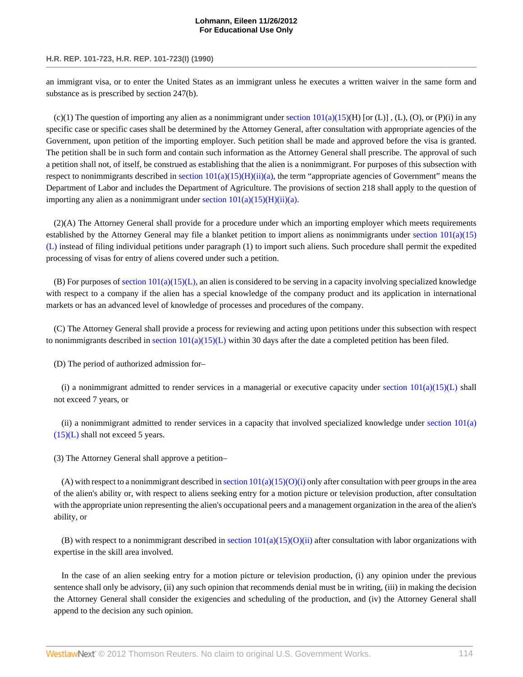### **H.R. REP. 101-723, H.R. REP. 101-723(I) (1990)**

an immigrant visa, or to enter the United States as an immigrant unless he executes a written waiver in the same form and substance as is prescribed by section 247(b).

(c)(1) The question of importing any alien as a nonimmigrant under section  $101(a)(15)(H)$  [or (L)], (L), (O), or (P)(i) in any specific case or specific cases shall be determined by the Attorney General, after consultation with appropriate agencies of the Government, upon petition of the importing employer. Such petition shall be made and approved before the visa is granted. The petition shall be in such form and contain such information as the Attorney General shall prescribe. The approval of such a petition shall not, of itself, be construed as establishing that the alien is a nonimmigrant. For purposes of this subsection with respect to nonimmigrants described in section  $101(a)(15)(H)(ii)(a)$ , the term "appropriate agencies of Government" means the Department of Labor and includes the Department of Agriculture. The provisions of section 218 shall apply to the question of importing any alien as a nonimmigrant under section  $101(a)(15)(H)(ii)(a)$ .

(2)(A) The Attorney General shall provide for a procedure under which an importing employer which meets requirements established by the Attorney General may file a blanket petition to import aliens as nonimmigrants under section  $101(a)(15)$ [\(L\)](http://www.westlaw.com/Link/Document/FullText?findType=L&pubNum=1000546&cite=29USCAS101&originatingDoc=I520E9F60643311D9B7CECED691859821&refType=LQ&originationContext=document&vr=3.0&rs=cblt1.0&transitionType=DocumentItem&contextData=(sc.UserEnteredCitation)) instead of filing individual petitions under paragraph (1) to import such aliens. Such procedure shall permit the expedited processing of visas for entry of aliens covered under such a petition.

(B) For purposes of section  $101(a)(15)(L)$ , an alien is considered to be serving in a capacity involving specialized knowledge with respect to a company if the alien has a special knowledge of the company product and its application in international markets or has an advanced level of knowledge of processes and procedures of the company.

(C) The Attorney General shall provide a process for reviewing and acting upon petitions under this subsection with respect to nonimmigrants described in section  $101(a)(15)(L)$  within 30 days after the date a completed petition has been filed.

(D) The period of authorized admission for–

(i) a nonimmigrant admitted to render services in a managerial or executive capacity under section  $101(a)(15)(L)$  shall not exceed 7 years, or

(ii) a nonimmigrant admitted to render services in a capacity that involved specialized knowledge under [section 101\(a\)](http://www.westlaw.com/Link/Document/FullText?findType=L&pubNum=1000546&cite=29USCAS101&originatingDoc=I520E9F60643311D9B7CECED691859821&refType=LQ&originationContext=document&vr=3.0&rs=cblt1.0&transitionType=DocumentItem&contextData=(sc.UserEnteredCitation))  $(15)(L)$  shall not exceed 5 years.

(3) The Attorney General shall approve a petition–

(A) with respect to a nonimmigrant described in section  $101(a)(15)(O)(i)$  only after consultation with peer groups in the area of the alien's ability or, with respect to aliens seeking entry for a motion picture or television production, after consultation with the appropriate union representing the alien's occupational peers and a management organization in the area of the alien's ability, or

(B) with respect to a nonimmigrant described in section  $101(a)(15)(O)(ii)$  after consultation with labor organizations with expertise in the skill area involved.

In the case of an alien seeking entry for a motion picture or television production, (i) any opinion under the previous sentence shall only be advisory, (ii) any such opinion that recommends denial must be in writing, (iii) in making the decision the Attorney General shall consider the exigencies and scheduling of the production, and (iv) the Attorney General shall append to the decision any such opinion.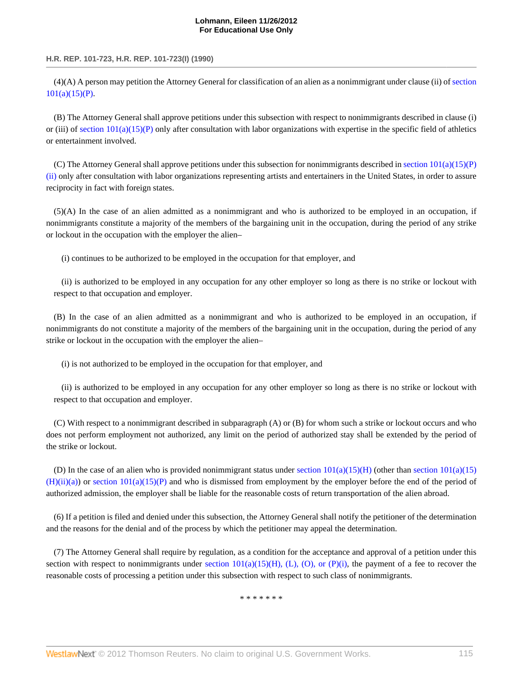## **H.R. REP. 101-723, H.R. REP. 101-723(I) (1990)**

(4)(A) A person may petition the Attorney General for classification of an alien as a nonimmigrant under clause (ii) of [section](http://www.westlaw.com/Link/Document/FullText?findType=L&pubNum=1000546&cite=29USCAS101&originatingDoc=I520E9F60643311D9B7CECED691859821&refType=LQ&originationContext=document&vr=3.0&rs=cblt1.0&transitionType=DocumentItem&contextData=(sc.UserEnteredCitation))  $101(a)(15)(P)$ .

(B) The Attorney General shall approve petitions under this subsection with respect to nonimmigrants described in clause (i) or (iii) of section  $101(a)(15)(P)$  only after consultation with labor organizations with expertise in the specific field of athletics or entertainment involved.

(C) The Attorney General shall approve petitions under this subsection for nonimmigrants described in section  $101(a)(15)(P)$ [\(ii\)](http://www.westlaw.com/Link/Document/FullText?findType=L&pubNum=1000546&cite=29USCAS101&originatingDoc=I520E9F60643311D9B7CECED691859821&refType=LQ&originationContext=document&vr=3.0&rs=cblt1.0&transitionType=DocumentItem&contextData=(sc.UserEnteredCitation)) only after consultation with labor organizations representing artists and entertainers in the United States, in order to assure reciprocity in fact with foreign states.

(5)(A) In the case of an alien admitted as a nonimmigrant and who is authorized to be employed in an occupation, if nonimmigrants constitute a majority of the members of the bargaining unit in the occupation, during the period of any strike or lockout in the occupation with the employer the alien–

(i) continues to be authorized to be employed in the occupation for that employer, and

(ii) is authorized to be employed in any occupation for any other employer so long as there is no strike or lockout with respect to that occupation and employer.

(B) In the case of an alien admitted as a nonimmigrant and who is authorized to be employed in an occupation, if nonimmigrants do not constitute a majority of the members of the bargaining unit in the occupation, during the period of any strike or lockout in the occupation with the employer the alien–

(i) is not authorized to be employed in the occupation for that employer, and

(ii) is authorized to be employed in any occupation for any other employer so long as there is no strike or lockout with respect to that occupation and employer.

(C) With respect to a nonimmigrant described in subparagraph (A) or (B) for whom such a strike or lockout occurs and who does not perform employment not authorized, any limit on the period of authorized stay shall be extended by the period of the strike or lockout.

(D) In the case of an alien who is provided nonimmigrant status under section  $101(a)(15)(H)$  (other than section  $101(a)(15)$ )  $(H)(ii)(a)$ ) or section  $101(a)(15)(P)$  and who is dismissed from employment by the employer before the end of the period of authorized admission, the employer shall be liable for the reasonable costs of return transportation of the alien abroad.

(6) If a petition is filed and denied under this subsection, the Attorney General shall notify the petitioner of the determination and the reasons for the denial and of the process by which the petitioner may appeal the determination.

(7) The Attorney General shall require by regulation, as a condition for the acceptance and approval of a petition under this section with respect to nonimmigrants under section  $101(a)(15)(H)$ , (L), (O), or (P)(i), the payment of a fee to recover the reasonable costs of processing a petition under this subsection with respect to such class of nonimmigrants.

\* \* \* \* \* \* \*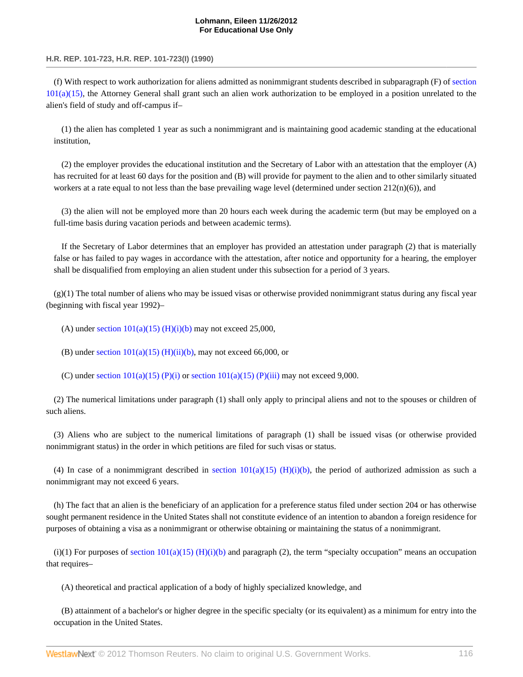## **H.R. REP. 101-723, H.R. REP. 101-723(I) (1990)**

(f) With respect to work authorization for aliens admitted as nonimmigrant students described in subparagraph (F) of [section](http://www.westlaw.com/Link/Document/FullText?findType=L&pubNum=1000546&cite=29USCAS101&originatingDoc=I520E9F60643311D9B7CECED691859821&refType=LQ&originationContext=document&vr=3.0&rs=cblt1.0&transitionType=DocumentItem&contextData=(sc.UserEnteredCitation)) [101\(a\)\(15\),](http://www.westlaw.com/Link/Document/FullText?findType=L&pubNum=1000546&cite=29USCAS101&originatingDoc=I520E9F60643311D9B7CECED691859821&refType=LQ&originationContext=document&vr=3.0&rs=cblt1.0&transitionType=DocumentItem&contextData=(sc.UserEnteredCitation)) the Attorney General shall grant such an alien work authorization to be employed in a position unrelated to the alien's field of study and off-campus if–

(1) the alien has completed 1 year as such a nonimmigrant and is maintaining good academic standing at the educational institution,

(2) the employer provides the educational institution and the Secretary of Labor with an attestation that the employer (A) has recruited for at least 60 days for the position and (B) will provide for payment to the alien and to other similarly situated workers at a rate equal to not less than the base prevailing wage level (determined under section  $212(n)(6)$ ), and

(3) the alien will not be employed more than 20 hours each week during the academic term (but may be employed on a full-time basis during vacation periods and between academic terms).

If the Secretary of Labor determines that an employer has provided an attestation under paragraph (2) that is materially false or has failed to pay wages in accordance with the attestation, after notice and opportunity for a hearing, the employer shall be disqualified from employing an alien student under this subsection for a period of 3 years.

 $(g)(1)$  The total number of aliens who may be issued visas or otherwise provided nonimmigrant status during any fiscal year (beginning with fiscal year 1992)–

(A) under section  $101(a)(15)$  (H)(i)(b) may not exceed 25,000,

(B) under section  $101(a)(15)$  (H)(ii)(b), may not exceed 66,000, or

(C) under section  $101(a)(15)$  (P)(i) or section  $101(a)(15)$  (P)(iii) may not exceed 9,000.

(2) The numerical limitations under paragraph (1) shall only apply to principal aliens and not to the spouses or children of such aliens.

(3) Aliens who are subject to the numerical limitations of paragraph (1) shall be issued visas (or otherwise provided nonimmigrant status) in the order in which petitions are filed for such visas or status.

(4) In case of a nonimmigrant described in section  $101(a)(15)$  (H)(i)(b), the period of authorized admission as such a nonimmigrant may not exceed 6 years.

(h) The fact that an alien is the beneficiary of an application for a preference status filed under section 204 or has otherwise sought permanent residence in the United States shall not constitute evidence of an intention to abandon a foreign residence for purposes of obtaining a visa as a nonimmigrant or otherwise obtaining or maintaining the status of a nonimmigrant.

 $(i)(1)$  For purposes of section  $101(a)(15)$   $(H)(i)(b)$  and paragraph (2), the term "specialty occupation" means an occupation that requires–

(A) theoretical and practical application of a body of highly specialized knowledge, and

(B) attainment of a bachelor's or higher degree in the specific specialty (or its equivalent) as a minimum for entry into the occupation in the United States.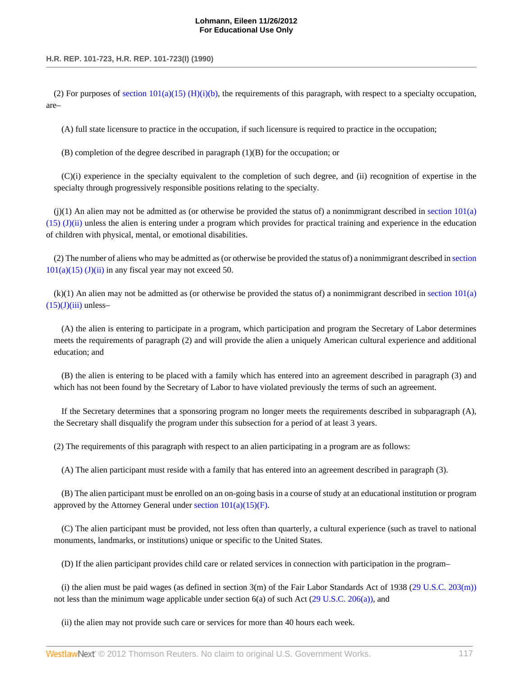### **H.R. REP. 101-723, H.R. REP. 101-723(I) (1990)**

(2) For purposes of section  $101(a)(15)$  (H)(i)(b), the requirements of this paragraph, with respect to a specialty occupation, are–

(A) full state licensure to practice in the occupation, if such licensure is required to practice in the occupation;

 $(B)$  completion of the degree described in paragraph  $(1)(B)$  for the occupation; or

(C)(i) experience in the specialty equivalent to the completion of such degree, and (ii) recognition of expertise in the specialty through progressively responsible positions relating to the specialty.

 $(j)(1)$  An alien may not be admitted as (or otherwise be provided the status of) a nonimmigrant described in section  $101(a)$  $(15)$  (J)(ii) unless the alien is entering under a program which provides for practical training and experience in the education of children with physical, mental, or emotional disabilities.

(2) The number of aliens who may be admitted as (or otherwise be provided the status of) a nonimmigrant described in [section](http://www.westlaw.com/Link/Document/FullText?findType=L&pubNum=1000546&cite=29USCAS101&originatingDoc=I520E9F60643311D9B7CECED691859821&refType=LQ&originationContext=document&vr=3.0&rs=cblt1.0&transitionType=DocumentItem&contextData=(sc.UserEnteredCitation))  $101(a)(15)$  (J)(ii) in any fiscal year may not exceed 50.

 $(k)(1)$  An alien may not be admitted as (or otherwise be provided the status of) a nonimmigrant described in section  $101(a)$  $(15)(J)(iii)$  unless-

(A) the alien is entering to participate in a program, which participation and program the Secretary of Labor determines meets the requirements of paragraph (2) and will provide the alien a uniquely American cultural experience and additional education; and

(B) the alien is entering to be placed with a family which has entered into an agreement described in paragraph (3) and which has not been found by the Secretary of Labor to have violated previously the terms of such an agreement.

If the Secretary determines that a sponsoring program no longer meets the requirements described in subparagraph (A), the Secretary shall disqualify the program under this subsection for a period of at least 3 years.

(2) The requirements of this paragraph with respect to an alien participating in a program are as follows:

(A) The alien participant must reside with a family that has entered into an agreement described in paragraph (3).

(B) The alien participant must be enrolled on an on-going basis in a course of study at an educational institution or program approved by the Attorney General under section  $101(a)(15)(F)$ .

(C) The alien participant must be provided, not less often than quarterly, a cultural experience (such as travel to national monuments, landmarks, or institutions) unique or specific to the United States.

(D) If the alien participant provides child care or related services in connection with participation in the program–

(i) the alien must be paid wages (as defined in section  $3(m)$  of the Fair Labor Standards Act of 1938 (29 U.S.C. 203 $(m)$ ) not less than the minimum wage applicable under section 6(a) of such Act [\(29 U.S.C. 206\(a\)\),](http://www.westlaw.com/Link/Document/FullText?findType=L&pubNum=1000546&cite=29USCAS206&originatingDoc=I520E9F60643311D9B7CECED691859821&refType=LQ&originationContext=document&vr=3.0&rs=cblt1.0&transitionType=DocumentItem&contextData=(sc.UserEnteredCitation)) and

(ii) the alien may not provide such care or services for more than 40 hours each week.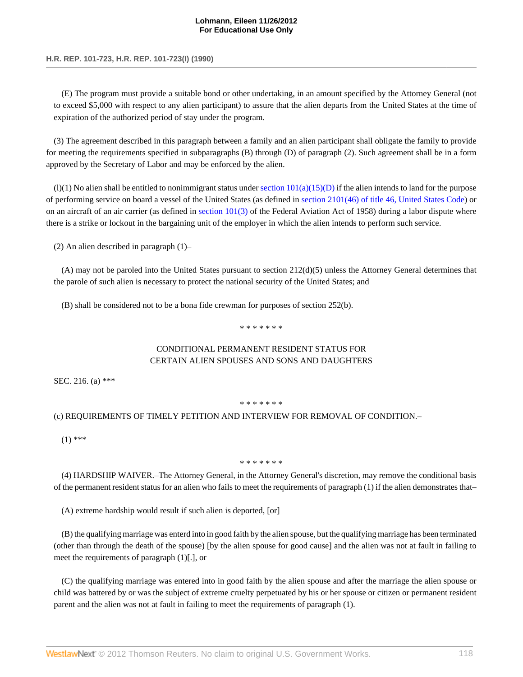### **H.R. REP. 101-723, H.R. REP. 101-723(I) (1990)**

(E) The program must provide a suitable bond or other undertaking, in an amount specified by the Attorney General (not to exceed \$5,000 with respect to any alien participant) to assure that the alien departs from the United States at the time of expiration of the authorized period of stay under the program.

(3) The agreement described in this paragraph between a family and an alien participant shall obligate the family to provide for meeting the requirements specified in subparagraphs (B) through (D) of paragraph (2). Such agreement shall be in a form approved by the Secretary of Labor and may be enforced by the alien.

 $(1)(1)$  No alien shall be entitled to nonimmigrant status under section  $101(a)(15)(D)$  if the alien intends to land for the purpose of performing service on board a vessel of the United States (as defined in [section 2101\(46\) of title 46, United States Code\)](http://www.westlaw.com/Link/Document/FullText?findType=L&pubNum=1000546&cite=46USCAS2101&originatingDoc=I520E9F60643311D9B7CECED691859821&refType=LQ&originationContext=document&vr=3.0&rs=cblt1.0&transitionType=DocumentItem&contextData=(sc.UserEnteredCitation)) or on an aircraft of an air carrier (as defined in section  $101(3)$  of the Federal Aviation Act of 1958) during a labor dispute where there is a strike or lockout in the bargaining unit of the employer in which the alien intends to perform such service.

(2) An alien described in paragraph (1)–

(A) may not be paroled into the United States pursuant to section  $212(d)(5)$  unless the Attorney General determines that the parole of such alien is necessary to protect the national security of the United States; and

(B) shall be considered not to be a bona fide crewman for purposes of section 252(b).

# \* \* \* \* \* \* \*

# CONDITIONAL PERMANENT RESIDENT STATUS FOR CERTAIN ALIEN SPOUSES AND SONS AND DAUGHTERS

SEC. 216. (a) \*\*\*

## \* \* \* \* \* \* \*

## (c) REQUIREMENTS OF TIMELY PETITION AND INTERVIEW FOR REMOVAL OF CONDITION.–

 $(1)$  \*\*\*

### \* \* \* \* \* \* \*

(4) HARDSHIP WAIVER.–The Attorney General, in the Attorney General's discretion, may remove the conditional basis of the permanent resident status for an alien who fails to meet the requirements of paragraph (1) if the alien demonstrates that–

(A) extreme hardship would result if such alien is deported, [or]

(B) the qualifying marriage was enterd into in good faith by the alien spouse, but the qualifying marriage has been terminated (other than through the death of the spouse) [by the alien spouse for good cause] and the alien was not at fault in failing to meet the requirements of paragraph (1)[.], or

(C) the qualifying marriage was entered into in good faith by the alien spouse and after the marriage the alien spouse or child was battered by or was the subject of extreme cruelty perpetuated by his or her spouse or citizen or permanent resident parent and the alien was not at fault in failing to meet the requirements of paragraph (1).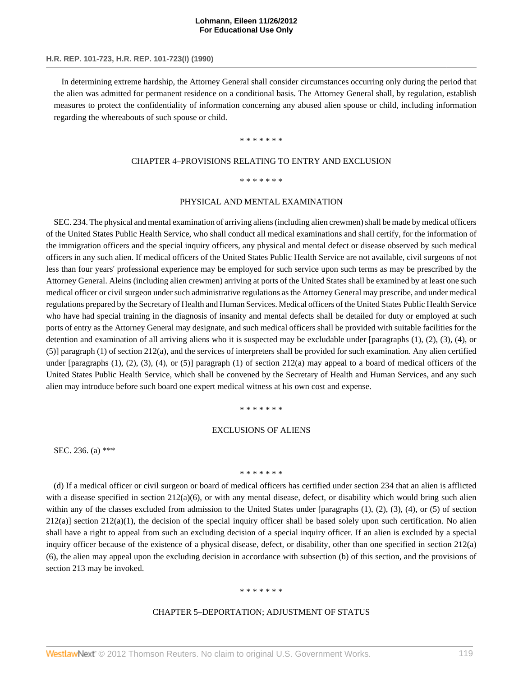### **H.R. REP. 101-723, H.R. REP. 101-723(I) (1990)**

In determining extreme hardship, the Attorney General shall consider circumstances occurring only during the period that the alien was admitted for permanent residence on a conditional basis. The Attorney General shall, by regulation, establish measures to protect the confidentiality of information concerning any abused alien spouse or child, including information regarding the whereabouts of such spouse or child.

### \* \* \* \* \* \* \*

# CHAPTER 4–PROVISIONS RELATING TO ENTRY AND EXCLUSION

\* \* \* \* \* \* \*

### PHYSICAL AND MENTAL EXAMINATION

SEC. 234. The physical and mental examination of arriving aliens (including alien crewmen) shall be made by medical officers of the United States Public Health Service, who shall conduct all medical examinations and shall certify, for the information of the immigration officers and the special inquiry officers, any physical and mental defect or disease observed by such medical officers in any such alien. If medical officers of the United States Public Health Service are not available, civil surgeons of not less than four years' professional experience may be employed for such service upon such terms as may be prescribed by the Attorney General. Aleins (including alien crewmen) arriving at ports of the United States shall be examined by at least one such medical officer or civil surgeon under such administrative regulations as the Attorney General may prescribe, and under medical regulations prepared by the Secretary of Health and Human Services. Medical officers of the United States Public Health Service who have had special training in the diagnosis of insanity and mental defects shall be detailed for duty or employed at such ports of entry as the Attorney General may designate, and such medical officers shall be provided with suitable facilities for the detention and examination of all arriving aliens who it is suspected may be excludable under [paragraphs (1), (2), (3), (4), or (5)] paragraph (1) of section 212(a), and the services of interpreters shall be provided for such examination. Any alien certified under [paragraphs  $(1)$ ,  $(2)$ ,  $(3)$ ,  $(4)$ , or  $(5)$ ] paragraph  $(1)$  of section 212 $(a)$  may appeal to a board of medical officers of the United States Public Health Service, which shall be convened by the Secretary of Health and Human Services, and any such alien may introduce before such board one expert medical witness at his own cost and expense.

## \* \* \* \* \* \* \*

#### EXCLUSIONS OF ALIENS

SEC. 236. (a) \*\*\*

#### \* \* \* \* \* \* \*

(d) If a medical officer or civil surgeon or board of medical officers has certified under section 234 that an alien is afflicted with a disease specified in section  $212(a)(6)$ , or with any mental disease, defect, or disability which would bring such alien within any of the classes excluded from admission to the United States under [paragraphs (1), (2), (3), (4), or (5) of section  $212(a)$ ] section  $212(a)(1)$ , the decision of the special inquiry officer shall be based solely upon such certification. No alien shall have a right to appeal from such an excluding decision of a special inquiry officer. If an alien is excluded by a special inquiry officer because of the existence of a physical disease, defect, or disability, other than one specified in section 212(a) (6), the alien may appeal upon the excluding decision in accordance with subsection (b) of this section, and the provisions of section 213 may be invoked.

#### \* \* \* \* \* \* \*

# CHAPTER 5–DEPORTATION; ADJUSTMENT OF STATUS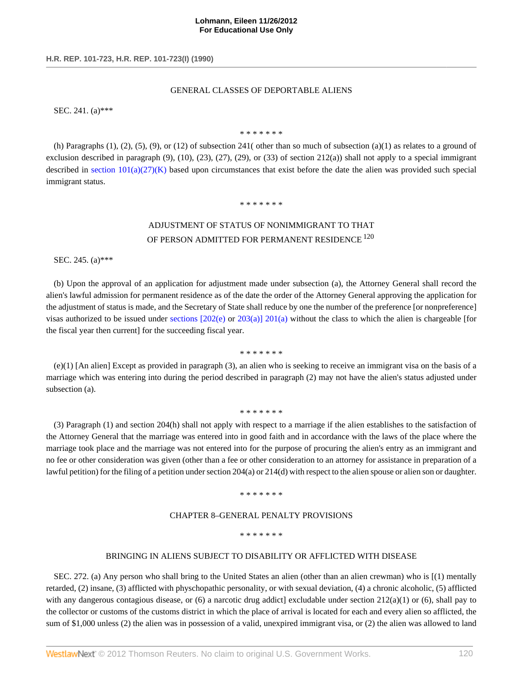#### **H.R. REP. 101-723, H.R. REP. 101-723(I) (1990)**

### GENERAL CLASSES OF DEPORTABLE ALIENS

SEC. 241. (a)\*\*\*

#### \* \* \* \* \* \* \*

(h) Paragraphs  $(1)$ ,  $(2)$ ,  $(5)$ ,  $(9)$ , or  $(12)$  of subsection 241( other than so much of subsection  $(a)(1)$  as relates to a ground of exclusion described in paragraph  $(9)$ ,  $(10)$ ,  $(23)$ ,  $(27)$ ,  $(29)$ , or  $(33)$  of section  $212(a)$ ) shall not apply to a special immigrant described in section  $101(a)(27)(K)$  based upon circumstances that exist before the date the alien was provided such special immigrant status.

\* \* \* \* \* \* \*

# ADJUSTMENT OF STATUS OF NONIMMIGRANT TO THAT OF PERSON ADMITTED FOR PERMANENT RESIDENCE<sup>120</sup>

SEC. 245. (a)\*\*\*

(b) Upon the approval of an application for adjustment made under subsection (a), the Attorney General shall record the alien's lawful admission for permanent residence as of the date the order of the Attorney General approving the application for the adjustment of status is made, and the Secretary of State shall reduce by one the number of the preference [or nonpreference] visas authorized to be issued under sections  $[202(e)$  or  $203(a)]$  [201\(a\)](http://www.westlaw.com/Link/Document/FullText?findType=L&pubNum=1000546&cite=29USCAS201&originatingDoc=I520E9F60643311D9B7CECED691859821&refType=LQ&originationContext=document&vr=3.0&rs=cblt1.0&transitionType=DocumentItem&contextData=(sc.UserEnteredCitation)) without the class to which the alien is chargeable [for the fiscal year then current] for the succeeding fiscal year.

\* \* \* \* \* \* \*

(e)(1) [An alien] Except as provided in paragraph (3), an alien who is seeking to receive an immigrant visa on the basis of a marriage which was entering into during the period described in paragraph (2) may not have the alien's status adjusted under subsection (a).

# \* \* \* \* \* \* \*

(3) Paragraph (1) and section 204(h) shall not apply with respect to a marriage if the alien establishes to the satisfaction of the Attorney General that the marriage was entered into in good faith and in accordance with the laws of the place where the marriage took place and the marriage was not entered into for the purpose of procuring the alien's entry as an immigrant and no fee or other consideration was given (other than a fee or other consideration to an attorney for assistance in preparation of a lawful petition) for the filing of a petition under section 204(a) or 214(d) with respect to the alien spouse or alien son or daughter.

\* \* \* \* \* \* \*

### CHAPTER 8–GENERAL PENALTY PROVISIONS

### \* \* \* \* \* \* \*

### BRINGING IN ALIENS SUBJECT TO DISABILITY OR AFFLICTED WITH DISEASE

SEC. 272. (a) Any person who shall bring to the United States an alien (other than an alien crewman) who is [(1) mentally retarded, (2) insane, (3) afflicted with physchopathic personality, or with sexual deviation, (4) a chronic alcoholic, (5) afflicted with any dangerous contagious disease, or (6) a narcotic drug addict] excludable under section  $212(a)(1)$  or (6), shall pay to the collector or customs of the customs district in which the place of arrival is located for each and every alien so afflicted, the sum of \$1,000 unless (2) the alien was in possession of a valid, unexpired immigrant visa, or (2) the alien was allowed to land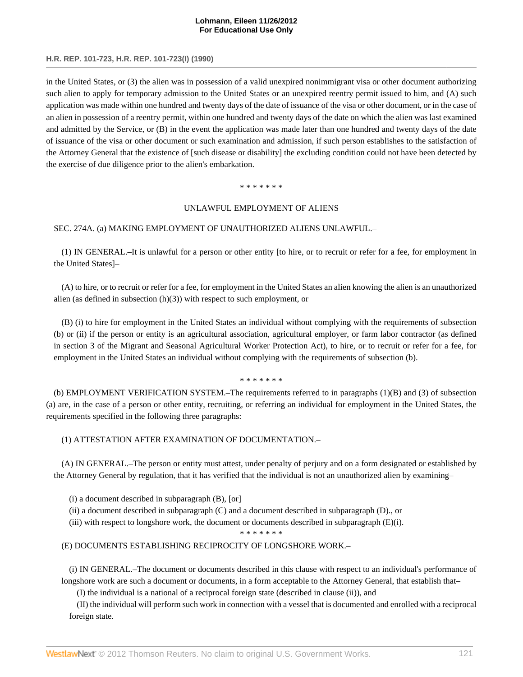# **H.R. REP. 101-723, H.R. REP. 101-723(I) (1990)**

in the United States, or (3) the alien was in possession of a valid unexpired nonimmigrant visa or other document authorizing such alien to apply for temporary admission to the United States or an unexpired reentry permit issued to him, and (A) such application was made within one hundred and twenty days of the date of issuance of the visa or other document, or in the case of an alien in possession of a reentry permit, within one hundred and twenty days of the date on which the alien was last examined and admitted by the Service, or (B) in the event the application was made later than one hundred and twenty days of the date of issuance of the visa or other document or such examination and admission, if such person establishes to the satisfaction of the Attorney General that the existence of [such disease or disability] the excluding condition could not have been detected by the exercise of due diligence prior to the alien's embarkation.

### \* \* \* \* \* \* \*

# UNLAWFUL EMPLOYMENT OF ALIENS

# SEC. 274A. (a) MAKING EMPLOYMENT OF UNAUTHORIZED ALIENS UNLAWFUL.–

(1) IN GENERAL.–It is unlawful for a person or other entity [to hire, or to recruit or refer for a fee, for employment in the United States]–

(A) to hire, or to recruit or refer for a fee, for employment in the United States an alien knowing the alien is an unauthorized alien (as defined in subsection  $(h)(3)$ ) with respect to such employment, or

(B) (i) to hire for employment in the United States an individual without complying with the requirements of subsection (b) or (ii) if the person or entity is an agricultural association, agricultural employer, or farm labor contractor (as defined in section 3 of the Migrant and Seasonal Agricultural Worker Protection Act), to hire, or to recruit or refer for a fee, for employment in the United States an individual without complying with the requirements of subsection (b).

\* \* \* \* \* \* \*

(b) EMPLOYMENT VERIFICATION SYSTEM.–The requirements referred to in paragraphs (1)(B) and (3) of subsection (a) are, in the case of a person or other entity, recruiting, or referring an individual for employment in the United States, the requirements specified in the following three paragraphs:

(1) ATTESTATION AFTER EXAMINATION OF DOCUMENTATION.–

(A) IN GENERAL.–The person or entity must attest, under penalty of perjury and on a form designated or established by the Attorney General by regulation, that it has verified that the individual is not an unauthorized alien by examining–

(i) a document described in subparagraph (B), [or]

(ii) a document described in subparagraph (C) and a document described in subparagraph (D)., or

(iii) with respect to longshore work, the document or documents described in subparagraph (E)(i).

\* \* \* \* \* \* \*

# (E) DOCUMENTS ESTABLISHING RECIPROCITY OF LONGSHORE WORK.–

(i) IN GENERAL.–The document or documents described in this clause with respect to an individual's performance of longshore work are such a document or documents, in a form acceptable to the Attorney General, that establish that–

(I) the individual is a national of a reciprocal foreign state (described in clause (ii)), and

(II) the individual will perform such work in connection with a vessel that is documented and enrolled with a reciprocal foreign state.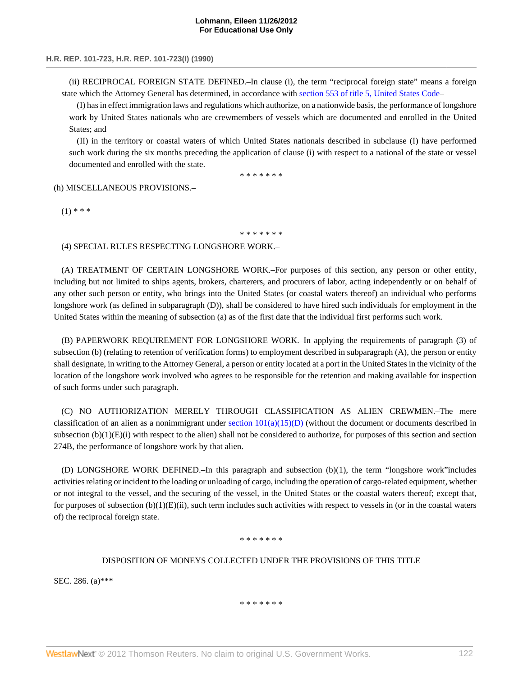### **H.R. REP. 101-723, H.R. REP. 101-723(I) (1990)**

(ii) RECIPROCAL FOREIGN STATE DEFINED.–In clause (i), the term "reciprocal foreign state" means a foreign state which the Attorney General has determined, in accordance with [section 553 of title 5, United States Code–](http://www.westlaw.com/Link/Document/FullText?findType=L&pubNum=1000546&cite=5USCAS553&originatingDoc=I520E9F60643311D9B7CECED691859821&refType=LQ&originationContext=document&vr=3.0&rs=cblt1.0&transitionType=DocumentItem&contextData=(sc.UserEnteredCitation))

(I) has in effect immigration laws and regulations which authorize, on a nationwide basis, the performance of longshore work by United States nationals who are crewmembers of vessels which are documented and enrolled in the United States; and

(II) in the territory or coastal waters of which United States nationals described in subclause (I) have performed such work during the six months preceding the application of clause (i) with respect to a national of the state or vessel documented and enrolled with the state.

\* \* \* \* \* \* \*

(h) MISCELLANEOUS PROVISIONS.–

 $(1)$  \* \* \*

\* \* \* \* \* \* \*

(4) SPECIAL RULES RESPECTING LONGSHORE WORK.–

(A) TREATMENT OF CERTAIN LONGSHORE WORK.–For purposes of this section, any person or other entity, including but not limited to ships agents, brokers, charterers, and procurers of labor, acting independently or on behalf of any other such person or entity, who brings into the United States (or coastal waters thereof) an individual who performs longshore work (as defined in subparagraph (D)), shall be considered to have hired such individuals for employment in the United States within the meaning of subsection (a) as of the first date that the individual first performs such work.

(B) PAPERWORK REQUIREMENT FOR LONGSHORE WORK.–In applying the requirements of paragraph (3) of subsection (b) (relating to retention of verification forms) to employment described in subparagraph (A), the person or entity shall designate, in writing to the Attorney General, a person or entity located at a port in the United States in the vicinity of the location of the longshore work involved who agrees to be responsible for the retention and making available for inspection of such forms under such paragraph.

(C) NO AUTHORIZATION MERELY THROUGH CLASSIFICATION AS ALIEN CREWMEN.–The mere classification of an alien as a nonimmigrant under section  $101(a)(15)(D)$  (without the document or documents described in subsection  $(b)(1)(E)(i)$  with respect to the alien) shall not be considered to authorize, for purposes of this section and section 274B, the performance of longshore work by that alien.

(D) LONGSHORE WORK DEFINED.–In this paragraph and subsection (b)(1), the term "longshore work"includes activities relating or incident to the loading or unloading of cargo, including the operation of cargo-related equipment, whether or not integral to the vessel, and the securing of the vessel, in the United States or the coastal waters thereof; except that, for purposes of subsection  $(b)(1)(E)(ii)$ , such term includes such activities with respect to vessels in (or in the coastal waters of) the reciprocal foreign state.

\* \* \* \* \* \* \*

# DISPOSITION OF MONEYS COLLECTED UNDER THE PROVISIONS OF THIS TITLE

SEC. 286. (a)\*\*\*

### \* \* \* \* \* \* \*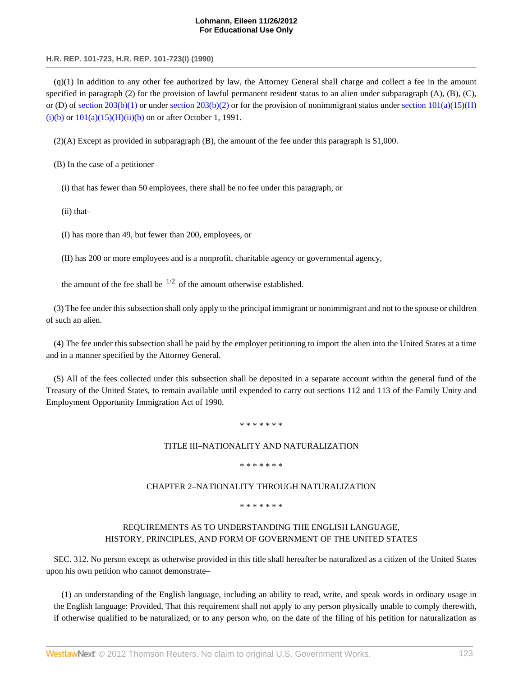# **H.R. REP. 101-723, H.R. REP. 101-723(I) (1990)**

 $(q)(1)$  In addition to any other fee authorized by law, the Attorney General shall charge and collect a fee in the amount specified in paragraph (2) for the provision of lawful permanent resident status to an alien under subparagraph (A), (B), (C), or (D) of section  $203(b)(1)$  or under section  $203(b)(2)$  or for the provision of nonimmigrant status under section  $101(a)(15)(H)$ [\(i\)\(b\)](http://www.westlaw.com/Link/Document/FullText?findType=L&pubNum=1000546&cite=29USCAS101&originatingDoc=I520E9F60643311D9B7CECED691859821&refType=LQ&originationContext=document&vr=3.0&rs=cblt1.0&transitionType=DocumentItem&contextData=(sc.UserEnteredCitation)) or  $101(a)(15)(H)(ii)(b)$  on or after October 1, 1991.

(2)(A) Except as provided in subparagraph (B), the amount of the fee under this paragraph is \$1,000.

(B) In the case of a petitioner–

(i) that has fewer than 50 employees, there shall be no fee under this paragraph, or

(ii) that–

(I) has more than 49, but fewer than 200, employees, or

(II) has 200 or more employees and is a nonprofit, charitable agency or governmental agency,

the amount of the fee shall be  $1/2$  of the amount otherwise established.

(3) The fee under this subsection shall only apply to the principal immigrant or nonimmigrant and not to the spouse or children of such an alien.

(4) The fee under this subsection shall be paid by the employer petitioning to import the alien into the United States at a time and in a manner specified by the Attorney General.

(5) All of the fees collected under this subsection shall be deposited in a separate account within the general fund of the Treasury of the United States, to remain available until expended to carry out sections 112 and 113 of the Family Unity and Employment Opportunity Immigration Act of 1990.

### \* \* \* \* \* \* \*

# TITLE III–NATIONALITY AND NATURALIZATION

# \* \* \* \* \* \* \*

# CHAPTER 2–NATIONALITY THROUGH NATURALIZATION

\* \* \* \* \* \* \*

# REQUIREMENTS AS TO UNDERSTANDING THE ENGLISH LANGUAGE, HISTORY, PRINCIPLES, AND FORM OF GOVERNMENT OF THE UNITED STATES

SEC. 312. No person except as otherwise provided in this title shall hereafter be naturalized as a citizen of the United States upon his own petition who cannot demonstrate–

(1) an understanding of the English language, including an ability to read, write, and speak words in ordinary usage in the English language: Provided, That this requirement shall not apply to any person physically unable to comply therewith, if otherwise qualified to be naturalized, or to any person who, on the date of the filing of his petition for naturalization as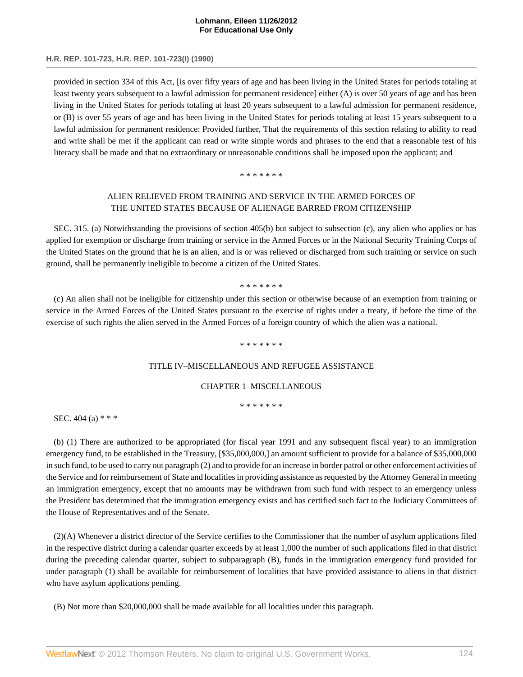## **H.R. REP. 101-723, H.R. REP. 101-723(I) (1990)**

provided in section 334 of this Act, [is over fifty years of age and has been living in the United States for periods totaling at least twenty years subsequent to a lawful admission for permanent residence] either (A) is over 50 years of age and has been living in the United States for periods totaling at least 20 years subsequent to a lawful admission for permanent residence, or (B) is over 55 years of age and has been living in the United States for periods totaling at least 15 years subsequent to a lawful admission for permanent residence: Provided further, That the requirements of this section relating to ability to read and write shall be met if the applicant can read or write simple words and phrases to the end that a reasonable test of his literacy shall be made and that no extraordinary or unreasonable conditions shall be imposed upon the applicant; and

# \* \* \* \* \* \* \*

# ALIEN RELIEVED FROM TRAINING AND SERVICE IN THE ARMED FORCES OF THE UNITED STATES BECAUSE OF ALIENAGE BARRED FROM CITIZENSHIP

SEC. 315. (a) Notwithstanding the provisions of section 405(b) but subject to subsection (c), any alien who applies or has applied for exemption or discharge from training or service in the Armed Forces or in the National Security Training Corps of the United States on the ground that he is an alien, and is or was relieved or discharged from such training or service on such ground, shall be permanently ineligible to become a citizen of the United States.

### \* \* \* \* \* \* \*

(c) An alien shall not be ineligible for citizenship under this section or otherwise because of an exemption from training or service in the Armed Forces of the United States pursuant to the exercise of rights under a treaty, if before the time of the exercise of such rights the alien served in the Armed Forces of a foreign country of which the alien was a national.

### \* \* \* \* \* \* \*

# TITLE IV–MISCELLANEOUS AND REFUGEE ASSISTANCE

# CHAPTER 1–MISCELLANEOUS

## \* \* \* \* \* \* \*

SEC. 404 (a)  $***$ 

(b) (1) There are authorized to be appropriated (for fiscal year 1991 and any subsequent fiscal year) to an immigration emergency fund, to be established in the Treasury, [\$35,000,000,] an amount sufficient to provide for a balance of \$35,000,000 in such fund, to be used to carry out paragraph (2) and to provide for an increase in border patrol or other enforcement activities of the Service and for reimbursement of State and localities in providing assistance as requested by the Attorney General in meeting an immigration emergency, except that no amounts may be withdrawn from such fund with respect to an emergency unless the President has determined that the immigration emergency exists and has certified such fact to the Judiciary Committees of the House of Representatives and of the Senate.

(2)(A) Whenever a district director of the Service certifies to the Commissioner that the number of asylum applications filed in the respective district during a calendar quarter exceeds by at least 1,000 the number of such applications filed in that district during the preceding calendar quarter, subject to subparagraph (B), funds in the immigration emergency fund provided for under paragraph (1) shall be available for reimbursement of localities that have provided assistance to aliens in that district who have asylum applications pending.

(B) Not more than \$20,000,000 shall be made available for all localities under this paragraph.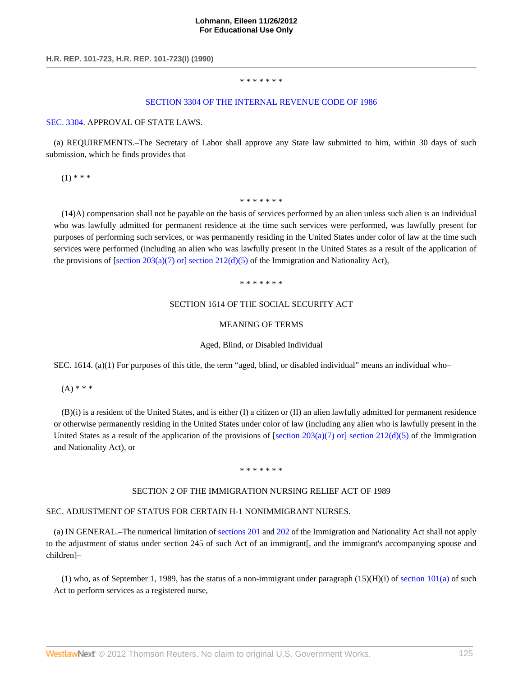**H.R. REP. 101-723, H.R. REP. 101-723(I) (1990)**

#### \* \* \* \* \* \* \*

### [SECTION 3304 OF THE INTERNAL REVENUE CODE OF 1986](http://www.westlaw.com/Link/Document/FullText?findType=L&pubNum=1000546&cite=26USCAS3304&originatingDoc=I520E9F60643311D9B7CECED691859821&refType=LQ&originationContext=document&vr=3.0&rs=cblt1.0&transitionType=DocumentItem&contextData=(sc.UserEnteredCitation))

### [SEC. 3304](http://www.westlaw.com/Link/Document/FullText?findType=L&pubNum=1000546&cite=26USCAS3304&originatingDoc=I520E9F60643311D9B7CECED691859821&refType=LQ&originationContext=document&vr=3.0&rs=cblt1.0&transitionType=DocumentItem&contextData=(sc.UserEnteredCitation)). APPROVAL OF STATE LAWS.

(a) REQUIREMENTS.–The Secretary of Labor shall approve any State law submitted to him, within 30 days of such submission, which he finds provides that–

 $(1)$  \* \* \*

\* \* \* \* \* \* \*

(14)A) compensation shall not be payable on the basis of services performed by an alien unless such alien is an individual who was lawfully admitted for permanent residence at the time such services were performed, was lawfully present for purposes of performing such services, or was permanently residing in the United States under color of law at the time such services were performed (including an alien who was lawfully present in the United States as a result of the application of the provisions of [\[section 203\(a\)\(7\) or\]](http://www.westlaw.com/Link/Document/FullText?findType=L&pubNum=1000546&cite=29USCAS203&originatingDoc=I520E9F60643311D9B7CECED691859821&refType=LQ&originationContext=document&vr=3.0&rs=cblt1.0&transitionType=DocumentItem&contextData=(sc.UserEnteredCitation)) [section 212\(d\)\(5\)](http://www.westlaw.com/Link/Document/FullText?findType=L&pubNum=1000546&cite=29USCAS212&originatingDoc=I520E9F60643311D9B7CECED691859821&refType=LQ&originationContext=document&vr=3.0&rs=cblt1.0&transitionType=DocumentItem&contextData=(sc.UserEnteredCitation)) of the Immigration and Nationality Act),

# \* \* \* \* \* \* \*

### SECTION 1614 OF THE SOCIAL SECURITY ACT

### MEANING OF TERMS

### Aged, Blind, or Disabled Individual

SEC. 1614. (a)(1) For purposes of this title, the term "aged, blind, or disabled individual" means an individual who–

 $(A)$  \* \* \*

(B)(i) is a resident of the United States, and is either (I) a citizen or (II) an alien lawfully admitted for permanent residence or otherwise permanently residing in the United States under color of law (including any alien who is lawfully present in the United States as a result of the application of the provisions of [[section 203\(a\)\(7\) or\]](http://www.westlaw.com/Link/Document/FullText?findType=L&pubNum=1000546&cite=29USCAS203&originatingDoc=I520E9F60643311D9B7CECED691859821&refType=LQ&originationContext=document&vr=3.0&rs=cblt1.0&transitionType=DocumentItem&contextData=(sc.UserEnteredCitation)) [section 212\(d\)\(5\)](http://www.westlaw.com/Link/Document/FullText?findType=L&pubNum=1000546&cite=29USCAS212&originatingDoc=I520E9F60643311D9B7CECED691859821&refType=LQ&originationContext=document&vr=3.0&rs=cblt1.0&transitionType=DocumentItem&contextData=(sc.UserEnteredCitation)) of the Immigration and Nationality Act), or

\* \* \* \* \* \* \*

### SECTION 2 OF THE IMMIGRATION NURSING RELIEF ACT OF 1989

### SEC. ADJUSTMENT OF STATUS FOR CERTAIN H-1 NONIMMIGRANT NURSES.

(a) IN GENERAL.–The numerical limitation of [sections 201](http://www.westlaw.com/Link/Document/FullText?findType=L&pubNum=1000546&cite=29USCAS201&originatingDoc=I520E9F60643311D9B7CECED691859821&refType=LQ&originationContext=document&vr=3.0&rs=cblt1.0&transitionType=DocumentItem&contextData=(sc.UserEnteredCitation)) and [202](http://www.westlaw.com/Link/Document/FullText?findType=L&pubNum=1000546&cite=29USCAS202&originatingDoc=I520E9F60643311D9B7CECED691859821&refType=LQ&originationContext=document&vr=3.0&rs=cblt1.0&transitionType=DocumentItem&contextData=(sc.UserEnteredCitation)) of the Immigration and Nationality Act shall not apply to the adjustment of status under section 245 of such Act of an immigrant[, and the immigrant's accompanying spouse and children]–

(1) who, as of September 1, 1989, has the status of a non-immigrant under paragraph  $(15)(H)(i)$  of [section 101\(a\)](http://www.westlaw.com/Link/Document/FullText?findType=L&pubNum=1000546&cite=29USCAS101&originatingDoc=I520E9F60643311D9B7CECED691859821&refType=LQ&originationContext=document&vr=3.0&rs=cblt1.0&transitionType=DocumentItem&contextData=(sc.UserEnteredCitation)) of such Act to perform services as a registered nurse,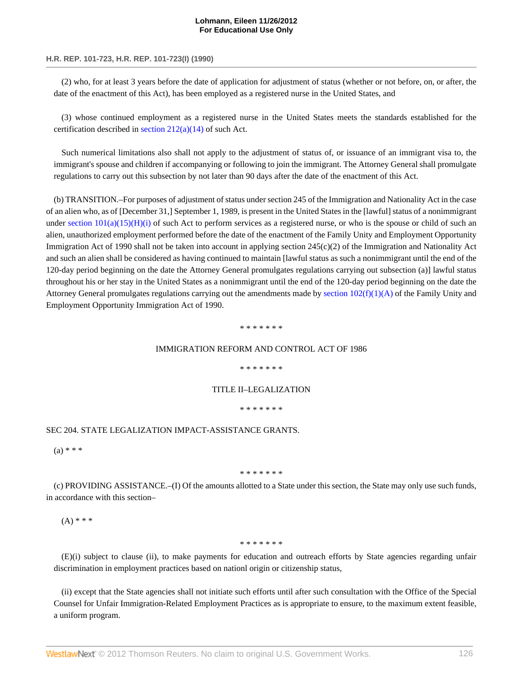### **H.R. REP. 101-723, H.R. REP. 101-723(I) (1990)**

(2) who, for at least 3 years before the date of application for adjustment of status (whether or not before, on, or after, the date of the enactment of this Act), has been employed as a registered nurse in the United States, and

(3) whose continued employment as a registered nurse in the United States meets the standards established for the certification described in section  $212(a)(14)$  of such Act.

Such numerical limitations also shall not apply to the adjustment of status of, or issuance of an immigrant visa to, the immigrant's spouse and children if accompanying or following to join the immigrant. The Attorney General shall promulgate regulations to carry out this subsection by not later than 90 days after the date of the enactment of this Act.

(b) TRANSITION.–For purposes of adjustment of status under section 245 of the Immigration and Nationality Act in the case of an alien who, as of [December 31,] September 1, 1989, is present in the United States in the [lawful] status of a nonimmigrant under section  $101(a)(15)(H)(i)$  of such Act to perform services as a registered nurse, or who is the spouse or child of such an alien, unauthorized employment performed before the date of the enactment of the Family Unity and Employment Opportunity Immigration Act of 1990 shall not be taken into account in applying section 245(c)(2) of the Immigration and Nationality Act and such an alien shall be considered as having continued to maintain [lawful status as such a nonimmigrant until the end of the 120-day period beginning on the date the Attorney General promulgates regulations carrying out subsection (a)] lawful status throughout his or her stay in the United States as a nonimmigrant until the end of the 120-day period beginning on the date the Attorney General promulgates regulations carrying out the amendments made by section  $102(f)(1)(A)$  of the Family Unity and Employment Opportunity Immigration Act of 1990.

\* \* \* \* \* \* \*

## IMMIGRATION REFORM AND CONTROL ACT OF 1986

### \* \* \* \* \* \* \*

## TITLE II–LEGALIZATION

# \* \* \* \* \* \* \*

## SEC 204. STATE LEGALIZATION IMPACT-ASSISTANCE GRANTS.

 $(a) * * *$ 

#### \* \* \* \* \* \* \*

(c) PROVIDING ASSISTANCE.–(I) Of the amounts allotted to a State under this section, the State may only use such funds, in accordance with this section–

 $(A)$  \* \* \*

### \* \* \* \* \* \* \*

(E)(i) subject to clause (ii), to make payments for education and outreach efforts by State agencies regarding unfair discrimination in employment practices based on nationl origin or citizenship status,

(ii) except that the State agencies shall not initiate such efforts until after such consultation with the Office of the Special Counsel for Unfair Immigration-Related Employment Practices as is appropriate to ensure, to the maximum extent feasible, a uniform program.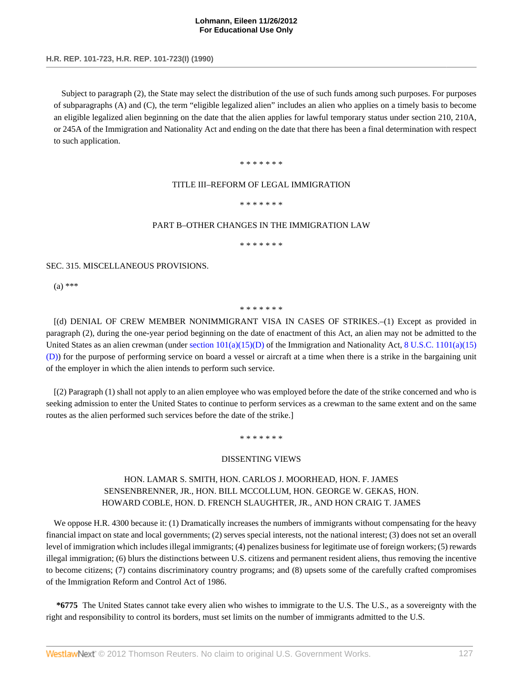### **H.R. REP. 101-723, H.R. REP. 101-723(I) (1990)**

Subject to paragraph (2), the State may select the distribution of the use of such funds among such purposes. For purposes of subparagraphs (A) and (C), the term "eligible legalized alien" includes an alien who applies on a timely basis to become an eligible legalized alien beginning on the date that the alien applies for lawful temporary status under section 210, 210A, or 245A of the Immigration and Nationality Act and ending on the date that there has been a final determination with respect to such application.

\* \* \* \* \* \* \*

### TITLE III–REFORM OF LEGAL IMMIGRATION

#### \* \* \* \* \* \* \*

### PART B–OTHER CHANGES IN THE IMMIGRATION LAW

\* \* \* \* \* \* \*

SEC. 315. MISCELLANEOUS PROVISIONS.

(a) \*\*\*

\* \* \* \* \* \* \*

[(d) DENIAL OF CREW MEMBER NONIMMIGRANT VISA IN CASES OF STRIKES.–(1) Except as provided in paragraph (2), during the one-year period beginning on the date of enactment of this Act, an alien may not be admitted to the United States as an alien crewman (under section  $101(a)(15)(D)$  of the Immigration and Nationality Act, 8 U.S.C.  $1101(a)(15)$ [\(D\)\)](http://www.westlaw.com/Link/Document/FullText?findType=L&pubNum=1000546&cite=8USCAS1101&originatingDoc=I520E9F60643311D9B7CECED691859821&refType=LQ&originationContext=document&vr=3.0&rs=cblt1.0&transitionType=DocumentItem&contextData=(sc.UserEnteredCitation)) for the purpose of performing service on board a vessel or aircraft at a time when there is a strike in the bargaining unit of the employer in which the alien intends to perform such service.

[(2) Paragraph (1) shall not apply to an alien employee who was employed before the date of the strike concerned and who is seeking admission to enter the United States to continue to perform services as a crewman to the same extent and on the same routes as the alien performed such services before the date of the strike.]

\* \* \* \* \* \* \*

### DISSENTING VIEWS

# HON. LAMAR S. SMITH, HON. CARLOS J. MOORHEAD, HON. F. JAMES SENSENBRENNER, JR., HON. BILL MCCOLLUM, HON. GEORGE W. GEKAS, HON. HOWARD COBLE, HON. D. FRENCH SLAUGHTER, JR., AND HON CRAIG T. JAMES

We oppose H.R. 4300 because it: (1) Dramatically increases the numbers of immigrants without compensating for the heavy financial impact on state and local governments; (2) serves special interests, not the national interest; (3) does not set an overall level of immigration which includes illegal immigrants; (4) penalizes business for legitimate use of foreign workers; (5) rewards illegal immigration; (6) blurs the distinctions between U.S. citizens and permanent resident aliens, thus removing the incentive to become citizens; (7) contains discriminatory country programs; and (8) upsets some of the carefully crafted compromises of the Immigration Reform and Control Act of 1986.

**\*6775** The United States cannot take every alien who wishes to immigrate to the U.S. The U.S., as a sovereignty with the right and responsibility to control its borders, must set limits on the number of immigrants admitted to the U.S.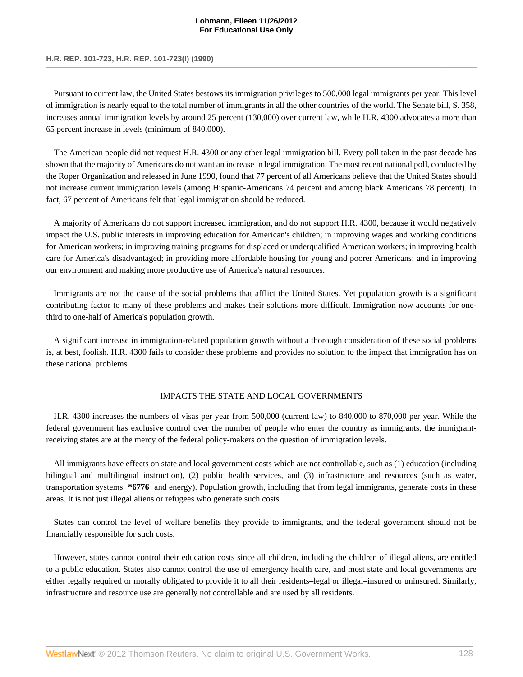### **H.R. REP. 101-723, H.R. REP. 101-723(I) (1990)**

Pursuant to current law, the United States bestows its immigration privileges to 500,000 legal immigrants per year. This level of immigration is nearly equal to the total number of immigrants in all the other countries of the world. The Senate bill, S. 358, increases annual immigration levels by around 25 percent (130,000) over current law, while H.R. 4300 advocates a more than 65 percent increase in levels (minimum of 840,000).

The American people did not request H.R. 4300 or any other legal immigration bill. Every poll taken in the past decade has shown that the majority of Americans do not want an increase in legal immigration. The most recent national poll, conducted by the Roper Organization and released in June 1990, found that 77 percent of all Americans believe that the United States should not increase current immigration levels (among Hispanic-Americans 74 percent and among black Americans 78 percent). In fact, 67 percent of Americans felt that legal immigration should be reduced.

A majority of Americans do not support increased immigration, and do not support H.R. 4300, because it would negatively impact the U.S. public interests in improving education for American's children; in improving wages and working conditions for American workers; in improving training programs for displaced or underqualified American workers; in improving health care for America's disadvantaged; in providing more affordable housing for young and poorer Americans; and in improving our environment and making more productive use of America's natural resources.

Immigrants are not the cause of the social problems that afflict the United States. Yet population growth is a significant contributing factor to many of these problems and makes their solutions more difficult. Immigration now accounts for onethird to one-half of America's population growth.

A significant increase in immigration-related population growth without a thorough consideration of these social problems is, at best, foolish. H.R. 4300 fails to consider these problems and provides no solution to the impact that immigration has on these national problems.

# IMPACTS THE STATE AND LOCAL GOVERNMENTS

H.R. 4300 increases the numbers of visas per year from 500,000 (current law) to 840,000 to 870,000 per year. While the federal government has exclusive control over the number of people who enter the country as immigrants, the immigrantreceiving states are at the mercy of the federal policy-makers on the question of immigration levels.

All immigrants have effects on state and local government costs which are not controllable, such as (1) education (including bilingual and multilingual instruction), (2) public health services, and (3) infrastructure and resources (such as water, transportation systems **\*6776** and energy). Population growth, including that from legal immigrants, generate costs in these areas. It is not just illegal aliens or refugees who generate such costs.

States can control the level of welfare benefits they provide to immigrants, and the federal government should not be financially responsible for such costs.

However, states cannot control their education costs since all children, including the children of illegal aliens, are entitled to a public education. States also cannot control the use of emergency health care, and most state and local governments are either legally required or morally obligated to provide it to all their residents–legal or illegal–insured or uninsured. Similarly, infrastructure and resource use are generally not controllable and are used by all residents.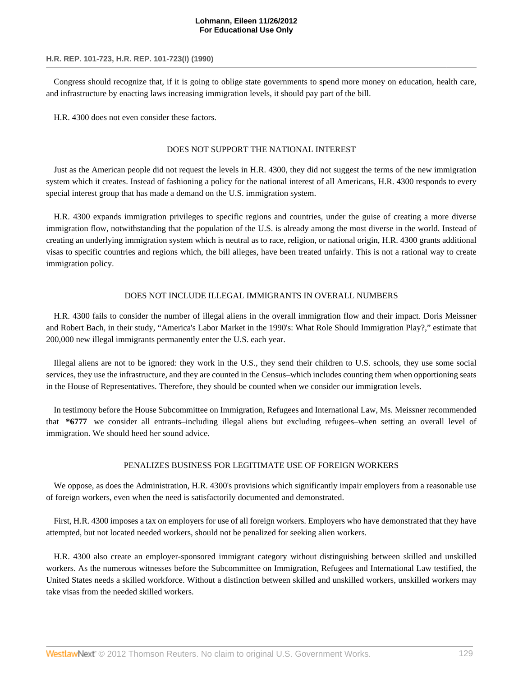### **H.R. REP. 101-723, H.R. REP. 101-723(I) (1990)**

Congress should recognize that, if it is going to oblige state governments to spend more money on education, health care, and infrastructure by enacting laws increasing immigration levels, it should pay part of the bill.

H.R. 4300 does not even consider these factors.

# DOES NOT SUPPORT THE NATIONAL INTEREST

Just as the American people did not request the levels in H.R. 4300, they did not suggest the terms of the new immigration system which it creates. Instead of fashioning a policy for the national interest of all Americans, H.R. 4300 responds to every special interest group that has made a demand on the U.S. immigration system.

H.R. 4300 expands immigration privileges to specific regions and countries, under the guise of creating a more diverse immigration flow, notwithstanding that the population of the U.S. is already among the most diverse in the world. Instead of creating an underlying immigration system which is neutral as to race, religion, or national origin, H.R. 4300 grants additional visas to specific countries and regions which, the bill alleges, have been treated unfairly. This is not a rational way to create immigration policy.

# DOES NOT INCLUDE ILLEGAL IMMIGRANTS IN OVERALL NUMBERS

H.R. 4300 fails to consider the number of illegal aliens in the overall immigration flow and their impact. Doris Meissner and Robert Bach, in their study, "America's Labor Market in the 1990's: What Role Should Immigration Play?," estimate that 200,000 new illegal immigrants permanently enter the U.S. each year.

Illegal aliens are not to be ignored: they work in the U.S., they send their children to U.S. schools, they use some social services, they use the infrastructure, and they are counted in the Census–which includes counting them when opportioning seats in the House of Representatives. Therefore, they should be counted when we consider our immigration levels.

In testimony before the House Subcommittee on Immigration, Refugees and International Law, Ms. Meissner recommended that **\*6777** we consider all entrants–including illegal aliens but excluding refugees–when setting an overall level of immigration. We should heed her sound advice.

# PENALIZES BUSINESS FOR LEGITIMATE USE OF FOREIGN WORKERS

We oppose, as does the Administration, H.R. 4300's provisions which significantly impair employers from a reasonable use of foreign workers, even when the need is satisfactorily documented and demonstrated.

First, H.R. 4300 imposes a tax on employers for use of all foreign workers. Employers who have demonstrated that they have attempted, but not located needed workers, should not be penalized for seeking alien workers.

H.R. 4300 also create an employer-sponsored immigrant category without distinguishing between skilled and unskilled workers. As the numerous witnesses before the Subcommittee on Immigration, Refugees and International Law testified, the United States needs a skilled workforce. Without a distinction between skilled and unskilled workers, unskilled workers may take visas from the needed skilled workers.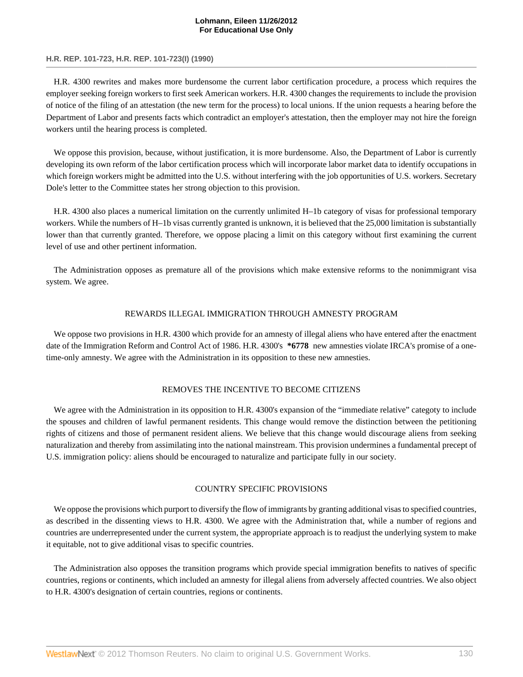### **H.R. REP. 101-723, H.R. REP. 101-723(I) (1990)**

H.R. 4300 rewrites and makes more burdensome the current labor certification procedure, a process which requires the employer seeking foreign workers to first seek American workers. H.R. 4300 changes the requirements to include the provision of notice of the filing of an attestation (the new term for the process) to local unions. If the union requests a hearing before the Department of Labor and presents facts which contradict an employer's attestation, then the employer may not hire the foreign workers until the hearing process is completed.

We oppose this provision, because, without justification, it is more burdensome. Also, the Department of Labor is currently developing its own reform of the labor certification process which will incorporate labor market data to identify occupations in which foreign workers might be admitted into the U.S. without interfering with the job opportunities of U.S. workers. Secretary Dole's letter to the Committee states her strong objection to this provision.

H.R. 4300 also places a numerical limitation on the currently unlimited H–1b category of visas for professional temporary workers. While the numbers of H–1b visas currently granted is unknown, it is believed that the 25,000 limitation is substantially lower than that currently granted. Therefore, we oppose placing a limit on this category without first examining the current level of use and other pertinent information.

The Administration opposes as premature all of the provisions which make extensive reforms to the nonimmigrant visa system. We agree.

## REWARDS ILLEGAL IMMIGRATION THROUGH AMNESTY PROGRAM

We oppose two provisions in H.R. 4300 which provide for an amnesty of illegal aliens who have entered after the enactment date of the Immigration Reform and Control Act of 1986. H.R. 4300's **\*6778** new amnesties violate IRCA's promise of a onetime-only amnesty. We agree with the Administration in its opposition to these new amnesties.

# REMOVES THE INCENTIVE TO BECOME CITIZENS

We agree with the Administration in its opposition to H.R. 4300's expansion of the "immediate relative" categoty to include the spouses and children of lawful permanent residents. This change would remove the distinction between the petitioning rights of citizens and those of permanent resident aliens. We believe that this change would discourage aliens from seeking naturalization and thereby from assimilating into the national mainstream. This provision undermines a fundamental precept of U.S. immigration policy: aliens should be encouraged to naturalize and participate fully in our society.

# COUNTRY SPECIFIC PROVISIONS

We oppose the provisions which purport to diversify the flow of immigrants by granting additional visas to specified countries, as described in the dissenting views to H.R. 4300. We agree with the Administration that, while a number of regions and countries are underrepresented under the current system, the appropriate approach is to readjust the underlying system to make it equitable, not to give additional visas to specific countries.

The Administration also opposes the transition programs which provide special immigration benefits to natives of specific countries, regions or continents, which included an amnesty for illegal aliens from adversely affected countries. We also object to H.R. 4300's designation of certain countries, regions or continents.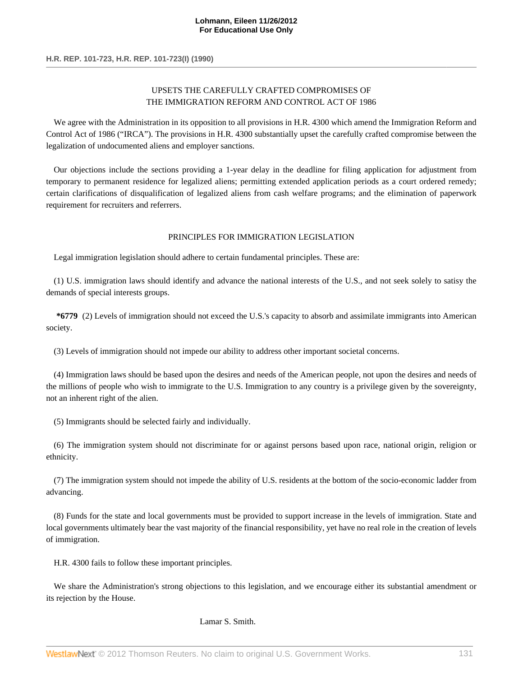# UPSETS THE CAREFULLY CRAFTED COMPROMISES OF THE IMMIGRATION REFORM AND CONTROL ACT OF 1986

We agree with the Administration in its opposition to all provisions in H.R. 4300 which amend the Immigration Reform and Control Act of 1986 ("IRCA"). The provisions in H.R. 4300 substantially upset the carefully crafted compromise between the legalization of undocumented aliens and employer sanctions.

Our objections include the sections providing a 1-year delay in the deadline for filing application for adjustment from temporary to permanent residence for legalized aliens; permitting extended application periods as a court ordered remedy; certain clarifications of disqualification of legalized aliens from cash welfare programs; and the elimination of paperwork requirement for recruiters and referrers.

# PRINCIPLES FOR IMMIGRATION LEGISLATION

Legal immigration legislation should adhere to certain fundamental principles. These are:

(1) U.S. immigration laws should identify and advance the national interests of the U.S., and not seek solely to satisy the demands of special interests groups.

**\*6779** (2) Levels of immigration should not exceed the U.S.'s capacity to absorb and assimilate immigrants into American society.

(3) Levels of immigration should not impede our ability to address other important societal concerns.

(4) Immigration laws should be based upon the desires and needs of the American people, not upon the desires and needs of the millions of people who wish to immigrate to the U.S. Immigration to any country is a privilege given by the sovereignty, not an inherent right of the alien.

(5) Immigrants should be selected fairly and individually.

(6) The immigration system should not discriminate for or against persons based upon race, national origin, religion or ethnicity.

(7) The immigration system should not impede the ability of U.S. residents at the bottom of the socio-economic ladder from advancing.

(8) Funds for the state and local governments must be provided to support increase in the levels of immigration. State and local governments ultimately bear the vast majority of the financial responsibility, yet have no real role in the creation of levels of immigration.

H.R. 4300 fails to follow these important principles.

We share the Administration's strong objections to this legislation, and we encourage either its substantial amendment or its rejection by the House.

# Lamar S. Smith.